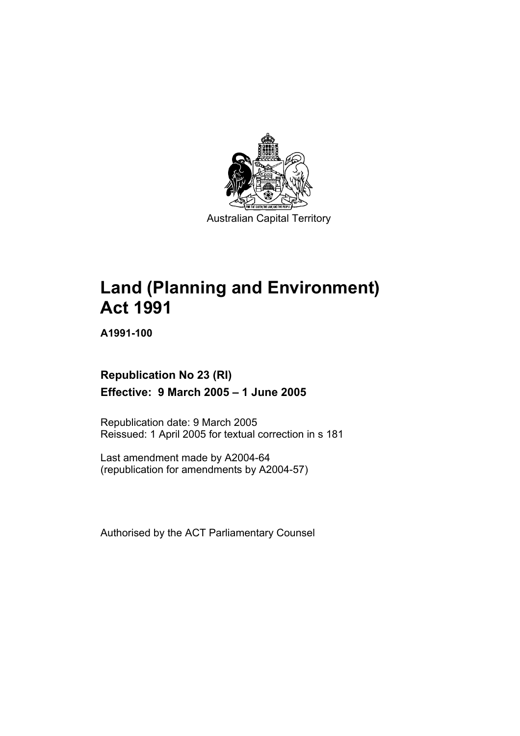

# **Land (Planning and Environment) Act 1991**

**A1991-100** 

## **Republication No 23 (RI) Effective: 9 March 2005 – 1 June 2005**

Republication date: 9 March 2005 Reissued: 1 April 2005 for textual correction in s 181

Last amendment made by A2004-64 (republication for amendments by A2004-57)

Authorised by the ACT Parliamentary Counsel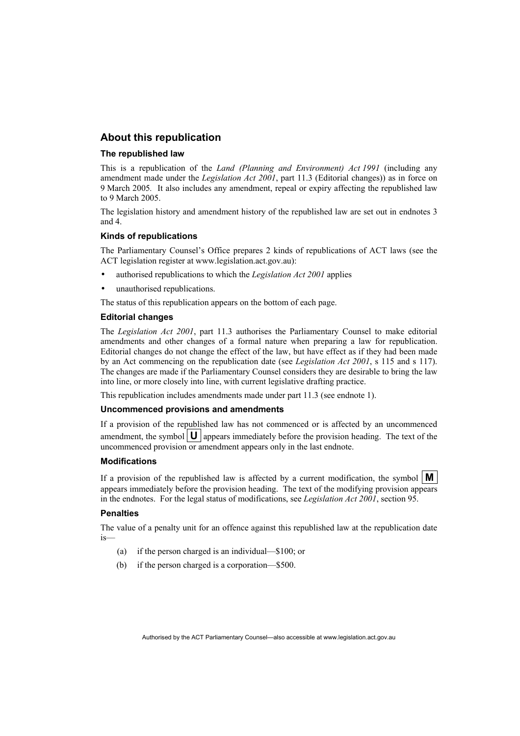#### **About this republication**

#### **The republished law**

This is a republication of the *Land (Planning and Environment) Act 1991* (including any amendment made under the *Legislation Act 2001*, part 11.3 (Editorial changes)) as in force on 9 March 2005*.* It also includes any amendment, repeal or expiry affecting the republished law to 9 March 2005.

The legislation history and amendment history of the republished law are set out in endnotes 3 and 4.

#### **Kinds of republications**

The Parliamentary Counsel's Office prepares 2 kinds of republications of ACT laws (see the ACT legislation register at www.legislation.act.gov.au):

- authorised republications to which the *Legislation Act 2001* applies
- unauthorised republications.

The status of this republication appears on the bottom of each page.

#### **Editorial changes**

The *Legislation Act 2001*, part 11.3 authorises the Parliamentary Counsel to make editorial amendments and other changes of a formal nature when preparing a law for republication. Editorial changes do not change the effect of the law, but have effect as if they had been made by an Act commencing on the republication date (see *Legislation Act 2001*, s 115 and s 117). The changes are made if the Parliamentary Counsel considers they are desirable to bring the law into line, or more closely into line, with current legislative drafting practice.

This republication includes amendments made under part 11.3 (see endnote 1).

#### **Uncommenced provisions and amendments**

If a provision of the republished law has not commenced or is affected by an uncommenced amendment, the symbol  $\mathbf{U}$  appears immediately before the provision heading. The text of the uncommenced provision or amendment appears only in the last endnote.

#### **Modifications**

If a provision of the republished law is affected by a current modification, the symbol  $\mathbf{M}$ appears immediately before the provision heading. The text of the modifying provision appears in the endnotes. For the legal status of modifications, see *Legislation Act 2001*, section 95.

#### **Penalties**

The value of a penalty unit for an offence against this republished law at the republication date is—

- (a) if the person charged is an individual—\$100; or
- (b) if the person charged is a corporation—\$500.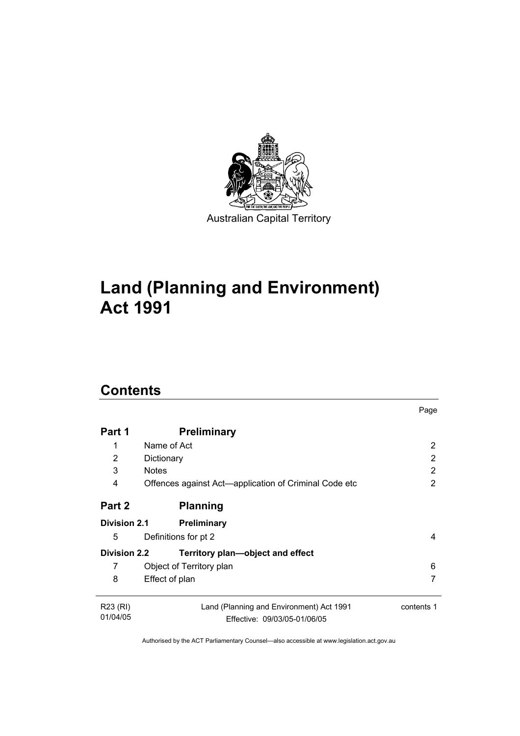

# **Land (Planning and Environment) Act 1991**

# **Contents**

| Part 1               | <b>Preliminary</b>                                                       |            |
|----------------------|--------------------------------------------------------------------------|------------|
| 1                    | Name of Act                                                              | 2          |
| 2                    | Dictionary                                                               | 2          |
| 3                    | <b>Notes</b>                                                             | 2          |
| 4                    | Offences against Act—application of Criminal Code etc                    | 2          |
| Part 2               | <b>Planning</b>                                                          |            |
| <b>Division 2.1</b>  | <b>Preliminary</b>                                                       |            |
| 5                    | Definitions for pt 2                                                     | 4          |
| <b>Division 2.2</b>  | Territory plan-object and effect                                         |            |
| 7                    | Object of Territory plan                                                 | 6          |
| 8                    | Effect of plan                                                           |            |
| R23 (RI)<br>01/04/05 | Land (Planning and Environment) Act 1991<br>Effective: 09/03/05-01/06/05 | contents 1 |
|                      |                                                                          |            |

Page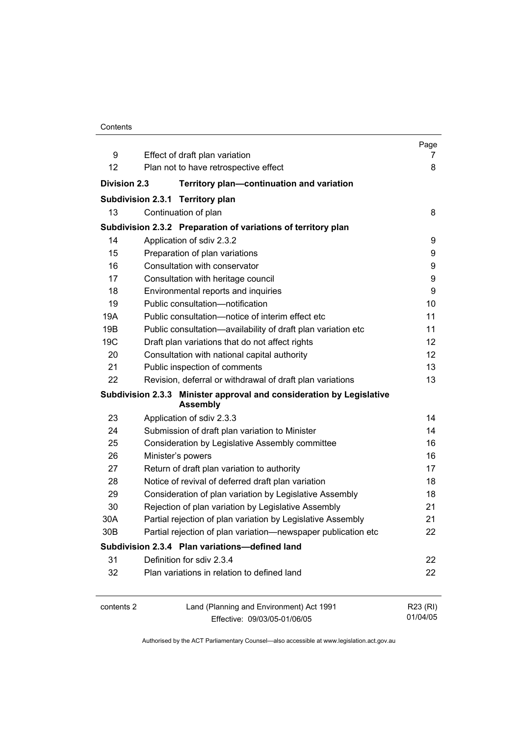| Contents |
|----------|
|----------|

|                                                                                         |                                                                          | Page                 |  |
|-----------------------------------------------------------------------------------------|--------------------------------------------------------------------------|----------------------|--|
| 9                                                                                       | Effect of draft plan variation                                           | 7                    |  |
| 12                                                                                      | Plan not to have retrospective effect                                    | 8                    |  |
| <b>Division 2.3</b>                                                                     | Territory plan-continuation and variation                                |                      |  |
|                                                                                         | Subdivision 2.3.1 Territory plan                                         |                      |  |
| 13                                                                                      | Continuation of plan                                                     | 8                    |  |
|                                                                                         | Subdivision 2.3.2 Preparation of variations of territory plan            |                      |  |
| 14                                                                                      | Application of sdiv 2.3.2                                                | 9                    |  |
| 15                                                                                      | Preparation of plan variations                                           | 9                    |  |
| 16                                                                                      | Consultation with conservator                                            | 9                    |  |
| 17                                                                                      | Consultation with heritage council                                       | 9                    |  |
| 18                                                                                      | Environmental reports and inquiries                                      | 9                    |  |
| 19                                                                                      | Public consultation-notification                                         | 10                   |  |
| 19A                                                                                     | Public consultation-notice of interim effect etc                         | 11                   |  |
| 19B                                                                                     | Public consultation-availability of draft plan variation etc             | 11                   |  |
| 19 <sub>C</sub>                                                                         | Draft plan variations that do not affect rights                          | 12                   |  |
| 20                                                                                      | Consultation with national capital authority                             | 12 <sup>2</sup>      |  |
| 21                                                                                      | Public inspection of comments                                            | 13                   |  |
| 22                                                                                      | Revision, deferral or withdrawal of draft plan variations                | 13                   |  |
| Subdivision 2.3.3 Minister approval and consideration by Legislative<br><b>Assembly</b> |                                                                          |                      |  |
| 23                                                                                      | Application of sdiv 2.3.3                                                | 14                   |  |
| 24                                                                                      | Submission of draft plan variation to Minister                           | 14                   |  |
| 25                                                                                      | Consideration by Legislative Assembly committee                          | 16                   |  |
| 26                                                                                      | Minister's powers                                                        | 16                   |  |
| 27                                                                                      | Return of draft plan variation to authority                              | 17                   |  |
| 28                                                                                      | Notice of revival of deferred draft plan variation                       | 18                   |  |
| 29                                                                                      | Consideration of plan variation by Legislative Assembly                  | 18                   |  |
| 30                                                                                      | Rejection of plan variation by Legislative Assembly                      | 21                   |  |
| 30A                                                                                     | Partial rejection of plan variation by Legislative Assembly              | 21                   |  |
| 30B                                                                                     | Partial rejection of plan variation-newspaper publication etc            | 22                   |  |
|                                                                                         | Subdivision 2.3.4 Plan variations-defined land                           |                      |  |
| 31                                                                                      | Definition for sdiv 2.3.4                                                | 22                   |  |
| 32                                                                                      | Plan variations in relation to defined land                              | 22                   |  |
| contents 2                                                                              | Land (Planning and Environment) Act 1991<br>Effective: 09/03/05-01/06/05 | R23 (RI)<br>01/04/05 |  |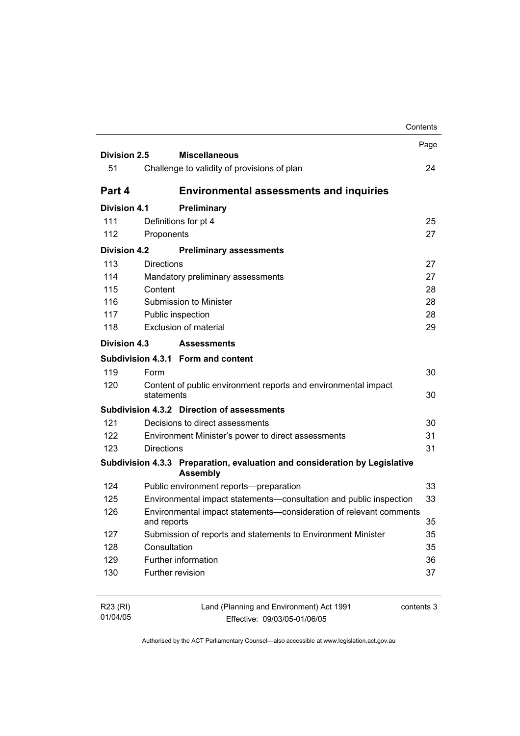|                     |                   |                                                                                               | Contents |
|---------------------|-------------------|-----------------------------------------------------------------------------------------------|----------|
|                     |                   |                                                                                               | Page     |
| Division 2.5        |                   | <b>Miscellaneous</b>                                                                          |          |
| 51                  |                   | Challenge to validity of provisions of plan                                                   | 24       |
| Part 4              |                   | <b>Environmental assessments and inquiries</b>                                                |          |
| <b>Division 4.1</b> |                   | Preliminary                                                                                   |          |
| 111                 |                   | Definitions for pt 4                                                                          | 25       |
| 112                 | Proponents        |                                                                                               | 27       |
| <b>Division 4.2</b> |                   | <b>Preliminary assessments</b>                                                                |          |
| 113                 | <b>Directions</b> |                                                                                               | 27       |
| 114                 |                   | Mandatory preliminary assessments                                                             | 27       |
| 115                 | Content           |                                                                                               | 28       |
| 116                 |                   | Submission to Minister                                                                        | 28       |
| 117                 |                   | Public inspection                                                                             | 28       |
| 118                 |                   | <b>Exclusion of material</b>                                                                  | 29       |
| Division 4.3        |                   | <b>Assessments</b>                                                                            |          |
|                     |                   | Subdivision 4.3.1 Form and content                                                            |          |
| 119                 | Form              |                                                                                               | 30       |
| 120                 | statements        | Content of public environment reports and environmental impact                                | 30       |
|                     |                   | Subdivision 4.3.2 Direction of assessments                                                    |          |
| 121                 |                   | Decisions to direct assessments                                                               | 30       |
| 122                 |                   | Environment Minister's power to direct assessments                                            | 31       |
| 123                 | <b>Directions</b> |                                                                                               | 31       |
|                     |                   | Subdivision 4.3.3 Preparation, evaluation and consideration by Legislative<br><b>Assembly</b> |          |
| 124                 |                   | Public environment reports-preparation                                                        | 33       |
| 125                 |                   | Environmental impact statements-consultation and public inspection                            | 33       |
| 126                 | and reports       | Environmental impact statements-consideration of relevant comments                            | 35       |
| 127                 |                   | Submission of reports and statements to Environment Minister                                  | 35       |
| 128                 | Consultation      |                                                                                               | 35       |
| 129                 |                   | Further information                                                                           | 36       |
| 130                 | Further revision  |                                                                                               | 37       |
| R23 (RI)            |                   | Land (Planning and Environment) Act 1991<br>contents 3                                        |          |

| 01/04/05 | Effective: 09/03/05-01/06/05 |  |
|----------|------------------------------|--|
|          |                              |  |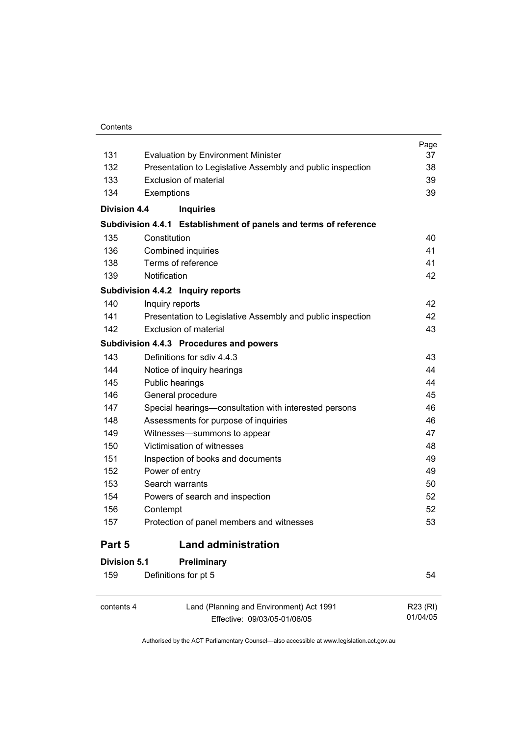#### **Contents**

| 131                 | <b>Evaluation by Environment Minister</b>                        | Page<br>37 |
|---------------------|------------------------------------------------------------------|------------|
| 132                 | Presentation to Legislative Assembly and public inspection       | 38         |
| 133                 | Exclusion of material                                            | 39         |
| 134                 | Exemptions                                                       | 39         |
| <b>Division 4.4</b> | <b>Inquiries</b>                                                 |            |
|                     | Subdivision 4.4.1 Establishment of panels and terms of reference |            |
| 135                 | Constitution                                                     | 40         |
| 136                 | Combined inquiries                                               | 41         |
| 138                 | Terms of reference                                               | 41         |
| 139                 | Notification                                                     | 42         |
|                     | Subdivision 4.4.2 Inquiry reports                                |            |
| 140                 | Inquiry reports                                                  | 42         |
| 141                 | Presentation to Legislative Assembly and public inspection       | 42         |
| 142                 | Exclusion of material                                            | 43         |
|                     | Subdivision 4.4.3 Procedures and powers                          |            |
| 143                 | Definitions for sdiv 4.4.3                                       | 43         |
| 144                 | Notice of inquiry hearings                                       | 44         |
| 145                 | Public hearings                                                  | 44         |
| 146                 | General procedure                                                | 45         |
| 147                 | Special hearings-consultation with interested persons            | 46         |
| 148                 | Assessments for purpose of inquiries                             | 46         |
| 149                 | Witnesses-summons to appear                                      | 47         |
| 150                 | Victimisation of witnesses                                       | 48         |
| 151                 | Inspection of books and documents                                | 49         |
| 152                 | Power of entry                                                   | 49         |
| 153                 | Search warrants                                                  | 50         |
| 154                 | Powers of search and inspection                                  | 52         |
| 156                 | Contempt                                                         | 52         |
| 157                 | Protection of panel members and witnesses                        | 53         |
| Part 5              | <b>Land administration</b>                                       |            |
| Division 5.1        | <b>Preliminary</b>                                               |            |
| 159                 | Definitions for pt 5                                             | 54         |
|                     |                                                                  |            |

contents 4 Land (Planning and Environment) Act 1991 Effective: 09/03/05-01/06/05 R23 (RI) 01/04/05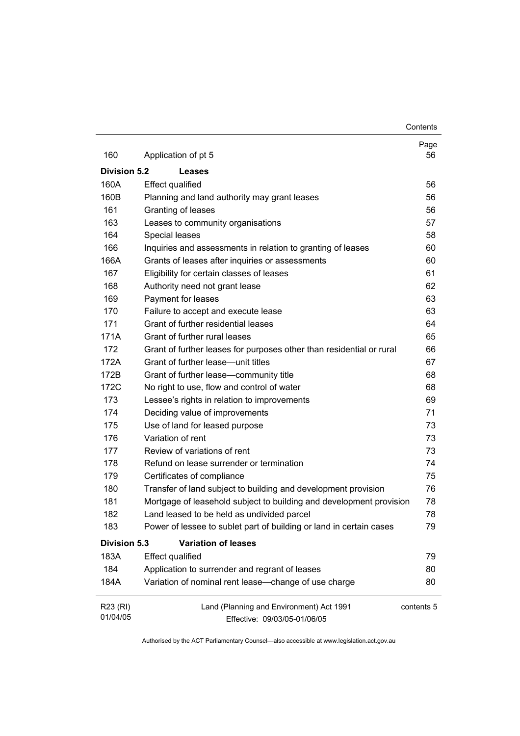**Contents** 

| 160                  | Application of pt 5                                                      | Page<br>56 |
|----------------------|--------------------------------------------------------------------------|------------|
| Division 5.2         | Leases                                                                   |            |
| 160A                 | <b>Effect qualified</b>                                                  | 56         |
| 160B                 | Planning and land authority may grant leases                             | 56         |
| 161                  | Granting of leases                                                       | 56         |
| 163                  | Leases to community organisations                                        | 57         |
| 164                  | Special leases                                                           | 58         |
| 166                  | Inquiries and assessments in relation to granting of leases              | 60         |
| 166A                 | Grants of leases after inquiries or assessments                          | 60         |
| 167                  | Eligibility for certain classes of leases                                | 61         |
| 168                  | Authority need not grant lease                                           | 62         |
| 169                  | Payment for leases                                                       | 63         |
| 170                  | Failure to accept and execute lease                                      | 63         |
| 171                  | Grant of further residential leases                                      | 64         |
| 171A                 | Grant of further rural leases                                            | 65         |
| 172                  | Grant of further leases for purposes other than residential or rural     | 66         |
| 172A                 | Grant of further lease-unit titles                                       | 67         |
| 172B                 | Grant of further lease-community title                                   | 68         |
| 172C                 | No right to use, flow and control of water                               | 68         |
| 173                  | Lessee's rights in relation to improvements                              | 69         |
| 174                  | Deciding value of improvements                                           | 71         |
| 175                  | Use of land for leased purpose                                           | 73         |
| 176                  | Variation of rent                                                        | 73         |
| 177                  | Review of variations of rent                                             | 73         |
| 178                  | Refund on lease surrender or termination                                 | 74         |
| 179                  | Certificates of compliance                                               | 75         |
| 180                  | Transfer of land subject to building and development provision           | 76         |
| 181                  | Mortgage of leasehold subject to building and development provision      | 78         |
| 182                  | Land leased to be held as undivided parcel                               | 78         |
| 183                  | Power of lessee to sublet part of building or land in certain cases      | 79         |
| <b>Division 5.3</b>  | <b>Variation of leases</b>                                               |            |
| 183A                 | <b>Effect qualified</b>                                                  | 79         |
| 184                  | Application to surrender and regrant of leases                           | 80         |
| 184A                 | Variation of nominal rent lease-change of use charge                     | 80         |
| R23 (RI)<br>01/04/05 | Land (Planning and Environment) Act 1991<br>Effective: 09/03/05-01/06/05 | contents 5 |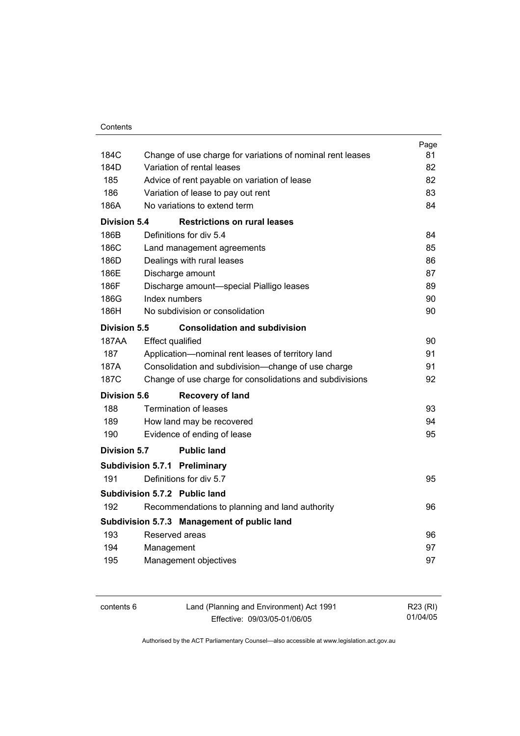|                     |                                                            | Page |
|---------------------|------------------------------------------------------------|------|
| 184C                | Change of use charge for variations of nominal rent leases | 81   |
| 184D                | Variation of rental leases                                 | 82   |
| 185                 | Advice of rent payable on variation of lease               | 82   |
| 186                 | Variation of lease to pay out rent                         | 83   |
| 186A                | No variations to extend term                               | 84   |
| <b>Division 5.4</b> | <b>Restrictions on rural leases</b>                        |      |
| 186B                | Definitions for div 5.4                                    | 84   |
| 186C                | Land management agreements                                 | 85   |
| 186D                | Dealings with rural leases                                 | 86   |
| 186E                | Discharge amount                                           | 87   |
| 186F                | Discharge amount-special Pialligo leases                   | 89   |
| 186G                | Index numbers                                              | 90   |
| 186H                | No subdivision or consolidation                            | 90   |
| Division 5.5        | <b>Consolidation and subdivision</b>                       |      |
| 187AA               | <b>Effect qualified</b>                                    | 90   |
| 187                 | Application-nominal rent leases of territory land          | 91   |
| 187A                | Consolidation and subdivision-change of use charge         | 91   |
| 187C                | Change of use charge for consolidations and subdivisions   | 92   |
| Division 5.6        | <b>Recovery of land</b>                                    |      |
| 188                 | <b>Termination of leases</b>                               | 93   |
| 189                 | How land may be recovered                                  | 94   |
| 190                 | Evidence of ending of lease                                | 95   |
| Division 5.7        | <b>Public land</b>                                         |      |
|                     | Subdivision 5.7.1 Preliminary                              |      |
| 191                 | Definitions for div 5.7                                    | 95   |
|                     | Subdivision 5.7.2 Public land                              |      |
| 192                 | Recommendations to planning and land authority             | 96   |
|                     | Subdivision 5.7.3 Management of public land                |      |
| 193                 | Reserved areas                                             | 96   |
| 194                 | Management                                                 | 97   |
| 195                 | Management objectives                                      | 97   |
|                     |                                                            |      |

| contents 6 | Land (Planning and Environment) Act 1991 | R23 (RI) |
|------------|------------------------------------------|----------|
|            | Effective: 09/03/05-01/06/05             | 01/04/05 |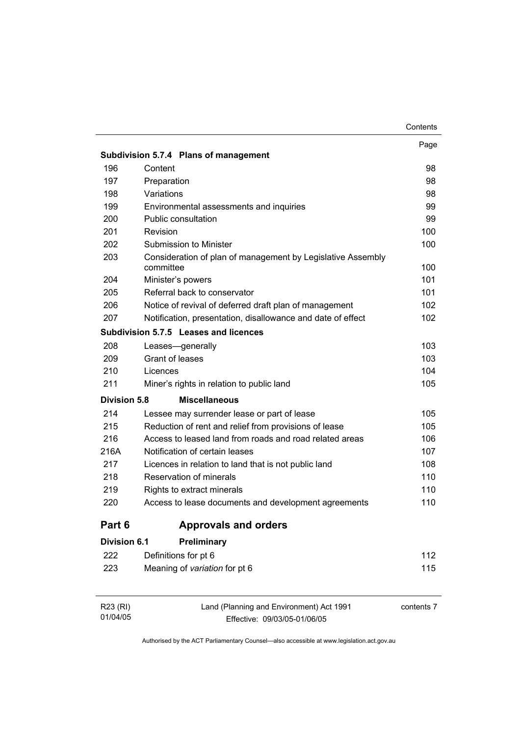|                     | Subdivision 5.7.4 Plans of management                       | Page       |
|---------------------|-------------------------------------------------------------|------------|
| 196                 | Content                                                     | 98         |
| 197                 | Preparation                                                 | 98         |
| 198                 | Variations                                                  | 98         |
| 199                 | Environmental assessments and inquiries                     | 99         |
| 200                 | <b>Public consultation</b>                                  | 99         |
| 201                 | Revision                                                    | 100        |
| 202                 | Submission to Minister                                      | 100        |
| 203                 | Consideration of plan of management by Legislative Assembly |            |
|                     | committee                                                   | 100        |
| 204                 | Minister's powers                                           | 101        |
| 205                 | Referral back to conservator                                | 101        |
| 206                 | Notice of revival of deferred draft plan of management      | 102        |
| 207                 | Notification, presentation, disallowance and date of effect | 102        |
|                     | Subdivision 5.7.5 Leases and licences                       |            |
| 208                 | Leases-generally                                            | 103        |
| 209                 | Grant of leases                                             | 103        |
| 210                 | Licences                                                    | 104        |
| 211                 | Miner's rights in relation to public land                   | 105        |
| <b>Division 5.8</b> | <b>Miscellaneous</b>                                        |            |
| 214                 | Lessee may surrender lease or part of lease                 | 105        |
| 215                 | Reduction of rent and relief from provisions of lease       | 105        |
| 216                 | Access to leased land from roads and road related areas     | 106        |
| 216A                | Notification of certain leases                              | 107        |
| 217                 | Licences in relation to land that is not public land        | 108        |
| 218                 | Reservation of minerals                                     | 110        |
| 219                 | Rights to extract minerals                                  | 110        |
| 220                 | Access to lease documents and development agreements        | 110        |
| Part 6              | <b>Approvals and orders</b>                                 |            |
| <b>Division 6.1</b> | Preliminary                                                 |            |
| 222                 | Definitions for pt 6                                        | 112        |
| 223                 | Meaning of variation for pt 6                               | 115        |
|                     |                                                             |            |
| R23 (RI)            | Land (Planning and Environment) Act 1991                    | contents 7 |

Authorised by the ACT Parliamentary Counsel—also accessible at www.legislation.act.gov.au

Effective: 09/03/05-01/06/05

01/04/05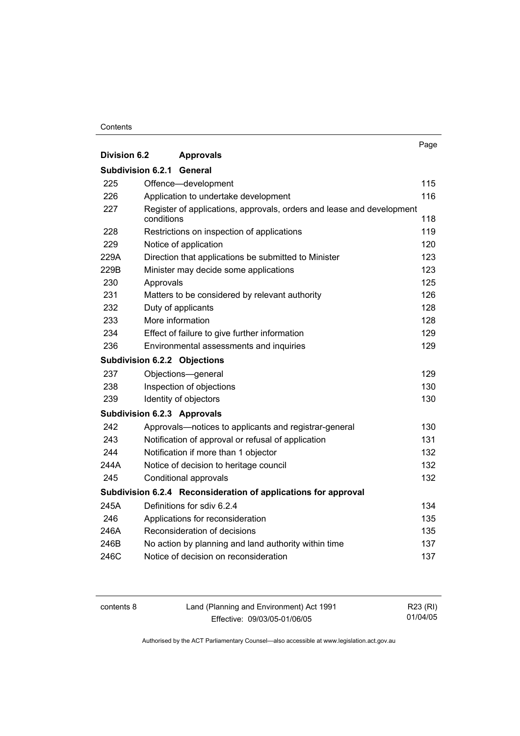#### **Contents**

|                          |                                                                                     | Page |
|--------------------------|-------------------------------------------------------------------------------------|------|
| Division 6.2             | <b>Approvals</b>                                                                    |      |
| <b>Subdivision 6.2.1</b> | General                                                                             |      |
| 225                      | Offence-development                                                                 | 115  |
| 226                      | Application to undertake development                                                | 116  |
| 227                      | Register of applications, approvals, orders and lease and development<br>conditions | 118  |
| 228                      | Restrictions on inspection of applications                                          | 119  |
| 229                      | Notice of application                                                               | 120  |
| 229A                     | Direction that applications be submitted to Minister                                | 123  |
| 229B                     | Minister may decide some applications                                               | 123  |
| 230                      | Approvals                                                                           | 125  |
| 231                      | Matters to be considered by relevant authority                                      | 126  |
| 232                      | Duty of applicants                                                                  | 128  |
| 233                      | More information                                                                    | 128  |
| 234                      | Effect of failure to give further information                                       | 129  |
| 236                      | Environmental assessments and inquiries                                             | 129  |
|                          | <b>Subdivision 6.2.2 Objections</b>                                                 |      |
| 237                      | Objections-general                                                                  | 129  |
| 238                      | Inspection of objections                                                            | 130  |
| 239                      | Identity of objectors                                                               | 130  |
|                          | <b>Subdivision 6.2.3 Approvals</b>                                                  |      |
| 242                      | Approvals-notices to applicants and registrar-general                               | 130  |
| 243                      | Notification of approval or refusal of application                                  | 131  |
| 244                      | Notification if more than 1 objector                                                | 132  |
| 244A                     | Notice of decision to heritage council                                              | 132  |
| 245                      | Conditional approvals                                                               | 132  |
|                          | Subdivision 6.2.4 Reconsideration of applications for approval                      |      |
| 245A                     | Definitions for sdiv 6.2.4                                                          | 134  |
| 246                      | Applications for reconsideration                                                    | 135  |
| 246A                     | Reconsideration of decisions                                                        | 135  |
| 246B                     | No action by planning and land authority within time                                | 137  |
| 246C                     | Notice of decision on reconsideration                                               | 137  |

contents 8 Land (Planning and Environment) Act 1991 Effective: 09/03/05-01/06/05

R23 (RI) 01/04/05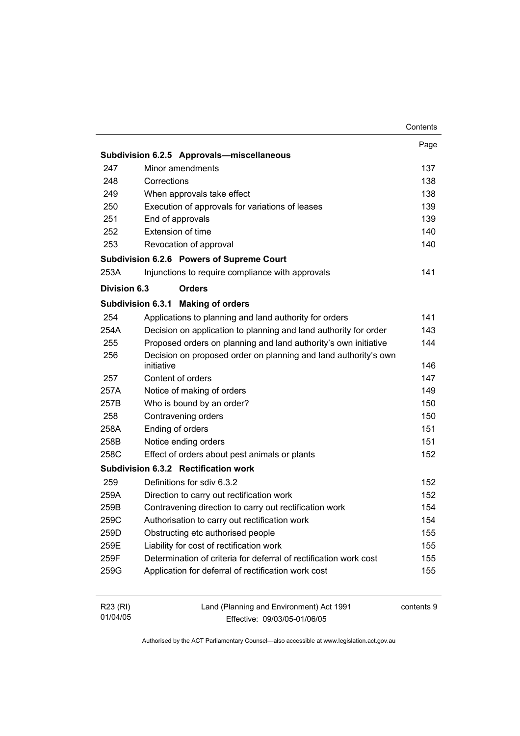|                      |                                                                          | Contents   |
|----------------------|--------------------------------------------------------------------------|------------|
|                      |                                                                          | Page       |
|                      | Subdivision 6.2.5 Approvals-miscellaneous                                |            |
| 247                  | Minor amendments                                                         | 137        |
| 248                  | Corrections                                                              | 138        |
| 249                  | When approvals take effect                                               | 138        |
| 250                  | Execution of approvals for variations of leases                          | 139        |
| 251                  | End of approvals                                                         | 139        |
| 252                  | Extension of time                                                        | 140        |
| 253                  | Revocation of approval                                                   | 140        |
|                      | Subdivision 6.2.6 Powers of Supreme Court                                |            |
| 253A                 | Injunctions to require compliance with approvals                         | 141        |
| Division 6.3         | <b>Orders</b>                                                            |            |
|                      | <b>Subdivision 6.3.1</b><br><b>Making of orders</b>                      |            |
| 254                  | Applications to planning and land authority for orders                   | 141        |
| 254A                 | Decision on application to planning and land authority for order         | 143        |
| 255                  | Proposed orders on planning and land authority's own initiative          | 144        |
| 256                  | Decision on proposed order on planning and land authority's own          |            |
|                      | initiative                                                               | 146        |
| 257                  | Content of orders                                                        | 147        |
| 257A                 | Notice of making of orders                                               | 149        |
| 257B                 | Who is bound by an order?                                                | 150        |
| 258                  | Contravening orders                                                      | 150        |
| 258A                 | Ending of orders                                                         | 151        |
| 258B                 | Notice ending orders                                                     | 151        |
| 258C                 | Effect of orders about pest animals or plants                            | 152        |
|                      | Subdivision 6.3.2 Rectification work                                     |            |
| 259                  | Definitions for sdiv 6.3.2                                               | 152        |
| 259A                 | Direction to carry out rectification work                                | 152        |
| 259B                 | Contravening direction to carry out rectification work                   | 154        |
| 259C                 | Authorisation to carry out rectification work                            | 154        |
| 259D                 | Obstructing etc authorised people                                        | 155        |
| 259E                 | Liability for cost of rectification work                                 | 155        |
| 259F                 | Determination of criteria for deferral of rectification work cost        | 155        |
| 259G                 | Application for deferral of rectification work cost                      | 155        |
| R23 (RI)<br>01/04/05 | Land (Planning and Environment) Act 1991<br>Fffective: 09/03/05-01/06/05 | contents 9 |

Effective: 09/03/05-01/06/05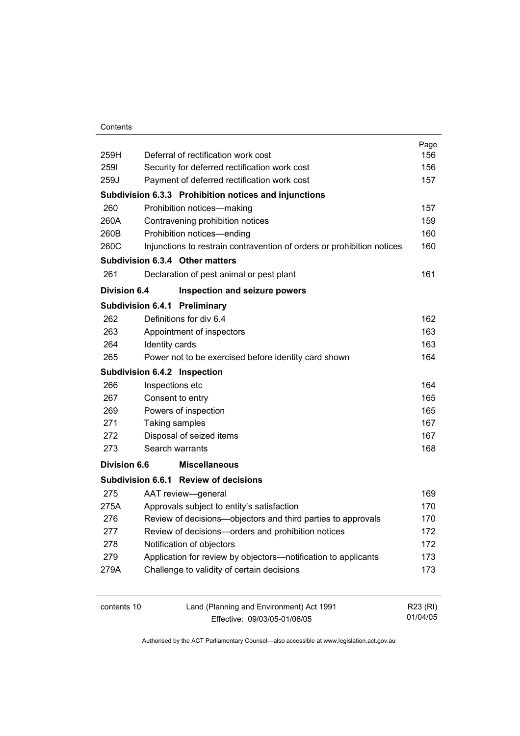#### **Contents**

| 259H                |                | Deferral of rectification work cost                                    | Page<br>156 |
|---------------------|----------------|------------------------------------------------------------------------|-------------|
| 2591                |                | Security for deferred rectification work cost                          | 156         |
| 259J                |                | Payment of deferred rectification work cost                            | 157         |
|                     |                |                                                                        |             |
|                     |                | Subdivision 6.3.3 Prohibition notices and injunctions                  |             |
| 260                 |                | Prohibition notices-making                                             | 157         |
| 260A                |                | Contravening prohibition notices                                       | 159         |
| 260B                |                | Prohibition notices-ending                                             | 160         |
| 260C                |                | Injunctions to restrain contravention of orders or prohibition notices | 160         |
|                     |                | Subdivision 6.3.4 Other matters                                        |             |
| 261                 |                | Declaration of pest animal or pest plant                               | 161         |
| <b>Division 6.4</b> |                | Inspection and seizure powers                                          |             |
|                     |                | Subdivision 6.4.1 Preliminary                                          |             |
| 262                 |                | Definitions for div 6.4                                                | 162         |
| 263                 |                | Appointment of inspectors                                              | 163         |
| 264                 | Identity cards |                                                                        | 163         |
| 265                 |                | Power not to be exercised before identity card shown                   | 164         |
|                     |                | Subdivision 6.4.2 Inspection                                           |             |
| 266                 |                | Inspections etc                                                        | 164         |
| 267                 |                | Consent to entry                                                       | 165         |
| 269                 |                | Powers of inspection                                                   | 165         |
| 271                 |                | Taking samples                                                         | 167         |
| 272                 |                | Disposal of seized items                                               | 167         |
| 273                 |                | Search warrants                                                        | 168         |
| <b>Division 6.6</b> |                | <b>Miscellaneous</b>                                                   |             |
|                     |                | Subdivision 6.6.1 Review of decisions                                  |             |
| 275                 |                | AAT review-general                                                     | 169         |
| 275A                |                | Approvals subject to entity's satisfaction                             | 170         |
| 276                 |                | Review of decisions-objectors and third parties to approvals           | 170         |
| 277                 |                | Review of decisions-orders and prohibition notices                     | 172         |
| 278                 |                | Notification of objectors                                              | 172         |
| 279                 |                | Application for review by objectors-notification to applicants         | 173         |
| 279A                |                | Challenge to validity of certain decisions                             | 173         |
| contents 10         |                | Land (Planning and Environment) Act 1991                               | R23 (RI)    |

contents 10 Land (Planning and Environment) Act 1991 Effective: 09/03/05-01/06/05

01/04/05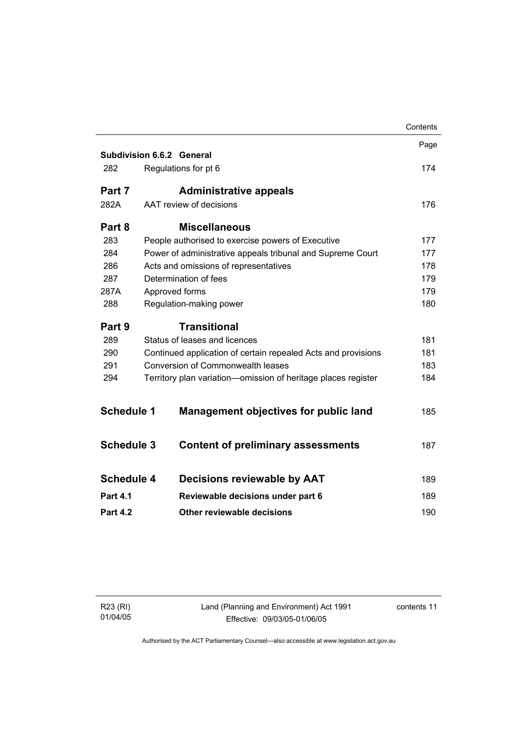|                   |                                                               | Contents |
|-------------------|---------------------------------------------------------------|----------|
|                   |                                                               | Page     |
|                   | <b>Subdivision 6.6.2 General</b>                              |          |
| 282               | Regulations for pt 6                                          | 174      |
| Part 7            | <b>Administrative appeals</b>                                 |          |
| 282A              | AAT review of decisions                                       | 176      |
| Part 8            | <b>Miscellaneous</b>                                          |          |
| 283               | People authorised to exercise powers of Executive             | 177      |
| 284               | Power of administrative appeals tribunal and Supreme Court    | 177      |
| 286               | Acts and omissions of representatives                         | 178      |
| 287               | Determination of fees                                         | 179      |
| 287A              | Approved forms                                                | 179      |
| 288               | Regulation-making power                                       | 180      |
| Part 9            | <b>Transitional</b>                                           |          |
| 289               | Status of leases and licences                                 | 181      |
| 290               | Continued application of certain repealed Acts and provisions | 181      |
| 291               | <b>Conversion of Commonwealth leases</b>                      |          |
| 294               | Territory plan variation-omission of heritage places register | 184      |
|                   |                                                               |          |
| <b>Schedule 1</b> | <b>Management objectives for public land</b>                  | 185      |
| <b>Schedule 3</b> | <b>Content of preliminary assessments</b>                     | 187      |
|                   |                                                               |          |
| <b>Schedule 4</b> | Decisions reviewable by AAT                                   | 189      |
| <b>Part 4.1</b>   | Reviewable decisions under part 6                             | 189      |
|                   |                                                               |          |
| <b>Part 4.2</b>   | Other reviewable decisions                                    | 190      |
|                   |                                                               |          |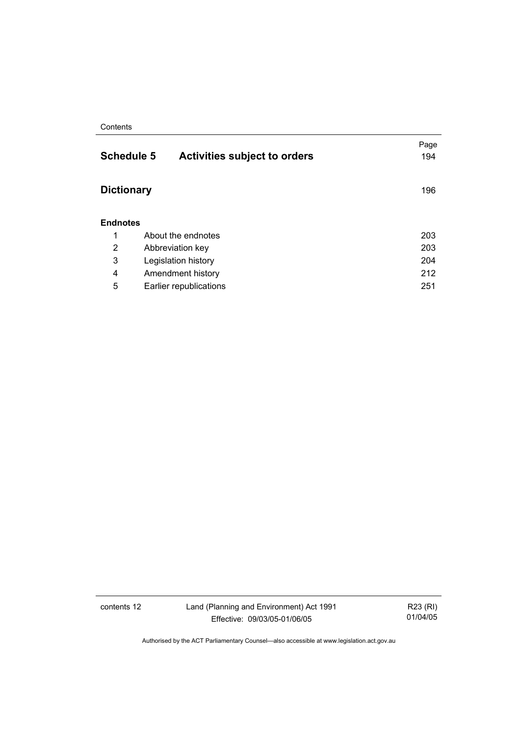#### **Contents**

| <b>Schedule 5</b> | <b>Activities subject to orders</b> | Page<br>194 |
|-------------------|-------------------------------------|-------------|
| <b>Dictionary</b> |                                     | 196         |
| <b>Endnotes</b>   |                                     |             |
| 1                 | About the endnotes                  | 203         |
| 2                 | Abbreviation key                    | 203         |
| 3                 | Legislation history                 | 204         |
| 4                 | Amendment history                   | 212         |
| 5                 | Earlier republications              | 251         |
|                   |                                     |             |

contents 12 Land (Planning and Environment) Act 1991 Effective: 09/03/05-01/06/05

R23 (RI) 01/04/05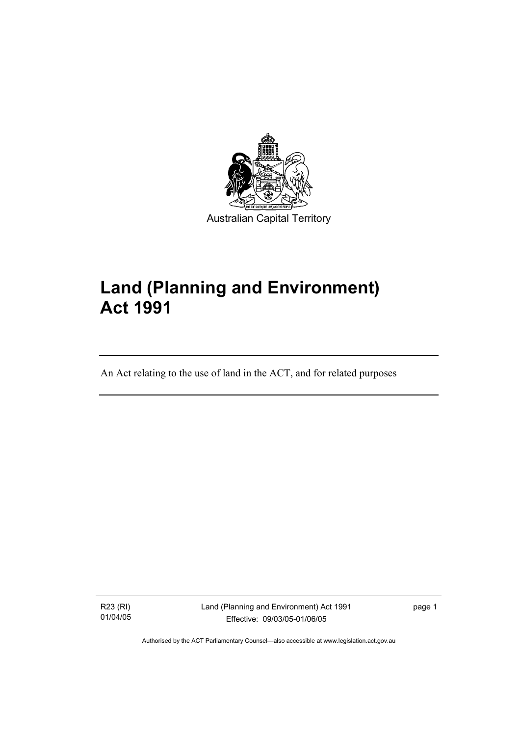

# **Land (Planning and Environment) Act 1991**

An Act relating to the use of land in the ACT, and for related purposes

R23 (RI) 01/04/05

I

Land (Planning and Environment) Act 1991 Effective: 09/03/05-01/06/05

page 1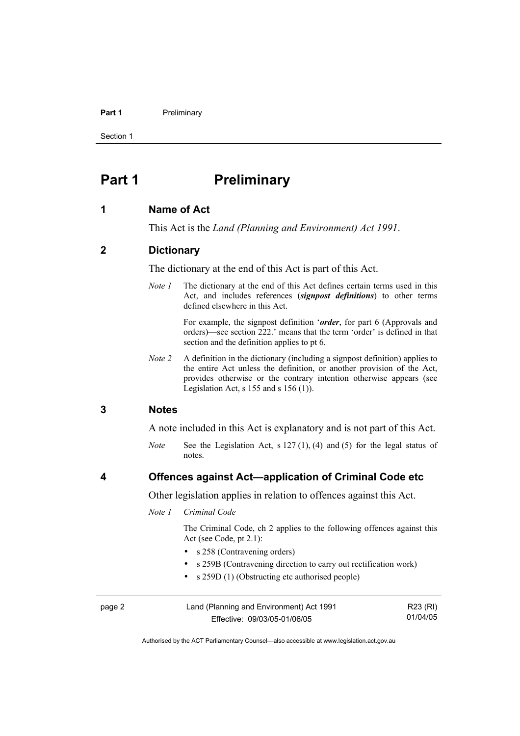#### Part 1 **Preliminary**

Section 1

## **Part 1** Preliminary

#### **1 Name of Act**

This Act is the *Land (Planning and Environment) Act 1991*.

#### **2 Dictionary**

The dictionary at the end of this Act is part of this Act.

*Note 1* The dictionary at the end of this Act defines certain terms used in this Act, and includes references (*signpost definitions*) to other terms defined elsewhere in this Act.

> For example, the signpost definition '*order*, for part 6 (Approvals and orders)—see section 222.' means that the term 'order' is defined in that section and the definition applies to pt 6.

*Note 2* A definition in the dictionary (including a signpost definition) applies to the entire Act unless the definition, or another provision of the Act, provides otherwise or the contrary intention otherwise appears (see Legislation Act,  $s$  155 and  $s$  156 (1)).

#### **3 Notes**

A note included in this Act is explanatory and is not part of this Act.

*Note* See the Legislation Act, s 127 (1), (4) and (5) for the legal status of notes.

#### **4 Offences against Act—application of Criminal Code etc**

Other legislation applies in relation to offences against this Act.

*Note 1 Criminal Code* 

 The Criminal Code, ch 2 applies to the following offences against this Act (see Code, pt 2.1):

- s 258 (Contravening orders)
- s 259B (Contravening direction to carry out rectification work)
- s 259D (1) (Obstructing etc authorised people)

| page 2 | Land (Planning and Environment) Act 1991 | R23 (RI) |
|--------|------------------------------------------|----------|
|        | Effective: 09/03/05-01/06/05             | 01/04/05 |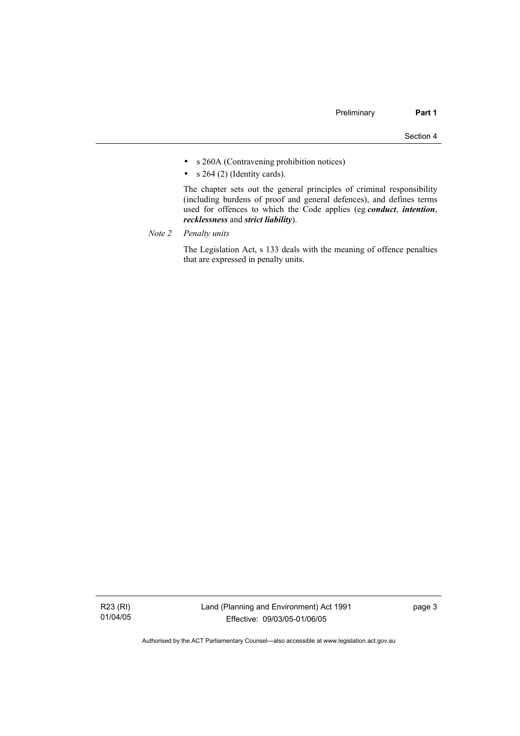- s 260A (Contravening prohibition notices)
- $s$  264 (2) (Identity cards).

 The chapter sets out the general principles of criminal responsibility (including burdens of proof and general defences), and defines terms used for offences to which the Code applies (eg *conduct*, *intention*, *recklessness* and *strict liability*).

*Note 2 Penalty units*

 The Legislation Act, s 133 deals with the meaning of offence penalties that are expressed in penalty units.

R23 (RI) 01/04/05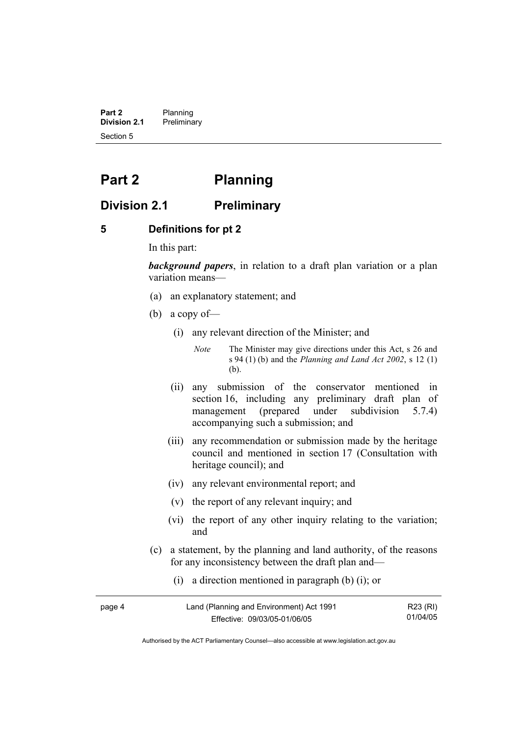**Part 2** Planning<br>**Division 2.1** Prelimina **Division 2.1** Preliminary Section 5

## **Part 2 Planning**

### **Division 2.1 Preliminary**

#### **5 Definitions for pt 2**

In this part:

*background papers*, in relation to a draft plan variation or a plan variation means—

- (a) an explanatory statement; and
- (b) a copy of—
	- (i) any relevant direction of the Minister; and

*Note* The Minister may give directions under this Act, s 26 and s 94 (1) (b) and the *Planning and Land Act 2002*, s 12 (1) (b).

- (ii) any submission of the conservator mentioned in section 16, including any preliminary draft plan of management (prepared under subdivision 5.7.4) accompanying such a submission; and
- (iii) any recommendation or submission made by the heritage council and mentioned in section 17 (Consultation with heritage council); and
- (iv) any relevant environmental report; and
- (v) the report of any relevant inquiry; and
- (vi) the report of any other inquiry relating to the variation; and
- (c) a statement, by the planning and land authority, of the reasons for any inconsistency between the draft plan and—
	- (i) a direction mentioned in paragraph (b) (i); or

| page 4 | Land (Planning and Environment) Act 1991 | R23 (RI) |
|--------|------------------------------------------|----------|
|        | Effective: 09/03/05-01/06/05             | 01/04/05 |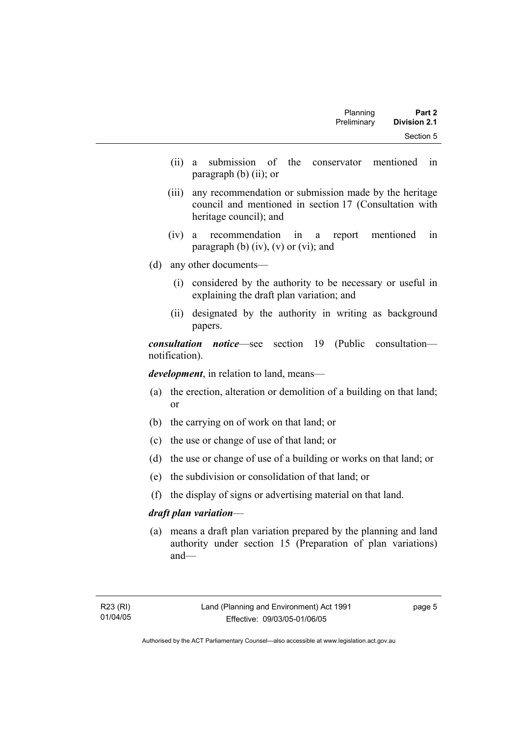| Part 2              | Planning    |  |
|---------------------|-------------|--|
| <b>Division 2.1</b> | Preliminary |  |
| Section 5           |             |  |

- (ii) a submission of the conservator mentioned in paragraph (b) (ii); or
- (iii) any recommendation or submission made by the heritage council and mentioned in section 17 (Consultation with heritage council); and
- (iv) a recommendation in a report mentioned in paragraph (b)  $(iv)$ ,  $(v)$  or  $(vi)$ ; and
- (d) any other documents—
	- (i) considered by the authority to be necessary or useful in explaining the draft plan variation; and
	- (ii) designated by the authority in writing as background papers.

*consultation notice*—see section 19 (Public consultation notification).

*development*, in relation to land, means—

- (a) the erection, alteration or demolition of a building on that land; or
- (b) the carrying on of work on that land; or
- (c) the use or change of use of that land; or
- (d) the use or change of use of a building or works on that land; or
- (e) the subdivision or consolidation of that land; or
- (f) the display of signs or advertising material on that land.

#### *draft plan variation*—

 (a) means a draft plan variation prepared by the planning and land authority under section 15 (Preparation of plan variations) and—

page 5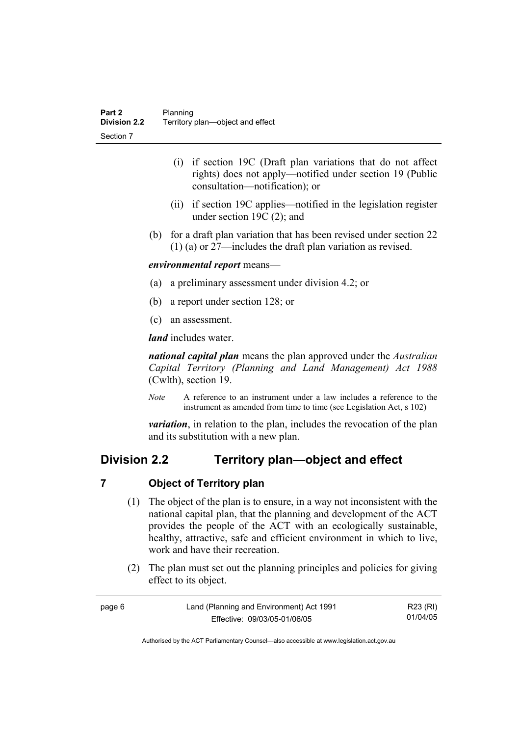- (i) if section 19C (Draft plan variations that do not affect rights) does not apply—notified under section 19 (Public consultation—notification); or
- (ii) if section 19C applies—notified in the legislation register under section 19C (2); and
- (b) for a draft plan variation that has been revised under section 22 (1) (a) or 27—includes the draft plan variation as revised.

#### *environmental report* means—

- (a) a preliminary assessment under division 4.2; or
- (b) a report under section 128; or
- (c) an assessment.

*land* includes water.

*national capital plan* means the plan approved under the *Australian Capital Territory (Planning and Land Management) Act 1988* (Cwlth), section 19.

*Note* A reference to an instrument under a law includes a reference to the instrument as amended from time to time (see Legislation Act, s 102)

*variation*, in relation to the plan, includes the revocation of the plan and its substitution with a new plan.

## **Division 2.2 Territory plan—object and effect**

#### **7 Object of Territory plan**

- (1) The object of the plan is to ensure, in a way not inconsistent with the national capital plan, that the planning and development of the ACT provides the people of the ACT with an ecologically sustainable, healthy, attractive, safe and efficient environment in which to live, work and have their recreation.
- (2) The plan must set out the planning principles and policies for giving effect to its object.

| page 6 | Land (Planning and Environment) Act 1991 | R23 (RI) |
|--------|------------------------------------------|----------|
|        | Effective: 09/03/05-01/06/05             | 01/04/05 |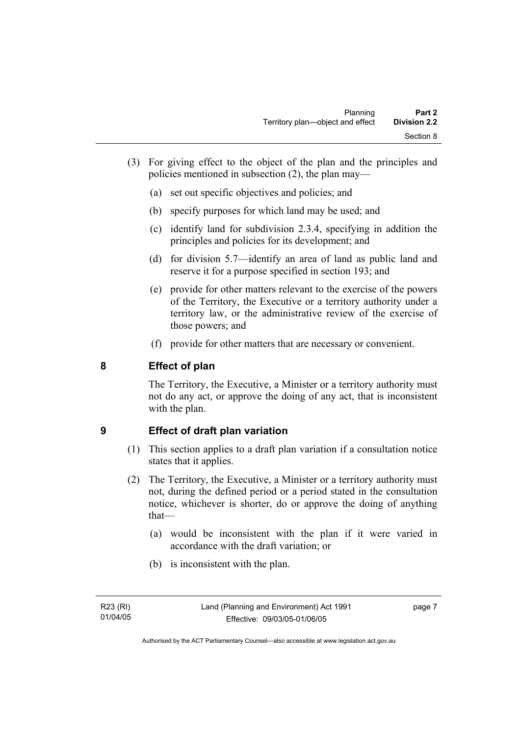- (3) For giving effect to the object of the plan and the principles and policies mentioned in subsection (2), the plan may—
	- (a) set out specific objectives and policies; and
	- (b) specify purposes for which land may be used; and
	- (c) identify land for subdivision 2.3.4, specifying in addition the principles and policies for its development; and
	- (d) for division 5.7—identify an area of land as public land and reserve it for a purpose specified in section 193; and
	- (e) provide for other matters relevant to the exercise of the powers of the Territory, the Executive or a territory authority under a territory law, or the administrative review of the exercise of those powers; and
	- (f) provide for other matters that are necessary or convenient.

## **8 Effect of plan**

The Territory, the Executive, a Minister or a territory authority must not do any act, or approve the doing of any act, that is inconsistent with the plan.

### **9 Effect of draft plan variation**

- (1) This section applies to a draft plan variation if a consultation notice states that it applies.
- (2) The Territory, the Executive, a Minister or a territory authority must not, during the defined period or a period stated in the consultation notice, whichever is shorter, do or approve the doing of anything that—
	- (a) would be inconsistent with the plan if it were varied in accordance with the draft variation; or
	- (b) is inconsistent with the plan.

page 7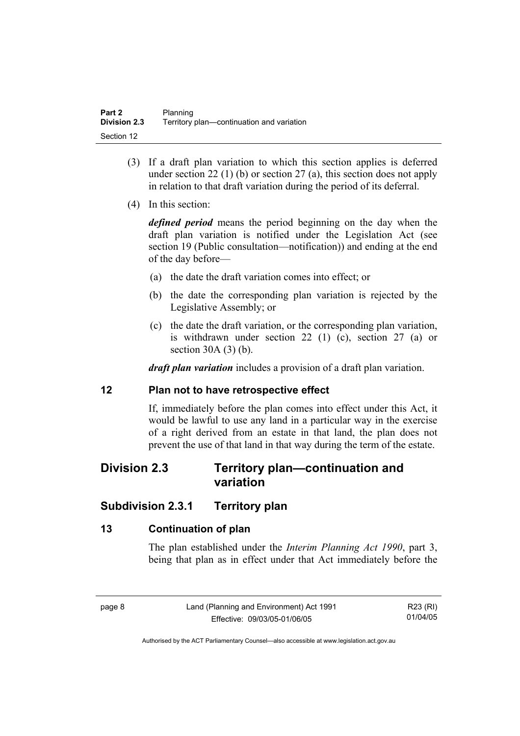- (3) If a draft plan variation to which this section applies is deferred under section 22 (1) (b) or section 27 (a), this section does not apply in relation to that draft variation during the period of its deferral.
- (4) In this section:

*defined period* means the period beginning on the day when the draft plan variation is notified under the Legislation Act (see section 19 (Public consultation—notification)) and ending at the end of the day before—

- (a) the date the draft variation comes into effect; or
- (b) the date the corresponding plan variation is rejected by the Legislative Assembly; or
- (c) the date the draft variation, or the corresponding plan variation, is withdrawn under section 22 (1) (c), section 27 (a) or section 30A (3) (b).

*draft plan variation* includes a provision of a draft plan variation.

#### **12 Plan not to have retrospective effect**

If, immediately before the plan comes into effect under this Act, it would be lawful to use any land in a particular way in the exercise of a right derived from an estate in that land, the plan does not prevent the use of that land in that way during the term of the estate.

## **Division 2.3 Territory plan—continuation and variation**

## **Subdivision 2.3.1 Territory plan**

### **13 Continuation of plan**

The plan established under the *Interim Planning Act 1990*, part 3, being that plan as in effect under that Act immediately before the

| ٠ |  |
|---|--|
|---|--|

R23 (RI) 01/04/05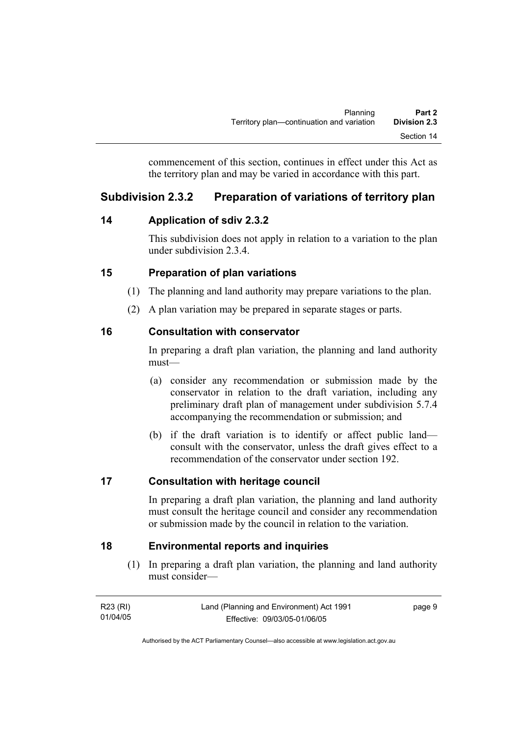commencement of this section, continues in effect under this Act as the territory plan and may be varied in accordance with this part.

## **Subdivision 2.3.2 Preparation of variations of territory plan**

## **14 Application of sdiv 2.3.2**

This subdivision does not apply in relation to a variation to the plan under subdivision 2.3.4.

## **15 Preparation of plan variations**

- (1) The planning and land authority may prepare variations to the plan.
- (2) A plan variation may be prepared in separate stages or parts.

## **16 Consultation with conservator**

In preparing a draft plan variation, the planning and land authority must—

- (a) consider any recommendation or submission made by the conservator in relation to the draft variation, including any preliminary draft plan of management under subdivision 5.7.4 accompanying the recommendation or submission; and
- (b) if the draft variation is to identify or affect public land consult with the conservator, unless the draft gives effect to a recommendation of the conservator under section 192.

## **17 Consultation with heritage council**

In preparing a draft plan variation, the planning and land authority must consult the heritage council and consider any recommendation or submission made by the council in relation to the variation.

## **18 Environmental reports and inquiries**

 (1) In preparing a draft plan variation, the planning and land authority must consider—

| R23 (RI) | Land (Planning and Environment) Act 1991 | page 9 |
|----------|------------------------------------------|--------|
| 01/04/05 | Effective: 09/03/05-01/06/05             |        |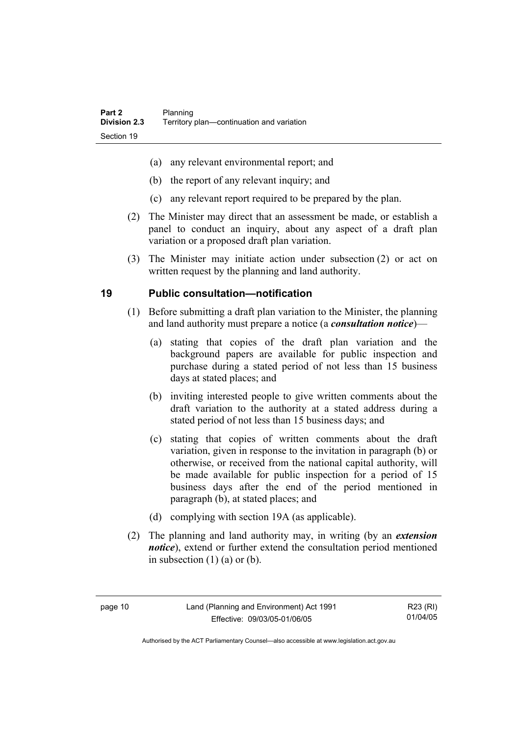- (a) any relevant environmental report; and
- (b) the report of any relevant inquiry; and
- (c) any relevant report required to be prepared by the plan.
- (2) The Minister may direct that an assessment be made, or establish a panel to conduct an inquiry, about any aspect of a draft plan variation or a proposed draft plan variation.
- (3) The Minister may initiate action under subsection (2) or act on written request by the planning and land authority.

### **19 Public consultation—notification**

- (1) Before submitting a draft plan variation to the Minister, the planning and land authority must prepare a notice (a *consultation notice*)—
	- (a) stating that copies of the draft plan variation and the background papers are available for public inspection and purchase during a stated period of not less than 15 business days at stated places; and
	- (b) inviting interested people to give written comments about the draft variation to the authority at a stated address during a stated period of not less than 15 business days; and
	- (c) stating that copies of written comments about the draft variation, given in response to the invitation in paragraph (b) or otherwise, or received from the national capital authority, will be made available for public inspection for a period of 15 business days after the end of the period mentioned in paragraph (b), at stated places; and
	- (d) complying with section 19A (as applicable).
- (2) The planning and land authority may, in writing (by an *extension notice*), extend or further extend the consultation period mentioned in subsection  $(1)$   $(a)$  or  $(b)$ .

R23 (RI) 01/04/05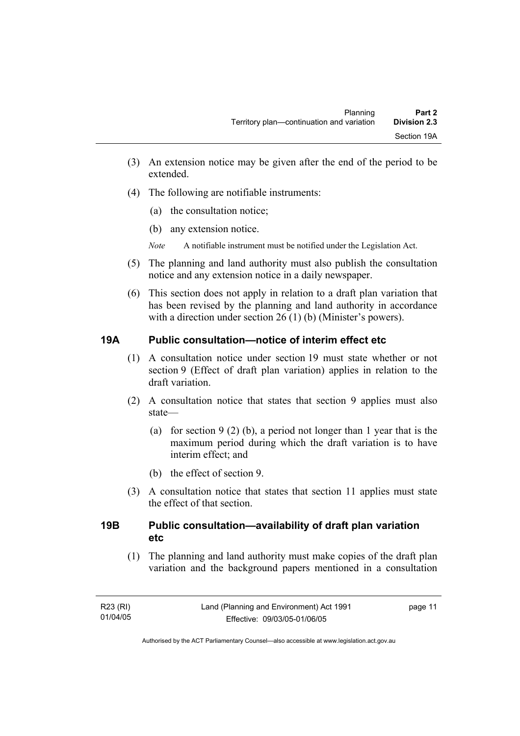- (3) An extension notice may be given after the end of the period to be extended.
- (4) The following are notifiable instruments:
	- (a) the consultation notice;
	- (b) any extension notice.
	- *Note* A notifiable instrument must be notified under the Legislation Act.
- (5) The planning and land authority must also publish the consultation notice and any extension notice in a daily newspaper.
- (6) This section does not apply in relation to a draft plan variation that has been revised by the planning and land authority in accordance with a direction under section 26 (1) (b) (Minister's powers).

### **19A Public consultation—notice of interim effect etc**

- (1) A consultation notice under section 19 must state whether or not section 9 (Effect of draft plan variation) applies in relation to the draft variation.
- (2) A consultation notice that states that section 9 applies must also state—
	- (a) for section 9 (2) (b), a period not longer than 1 year that is the maximum period during which the draft variation is to have interim effect; and
	- (b) the effect of section 9.
- (3) A consultation notice that states that section 11 applies must state the effect of that section.

#### **19B Public consultation—availability of draft plan variation etc**

(1) The planning and land authority must make copies of the draft plan variation and the background papers mentioned in a consultation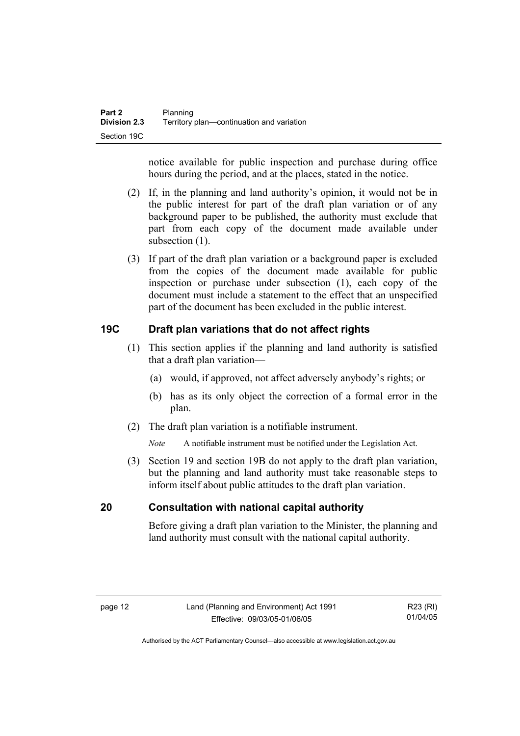notice available for public inspection and purchase during office hours during the period, and at the places, stated in the notice.

- (2) If, in the planning and land authority's opinion, it would not be in the public interest for part of the draft plan variation or of any background paper to be published, the authority must exclude that part from each copy of the document made available under subsection  $(1)$ .
- (3) If part of the draft plan variation or a background paper is excluded from the copies of the document made available for public inspection or purchase under subsection (1), each copy of the document must include a statement to the effect that an unspecified part of the document has been excluded in the public interest.

### **19C Draft plan variations that do not affect rights**

- (1) This section applies if the planning and land authority is satisfied that a draft plan variation—
	- (a) would, if approved, not affect adversely anybody's rights; or
	- (b) has as its only object the correction of a formal error in the plan.
- (2) The draft plan variation is a notifiable instrument.

*Note* A notifiable instrument must be notified under the Legislation Act.

 (3) Section 19 and section 19B do not apply to the draft plan variation, but the planning and land authority must take reasonable steps to inform itself about public attitudes to the draft plan variation.

### **20 Consultation with national capital authority**

Before giving a draft plan variation to the Minister, the planning and land authority must consult with the national capital authority.

R23 (RI) 01/04/05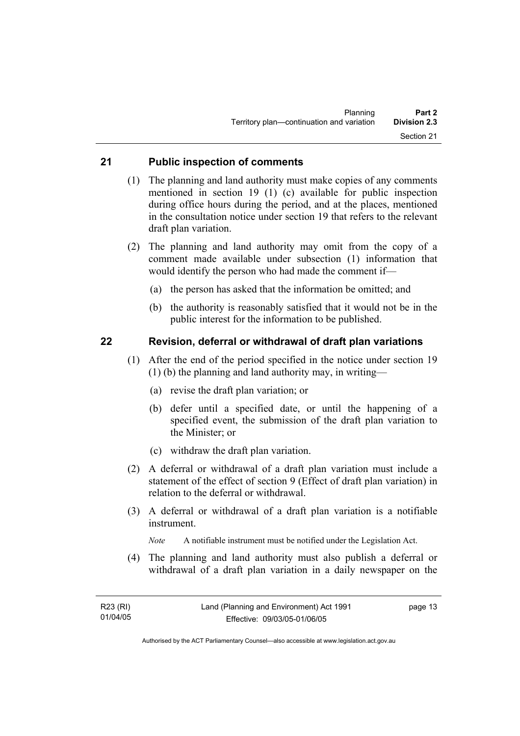#### **21 Public inspection of comments**

- (1) The planning and land authority must make copies of any comments mentioned in section 19 (1) (c) available for public inspection during office hours during the period, and at the places, mentioned in the consultation notice under section 19 that refers to the relevant draft plan variation.
- (2) The planning and land authority may omit from the copy of a comment made available under subsection (1) information that would identify the person who had made the comment if—
	- (a) the person has asked that the information be omitted; and
	- (b) the authority is reasonably satisfied that it would not be in the public interest for the information to be published.

#### **22 Revision, deferral or withdrawal of draft plan variations**

- (1) After the end of the period specified in the notice under section 19 (1) (b) the planning and land authority may, in writing—
	- (a) revise the draft plan variation; or
	- (b) defer until a specified date, or until the happening of a specified event, the submission of the draft plan variation to the Minister; or
	- (c) withdraw the draft plan variation.
- (2) A deferral or withdrawal of a draft plan variation must include a statement of the effect of section 9 (Effect of draft plan variation) in relation to the deferral or withdrawal.
- (3) A deferral or withdrawal of a draft plan variation is a notifiable instrument.

*Note* A notifiable instrument must be notified under the Legislation Act.

(4) The planning and land authority must also publish a deferral or withdrawal of a draft plan variation in a daily newspaper on the

page 13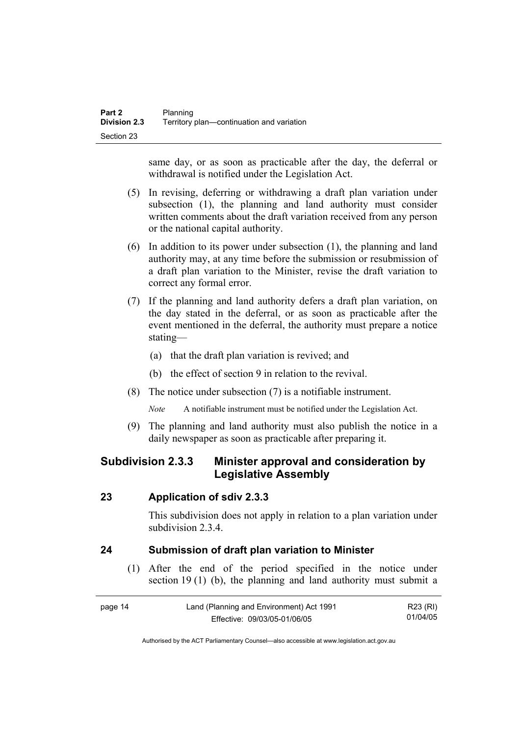same day, or as soon as practicable after the day, the deferral or withdrawal is notified under the Legislation Act.

- (5) In revising, deferring or withdrawing a draft plan variation under subsection (1), the planning and land authority must consider written comments about the draft variation received from any person or the national capital authority.
- (6) In addition to its power under subsection (1), the planning and land authority may, at any time before the submission or resubmission of a draft plan variation to the Minister, revise the draft variation to correct any formal error.
- (7) If the planning and land authority defers a draft plan variation, on the day stated in the deferral, or as soon as practicable after the event mentioned in the deferral, the authority must prepare a notice stating—
	- (a) that the draft plan variation is revived; and
	- (b) the effect of section 9 in relation to the revival.
- (8) The notice under subsection (7) is a notifiable instrument.

*Note* A notifiable instrument must be notified under the Legislation Act.

(9) The planning and land authority must also publish the notice in a daily newspaper as soon as practicable after preparing it.

## **Subdivision 2.3.3 Minister approval and consideration by Legislative Assembly**

#### **23 Application of sdiv 2.3.3**

This subdivision does not apply in relation to a plan variation under subdivision 2.3.4

### **24 Submission of draft plan variation to Minister**

 (1) After the end of the period specified in the notice under section 19 (1) (b), the planning and land authority must submit a

| page 14 | Land (Planning and Environment) Act 1991 | R23 (RI) |
|---------|------------------------------------------|----------|
|         | Effective: 09/03/05-01/06/05             | 01/04/05 |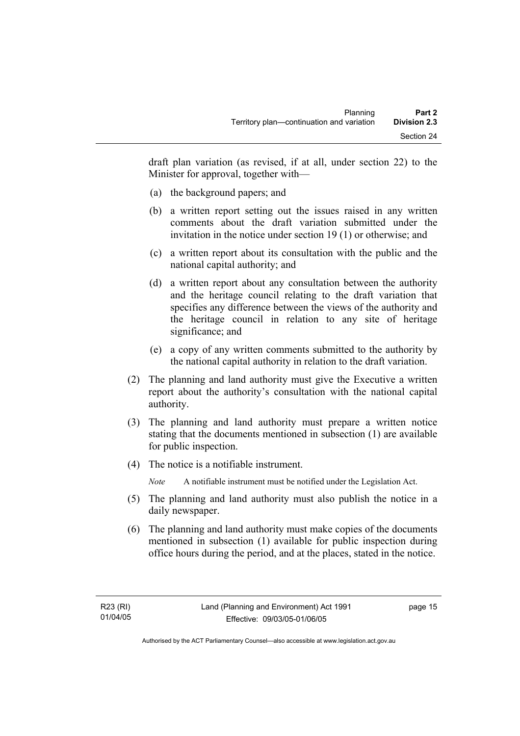draft plan variation (as revised, if at all, under section 22) to the Minister for approval, together with—

- (a) the background papers; and
- (b) a written report setting out the issues raised in any written comments about the draft variation submitted under the invitation in the notice under section 19 (1) or otherwise; and
- (c) a written report about its consultation with the public and the national capital authority; and
- (d) a written report about any consultation between the authority and the heritage council relating to the draft variation that specifies any difference between the views of the authority and the heritage council in relation to any site of heritage significance; and
- (e) a copy of any written comments submitted to the authority by the national capital authority in relation to the draft variation.
- (2) The planning and land authority must give the Executive a written report about the authority's consultation with the national capital authority.
- (3) The planning and land authority must prepare a written notice stating that the documents mentioned in subsection (1) are available for public inspection.
- (4) The notice is a notifiable instrument.

*Note* A notifiable instrument must be notified under the Legislation Act.

- (5) The planning and land authority must also publish the notice in a daily newspaper.
- (6) The planning and land authority must make copies of the documents mentioned in subsection (1) available for public inspection during office hours during the period, and at the places, stated in the notice.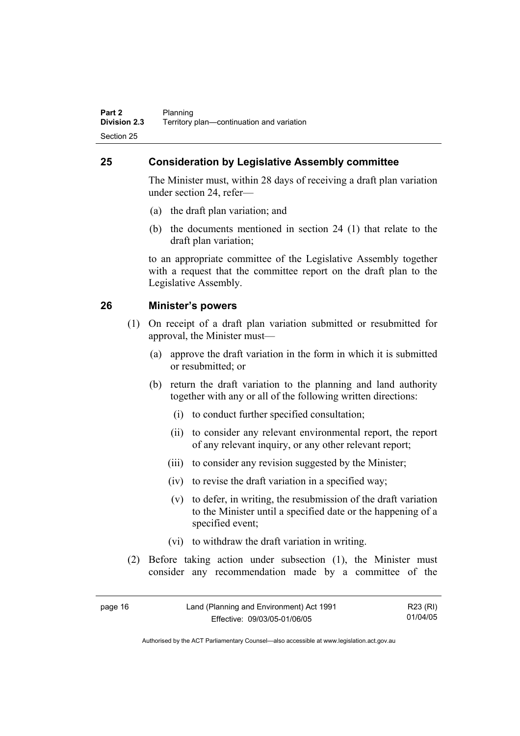## **25 Consideration by Legislative Assembly committee**

The Minister must, within 28 days of receiving a draft plan variation under section 24, refer—

- (a) the draft plan variation; and
- (b) the documents mentioned in section 24 (1) that relate to the draft plan variation;

to an appropriate committee of the Legislative Assembly together with a request that the committee report on the draft plan to the Legislative Assembly.

#### **26 Minister's powers**

- (1) On receipt of a draft plan variation submitted or resubmitted for approval, the Minister must—
	- (a) approve the draft variation in the form in which it is submitted or resubmitted; or
	- (b) return the draft variation to the planning and land authority together with any or all of the following written directions:
		- (i) to conduct further specified consultation;
		- (ii) to consider any relevant environmental report, the report of any relevant inquiry, or any other relevant report;
		- (iii) to consider any revision suggested by the Minister;
		- (iv) to revise the draft variation in a specified way;
		- (v) to defer, in writing, the resubmission of the draft variation to the Minister until a specified date or the happening of a specified event;
		- (vi) to withdraw the draft variation in writing.
- (2) Before taking action under subsection (1), the Minister must consider any recommendation made by a committee of the

| page 16 | Land (Planning and Environment) Act 1991 | R23 (RI) |
|---------|------------------------------------------|----------|
|         | Effective: 09/03/05-01/06/05             | 01/04/05 |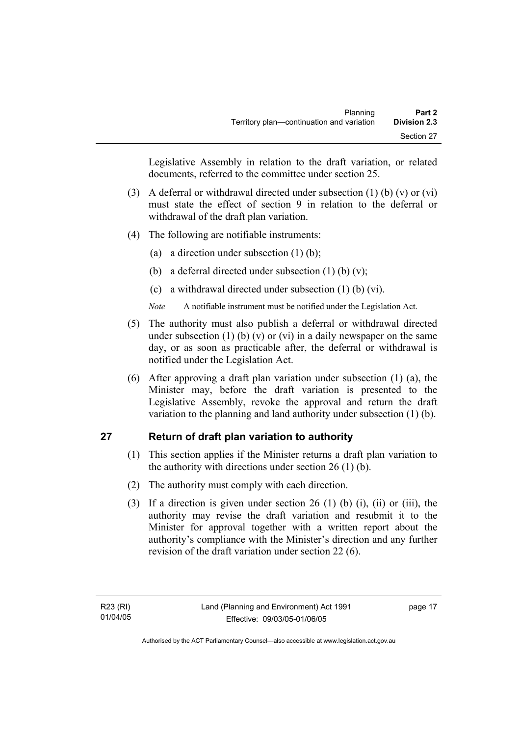Legislative Assembly in relation to the draft variation, or related documents, referred to the committee under section 25.

- (3) A deferral or withdrawal directed under subsection (1) (b) (v) or (vi) must state the effect of section 9 in relation to the deferral or withdrawal of the draft plan variation.
- (4) The following are notifiable instruments:
	- (a) a direction under subsection (1) (b);
	- (b) a deferral directed under subsection  $(1)$  (b)  $(v)$ ;
	- (c) a withdrawal directed under subsection (1) (b) (vi).
	- *Note* A notifiable instrument must be notified under the Legislation Act.
- (5) The authority must also publish a deferral or withdrawal directed under subsection (1) (b) (v) or (vi) in a daily newspaper on the same day, or as soon as practicable after, the deferral or withdrawal is notified under the Legislation Act.
- (6) After approving a draft plan variation under subsection (1) (a), the Minister may, before the draft variation is presented to the Legislative Assembly, revoke the approval and return the draft variation to the planning and land authority under subsection (1) (b).

### **27 Return of draft plan variation to authority**

- (1) This section applies if the Minister returns a draft plan variation to the authority with directions under section 26 (1) (b).
- (2) The authority must comply with each direction.
- (3) If a direction is given under section 26 (1) (b) (i), (ii) or (iii), the authority may revise the draft variation and resubmit it to the Minister for approval together with a written report about the authority's compliance with the Minister's direction and any further revision of the draft variation under section 22 (6).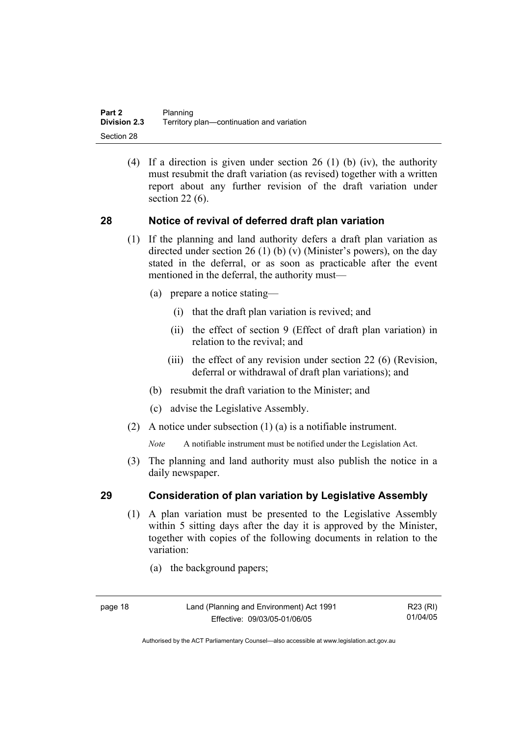(4) If a direction is given under section 26 (1) (b) (iv), the authority must resubmit the draft variation (as revised) together with a written report about any further revision of the draft variation under section 22 (6).

#### **28 Notice of revival of deferred draft plan variation**

- (1) If the planning and land authority defers a draft plan variation as directed under section 26 (1) (b) (v) (Minister's powers), on the day stated in the deferral, or as soon as practicable after the event mentioned in the deferral, the authority must—
	- (a) prepare a notice stating—
		- (i) that the draft plan variation is revived; and
		- (ii) the effect of section 9 (Effect of draft plan variation) in relation to the revival; and
		- (iii) the effect of any revision under section 22 (6) (Revision, deferral or withdrawal of draft plan variations); and
	- (b) resubmit the draft variation to the Minister; and
	- (c) advise the Legislative Assembly.
- (2) A notice under subsection (1) (a) is a notifiable instrument.

*Note* A notifiable instrument must be notified under the Legislation Act.

(3) The planning and land authority must also publish the notice in a daily newspaper.

#### **29 Consideration of plan variation by Legislative Assembly**

- (1) A plan variation must be presented to the Legislative Assembly within 5 sitting days after the day it is approved by the Minister, together with copies of the following documents in relation to the variation:
	- (a) the background papers;

R23 (RI) 01/04/05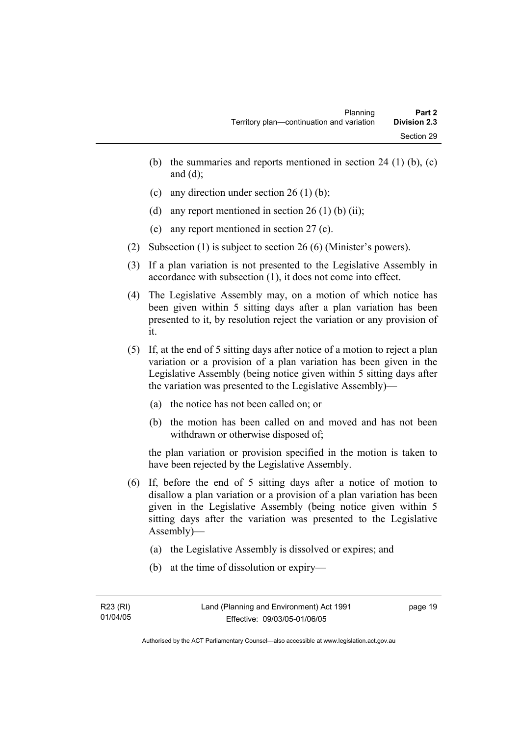- (b) the summaries and reports mentioned in section 24 (1) (b),  $(c)$ and  $(d)$ ;
- (c) any direction under section 26 (1) (b);
- (d) any report mentioned in section  $26(1)$  (b) (ii);
- (e) any report mentioned in section 27 (c).
- (2) Subsection (1) is subject to section 26 (6) (Minister's powers).
- (3) If a plan variation is not presented to the Legislative Assembly in accordance with subsection (1), it does not come into effect.
- (4) The Legislative Assembly may, on a motion of which notice has been given within 5 sitting days after a plan variation has been presented to it, by resolution reject the variation or any provision of it.
- (5) If, at the end of 5 sitting days after notice of a motion to reject a plan variation or a provision of a plan variation has been given in the Legislative Assembly (being notice given within 5 sitting days after the variation was presented to the Legislative Assembly)—
	- (a) the notice has not been called on; or
	- (b) the motion has been called on and moved and has not been withdrawn or otherwise disposed of;

the plan variation or provision specified in the motion is taken to have been rejected by the Legislative Assembly.

- (6) If, before the end of 5 sitting days after a notice of motion to disallow a plan variation or a provision of a plan variation has been given in the Legislative Assembly (being notice given within 5 sitting days after the variation was presented to the Legislative Assembly)—
	- (a) the Legislative Assembly is dissolved or expires; and
	- (b) at the time of dissolution or expiry—

page 19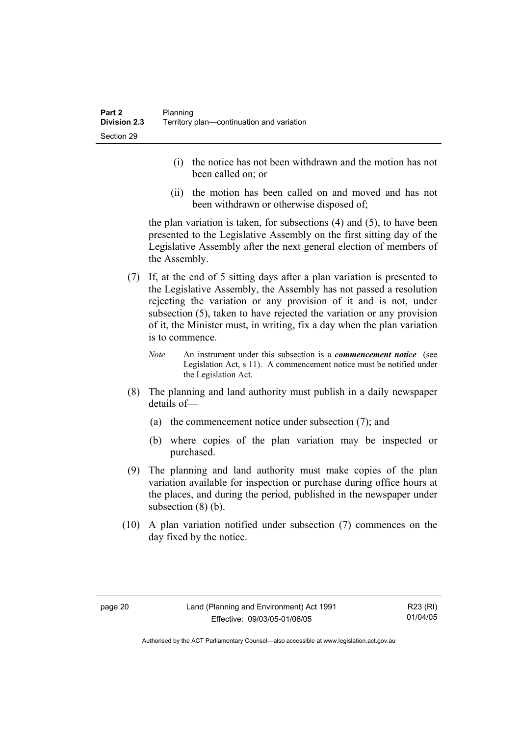- (i) the notice has not been withdrawn and the motion has not been called on; or
- (ii) the motion has been called on and moved and has not been withdrawn or otherwise disposed of;

the plan variation is taken, for subsections (4) and (5), to have been presented to the Legislative Assembly on the first sitting day of the Legislative Assembly after the next general election of members of the Assembly.

- (7) If, at the end of 5 sitting days after a plan variation is presented to the Legislative Assembly, the Assembly has not passed a resolution rejecting the variation or any provision of it and is not, under subsection (5), taken to have rejected the variation or any provision of it, the Minister must, in writing, fix a day when the plan variation is to commence.
	- *Note* An instrument under this subsection is a *commencement notice* (see Legislation Act, s 11). A commencement notice must be notified under the Legislation Act.
- (8) The planning and land authority must publish in a daily newspaper details of—
	- (a) the commencement notice under subsection (7); and
	- (b) where copies of the plan variation may be inspected or purchased.
- (9) The planning and land authority must make copies of the plan variation available for inspection or purchase during office hours at the places, and during the period, published in the newspaper under subsection  $(8)$  (b).
- (10) A plan variation notified under subsection (7) commences on the day fixed by the notice.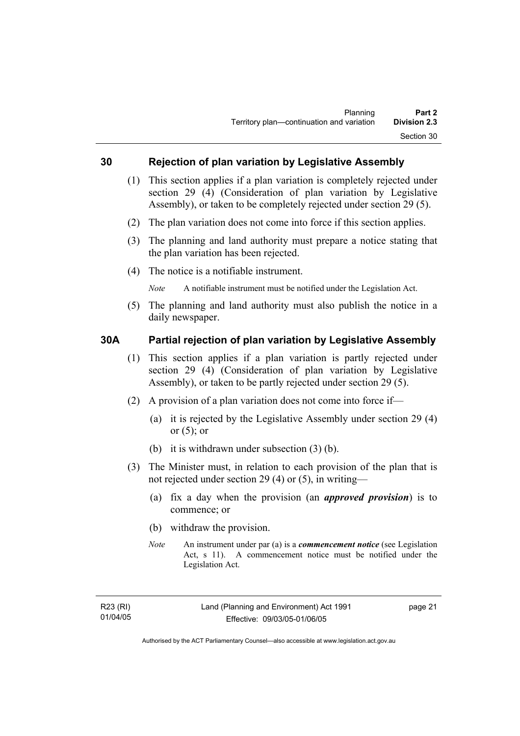#### **30 Rejection of plan variation by Legislative Assembly**

- (1) This section applies if a plan variation is completely rejected under section 29 (4) (Consideration of plan variation by Legislative Assembly), or taken to be completely rejected under section 29 (5).
- (2) The plan variation does not come into force if this section applies.
- (3) The planning and land authority must prepare a notice stating that the plan variation has been rejected.
- (4) The notice is a notifiable instrument.

*Note* A notifiable instrument must be notified under the Legislation Act.

(5) The planning and land authority must also publish the notice in a daily newspaper.

#### **30A Partial rejection of plan variation by Legislative Assembly**

- (1) This section applies if a plan variation is partly rejected under section 29 (4) (Consideration of plan variation by Legislative Assembly), or taken to be partly rejected under section 29 (5).
- (2) A provision of a plan variation does not come into force if—
	- (a) it is rejected by the Legislative Assembly under section 29 (4) or  $(5)$ ; or
	- (b) it is withdrawn under subsection (3) (b).
- (3) The Minister must, in relation to each provision of the plan that is not rejected under section 29 (4) or (5), in writing—
	- (a) fix a day when the provision (an *approved provision*) is to commence; or
	- (b) withdraw the provision.
	- *Note* An instrument under par (a) is a *commencement notice* (see Legislation Act, s 11). A commencement notice must be notified under the Legislation Act.

page 21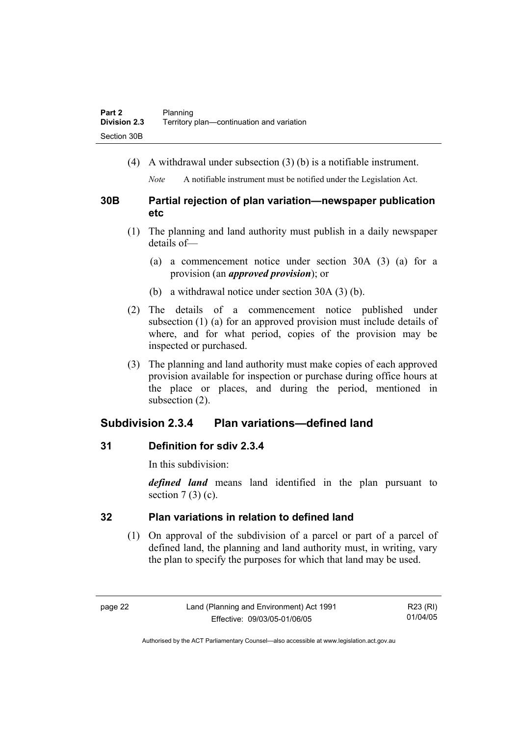(4) A withdrawal under subsection (3) (b) is a notifiable instrument.

*Note* A notifiable instrument must be notified under the Legislation Act.

### **30B Partial rejection of plan variation—newspaper publication etc**

- (1) The planning and land authority must publish in a daily newspaper details of—
	- (a) a commencement notice under section 30A (3) (a) for a provision (an *approved provision*); or
	- (b) a withdrawal notice under section 30A (3) (b).
- (2) The details of a commencement notice published under subsection (1) (a) for an approved provision must include details of where, and for what period, copies of the provision may be inspected or purchased.
- (3) The planning and land authority must make copies of each approved provision available for inspection or purchase during office hours at the place or places, and during the period, mentioned in subsection (2).

## **Subdivision 2.3.4 Plan variations—defined land**

### **31 Definition for sdiv 2.3.4**

In this subdivision:

*defined land* means land identified in the plan pursuant to section  $7(3)(c)$ .

## **32 Plan variations in relation to defined land**

 (1) On approval of the subdivision of a parcel or part of a parcel of defined land, the planning and land authority must, in writing, vary the plan to specify the purposes for which that land may be used.

R23 (RI) 01/04/05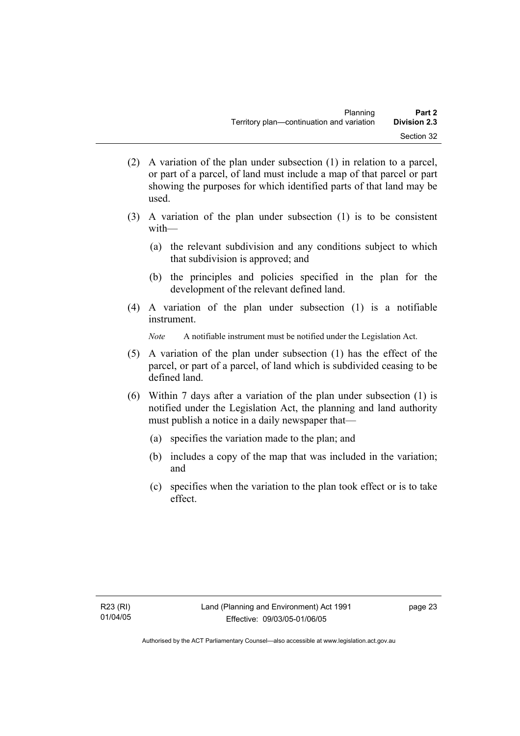- (2) A variation of the plan under subsection (1) in relation to a parcel, or part of a parcel, of land must include a map of that parcel or part showing the purposes for which identified parts of that land may be used.
- (3) A variation of the plan under subsection (1) is to be consistent with—
	- (a) the relevant subdivision and any conditions subject to which that subdivision is approved; and
	- (b) the principles and policies specified in the plan for the development of the relevant defined land.
- (4) A variation of the plan under subsection (1) is a notifiable instrument.

*Note* A notifiable instrument must be notified under the Legislation Act.

- (5) A variation of the plan under subsection (1) has the effect of the parcel, or part of a parcel, of land which is subdivided ceasing to be defined land.
- (6) Within 7 days after a variation of the plan under subsection (1) is notified under the Legislation Act, the planning and land authority must publish a notice in a daily newspaper that—
	- (a) specifies the variation made to the plan; and
	- (b) includes a copy of the map that was included in the variation; and
	- (c) specifies when the variation to the plan took effect or is to take effect.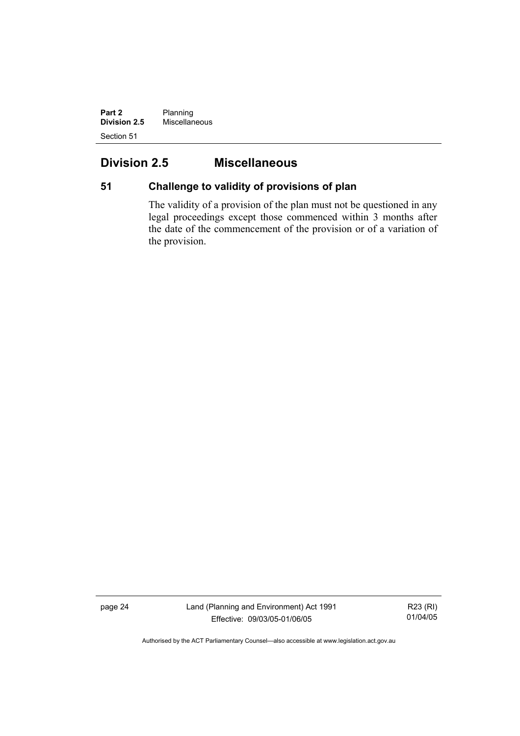**Part 2** Planning **Division 2.5** Miscellaneous Section 51

## **Division 2.5 Miscellaneous**

## **51 Challenge to validity of provisions of plan**

The validity of a provision of the plan must not be questioned in any legal proceedings except those commenced within 3 months after the date of the commencement of the provision or of a variation of the provision.

page 24 Land (Planning and Environment) Act 1991 Effective: 09/03/05-01/06/05

R23 (RI) 01/04/05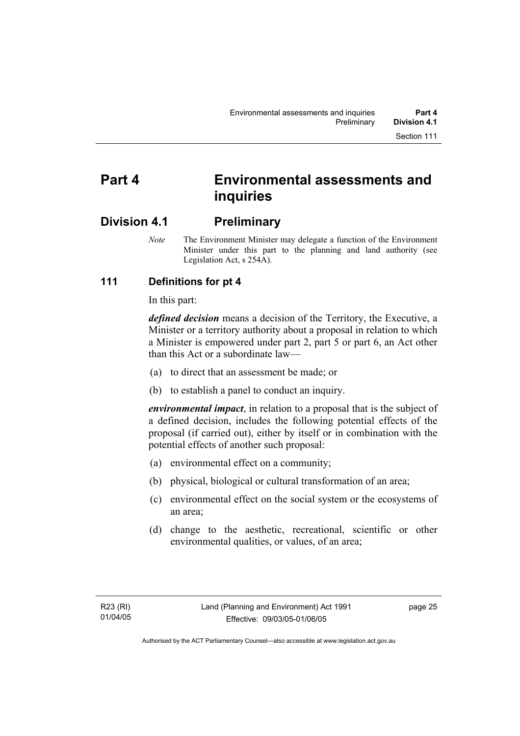# **Part 4 Environmental assessments and inquiries**

## **Division 4.1 Preliminary**

*Note* The Environment Minister may delegate a function of the Environment Minister under this part to the planning and land authority (see Legislation Act, s 254A).

## **111 Definitions for pt 4**

In this part:

*defined decision* means a decision of the Territory, the Executive, a Minister or a territory authority about a proposal in relation to which a Minister is empowered under part 2, part 5 or part 6, an Act other than this Act or a subordinate law—

- (a) to direct that an assessment be made; or
- (b) to establish a panel to conduct an inquiry.

*environmental impact*, in relation to a proposal that is the subject of a defined decision, includes the following potential effects of the proposal (if carried out), either by itself or in combination with the potential effects of another such proposal:

- (a) environmental effect on a community;
- (b) physical, biological or cultural transformation of an area;
- (c) environmental effect on the social system or the ecosystems of an area;
- (d) change to the aesthetic, recreational, scientific or other environmental qualities, or values, of an area;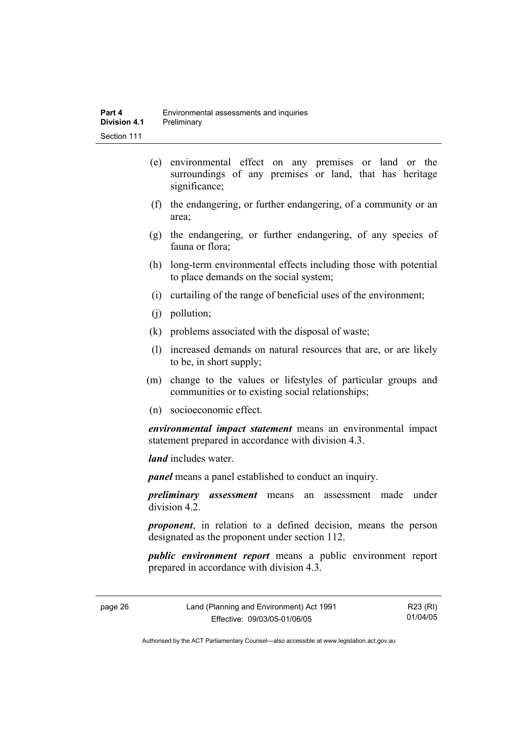- (e) environmental effect on any premises or land or the surroundings of any premises or land, that has heritage significance;
- (f) the endangering, or further endangering, of a community or an area;
- (g) the endangering, or further endangering, of any species of fauna or flora;
- (h) long-term environmental effects including those with potential to place demands on the social system;
- (i) curtailing of the range of beneficial uses of the environment;
- (j) pollution;
- (k) problems associated with the disposal of waste;
- (l) increased demands on natural resources that are, or are likely to be, in short supply;
- (m) change to the values or lifestyles of particular groups and communities or to existing social relationships;
- (n) socioeconomic effect.

*environmental impact statement* means an environmental impact statement prepared in accordance with division 4.3.

*land* includes water.

*panel* means a panel established to conduct an inquiry.

*preliminary assessment* means an assessment made under division 4.2.

*proponent*, in relation to a defined decision, means the person designated as the proponent under section 112.

*public environment report* means a public environment report prepared in accordance with division 4.3.

| page 26 | Land (Planning and Environment) Act 1991 | R23 (RI) |
|---------|------------------------------------------|----------|
|         | Effective: 09/03/05-01/06/05             | 01/04/05 |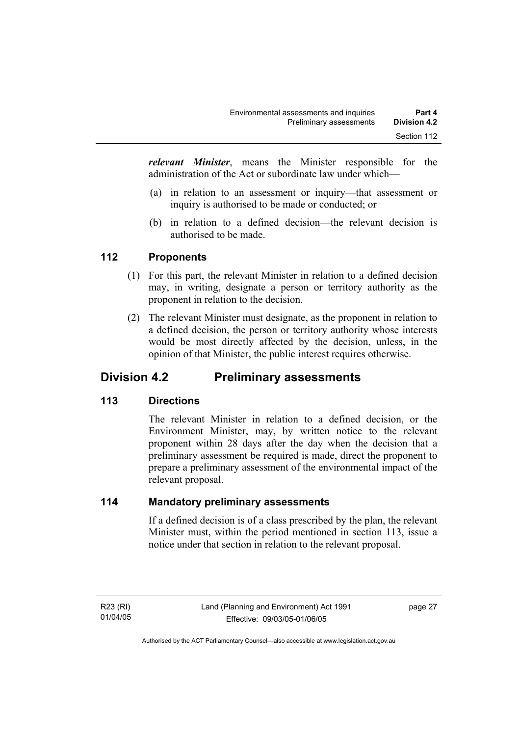*relevant Minister*, means the Minister responsible for the administration of the Act or subordinate law under which—

- (a) in relation to an assessment or inquiry—that assessment or inquiry is authorised to be made or conducted; or
- (b) in relation to a defined decision—the relevant decision is authorised to be made.

#### **112 Proponents**

- (1) For this part, the relevant Minister in relation to a defined decision may, in writing, designate a person or territory authority as the proponent in relation to the decision.
- (2) The relevant Minister must designate, as the proponent in relation to a defined decision, the person or territory authority whose interests would be most directly affected by the decision, unless, in the opinion of that Minister, the public interest requires otherwise.

## **Division 4.2 Preliminary assessments**

#### **113 Directions**

The relevant Minister in relation to a defined decision, or the Environment Minister, may, by written notice to the relevant proponent within 28 days after the day when the decision that a preliminary assessment be required is made, direct the proponent to prepare a preliminary assessment of the environmental impact of the relevant proposal.

#### **114 Mandatory preliminary assessments**

If a defined decision is of a class prescribed by the plan, the relevant Minister must, within the period mentioned in section 113, issue a notice under that section in relation to the relevant proposal.

R23 (RI) 01/04/05 page 27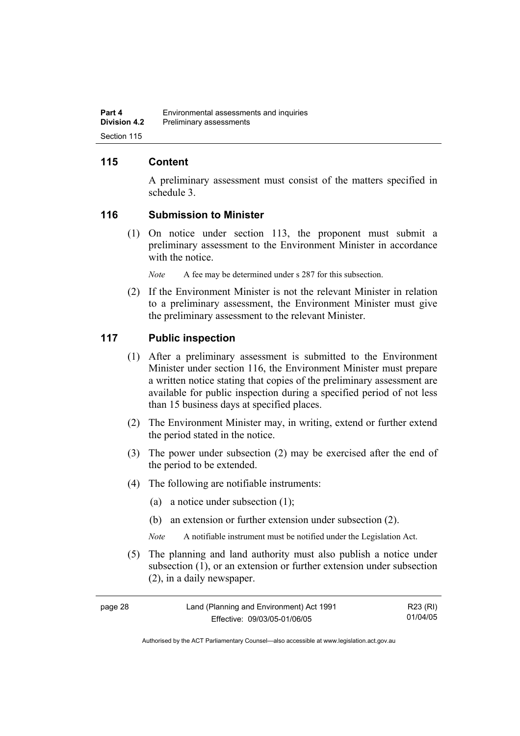#### **115 Content**

A preliminary assessment must consist of the matters specified in schedule 3.

#### **116 Submission to Minister**

 (1) On notice under section 113, the proponent must submit a preliminary assessment to the Environment Minister in accordance with the notice.

*Note* A fee may be determined under s 287 for this subsection.

 (2) If the Environment Minister is not the relevant Minister in relation to a preliminary assessment, the Environment Minister must give the preliminary assessment to the relevant Minister.

#### **117 Public inspection**

- (1) After a preliminary assessment is submitted to the Environment Minister under section 116, the Environment Minister must prepare a written notice stating that copies of the preliminary assessment are available for public inspection during a specified period of not less than 15 business days at specified places.
- (2) The Environment Minister may, in writing, extend or further extend the period stated in the notice.
- (3) The power under subsection (2) may be exercised after the end of the period to be extended.
- (4) The following are notifiable instruments:
	- (a) a notice under subsection (1);
	- (b) an extension or further extension under subsection (2).
	- *Note* A notifiable instrument must be notified under the Legislation Act.
- (5) The planning and land authority must also publish a notice under subsection (1), or an extension or further extension under subsection (2), in a daily newspaper.

| page 28 | Land (Planning and Environment) Act 1991 | R23 (RI) |
|---------|------------------------------------------|----------|
|         | Effective: 09/03/05-01/06/05             | 01/04/05 |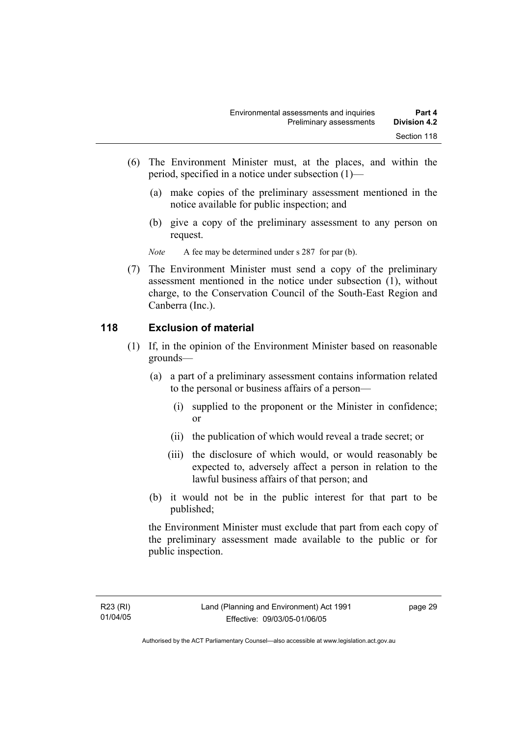- (6) The Environment Minister must, at the places, and within the period, specified in a notice under subsection (1)—
	- (a) make copies of the preliminary assessment mentioned in the notice available for public inspection; and
	- (b) give a copy of the preliminary assessment to any person on request.

*Note* A fee may be determined under s 287 for par (b).

 (7) The Environment Minister must send a copy of the preliminary assessment mentioned in the notice under subsection (1), without charge, to the Conservation Council of the South-East Region and Canberra (Inc.).

#### **118 Exclusion of material**

- (1) If, in the opinion of the Environment Minister based on reasonable grounds—
	- (a) a part of a preliminary assessment contains information related to the personal or business affairs of a person—
		- (i) supplied to the proponent or the Minister in confidence; or
		- (ii) the publication of which would reveal a trade secret; or
		- (iii) the disclosure of which would, or would reasonably be expected to, adversely affect a person in relation to the lawful business affairs of that person; and
	- (b) it would not be in the public interest for that part to be published;

the Environment Minister must exclude that part from each copy of the preliminary assessment made available to the public or for public inspection.

page 29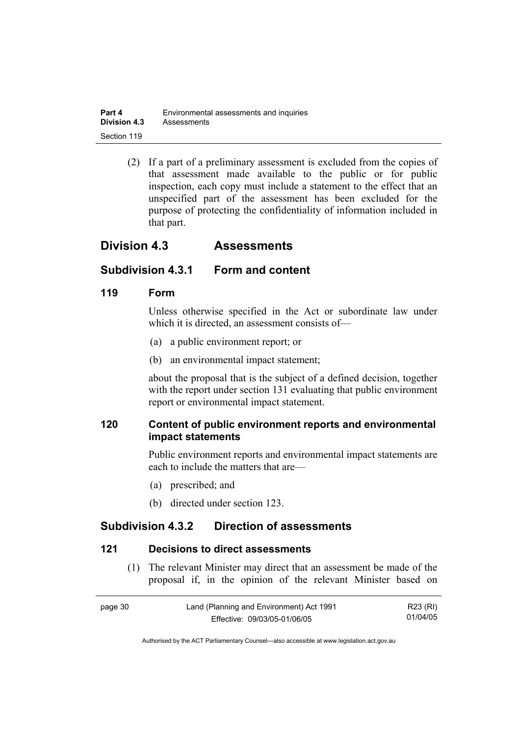| Part 4              | Environmental assessments and inquiries |
|---------------------|-----------------------------------------|
| <b>Division 4.3</b> | Assessments                             |
| Section 119         |                                         |

 (2) If a part of a preliminary assessment is excluded from the copies of that assessment made available to the public or for public inspection, each copy must include a statement to the effect that an unspecified part of the assessment has been excluded for the purpose of protecting the confidentiality of information included in that part.

## **Division 4.3 Assessments**

#### **Subdivision 4.3.1 Form and content**

#### **119 Form**

Unless otherwise specified in the Act or subordinate law under which it is directed, an assessment consists of—

- (a) a public environment report; or
- (b) an environmental impact statement;

about the proposal that is the subject of a defined decision, together with the report under section 131 evaluating that public environment report or environmental impact statement.

#### **120 Content of public environment reports and environmental impact statements**

Public environment reports and environmental impact statements are each to include the matters that are—

- (a) prescribed; and
- (b) directed under section 123.

## **Subdivision 4.3.2 Direction of assessments**

#### **121 Decisions to direct assessments**

 (1) The relevant Minister may direct that an assessment be made of the proposal if, in the opinion of the relevant Minister based on

| page 30 | Land (Planning and Environment) Act 1991 | R23 (RI) |
|---------|------------------------------------------|----------|
|         | Effective: 09/03/05-01/06/05             | 01/04/05 |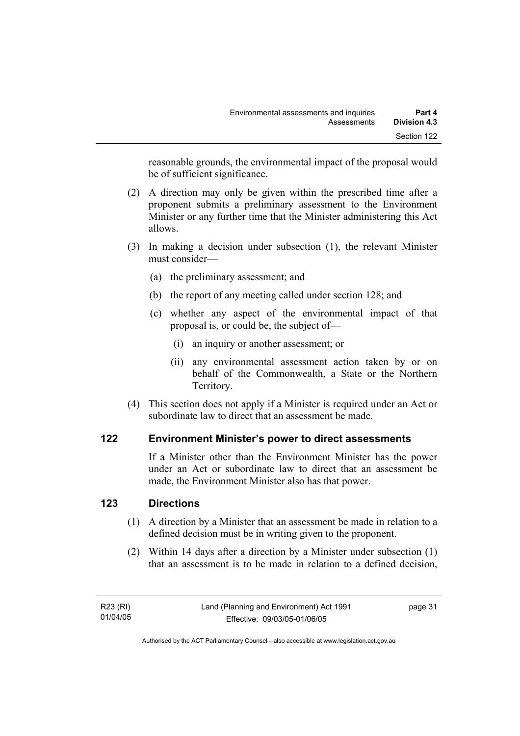reasonable grounds, the environmental impact of the proposal would be of sufficient significance.

- (2) A direction may only be given within the prescribed time after a proponent submits a preliminary assessment to the Environment Minister or any further time that the Minister administering this Act allows.
- (3) In making a decision under subsection (1), the relevant Minister must consider—
	- (a) the preliminary assessment; and
	- (b) the report of any meeting called under section 128; and
	- (c) whether any aspect of the environmental impact of that proposal is, or could be, the subject of—
		- (i) an inquiry or another assessment; or
		- (ii) any environmental assessment action taken by or on behalf of the Commonwealth, a State or the Northern Territory.
- (4) This section does not apply if a Minister is required under an Act or subordinate law to direct that an assessment be made.

#### **122 Environment Minister's power to direct assessments**

If a Minister other than the Environment Minister has the power under an Act or subordinate law to direct that an assessment be made, the Environment Minister also has that power.

#### **123 Directions**

- (1) A direction by a Minister that an assessment be made in relation to a defined decision must be in writing given to the proponent.
- (2) Within 14 days after a direction by a Minister under subsection (1) that an assessment is to be made in relation to a defined decision,

| R23 (RI) | Land (Planning and Environment) Act 1991 | page 31 |
|----------|------------------------------------------|---------|
| 01/04/05 | Effective: 09/03/05-01/06/05             |         |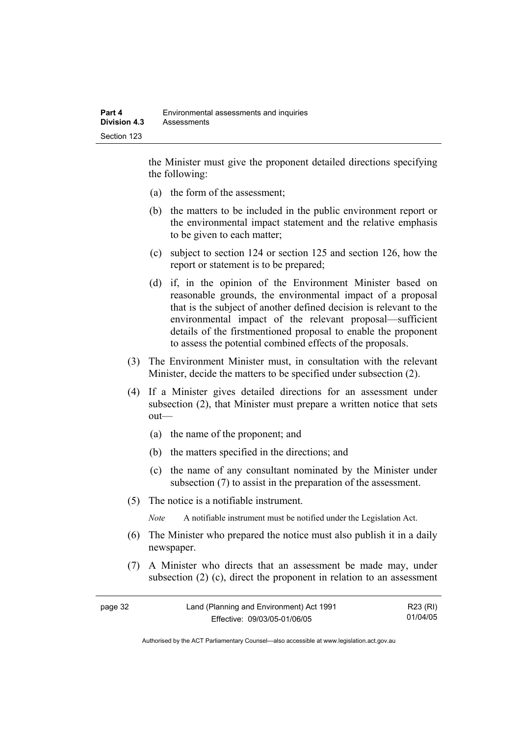the Minister must give the proponent detailed directions specifying the following:

- (a) the form of the assessment;
- (b) the matters to be included in the public environment report or the environmental impact statement and the relative emphasis to be given to each matter;
- (c) subject to section 124 or section 125 and section 126, how the report or statement is to be prepared;
- (d) if, in the opinion of the Environment Minister based on reasonable grounds, the environmental impact of a proposal that is the subject of another defined decision is relevant to the environmental impact of the relevant proposal—sufficient details of the firstmentioned proposal to enable the proponent to assess the potential combined effects of the proposals.
- (3) The Environment Minister must, in consultation with the relevant Minister, decide the matters to be specified under subsection (2).
- (4) If a Minister gives detailed directions for an assessment under subsection (2), that Minister must prepare a written notice that sets out—
	- (a) the name of the proponent; and
	- (b) the matters specified in the directions; and
	- (c) the name of any consultant nominated by the Minister under subsection (7) to assist in the preparation of the assessment.
- (5) The notice is a notifiable instrument.

*Note* A notifiable instrument must be notified under the Legislation Act.

- (6) The Minister who prepared the notice must also publish it in a daily newspaper.
- (7) A Minister who directs that an assessment be made may, under subsection (2) (c), direct the proponent in relation to an assessment

| page 32 | Land (Planning and Environment) Act 1991 | R23 (RI) |
|---------|------------------------------------------|----------|
|         | Effective: 09/03/05-01/06/05             | 01/04/05 |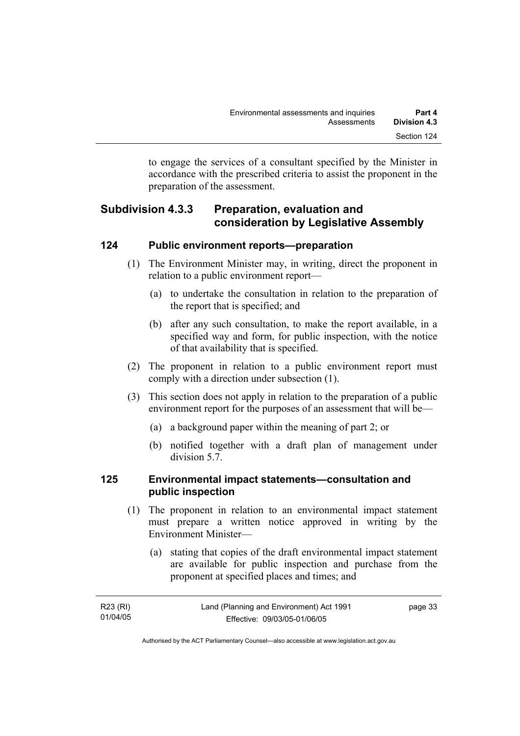to engage the services of a consultant specified by the Minister in accordance with the prescribed criteria to assist the proponent in the preparation of the assessment.

## **Subdivision 4.3.3 Preparation, evaluation and consideration by Legislative Assembly**

#### **124 Public environment reports—preparation**

- (1) The Environment Minister may, in writing, direct the proponent in relation to a public environment report—
	- (a) to undertake the consultation in relation to the preparation of the report that is specified; and
	- (b) after any such consultation, to make the report available, in a specified way and form, for public inspection, with the notice of that availability that is specified.
- (2) The proponent in relation to a public environment report must comply with a direction under subsection (1).
- (3) This section does not apply in relation to the preparation of a public environment report for the purposes of an assessment that will be—
	- (a) a background paper within the meaning of part 2; or
	- (b) notified together with a draft plan of management under division 5.7.

#### **125 Environmental impact statements—consultation and public inspection**

- (1) The proponent in relation to an environmental impact statement must prepare a written notice approved in writing by the Environment Minister—
	- (a) stating that copies of the draft environmental impact statement are available for public inspection and purchase from the proponent at specified places and times; and

| R23 (RI) | Land (Planning and Environment) Act 1991 | page 33 |
|----------|------------------------------------------|---------|
| 01/04/05 | Effective: 09/03/05-01/06/05             |         |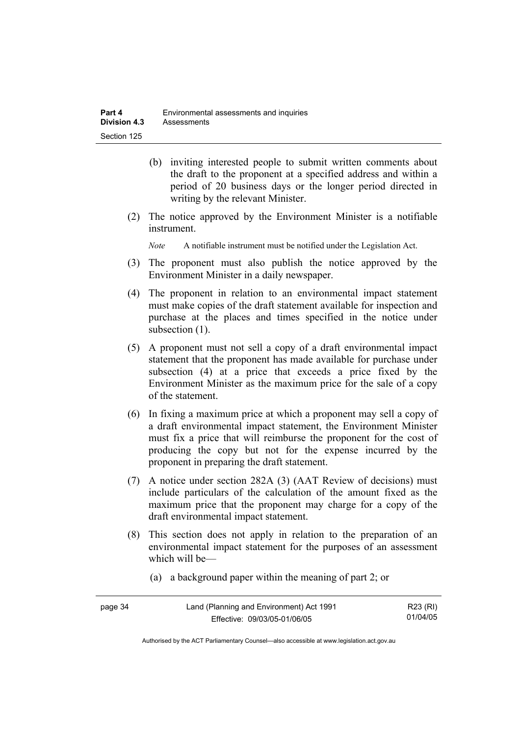- (b) inviting interested people to submit written comments about the draft to the proponent at a specified address and within a period of 20 business days or the longer period directed in writing by the relevant Minister.
- (2) The notice approved by the Environment Minister is a notifiable instrument.

*Note* A notifiable instrument must be notified under the Legislation Act.

- (3) The proponent must also publish the notice approved by the Environment Minister in a daily newspaper.
- (4) The proponent in relation to an environmental impact statement must make copies of the draft statement available for inspection and purchase at the places and times specified in the notice under subsection  $(1)$ .
- (5) A proponent must not sell a copy of a draft environmental impact statement that the proponent has made available for purchase under subsection (4) at a price that exceeds a price fixed by the Environment Minister as the maximum price for the sale of a copy of the statement.
- (6) In fixing a maximum price at which a proponent may sell a copy of a draft environmental impact statement, the Environment Minister must fix a price that will reimburse the proponent for the cost of producing the copy but not for the expense incurred by the proponent in preparing the draft statement.
- (7) A notice under section 282A (3) (AAT Review of decisions) must include particulars of the calculation of the amount fixed as the maximum price that the proponent may charge for a copy of the draft environmental impact statement.
- (8) This section does not apply in relation to the preparation of an environmental impact statement for the purposes of an assessment which will be—
	- (a) a background paper within the meaning of part 2; or

| page 34 | Land (Planning and Environment) Act 1991 | R23 (RI) |
|---------|------------------------------------------|----------|
|         | Effective: 09/03/05-01/06/05             | 01/04/05 |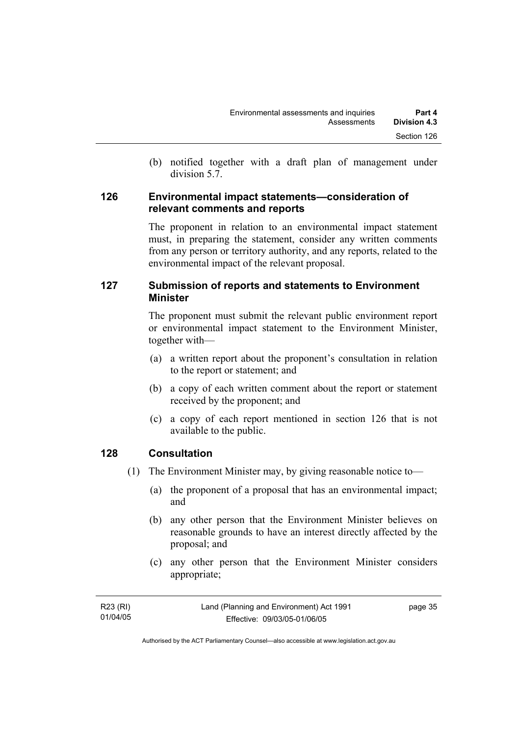(b) notified together with a draft plan of management under division 5.7.

#### **126 Environmental impact statements—consideration of relevant comments and reports**

The proponent in relation to an environmental impact statement must, in preparing the statement, consider any written comments from any person or territory authority, and any reports, related to the environmental impact of the relevant proposal.

### **127 Submission of reports and statements to Environment Minister**

The proponent must submit the relevant public environment report or environmental impact statement to the Environment Minister, together with—

- (a) a written report about the proponent's consultation in relation to the report or statement; and
- (b) a copy of each written comment about the report or statement received by the proponent; and
- (c) a copy of each report mentioned in section 126 that is not available to the public.

#### **128 Consultation**

- (1) The Environment Minister may, by giving reasonable notice to—
	- (a) the proponent of a proposal that has an environmental impact; and
	- (b) any other person that the Environment Minister believes on reasonable grounds to have an interest directly affected by the proposal; and
	- (c) any other person that the Environment Minister considers appropriate;

| R23 (RI) | Land (Planning and Environment) Act 1991 | page 35 |
|----------|------------------------------------------|---------|
| 01/04/05 | Effective: 09/03/05-01/06/05             |         |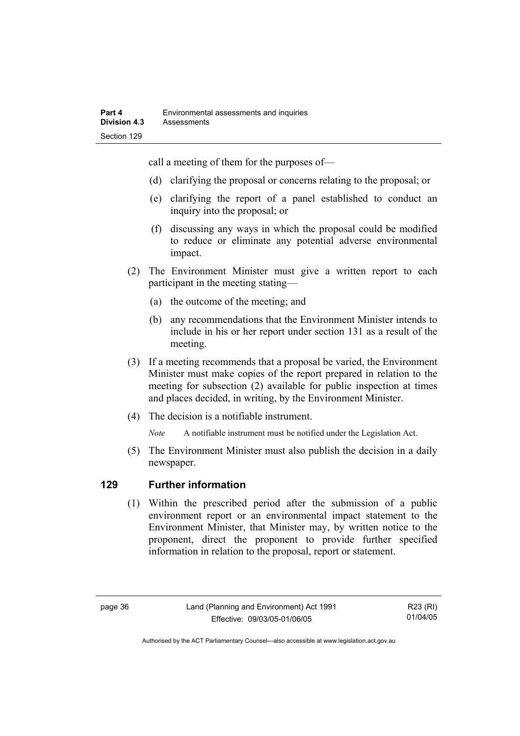call a meeting of them for the purposes of—

- (d) clarifying the proposal or concerns relating to the proposal; or
- (e) clarifying the report of a panel established to conduct an inquiry into the proposal; or
- (f) discussing any ways in which the proposal could be modified to reduce or eliminate any potential adverse environmental impact.
- (2) The Environment Minister must give a written report to each participant in the meeting stating—
	- (a) the outcome of the meeting; and
	- (b) any recommendations that the Environment Minister intends to include in his or her report under section 131 as a result of the meeting.
- (3) If a meeting recommends that a proposal be varied, the Environment Minister must make copies of the report prepared in relation to the meeting for subsection (2) available for public inspection at times and places decided, in writing, by the Environment Minister.
- (4) The decision is a notifiable instrument.

*Note* A notifiable instrument must be notified under the Legislation Act.

(5) The Environment Minister must also publish the decision in a daily newspaper.

#### **129 Further information**

 (1) Within the prescribed period after the submission of a public environment report or an environmental impact statement to the Environment Minister, that Minister may, by written notice to the proponent, direct the proponent to provide further specified information in relation to the proposal, report or statement.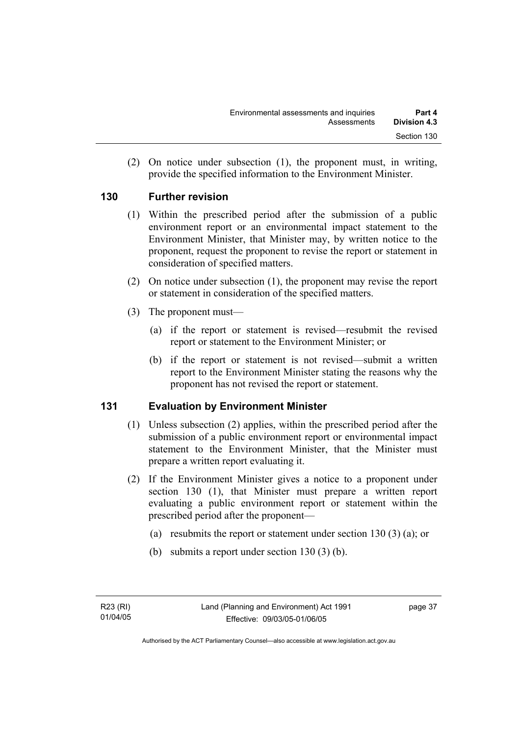(2) On notice under subsection (1), the proponent must, in writing, provide the specified information to the Environment Minister.

#### **130 Further revision**

- (1) Within the prescribed period after the submission of a public environment report or an environmental impact statement to the Environment Minister, that Minister may, by written notice to the proponent, request the proponent to revise the report or statement in consideration of specified matters.
- (2) On notice under subsection (1), the proponent may revise the report or statement in consideration of the specified matters.
- (3) The proponent must—
	- (a) if the report or statement is revised—resubmit the revised report or statement to the Environment Minister; or
	- (b) if the report or statement is not revised—submit a written report to the Environment Minister stating the reasons why the proponent has not revised the report or statement.

#### **131 Evaluation by Environment Minister**

- (1) Unless subsection (2) applies, within the prescribed period after the submission of a public environment report or environmental impact statement to the Environment Minister, that the Minister must prepare a written report evaluating it.
- (2) If the Environment Minister gives a notice to a proponent under section 130 (1), that Minister must prepare a written report evaluating a public environment report or statement within the prescribed period after the proponent—
	- (a) resubmits the report or statement under section 130 (3) (a); or
	- (b) submits a report under section 130 (3) (b).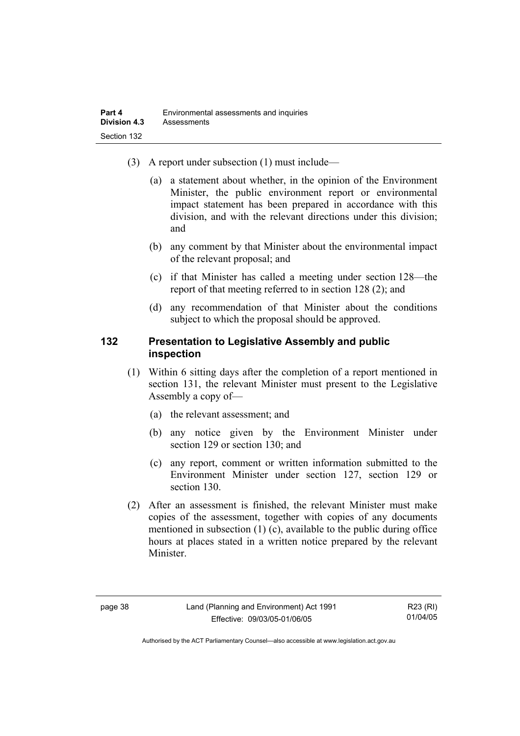- (3) A report under subsection (1) must include—
	- (a) a statement about whether, in the opinion of the Environment Minister, the public environment report or environmental impact statement has been prepared in accordance with this division, and with the relevant directions under this division; and
	- (b) any comment by that Minister about the environmental impact of the relevant proposal; and
	- (c) if that Minister has called a meeting under section 128—the report of that meeting referred to in section 128 (2); and
	- (d) any recommendation of that Minister about the conditions subject to which the proposal should be approved.

#### **132 Presentation to Legislative Assembly and public inspection**

- (1) Within 6 sitting days after the completion of a report mentioned in section 131, the relevant Minister must present to the Legislative Assembly a copy of—
	- (a) the relevant assessment; and
	- (b) any notice given by the Environment Minister under section 129 or section 130; and
	- (c) any report, comment or written information submitted to the Environment Minister under section 127, section 129 or section 130.
- (2) After an assessment is finished, the relevant Minister must make copies of the assessment, together with copies of any documents mentioned in subsection (1) (c), available to the public during office hours at places stated in a written notice prepared by the relevant Minister.

R23 (RI) 01/04/05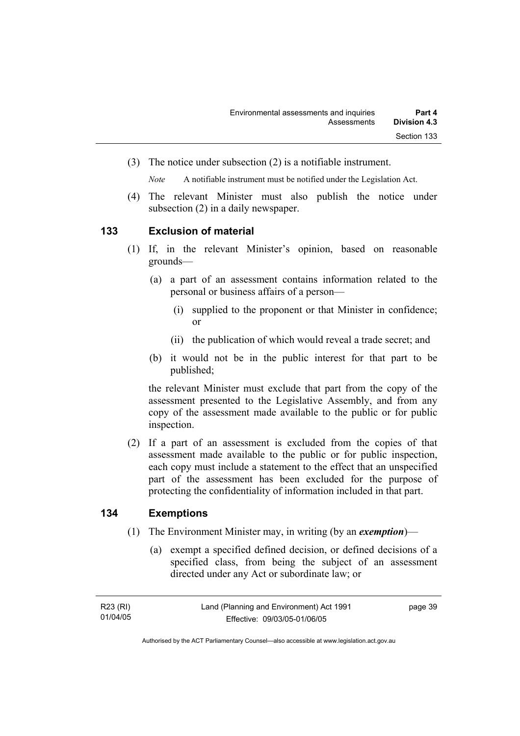(3) The notice under subsection (2) is a notifiable instrument.

*Note* A notifiable instrument must be notified under the Legislation Act.

(4) The relevant Minister must also publish the notice under subsection (2) in a daily newspaper.

#### **133 Exclusion of material**

- (1) If, in the relevant Minister's opinion, based on reasonable grounds—
	- (a) a part of an assessment contains information related to the personal or business affairs of a person—
		- (i) supplied to the proponent or that Minister in confidence; or
		- (ii) the publication of which would reveal a trade secret; and
	- (b) it would not be in the public interest for that part to be published;

the relevant Minister must exclude that part from the copy of the assessment presented to the Legislative Assembly, and from any copy of the assessment made available to the public or for public inspection.

 (2) If a part of an assessment is excluded from the copies of that assessment made available to the public or for public inspection, each copy must include a statement to the effect that an unspecified part of the assessment has been excluded for the purpose of protecting the confidentiality of information included in that part.

#### **134 Exemptions**

- (1) The Environment Minister may, in writing (by an *exemption*)—
	- (a) exempt a specified defined decision, or defined decisions of a specified class, from being the subject of an assessment directed under any Act or subordinate law; or

| R23 (RI) | Land (Planning and Environment) Act 1991 | page 39 |
|----------|------------------------------------------|---------|
| 01/04/05 | Effective: 09/03/05-01/06/05             |         |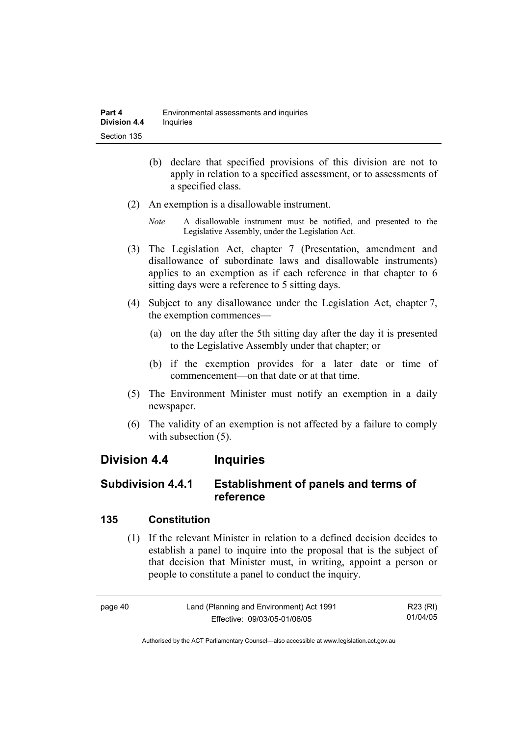- (b) declare that specified provisions of this division are not to apply in relation to a specified assessment, or to assessments of a specified class.
- (2) An exemption is a disallowable instrument.
	- *Note* A disallowable instrument must be notified, and presented to the Legislative Assembly, under the Legislation Act.
- (3) The Legislation Act, chapter 7 (Presentation, amendment and disallowance of subordinate laws and disallowable instruments) applies to an exemption as if each reference in that chapter to 6 sitting days were a reference to 5 sitting days.
- (4) Subject to any disallowance under the Legislation Act, chapter 7, the exemption commences—
	- (a) on the day after the 5th sitting day after the day it is presented to the Legislative Assembly under that chapter; or
	- (b) if the exemption provides for a later date or time of commencement—on that date or at that time.
- (5) The Environment Minister must notify an exemption in a daily newspaper.
- (6) The validity of an exemption is not affected by a failure to comply with subsection  $(5)$ .

## **Division 4.4 Inquiries**

## **Subdivision 4.4.1 Establishment of panels and terms of reference**

#### **135 Constitution**

 (1) If the relevant Minister in relation to a defined decision decides to establish a panel to inquire into the proposal that is the subject of that decision that Minister must, in writing, appoint a person or people to constitute a panel to conduct the inquiry.

| page 40 | Land (Planning and Environment) Act 1991 | R23 (RI) |
|---------|------------------------------------------|----------|
|         | Effective: 09/03/05-01/06/05             | 01/04/05 |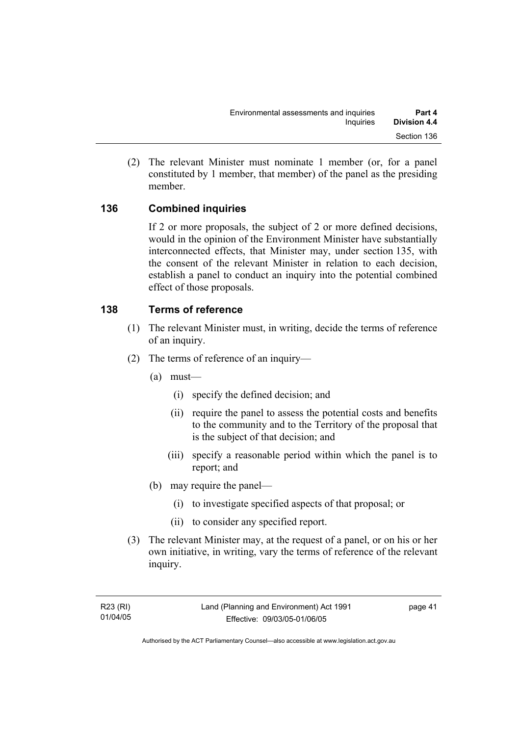(2) The relevant Minister must nominate 1 member (or, for a panel constituted by 1 member, that member) of the panel as the presiding member.

#### **136 Combined inquiries**

If 2 or more proposals, the subject of 2 or more defined decisions, would in the opinion of the Environment Minister have substantially interconnected effects, that Minister may, under section 135, with the consent of the relevant Minister in relation to each decision, establish a panel to conduct an inquiry into the potential combined effect of those proposals.

#### **138 Terms of reference**

- (1) The relevant Minister must, in writing, decide the terms of reference of an inquiry.
- (2) The terms of reference of an inquiry—
	- (a) must—
		- (i) specify the defined decision; and
		- (ii) require the panel to assess the potential costs and benefits to the community and to the Territory of the proposal that is the subject of that decision; and
		- (iii) specify a reasonable period within which the panel is to report; and
	- (b) may require the panel—
		- (i) to investigate specified aspects of that proposal; or
		- (ii) to consider any specified report.
- (3) The relevant Minister may, at the request of a panel, or on his or her own initiative, in writing, vary the terms of reference of the relevant inquiry.

page 41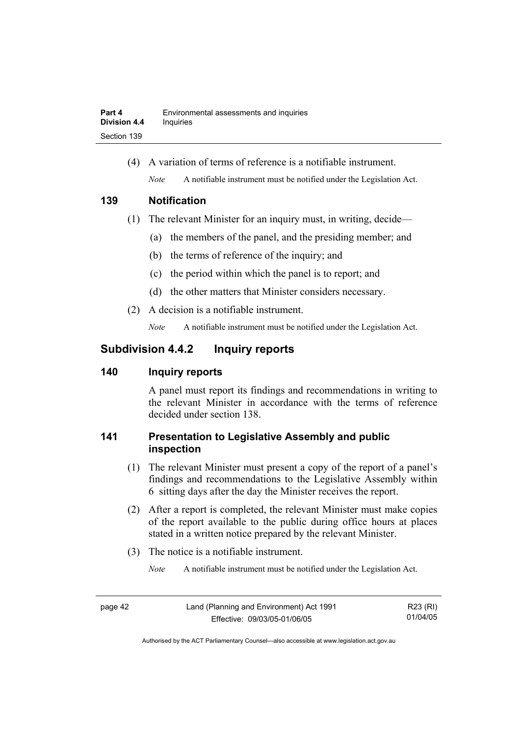(4) A variation of terms of reference is a notifiable instrument. *Note* A notifiable instrument must be notified under the Legislation Act.

#### **139 Notification**

- (1) The relevant Minister for an inquiry must, in writing, decide—
	- (a) the members of the panel, and the presiding member; and
	- (b) the terms of reference of the inquiry; and
	- (c) the period within which the panel is to report; and
	- (d) the other matters that Minister considers necessary.
- (2) A decision is a notifiable instrument.

*Note* A notifiable instrument must be notified under the Legislation Act.

## **Subdivision 4.4.2 Inquiry reports**

#### **140 Inquiry reports**

A panel must report its findings and recommendations in writing to the relevant Minister in accordance with the terms of reference decided under section 138.

## **141 Presentation to Legislative Assembly and public inspection**

- (1) The relevant Minister must present a copy of the report of a panel's findings and recommendations to the Legislative Assembly within 6 sitting days after the day the Minister receives the report.
- (2) After a report is completed, the relevant Minister must make copies of the report available to the public during office hours at places stated in a written notice prepared by the relevant Minister.
- (3) The notice is a notifiable instrument.

*Note* A notifiable instrument must be notified under the Legislation Act.

page 42 Land (Planning and Environment) Act 1991 Effective: 09/03/05-01/06/05 R23 (RI) 01/04/05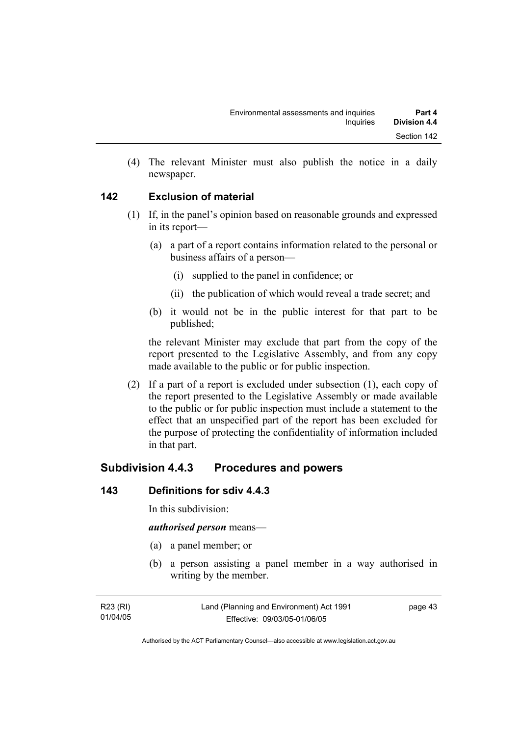(4) The relevant Minister must also publish the notice in a daily newspaper.

#### **142 Exclusion of material**

- (1) If, in the panel's opinion based on reasonable grounds and expressed in its report—
	- (a) a part of a report contains information related to the personal or business affairs of a person—
		- (i) supplied to the panel in confidence; or
		- (ii) the publication of which would reveal a trade secret; and
	- (b) it would not be in the public interest for that part to be published;

the relevant Minister may exclude that part from the copy of the report presented to the Legislative Assembly, and from any copy made available to the public or for public inspection.

 (2) If a part of a report is excluded under subsection (1), each copy of the report presented to the Legislative Assembly or made available to the public or for public inspection must include a statement to the effect that an unspecified part of the report has been excluded for the purpose of protecting the confidentiality of information included in that part.

## **Subdivision 4.4.3 Procedures and powers**

#### **143 Definitions for sdiv 4.4.3**

In this subdivision:

#### *authorised person* means—

- (a) a panel member; or
- (b) a person assisting a panel member in a way authorised in writing by the member.

| R23 (RI) | Land (Planning and Environment) Act 1991 | page 43 |
|----------|------------------------------------------|---------|
| 01/04/05 | Effective: 09/03/05-01/06/05             |         |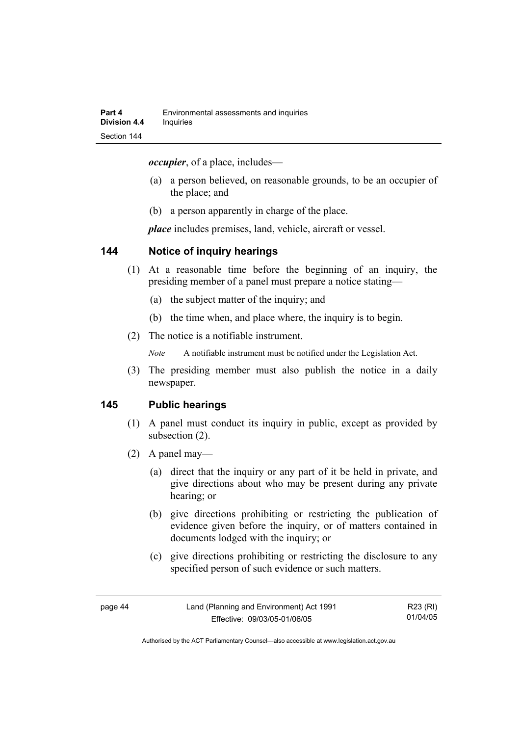*occupier*, of a place, includes—

- (a) a person believed, on reasonable grounds, to be an occupier of the place; and
- (b) a person apparently in charge of the place.

*place* includes premises, land, vehicle, aircraft or vessel.

#### **144 Notice of inquiry hearings**

- (1) At a reasonable time before the beginning of an inquiry, the presiding member of a panel must prepare a notice stating—
	- (a) the subject matter of the inquiry; and
	- (b) the time when, and place where, the inquiry is to begin.
- (2) The notice is a notifiable instrument.

*Note* A notifiable instrument must be notified under the Legislation Act.

(3) The presiding member must also publish the notice in a daily newspaper.

#### **145 Public hearings**

- (1) A panel must conduct its inquiry in public, except as provided by subsection (2).
- (2) A panel may—
	- (a) direct that the inquiry or any part of it be held in private, and give directions about who may be present during any private hearing; or
	- (b) give directions prohibiting or restricting the publication of evidence given before the inquiry, or of matters contained in documents lodged with the inquiry; or
	- (c) give directions prohibiting or restricting the disclosure to any specified person of such evidence or such matters.

| page 44 | Land (Planning and Environment) Act 1991 | R23 (RI) |
|---------|------------------------------------------|----------|
|         | Effective: 09/03/05-01/06/05             | 01/04/05 |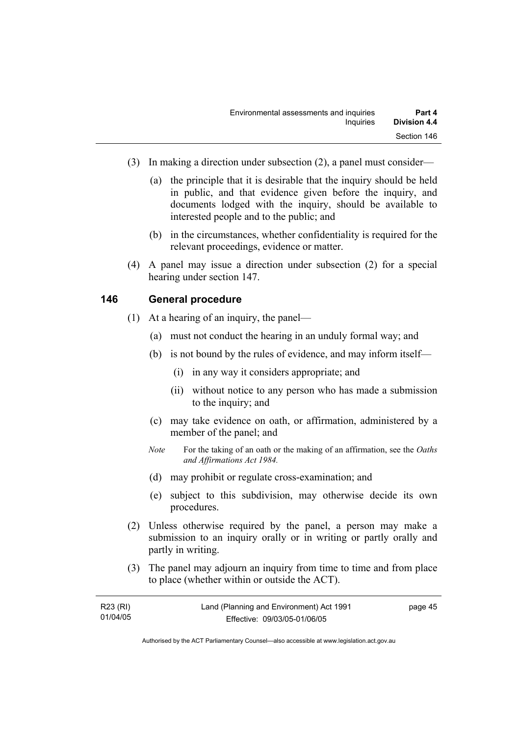- (3) In making a direction under subsection (2), a panel must consider—
	- (a) the principle that it is desirable that the inquiry should be held in public, and that evidence given before the inquiry, and documents lodged with the inquiry, should be available to interested people and to the public; and
	- (b) in the circumstances, whether confidentiality is required for the relevant proceedings, evidence or matter.
- (4) A panel may issue a direction under subsection (2) for a special hearing under section 147.

#### **146 General procedure**

- (1) At a hearing of an inquiry, the panel—
	- (a) must not conduct the hearing in an unduly formal way; and
	- (b) is not bound by the rules of evidence, and may inform itself—
		- (i) in any way it considers appropriate; and
		- (ii) without notice to any person who has made a submission to the inquiry; and
	- (c) may take evidence on oath, or affirmation, administered by a member of the panel; and
	- *Note* For the taking of an oath or the making of an affirmation, see the *Oaths and Affirmations Act 1984.*
	- (d) may prohibit or regulate cross-examination; and
	- (e) subject to this subdivision, may otherwise decide its own procedures.
- (2) Unless otherwise required by the panel, a person may make a submission to an inquiry orally or in writing or partly orally and partly in writing.
- (3) The panel may adjourn an inquiry from time to time and from place to place (whether within or outside the ACT).

| R23 (RI) | Land (Planning and Environment) Act 1991 | page 45 |
|----------|------------------------------------------|---------|
| 01/04/05 | Effective: 09/03/05-01/06/05             |         |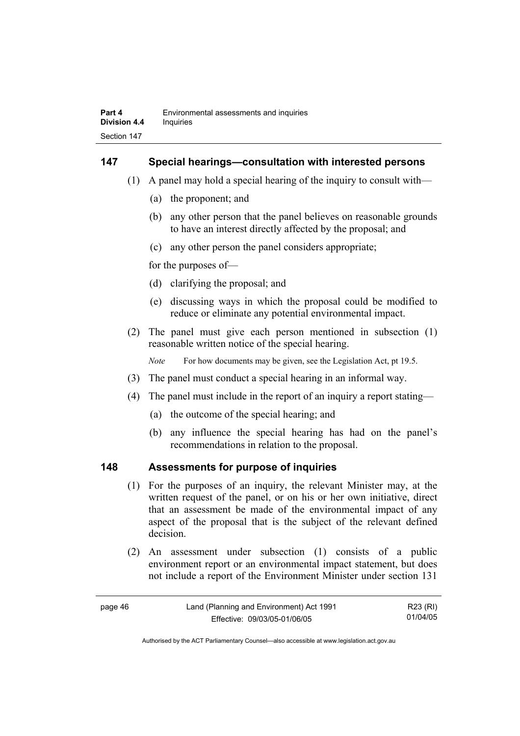#### **147 Special hearings—consultation with interested persons**

- (1) A panel may hold a special hearing of the inquiry to consult with—
	- (a) the proponent; and
	- (b) any other person that the panel believes on reasonable grounds to have an interest directly affected by the proposal; and
	- (c) any other person the panel considers appropriate;

for the purposes of—

- (d) clarifying the proposal; and
- (e) discussing ways in which the proposal could be modified to reduce or eliminate any potential environmental impact.
- (2) The panel must give each person mentioned in subsection (1) reasonable written notice of the special hearing.

*Note* For how documents may be given, see the Legislation Act, pt 19.5.

- (3) The panel must conduct a special hearing in an informal way.
- (4) The panel must include in the report of an inquiry a report stating—
	- (a) the outcome of the special hearing; and
	- (b) any influence the special hearing has had on the panel's recommendations in relation to the proposal.

#### **148 Assessments for purpose of inquiries**

- (1) For the purposes of an inquiry, the relevant Minister may, at the written request of the panel, or on his or her own initiative, direct that an assessment be made of the environmental impact of any aspect of the proposal that is the subject of the relevant defined decision.
- (2) An assessment under subsection (1) consists of a public environment report or an environmental impact statement, but does not include a report of the Environment Minister under section 131

| page 46 | Land (Planning and Environment) Act 1991 | R23 (RI) |
|---------|------------------------------------------|----------|
|         | Effective: 09/03/05-01/06/05             | 01/04/05 |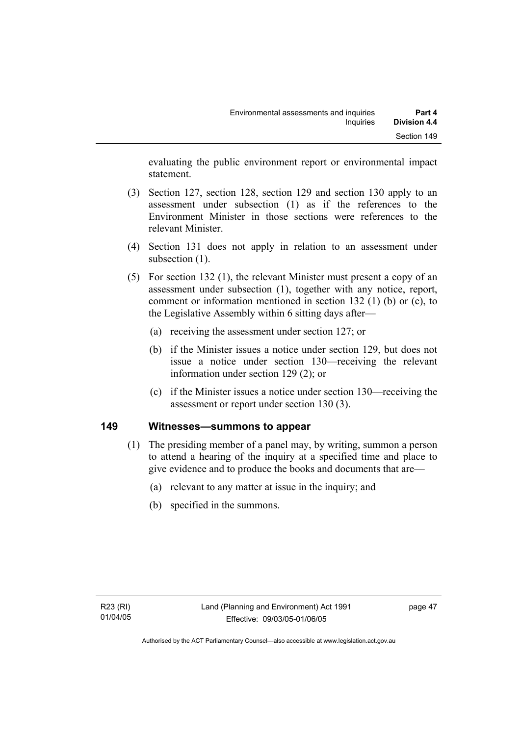evaluating the public environment report or environmental impact statement.

- (3) Section 127, section 128, section 129 and section 130 apply to an assessment under subsection (1) as if the references to the Environment Minister in those sections were references to the relevant Minister.
- (4) Section 131 does not apply in relation to an assessment under subsection  $(1)$ .
- (5) For section 132 (1), the relevant Minister must present a copy of an assessment under subsection (1), together with any notice, report, comment or information mentioned in section 132 (1) (b) or (c), to the Legislative Assembly within 6 sitting days after—
	- (a) receiving the assessment under section 127; or
	- (b) if the Minister issues a notice under section 129, but does not issue a notice under section 130—receiving the relevant information under section 129 (2); or
	- (c) if the Minister issues a notice under section 130—receiving the assessment or report under section 130 (3).

#### **149 Witnesses—summons to appear**

- (1) The presiding member of a panel may, by writing, summon a person to attend a hearing of the inquiry at a specified time and place to give evidence and to produce the books and documents that are—
	- (a) relevant to any matter at issue in the inquiry; and
	- (b) specified in the summons.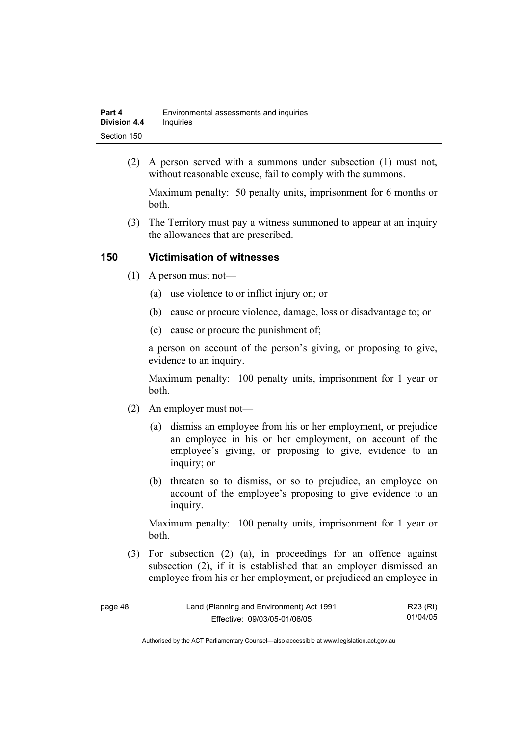| Part 4              | Environmental assessments and inquiries |
|---------------------|-----------------------------------------|
| <b>Division 4.4</b> | Inquiries                               |
| Section 150         |                                         |

 (2) A person served with a summons under subsection (1) must not, without reasonable excuse, fail to comply with the summons.

Maximum penalty: 50 penalty units, imprisonment for 6 months or both.

 (3) The Territory must pay a witness summoned to appear at an inquiry the allowances that are prescribed.

#### **150 Victimisation of witnesses**

- (1) A person must not—
	- (a) use violence to or inflict injury on; or
	- (b) cause or procure violence, damage, loss or disadvantage to; or
	- (c) cause or procure the punishment of;

a person on account of the person's giving, or proposing to give, evidence to an inquiry.

Maximum penalty: 100 penalty units, imprisonment for 1 year or both.

- (2) An employer must not—
	- (a) dismiss an employee from his or her employment, or prejudice an employee in his or her employment, on account of the employee's giving, or proposing to give, evidence to an inquiry; or
	- (b) threaten so to dismiss, or so to prejudice, an employee on account of the employee's proposing to give evidence to an inquiry.

Maximum penalty: 100 penalty units, imprisonment for 1 year or both.

 (3) For subsection (2) (a), in proceedings for an offence against subsection (2), if it is established that an employer dismissed an employee from his or her employment, or prejudiced an employee in

| page 48 | Land (Planning and Environment) Act 1991 | R23 (RI) |
|---------|------------------------------------------|----------|
|         | Effective: 09/03/05-01/06/05             | 01/04/05 |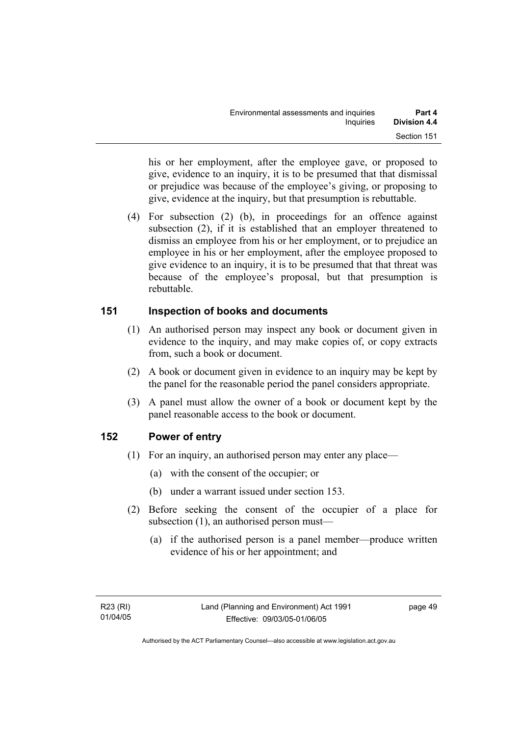his or her employment, after the employee gave, or proposed to give, evidence to an inquiry, it is to be presumed that that dismissal or prejudice was because of the employee's giving, or proposing to give, evidence at the inquiry, but that presumption is rebuttable.

 (4) For subsection (2) (b), in proceedings for an offence against subsection (2), if it is established that an employer threatened to dismiss an employee from his or her employment, or to prejudice an employee in his or her employment, after the employee proposed to give evidence to an inquiry, it is to be presumed that that threat was because of the employee's proposal, but that presumption is rebuttable.

#### **151 Inspection of books and documents**

- (1) An authorised person may inspect any book or document given in evidence to the inquiry, and may make copies of, or copy extracts from, such a book or document.
- (2) A book or document given in evidence to an inquiry may be kept by the panel for the reasonable period the panel considers appropriate.
- (3) A panel must allow the owner of a book or document kept by the panel reasonable access to the book or document.

#### **152 Power of entry**

- (1) For an inquiry, an authorised person may enter any place—
	- (a) with the consent of the occupier; or
	- (b) under a warrant issued under section 153.
- (2) Before seeking the consent of the occupier of a place for subsection (1), an authorised person must—
	- (a) if the authorised person is a panel member—produce written evidence of his or her appointment; and

page 49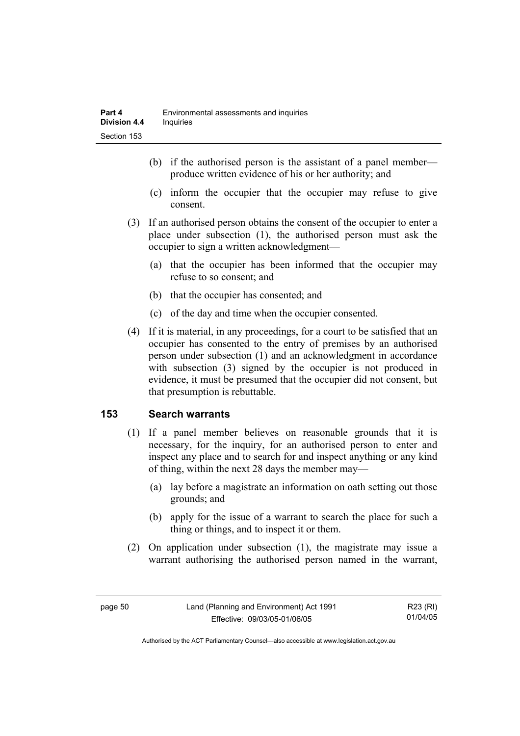- (b) if the authorised person is the assistant of a panel member produce written evidence of his or her authority; and
- (c) inform the occupier that the occupier may refuse to give consent.
- (3) If an authorised person obtains the consent of the occupier to enter a place under subsection (1), the authorised person must ask the occupier to sign a written acknowledgment—
	- (a) that the occupier has been informed that the occupier may refuse to so consent; and
	- (b) that the occupier has consented; and
	- (c) of the day and time when the occupier consented.
- (4) If it is material, in any proceedings, for a court to be satisfied that an occupier has consented to the entry of premises by an authorised person under subsection (1) and an acknowledgment in accordance with subsection (3) signed by the occupier is not produced in evidence, it must be presumed that the occupier did not consent, but that presumption is rebuttable.

#### **153 Search warrants**

- (1) If a panel member believes on reasonable grounds that it is necessary, for the inquiry, for an authorised person to enter and inspect any place and to search for and inspect anything or any kind of thing, within the next 28 days the member may—
	- (a) lay before a magistrate an information on oath setting out those grounds; and
	- (b) apply for the issue of a warrant to search the place for such a thing or things, and to inspect it or them.
- (2) On application under subsection (1), the magistrate may issue a warrant authorising the authorised person named in the warrant,

R23 (RI) 01/04/05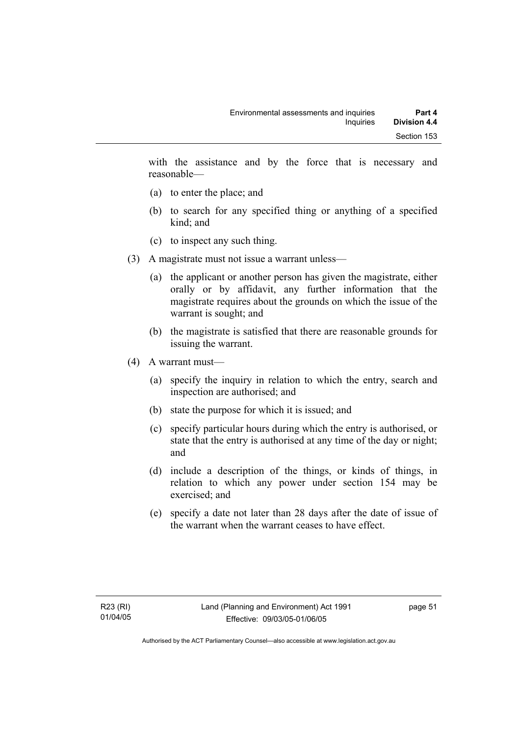with the assistance and by the force that is necessary and reasonable—

- (a) to enter the place; and
- (b) to search for any specified thing or anything of a specified kind; and
- (c) to inspect any such thing.
- (3) A magistrate must not issue a warrant unless—
	- (a) the applicant or another person has given the magistrate, either orally or by affidavit, any further information that the magistrate requires about the grounds on which the issue of the warrant is sought; and
	- (b) the magistrate is satisfied that there are reasonable grounds for issuing the warrant.
- (4) A warrant must—
	- (a) specify the inquiry in relation to which the entry, search and inspection are authorised; and
	- (b) state the purpose for which it is issued; and
	- (c) specify particular hours during which the entry is authorised, or state that the entry is authorised at any time of the day or night; and
	- (d) include a description of the things, or kinds of things, in relation to which any power under section 154 may be exercised; and
	- (e) specify a date not later than 28 days after the date of issue of the warrant when the warrant ceases to have effect.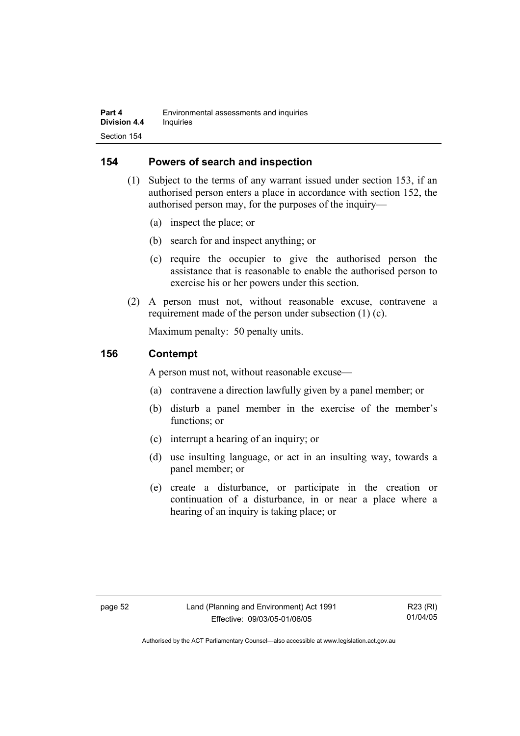#### **154 Powers of search and inspection**

- (1) Subject to the terms of any warrant issued under section 153, if an authorised person enters a place in accordance with section 152, the authorised person may, for the purposes of the inquiry—
	- (a) inspect the place; or
	- (b) search for and inspect anything; or
	- (c) require the occupier to give the authorised person the assistance that is reasonable to enable the authorised person to exercise his or her powers under this section.
- (2) A person must not, without reasonable excuse, contravene a requirement made of the person under subsection (1) (c).

Maximum penalty: 50 penalty units.

#### **156 Contempt**

A person must not, without reasonable excuse—

- (a) contravene a direction lawfully given by a panel member; or
- (b) disturb a panel member in the exercise of the member's functions; or
- (c) interrupt a hearing of an inquiry; or
- (d) use insulting language, or act in an insulting way, towards a panel member; or
- (e) create a disturbance, or participate in the creation or continuation of a disturbance, in or near a place where a hearing of an inquiry is taking place; or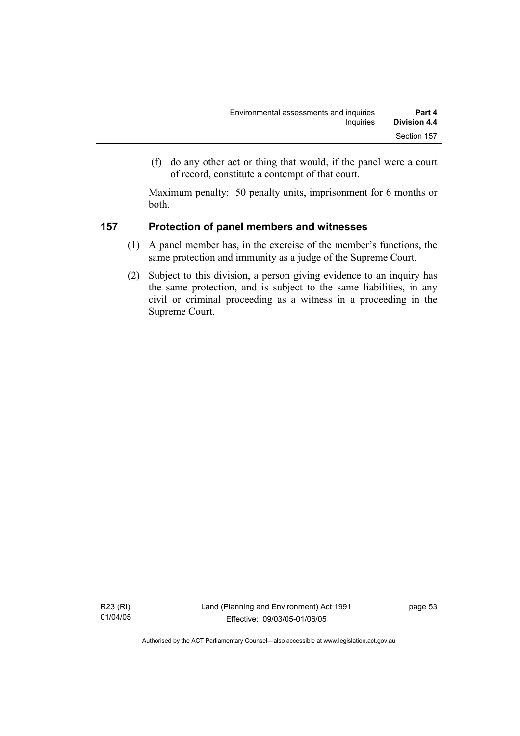(f) do any other act or thing that would, if the panel were a court of record, constitute a contempt of that court.

Maximum penalty: 50 penalty units, imprisonment for 6 months or both.

### **157 Protection of panel members and witnesses**

- (1) A panel member has, in the exercise of the member's functions, the same protection and immunity as a judge of the Supreme Court.
- (2) Subject to this division, a person giving evidence to an inquiry has the same protection, and is subject to the same liabilities, in any civil or criminal proceeding as a witness in a proceeding in the Supreme Court.

R23 (RI) 01/04/05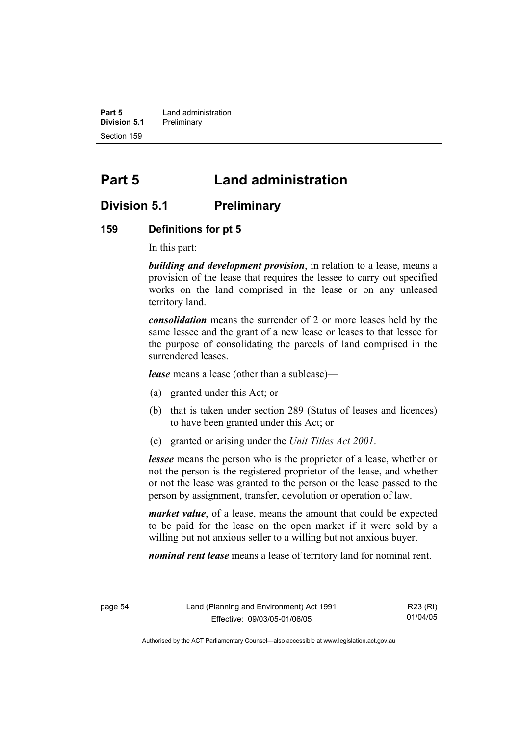**Part 5 Land administration Division 5.1** Preliminary Section 159

# **Part 5 Land administration**

## **Division 5.1 Preliminary**

#### **159 Definitions for pt 5**

In this part:

*building and development provision*, in relation to a lease, means a provision of the lease that requires the lessee to carry out specified works on the land comprised in the lease or on any unleased territory land.

*consolidation* means the surrender of 2 or more leases held by the same lessee and the grant of a new lease or leases to that lessee for the purpose of consolidating the parcels of land comprised in the surrendered leases.

*lease* means a lease (other than a sublease)—

- (a) granted under this Act; or
- (b) that is taken under section 289 (Status of leases and licences) to have been granted under this Act; or
- (c) granted or arising under the *Unit Titles Act 2001*.

*lessee* means the person who is the proprietor of a lease, whether or not the person is the registered proprietor of the lease, and whether or not the lease was granted to the person or the lease passed to the person by assignment, transfer, devolution or operation of law.

*market value*, of a lease, means the amount that could be expected to be paid for the lease on the open market if it were sold by a willing but not anxious seller to a willing but not anxious buyer.

*nominal rent lease* means a lease of territory land for nominal rent.

R23 (RI) 01/04/05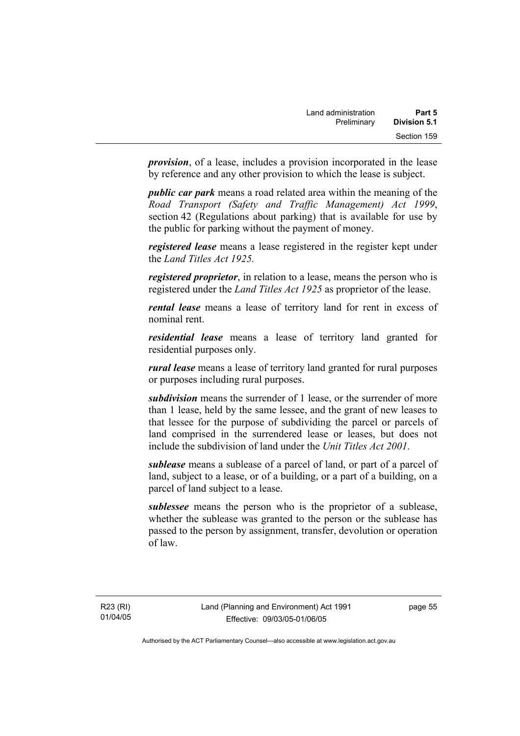*provision*, of a lease, includes a provision incorporated in the lease by reference and any other provision to which the lease is subject.

*public car park* means a road related area within the meaning of the *Road Transport (Safety and Traffic Management) Act 1999*, section 42 (Regulations about parking) that is available for use by the public for parking without the payment of money.

*registered lease* means a lease registered in the register kept under the *Land Titles Act 1925.*

*registered proprietor*, in relation to a lease, means the person who is registered under the *Land Titles Act 1925* as proprietor of the lease.

*rental lease* means a lease of territory land for rent in excess of nominal rent.

*residential lease* means a lease of territory land granted for residential purposes only.

*rural lease* means a lease of territory land granted for rural purposes or purposes including rural purposes.

*subdivision* means the surrender of 1 lease, or the surrender of more than 1 lease, held by the same lessee, and the grant of new leases to that lessee for the purpose of subdividing the parcel or parcels of land comprised in the surrendered lease or leases, but does not include the subdivision of land under the *Unit Titles Act 2001*.

*sublease* means a sublease of a parcel of land, or part of a parcel of land, subject to a lease, or of a building, or a part of a building, on a parcel of land subject to a lease.

*sublessee* means the person who is the proprietor of a sublease, whether the sublease was granted to the person or the sublease has passed to the person by assignment, transfer, devolution or operation of law.

R23 (RI) 01/04/05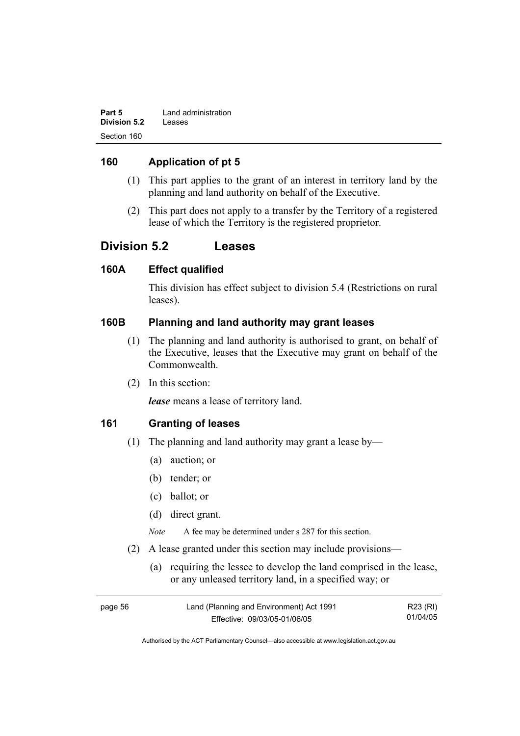| Part 5              | Land administration |
|---------------------|---------------------|
| <b>Division 5.2</b> | Leases              |
| Section 160         |                     |

### **160 Application of pt 5**

- (1) This part applies to the grant of an interest in territory land by the planning and land authority on behalf of the Executive.
- (2) This part does not apply to a transfer by the Territory of a registered lease of which the Territory is the registered proprietor.

## **Division 5.2 Leases**

#### **160A Effect qualified**

This division has effect subject to division 5.4 (Restrictions on rural leases).

#### **160B Planning and land authority may grant leases**

- (1) The planning and land authority is authorised to grant, on behalf of the Executive, leases that the Executive may grant on behalf of the Commonwealth.
- (2) In this section:

*lease* means a lease of territory land.

#### **161 Granting of leases**

- (1) The planning and land authority may grant a lease by—
	- (a) auction; or
	- (b) tender; or
	- (c) ballot; or
	- (d) direct grant.

*Note* A fee may be determined under s 287 for this section.

- (2) A lease granted under this section may include provisions—
	- (a) requiring the lessee to develop the land comprised in the lease, or any unleased territory land, in a specified way; or

| page 56 | Land (Planning and Environment) Act 1991 | R23 (RI) |
|---------|------------------------------------------|----------|
|         | Effective: 09/03/05-01/06/05             | 01/04/05 |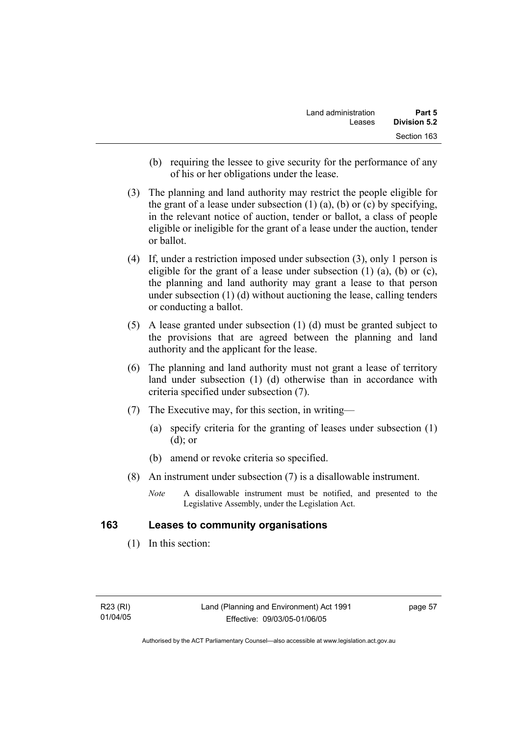- (b) requiring the lessee to give security for the performance of any of his or her obligations under the lease.
- (3) The planning and land authority may restrict the people eligible for the grant of a lease under subsection  $(1)$   $(a)$ ,  $(b)$  or  $(c)$  by specifying, in the relevant notice of auction, tender or ballot, a class of people eligible or ineligible for the grant of a lease under the auction, tender or ballot.
- (4) If, under a restriction imposed under subsection (3), only 1 person is eligible for the grant of a lease under subsection  $(1)$   $(a)$ ,  $(b)$  or  $(c)$ , the planning and land authority may grant a lease to that person under subsection (1) (d) without auctioning the lease, calling tenders or conducting a ballot.
- (5) A lease granted under subsection (1) (d) must be granted subject to the provisions that are agreed between the planning and land authority and the applicant for the lease.
- (6) The planning and land authority must not grant a lease of territory land under subsection (1) (d) otherwise than in accordance with criteria specified under subsection (7).
- (7) The Executive may, for this section, in writing—
	- (a) specify criteria for the granting of leases under subsection (1) (d); or
	- (b) amend or revoke criteria so specified.
- (8) An instrument under subsection (7) is a disallowable instrument.
	- *Note* A disallowable instrument must be notified, and presented to the Legislative Assembly, under the Legislation Act.

#### **163 Leases to community organisations**

(1) In this section:

page 57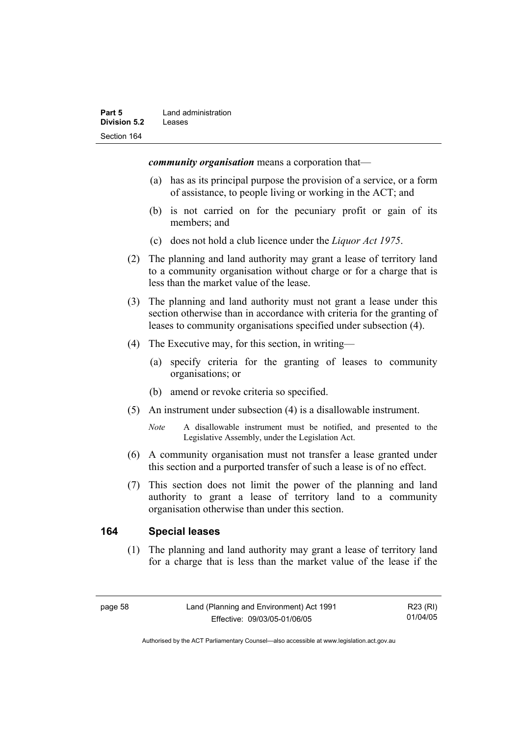*community organisation* means a corporation that—

- (a) has as its principal purpose the provision of a service, or a form of assistance, to people living or working in the ACT; and
- (b) is not carried on for the pecuniary profit or gain of its members; and
- (c) does not hold a club licence under the *Liquor Act 1975*.
- (2) The planning and land authority may grant a lease of territory land to a community organisation without charge or for a charge that is less than the market value of the lease.
- (3) The planning and land authority must not grant a lease under this section otherwise than in accordance with criteria for the granting of leases to community organisations specified under subsection (4).
- (4) The Executive may, for this section, in writing—
	- (a) specify criteria for the granting of leases to community organisations; or
	- (b) amend or revoke criteria so specified.
- (5) An instrument under subsection (4) is a disallowable instrument.
	- *Note* A disallowable instrument must be notified, and presented to the Legislative Assembly, under the Legislation Act.
- (6) A community organisation must not transfer a lease granted under this section and a purported transfer of such a lease is of no effect.
- (7) This section does not limit the power of the planning and land authority to grant a lease of territory land to a community organisation otherwise than under this section.

#### **164 Special leases**

 (1) The planning and land authority may grant a lease of territory land for a charge that is less than the market value of the lease if the

R23 (RI) 01/04/05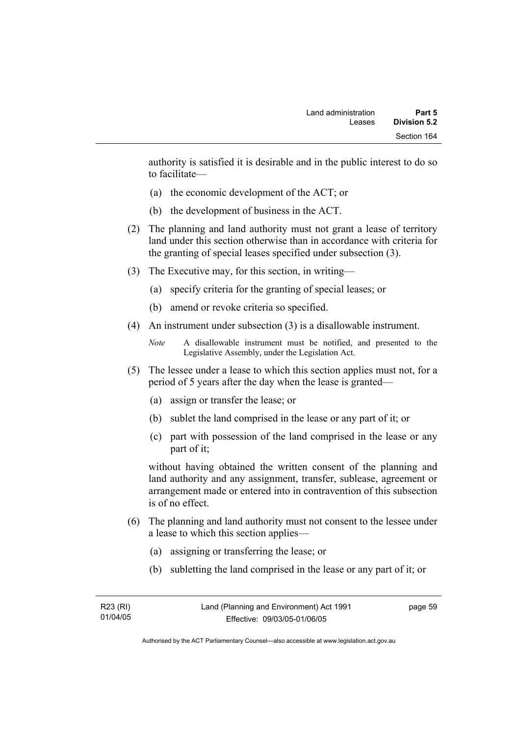authority is satisfied it is desirable and in the public interest to do so to facilitate—

- (a) the economic development of the ACT; or
- (b) the development of business in the ACT.
- (2) The planning and land authority must not grant a lease of territory land under this section otherwise than in accordance with criteria for the granting of special leases specified under subsection (3).
- (3) The Executive may, for this section, in writing—
	- (a) specify criteria for the granting of special leases; or
	- (b) amend or revoke criteria so specified.
- (4) An instrument under subsection (3) is a disallowable instrument.

```
Note A disallowable instrument must be notified, and presented to the 
Legislative Assembly, under the Legislation Act.
```
- (5) The lessee under a lease to which this section applies must not, for a period of 5 years after the day when the lease is granted—
	- (a) assign or transfer the lease; or
	- (b) sublet the land comprised in the lease or any part of it; or
	- (c) part with possession of the land comprised in the lease or any part of it;

without having obtained the written consent of the planning and land authority and any assignment, transfer, sublease, agreement or arrangement made or entered into in contravention of this subsection is of no effect.

- (6) The planning and land authority must not consent to the lessee under a lease to which this section applies—
	- (a) assigning or transferring the lease; or
	- (b) subletting the land comprised in the lease or any part of it; or

| R23 (RI) | Land (Planning and Environment) Act 1991 | page 59 |
|----------|------------------------------------------|---------|
| 01/04/05 | Effective: 09/03/05-01/06/05             |         |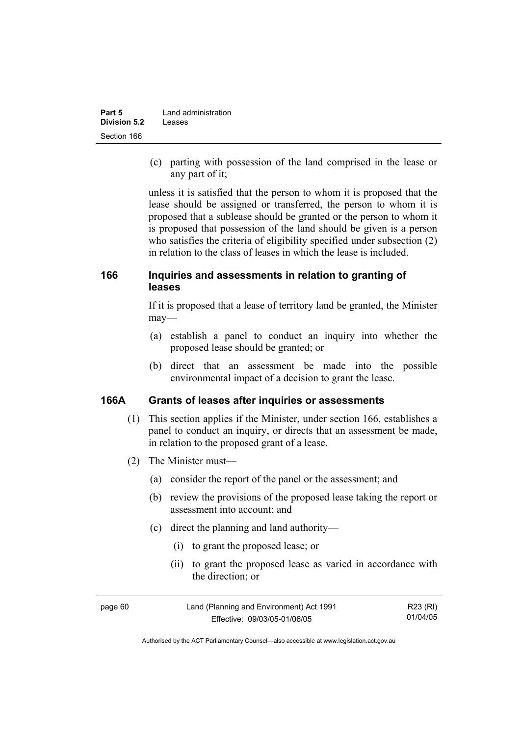| Part 5              | Land administration |
|---------------------|---------------------|
| <b>Division 5.2</b> | Leases              |
| Section 166         |                     |

 (c) parting with possession of the land comprised in the lease or any part of it;

unless it is satisfied that the person to whom it is proposed that the lease should be assigned or transferred, the person to whom it is proposed that a sublease should be granted or the person to whom it is proposed that possession of the land should be given is a person who satisfies the criteria of eligibility specified under subsection (2) in relation to the class of leases in which the lease is included.

## **166 Inquiries and assessments in relation to granting of leases**

If it is proposed that a lease of territory land be granted, the Minister may—

- (a) establish a panel to conduct an inquiry into whether the proposed lease should be granted; or
- (b) direct that an assessment be made into the possible environmental impact of a decision to grant the lease.

### **166A Grants of leases after inquiries or assessments**

- (1) This section applies if the Minister, under section 166, establishes a panel to conduct an inquiry, or directs that an assessment be made, in relation to the proposed grant of a lease.
- (2) The Minister must—
	- (a) consider the report of the panel or the assessment; and
	- (b) review the provisions of the proposed lease taking the report or assessment into account; and
	- (c) direct the planning and land authority—
		- (i) to grant the proposed lease; or
		- (ii) to grant the proposed lease as varied in accordance with the direction; or

| page 60 | Land (Planning and Environment) Act 1991 | R23 (RI) |
|---------|------------------------------------------|----------|
|         | Effective: 09/03/05-01/06/05             | 01/04/05 |

Authorised by the ACT Parliamentary Counsel—also accessible at www.legislation.act.gov.au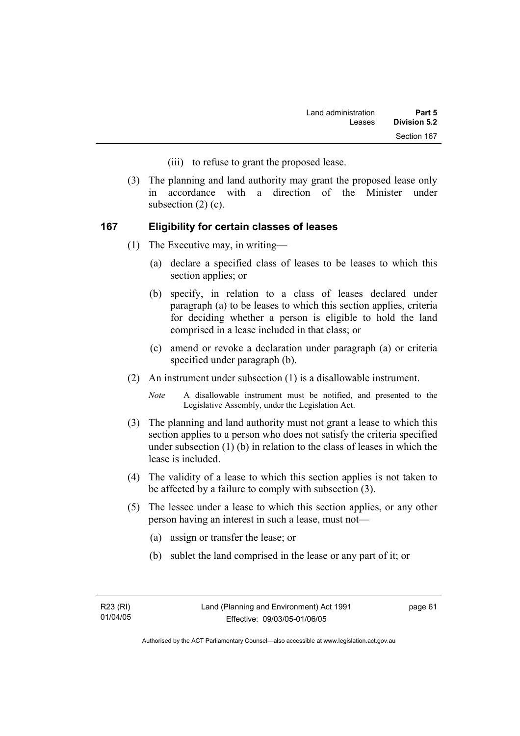- (iii) to refuse to grant the proposed lease.
- (3) The planning and land authority may grant the proposed lease only in accordance with a direction of the Minister under subsection  $(2)$   $(c)$ .

### **167 Eligibility for certain classes of leases**

- (1) The Executive may, in writing—
	- (a) declare a specified class of leases to be leases to which this section applies; or
	- (b) specify, in relation to a class of leases declared under paragraph (a) to be leases to which this section applies, criteria for deciding whether a person is eligible to hold the land comprised in a lease included in that class; or
	- (c) amend or revoke a declaration under paragraph (a) or criteria specified under paragraph (b).
- (2) An instrument under subsection (1) is a disallowable instrument.

*Note* A disallowable instrument must be notified, and presented to the Legislative Assembly, under the Legislation Act.

- (3) The planning and land authority must not grant a lease to which this section applies to a person who does not satisfy the criteria specified under subsection (1) (b) in relation to the class of leases in which the lease is included.
- (4) The validity of a lease to which this section applies is not taken to be affected by a failure to comply with subsection (3).
- (5) The lessee under a lease to which this section applies, or any other person having an interest in such a lease, must not—
	- (a) assign or transfer the lease; or
	- (b) sublet the land comprised in the lease or any part of it; or

page 61

Authorised by the ACT Parliamentary Counsel—also accessible at www.legislation.act.gov.au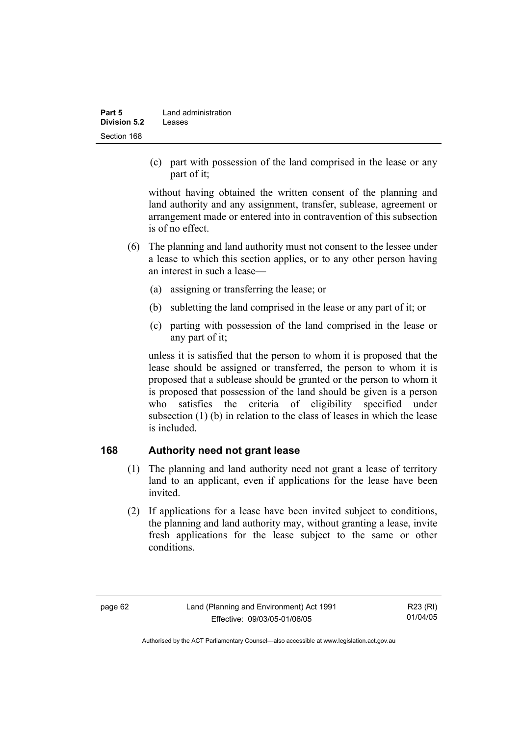| Part 5              | Land administration |
|---------------------|---------------------|
| <b>Division 5.2</b> | Leases              |
| Section 168         |                     |

 (c) part with possession of the land comprised in the lease or any part of it;

without having obtained the written consent of the planning and land authority and any assignment, transfer, sublease, agreement or arrangement made or entered into in contravention of this subsection is of no effect.

- (6) The planning and land authority must not consent to the lessee under a lease to which this section applies, or to any other person having an interest in such a lease—
	- (a) assigning or transferring the lease; or
	- (b) subletting the land comprised in the lease or any part of it; or
	- (c) parting with possession of the land comprised in the lease or any part of it;

unless it is satisfied that the person to whom it is proposed that the lease should be assigned or transferred, the person to whom it is proposed that a sublease should be granted or the person to whom it is proposed that possession of the land should be given is a person who satisfies the criteria of eligibility specified under subsection (1) (b) in relation to the class of leases in which the lease is included.

# **168 Authority need not grant lease**

- (1) The planning and land authority need not grant a lease of territory land to an applicant, even if applications for the lease have been invited.
- (2) If applications for a lease have been invited subject to conditions, the planning and land authority may, without granting a lease, invite fresh applications for the lease subject to the same or other conditions.

R23 (RI) 01/04/05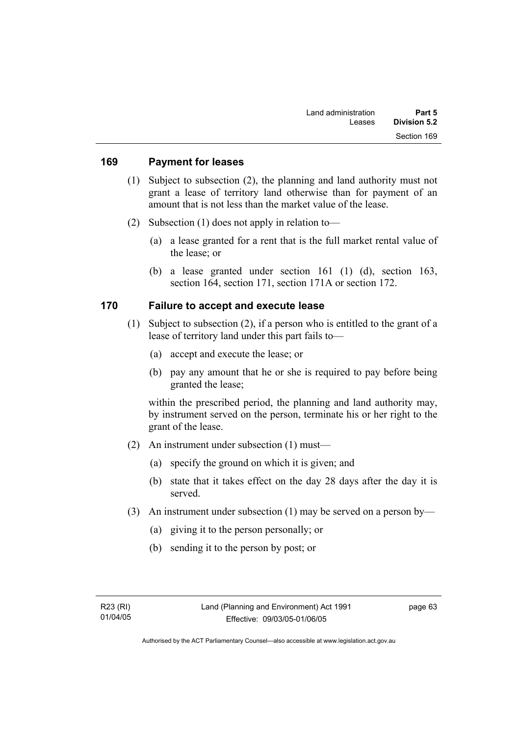#### **169 Payment for leases**

- (1) Subject to subsection (2), the planning and land authority must not grant a lease of territory land otherwise than for payment of an amount that is not less than the market value of the lease.
- (2) Subsection (1) does not apply in relation to—
	- (a) a lease granted for a rent that is the full market rental value of the lease; or
	- (b) a lease granted under section 161 (1) (d), section 163, section 164, section 171, section 171A or section 172.

### **170 Failure to accept and execute lease**

- (1) Subject to subsection (2), if a person who is entitled to the grant of a lease of territory land under this part fails to—
	- (a) accept and execute the lease; or
	- (b) pay any amount that he or she is required to pay before being granted the lease;

within the prescribed period, the planning and land authority may, by instrument served on the person, terminate his or her right to the grant of the lease.

- (2) An instrument under subsection (1) must—
	- (a) specify the ground on which it is given; and
	- (b) state that it takes effect on the day 28 days after the day it is served.
- (3) An instrument under subsection (1) may be served on a person by—
	- (a) giving it to the person personally; or
	- (b) sending it to the person by post; or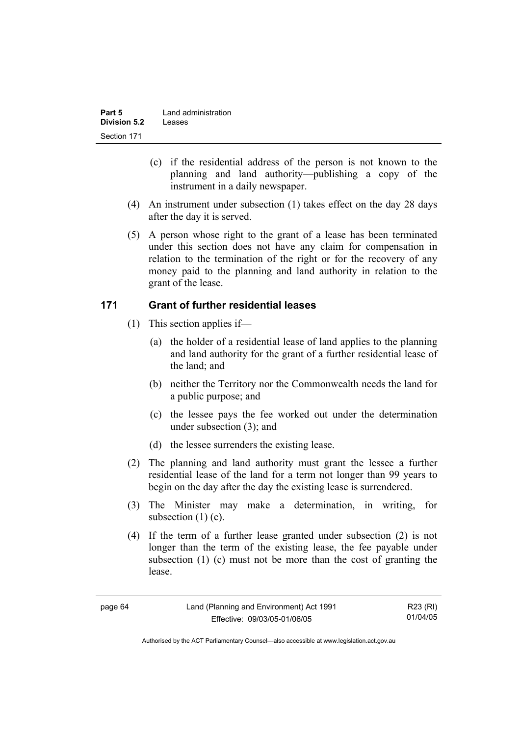| Part 5       | Land administration |
|--------------|---------------------|
| Division 5.2 | Leases              |
| Section 171  |                     |

- (c) if the residential address of the person is not known to the planning and land authority—publishing a copy of the instrument in a daily newspaper.
- (4) An instrument under subsection (1) takes effect on the day 28 days after the day it is served.
- (5) A person whose right to the grant of a lease has been terminated under this section does not have any claim for compensation in relation to the termination of the right or for the recovery of any money paid to the planning and land authority in relation to the grant of the lease.

## **171 Grant of further residential leases**

- (1) This section applies if—
	- (a) the holder of a residential lease of land applies to the planning and land authority for the grant of a further residential lease of the land; and
	- (b) neither the Territory nor the Commonwealth needs the land for a public purpose; and
	- (c) the lessee pays the fee worked out under the determination under subsection (3); and
	- (d) the lessee surrenders the existing lease.
- (2) The planning and land authority must grant the lessee a further residential lease of the land for a term not longer than 99 years to begin on the day after the day the existing lease is surrendered.
- (3) The Minister may make a determination, in writing, for subsection (1) (c).
- (4) If the term of a further lease granted under subsection (2) is not longer than the term of the existing lease, the fee payable under subsection (1) (c) must not be more than the cost of granting the lease.

| page | h |
|------|---|
|------|---|

R23 (RI) 01/04/05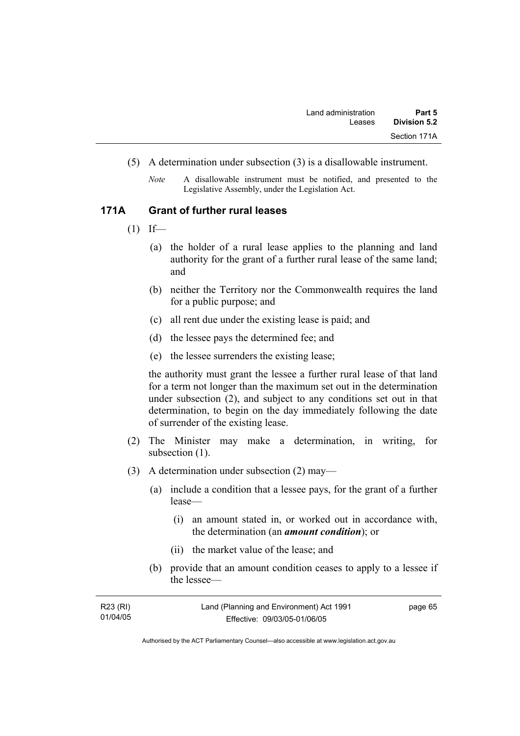- (5) A determination under subsection (3) is a disallowable instrument.
	- *Note* A disallowable instrument must be notified, and presented to the Legislative Assembly, under the Legislation Act.

### **171A Grant of further rural leases**

- $(1)$  If—
	- (a) the holder of a rural lease applies to the planning and land authority for the grant of a further rural lease of the same land; and
	- (b) neither the Territory nor the Commonwealth requires the land for a public purpose; and
	- (c) all rent due under the existing lease is paid; and
	- (d) the lessee pays the determined fee; and
	- (e) the lessee surrenders the existing lease;

the authority must grant the lessee a further rural lease of that land for a term not longer than the maximum set out in the determination under subsection (2), and subject to any conditions set out in that determination, to begin on the day immediately following the date of surrender of the existing lease.

- (2) The Minister may make a determination, in writing, for subsection  $(1)$ .
- (3) A determination under subsection (2) may—
	- (a) include a condition that a lessee pays, for the grant of a further lease—
		- (i) an amount stated in, or worked out in accordance with, the determination (an *amount condition*); or
		- (ii) the market value of the lease; and
	- (b) provide that an amount condition ceases to apply to a lessee if the lessee—

| R23 (RI) | Land (Planning and Environment) Act 1991 | page 65 |
|----------|------------------------------------------|---------|
| 01/04/05 | Effective: 09/03/05-01/06/05             |         |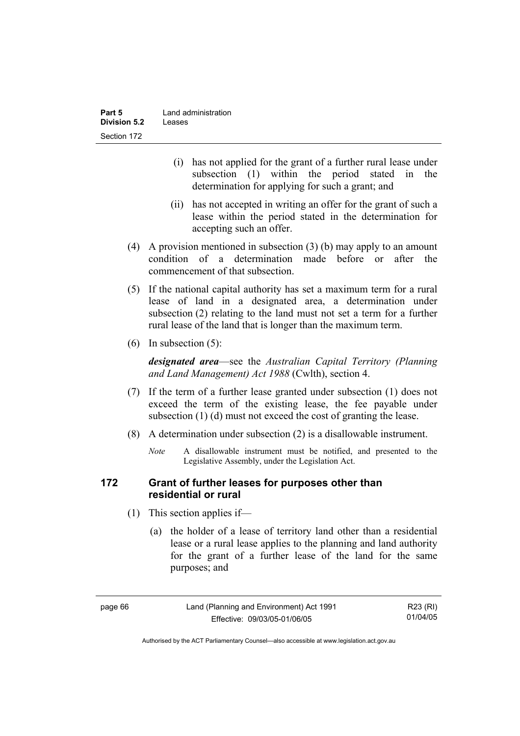| Part 5              | Land administration |
|---------------------|---------------------|
| <b>Division 5.2</b> | Leases              |
| Section 172         |                     |

- (i) has not applied for the grant of a further rural lease under subsection (1) within the period stated in the determination for applying for such a grant; and
- (ii) has not accepted in writing an offer for the grant of such a lease within the period stated in the determination for accepting such an offer.
- (4) A provision mentioned in subsection (3) (b) may apply to an amount condition of a determination made before or after the commencement of that subsection.
- (5) If the national capital authority has set a maximum term for a rural lease of land in a designated area, a determination under subsection (2) relating to the land must not set a term for a further rural lease of the land that is longer than the maximum term.
- (6) In subsection (5):

*designated area*—see the *Australian Capital Territory (Planning and Land Management) Act 1988* (Cwlth), section 4.

- (7) If the term of a further lease granted under subsection (1) does not exceed the term of the existing lease, the fee payable under subsection (1) (d) must not exceed the cost of granting the lease.
- (8) A determination under subsection (2) is a disallowable instrument.
	- *Note* A disallowable instrument must be notified, and presented to the Legislative Assembly, under the Legislation Act.

## **172 Grant of further leases for purposes other than residential or rural**

- (1) This section applies if—
	- (a) the holder of a lease of territory land other than a residential lease or a rural lease applies to the planning and land authority for the grant of a further lease of the land for the same purposes; and

R23 (RI) 01/04/05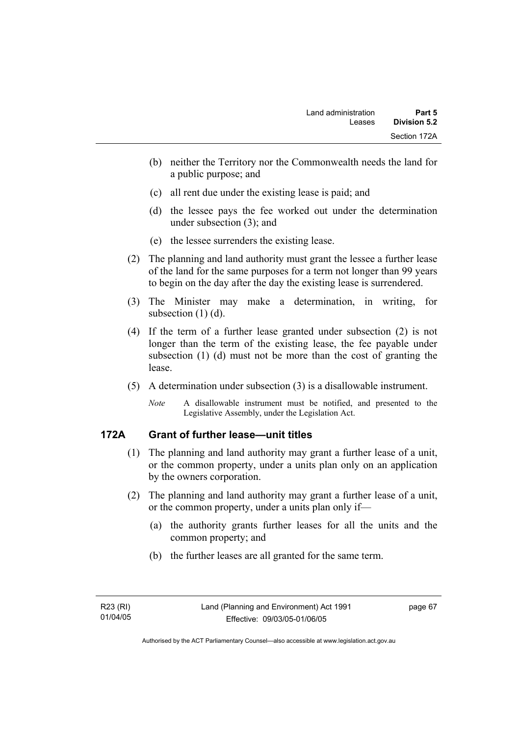- (b) neither the Territory nor the Commonwealth needs the land for a public purpose; and
- (c) all rent due under the existing lease is paid; and
- (d) the lessee pays the fee worked out under the determination under subsection (3); and
- (e) the lessee surrenders the existing lease.
- (2) The planning and land authority must grant the lessee a further lease of the land for the same purposes for a term not longer than 99 years to begin on the day after the day the existing lease is surrendered.
- (3) The Minister may make a determination, in writing, for subsection (1) (d).
- (4) If the term of a further lease granted under subsection (2) is not longer than the term of the existing lease, the fee payable under subsection (1) (d) must not be more than the cost of granting the lease.
- (5) A determination under subsection (3) is a disallowable instrument.
	- *Note* A disallowable instrument must be notified, and presented to the Legislative Assembly, under the Legislation Act.

# **172A Grant of further lease—unit titles**

- (1) The planning and land authority may grant a further lease of a unit, or the common property, under a units plan only on an application by the owners corporation.
- (2) The planning and land authority may grant a further lease of a unit, or the common property, under a units plan only if—
	- (a) the authority grants further leases for all the units and the common property; and
	- (b) the further leases are all granted for the same term.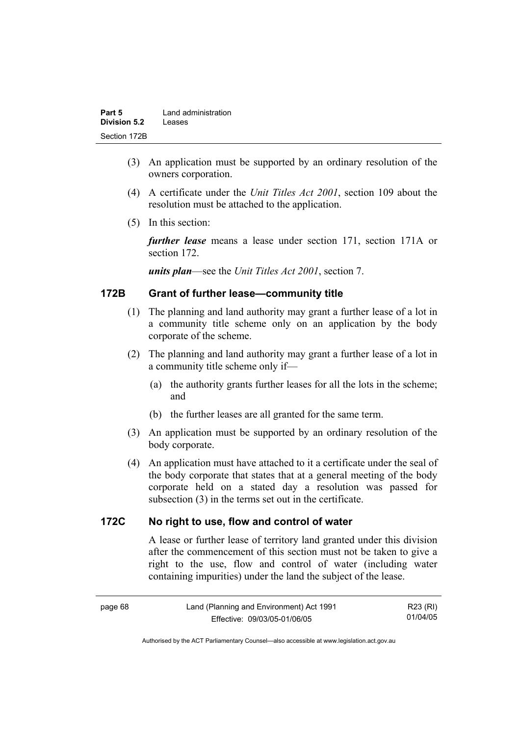| Part 5              | Land administration |
|---------------------|---------------------|
| <b>Division 5.2</b> | Leases              |
| Section 172B        |                     |

- (3) An application must be supported by an ordinary resolution of the owners corporation.
- (4) A certificate under the *Unit Titles Act 2001*, section 109 about the resolution must be attached to the application.
- (5) In this section:

*further lease* means a lease under section 171, section 171A or section 172.

*units plan*—see the *Unit Titles Act 2001*, section 7.

# **172B Grant of further lease—community title**

- (1) The planning and land authority may grant a further lease of a lot in a community title scheme only on an application by the body corporate of the scheme.
- (2) The planning and land authority may grant a further lease of a lot in a community title scheme only if—
	- (a) the authority grants further leases for all the lots in the scheme; and
	- (b) the further leases are all granted for the same term.
- (3) An application must be supported by an ordinary resolution of the body corporate.
- (4) An application must have attached to it a certificate under the seal of the body corporate that states that at a general meeting of the body corporate held on a stated day a resolution was passed for subsection (3) in the terms set out in the certificate.

### **172C No right to use, flow and control of water**

A lease or further lease of territory land granted under this division after the commencement of this section must not be taken to give a right to the use, flow and control of water (including water containing impurities) under the land the subject of the lease.

R23 (RI) 01/04/05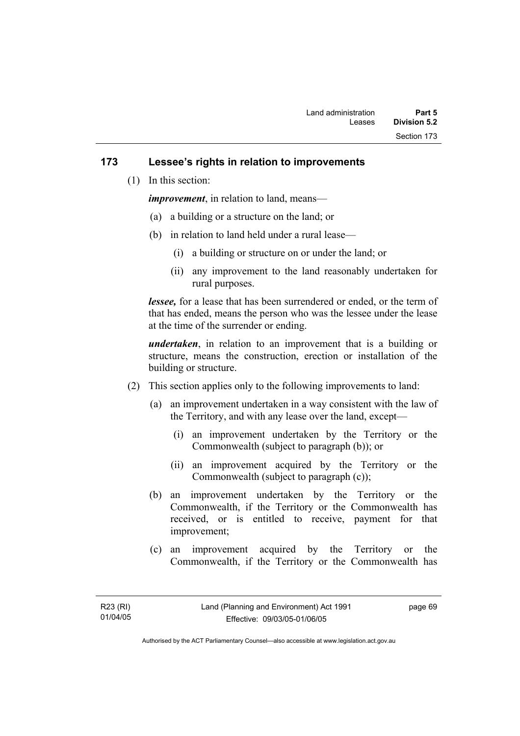## **173 Lessee's rights in relation to improvements**

(1) In this section:

*improvement*, in relation to land, means—

- (a) a building or a structure on the land; or
- (b) in relation to land held under a rural lease—
	- (i) a building or structure on or under the land; or
	- (ii) any improvement to the land reasonably undertaken for rural purposes.

*lessee,* for a lease that has been surrendered or ended, or the term of that has ended, means the person who was the lessee under the lease at the time of the surrender or ending.

*undertaken*, in relation to an improvement that is a building or structure, means the construction, erection or installation of the building or structure.

- (2) This section applies only to the following improvements to land:
	- (a) an improvement undertaken in a way consistent with the law of the Territory, and with any lease over the land, except—
		- (i) an improvement undertaken by the Territory or the Commonwealth (subject to paragraph (b)); or
		- (ii) an improvement acquired by the Territory or the Commonwealth (subject to paragraph (c));
	- (b) an improvement undertaken by the Territory or the Commonwealth, if the Territory or the Commonwealth has received, or is entitled to receive, payment for that improvement;
	- (c) an improvement acquired by the Territory or the Commonwealth, if the Territory or the Commonwealth has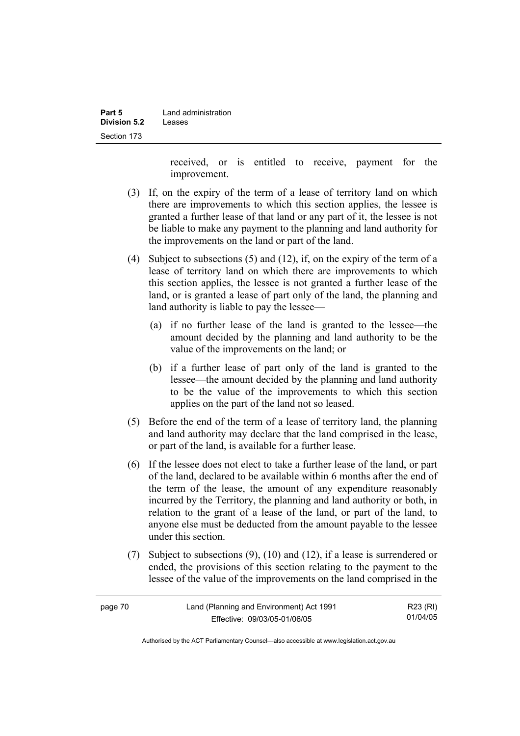| Part 5       | Land administration |
|--------------|---------------------|
| Division 5.2 | Leases              |
| Section 173  |                     |

received, or is entitled to receive, payment for the improvement.

- (3) If, on the expiry of the term of a lease of territory land on which there are improvements to which this section applies, the lessee is granted a further lease of that land or any part of it, the lessee is not be liable to make any payment to the planning and land authority for the improvements on the land or part of the land.
- (4) Subject to subsections (5) and (12), if, on the expiry of the term of a lease of territory land on which there are improvements to which this section applies, the lessee is not granted a further lease of the land, or is granted a lease of part only of the land, the planning and land authority is liable to pay the lessee—
	- (a) if no further lease of the land is granted to the lessee—the amount decided by the planning and land authority to be the value of the improvements on the land; or
	- (b) if a further lease of part only of the land is granted to the lessee—the amount decided by the planning and land authority to be the value of the improvements to which this section applies on the part of the land not so leased.
- (5) Before the end of the term of a lease of territory land, the planning and land authority may declare that the land comprised in the lease, or part of the land, is available for a further lease.
- (6) If the lessee does not elect to take a further lease of the land, or part of the land, declared to be available within 6 months after the end of the term of the lease, the amount of any expenditure reasonably incurred by the Territory, the planning and land authority or both, in relation to the grant of a lease of the land, or part of the land, to anyone else must be deducted from the amount payable to the lessee under this section.
- (7) Subject to subsections (9), (10) and (12), if a lease is surrendered or ended, the provisions of this section relating to the payment to the lessee of the value of the improvements on the land comprised in the

| page 70 | Land (Planning and Environment) Act 1991 | R23 (RI) |
|---------|------------------------------------------|----------|
|         | Effective: 09/03/05-01/06/05             | 01/04/05 |

Authorised by the ACT Parliamentary Counsel—also accessible at www.legislation.act.gov.au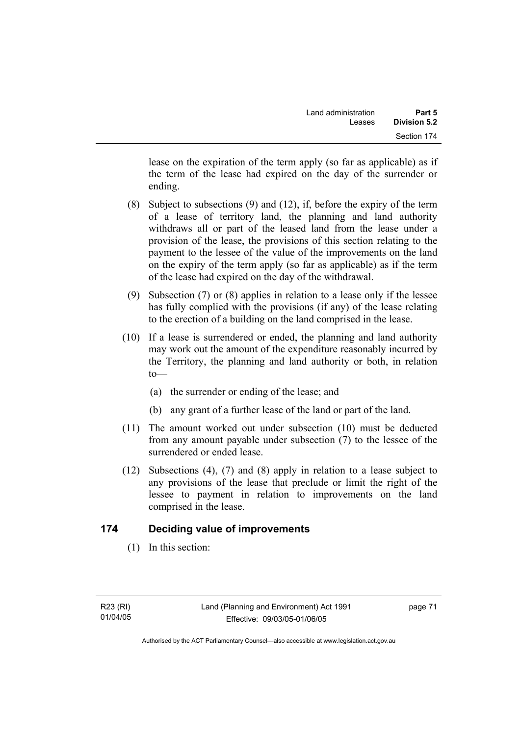lease on the expiration of the term apply (so far as applicable) as if the term of the lease had expired on the day of the surrender or ending.

- (8) Subject to subsections (9) and (12), if, before the expiry of the term of a lease of territory land, the planning and land authority withdraws all or part of the leased land from the lease under a provision of the lease, the provisions of this section relating to the payment to the lessee of the value of the improvements on the land on the expiry of the term apply (so far as applicable) as if the term of the lease had expired on the day of the withdrawal.
- (9) Subsection (7) or (8) applies in relation to a lease only if the lessee has fully complied with the provisions (if any) of the lease relating to the erection of a building on the land comprised in the lease.
- (10) If a lease is surrendered or ended, the planning and land authority may work out the amount of the expenditure reasonably incurred by the Territory, the planning and land authority or both, in relation  $to$ —
	- (a) the surrender or ending of the lease; and
	- (b) any grant of a further lease of the land or part of the land.
- (11) The amount worked out under subsection (10) must be deducted from any amount payable under subsection (7) to the lessee of the surrendered or ended lease.
- (12) Subsections (4), (7) and (8) apply in relation to a lease subject to any provisions of the lease that preclude or limit the right of the lessee to payment in relation to improvements on the land comprised in the lease.

# **174 Deciding value of improvements**

(1) In this section: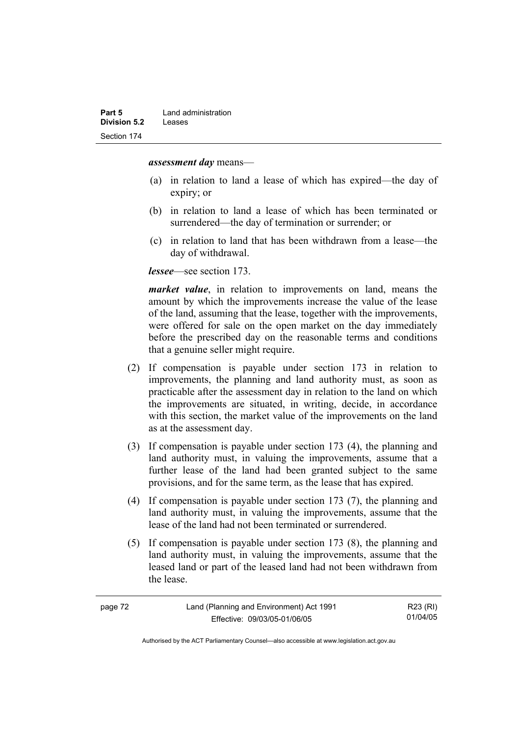*assessment day* means—

- (a) in relation to land a lease of which has expired—the day of expiry; or
- (b) in relation to land a lease of which has been terminated or surrendered—the day of termination or surrender; or
- (c) in relation to land that has been withdrawn from a lease—the day of withdrawal.

*lessee*—see section 173.

*market value*, in relation to improvements on land, means the amount by which the improvements increase the value of the lease of the land, assuming that the lease, together with the improvements, were offered for sale on the open market on the day immediately before the prescribed day on the reasonable terms and conditions that a genuine seller might require.

- (2) If compensation is payable under section 173 in relation to improvements, the planning and land authority must, as soon as practicable after the assessment day in relation to the land on which the improvements are situated, in writing, decide, in accordance with this section, the market value of the improvements on the land as at the assessment day.
- (3) If compensation is payable under section 173 (4), the planning and land authority must, in valuing the improvements, assume that a further lease of the land had been granted subject to the same provisions, and for the same term, as the lease that has expired.
- (4) If compensation is payable under section 173 (7), the planning and land authority must, in valuing the improvements, assume that the lease of the land had not been terminated or surrendered.
- (5) If compensation is payable under section 173 (8), the planning and land authority must, in valuing the improvements, assume that the leased land or part of the leased land had not been withdrawn from the lease.

| page 72 | Land (Planning and Environment) Act 1991 | R23 (RI) |
|---------|------------------------------------------|----------|
|         | Effective: 09/03/05-01/06/05             | 01/04/05 |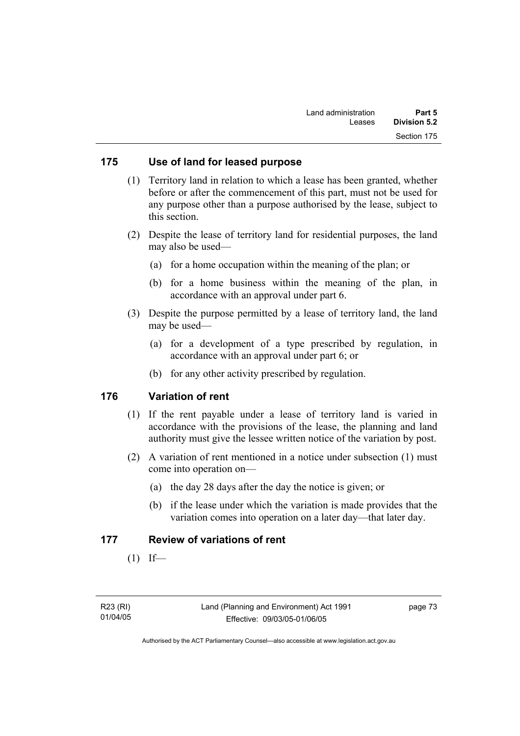### **175 Use of land for leased purpose**

- (1) Territory land in relation to which a lease has been granted, whether before or after the commencement of this part, must not be used for any purpose other than a purpose authorised by the lease, subject to this section.
- (2) Despite the lease of territory land for residential purposes, the land may also be used—
	- (a) for a home occupation within the meaning of the plan; or
	- (b) for a home business within the meaning of the plan, in accordance with an approval under part 6.
- (3) Despite the purpose permitted by a lease of territory land, the land may be used—
	- (a) for a development of a type prescribed by regulation, in accordance with an approval under part 6; or
	- (b) for any other activity prescribed by regulation.

#### **176 Variation of rent**

- (1) If the rent payable under a lease of territory land is varied in accordance with the provisions of the lease, the planning and land authority must give the lessee written notice of the variation by post.
- (2) A variation of rent mentioned in a notice under subsection (1) must come into operation on—
	- (a) the day 28 days after the day the notice is given; or
	- (b) if the lease under which the variation is made provides that the variation comes into operation on a later day—that later day.

#### **177 Review of variations of rent**

 $(1)$  If—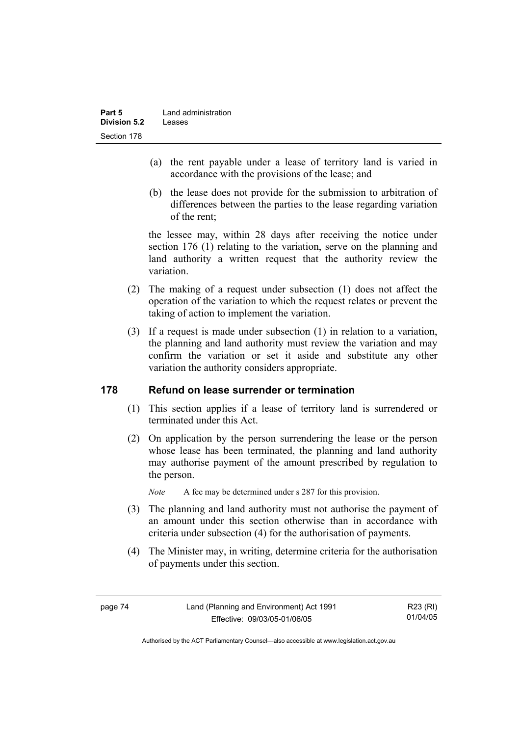- (a) the rent payable under a lease of territory land is varied in accordance with the provisions of the lease; and
- (b) the lease does not provide for the submission to arbitration of differences between the parties to the lease regarding variation of the rent;

the lessee may, within 28 days after receiving the notice under section 176 (1) relating to the variation, serve on the planning and land authority a written request that the authority review the variation.

- (2) The making of a request under subsection (1) does not affect the operation of the variation to which the request relates or prevent the taking of action to implement the variation.
- (3) If a request is made under subsection (1) in relation to a variation, the planning and land authority must review the variation and may confirm the variation or set it aside and substitute any other variation the authority considers appropriate.

# **178 Refund on lease surrender or termination**

- (1) This section applies if a lease of territory land is surrendered or terminated under this Act.
- (2) On application by the person surrendering the lease or the person whose lease has been terminated, the planning and land authority may authorise payment of the amount prescribed by regulation to the person.

*Note* A fee may be determined under s 287 for this provision.

- (3) The planning and land authority must not authorise the payment of an amount under this section otherwise than in accordance with criteria under subsection (4) for the authorisation of payments.
- (4) The Minister may, in writing, determine criteria for the authorisation of payments under this section.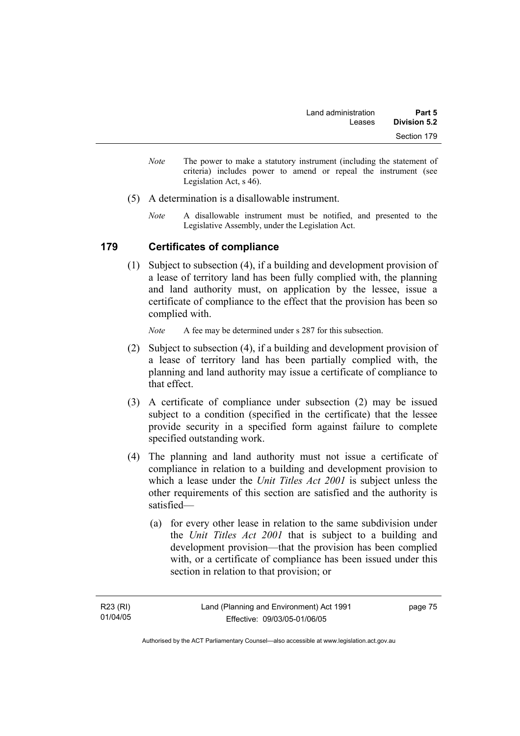- *Note* The power to make a statutory instrument (including the statement of criteria) includes power to amend or repeal the instrument (see Legislation Act, s 46).
- (5) A determination is a disallowable instrument.
	- *Note* A disallowable instrument must be notified, and presented to the Legislative Assembly, under the Legislation Act.

## **179 Certificates of compliance**

 (1) Subject to subsection (4), if a building and development provision of a lease of territory land has been fully complied with, the planning and land authority must, on application by the lessee, issue a certificate of compliance to the effect that the provision has been so complied with.

*Note* A fee may be determined under s 287 for this subsection.

- (2) Subject to subsection (4), if a building and development provision of a lease of territory land has been partially complied with, the planning and land authority may issue a certificate of compliance to that effect.
- (3) A certificate of compliance under subsection (2) may be issued subject to a condition (specified in the certificate) that the lessee provide security in a specified form against failure to complete specified outstanding work.
- (4) The planning and land authority must not issue a certificate of compliance in relation to a building and development provision to which a lease under the *Unit Titles Act 2001* is subject unless the other requirements of this section are satisfied and the authority is satisfied—
	- (a) for every other lease in relation to the same subdivision under the *Unit Titles Act 2001* that is subject to a building and development provision—that the provision has been complied with, or a certificate of compliance has been issued under this section in relation to that provision; or

page 75

Authorised by the ACT Parliamentary Counsel—also accessible at www.legislation.act.gov.au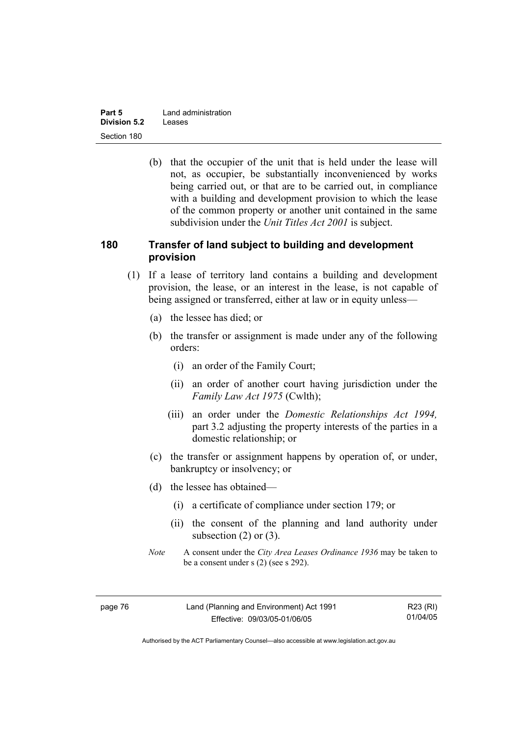| Part 5              | Land administration |
|---------------------|---------------------|
| <b>Division 5.2</b> | Leases              |
| Section 180         |                     |

 (b) that the occupier of the unit that is held under the lease will not, as occupier, be substantially inconvenienced by works being carried out, or that are to be carried out, in compliance with a building and development provision to which the lease of the common property or another unit contained in the same subdivision under the *Unit Titles Act 2001* is subject.

## **180 Transfer of land subject to building and development provision**

- (1) If a lease of territory land contains a building and development provision, the lease, or an interest in the lease, is not capable of being assigned or transferred, either at law or in equity unless—
	- (a) the lessee has died; or
	- (b) the transfer or assignment is made under any of the following orders:
		- (i) an order of the Family Court;
		- (ii) an order of another court having jurisdiction under the *Family Law Act 1975* (Cwlth);
		- (iii) an order under the *Domestic Relationships Act 1994,*  part 3.2 adjusting the property interests of the parties in a domestic relationship; or
	- (c) the transfer or assignment happens by operation of, or under, bankruptcy or insolvency; or
	- (d) the lessee has obtained—
		- (i) a certificate of compliance under section 179; or
		- (ii) the consent of the planning and land authority under subsection  $(2)$  or  $(3)$ .
	- *Note* A consent under the *City Area Leases Ordinance 1936* may be taken to be a consent under s (2) (see s 292).

| page 76 | Land (Planning and Environment) Act 1991 | R23 (RI) |
|---------|------------------------------------------|----------|
|         | Effective: 09/03/05-01/06/05             | 01/04/05 |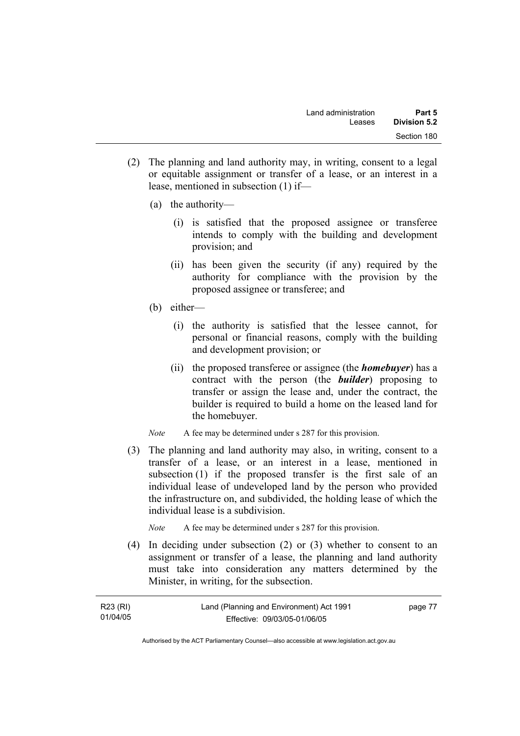- (2) The planning and land authority may, in writing, consent to a legal or equitable assignment or transfer of a lease, or an interest in a lease, mentioned in subsection (1) if—
	- (a) the authority—
		- (i) is satisfied that the proposed assignee or transferee intends to comply with the building and development provision; and
		- (ii) has been given the security (if any) required by the authority for compliance with the provision by the proposed assignee or transferee; and
	- (b) either—
		- (i) the authority is satisfied that the lessee cannot, for personal or financial reasons, comply with the building and development provision; or
		- (ii) the proposed transferee or assignee (the *homebuyer*) has a contract with the person (the *builder*) proposing to transfer or assign the lease and, under the contract, the builder is required to build a home on the leased land for the homebuyer.

*Note* A fee may be determined under s 287 for this provision.

 (3) The planning and land authority may also, in writing, consent to a transfer of a lease, or an interest in a lease, mentioned in subsection (1) if the proposed transfer is the first sale of an individual lease of undeveloped land by the person who provided the infrastructure on, and subdivided, the holding lease of which the individual lease is a subdivision.

*Note* A fee may be determined under s 287 for this provision.

 (4) In deciding under subsection (2) or (3) whether to consent to an assignment or transfer of a lease, the planning and land authority must take into consideration any matters determined by the Minister, in writing, for the subsection.

| R23 (RI) | Land (Planning and Environment) Act 1991 | page 77 |
|----------|------------------------------------------|---------|
| 01/04/05 | Effective: 09/03/05-01/06/05             |         |

Authorised by the ACT Parliamentary Counsel—also accessible at www.legislation.act.gov.au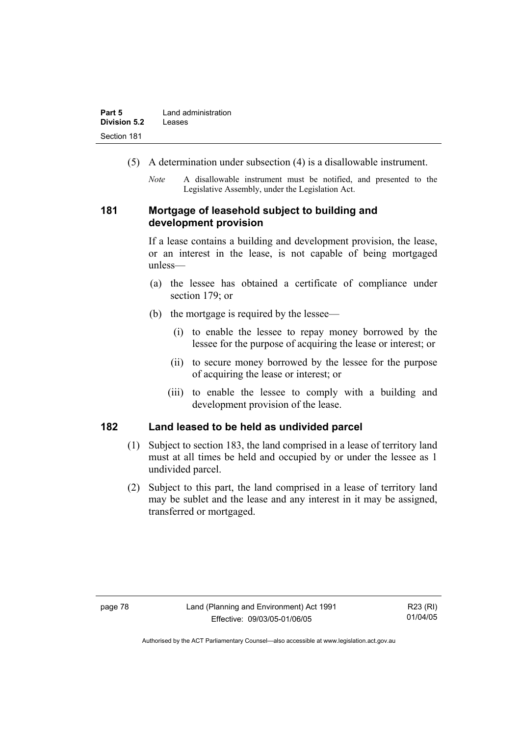| Part 5              | Land administration |
|---------------------|---------------------|
| <b>Division 5.2</b> | Leases              |
| Section 181         |                     |

- (5) A determination under subsection (4) is a disallowable instrument.
	- *Note* A disallowable instrument must be notified, and presented to the Legislative Assembly, under the Legislation Act.

## **181 Mortgage of leasehold subject to building and development provision**

If a lease contains a building and development provision, the lease, or an interest in the lease, is not capable of being mortgaged unless—

- (a) the lessee has obtained a certificate of compliance under section 179; or
- (b) the mortgage is required by the lessee—
	- (i) to enable the lessee to repay money borrowed by the lessee for the purpose of acquiring the lease or interest; or
	- (ii) to secure money borrowed by the lessee for the purpose of acquiring the lease or interest; or
	- (iii) to enable the lessee to comply with a building and development provision of the lease.

## **182 Land leased to be held as undivided parcel**

- (1) Subject to section 183, the land comprised in a lease of territory land must at all times be held and occupied by or under the lessee as 1 undivided parcel.
- (2) Subject to this part, the land comprised in a lease of territory land may be sublet and the lease and any interest in it may be assigned, transferred or mortgaged.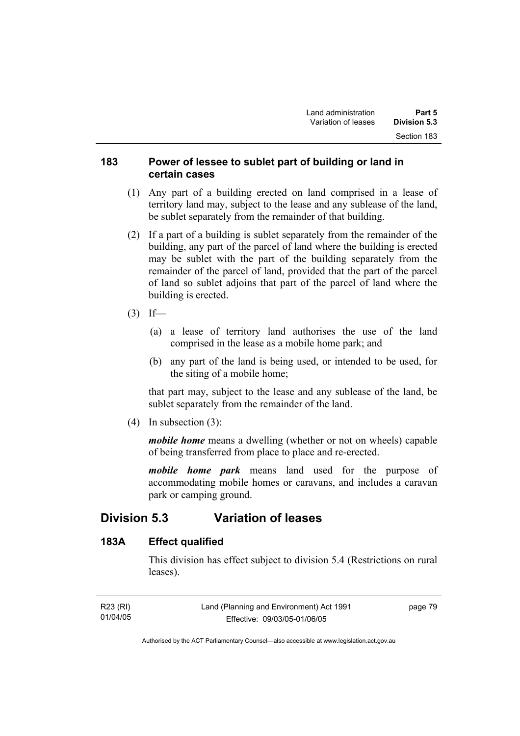## **183 Power of lessee to sublet part of building or land in certain cases**

- (1) Any part of a building erected on land comprised in a lease of territory land may, subject to the lease and any sublease of the land, be sublet separately from the remainder of that building.
- (2) If a part of a building is sublet separately from the remainder of the building, any part of the parcel of land where the building is erected may be sublet with the part of the building separately from the remainder of the parcel of land, provided that the part of the parcel of land so sublet adjoins that part of the parcel of land where the building is erected.
- $(3)$  If—
	- (a) a lease of territory land authorises the use of the land comprised in the lease as a mobile home park; and
	- (b) any part of the land is being used, or intended to be used, for the siting of a mobile home;

that part may, subject to the lease and any sublease of the land, be sublet separately from the remainder of the land.

(4) In subsection (3):

*mobile home* means a dwelling (whether or not on wheels) capable of being transferred from place to place and re-erected.

*mobile home park* means land used for the purpose of accommodating mobile homes or caravans, and includes a caravan park or camping ground.

# **Division 5.3 Variation of leases**

### **183A Effect qualified**

This division has effect subject to division 5.4 (Restrictions on rural leases).

| R23 (RI) | Land (Planning and Environment) Act 1991 | page 79 |
|----------|------------------------------------------|---------|
| 01/04/05 | Effective: 09/03/05-01/06/05             |         |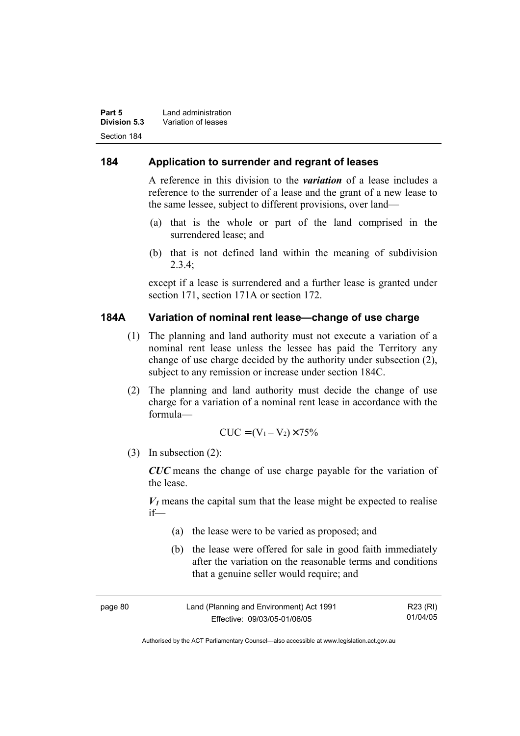| Part 5       | Land administration |
|--------------|---------------------|
| Division 5.3 | Variation of leases |
| Section 184  |                     |

## **184 Application to surrender and regrant of leases**

A reference in this division to the *variation* of a lease includes a reference to the surrender of a lease and the grant of a new lease to the same lessee, subject to different provisions, over land—

- (a) that is the whole or part of the land comprised in the surrendered lease; and
- (b) that is not defined land within the meaning of subdivision  $2.3.4$

except if a lease is surrendered and a further lease is granted under section 171, section 171A or section 172.

## **184A Variation of nominal rent lease—change of use charge**

- (1) The planning and land authority must not execute a variation of a nominal rent lease unless the lessee has paid the Territory any change of use charge decided by the authority under subsection (2), subject to any remission or increase under section 184C.
- (2) The planning and land authority must decide the change of use charge for a variation of a nominal rent lease in accordance with the formula—

$$
CUC = (V_1 - V_2) \times 75\%
$$

(3) In subsection (2):

*CUC* means the change of use charge payable for the variation of the lease.

 $V_1$  means the capital sum that the lease might be expected to realise if—

- (a) the lease were to be varied as proposed; and
- (b) the lease were offered for sale in good faith immediately after the variation on the reasonable terms and conditions that a genuine seller would require; and

| page 80 | Land (Planning and Environment) Act 1991 | R23 (RI) |
|---------|------------------------------------------|----------|
|         | Effective: 09/03/05-01/06/05             | 01/04/05 |

Authorised by the ACT Parliamentary Counsel—also accessible at www.legislation.act.gov.au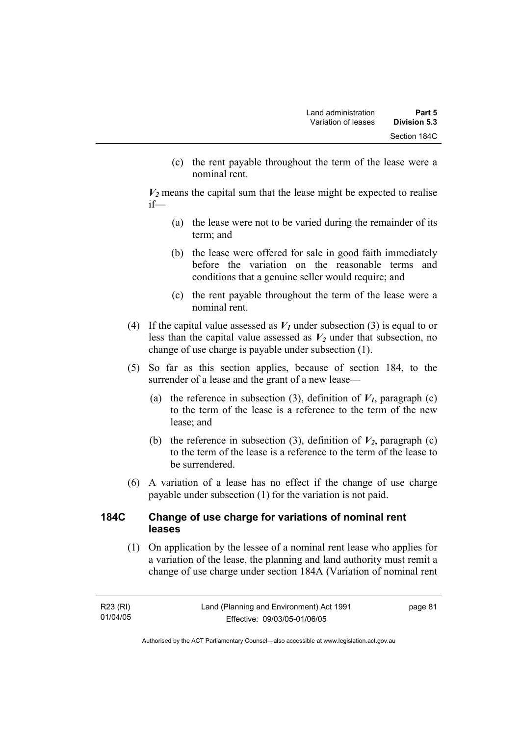(c) the rent payable throughout the term of the lease were a nominal rent.

 $V_2$  means the capital sum that the lease might be expected to realise if—

- (a) the lease were not to be varied during the remainder of its term; and
- (b) the lease were offered for sale in good faith immediately before the variation on the reasonable terms and conditions that a genuine seller would require; and
- (c) the rent payable throughout the term of the lease were a nominal rent.
- (4) If the capital value assessed as  $V_I$  under subsection (3) is equal to or less than the capital value assessed as  $V_2$  under that subsection, no change of use charge is payable under subsection (1).
- (5) So far as this section applies, because of section 184, to the surrender of a lease and the grant of a new lease—
	- (a) the reference in subsection (3), definition of  $V_I$ , paragraph (c) to the term of the lease is a reference to the term of the new lease; and
	- (b) the reference in subsection (3), definition of  $V_2$ , paragraph (c) to the term of the lease is a reference to the term of the lease to be surrendered.
- (6) A variation of a lease has no effect if the change of use charge payable under subsection (1) for the variation is not paid.

## **184C Change of use charge for variations of nominal rent leases**

 (1) On application by the lessee of a nominal rent lease who applies for a variation of the lease, the planning and land authority must remit a change of use charge under section 184A (Variation of nominal rent

| R23 (RI) | Land (Planning and Environment) Act 1991 | page 81 |
|----------|------------------------------------------|---------|
| 01/04/05 | Effective: 09/03/05-01/06/05             |         |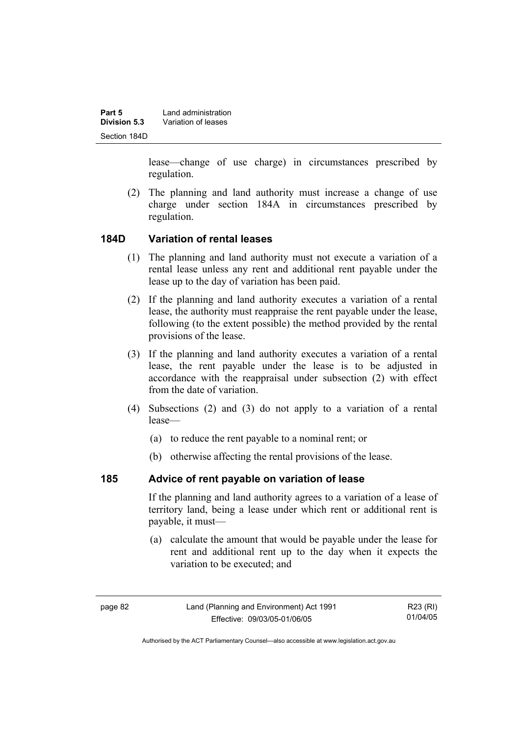| Part 5       | Land administration |
|--------------|---------------------|
| Division 5.3 | Variation of leases |
| Section 184D |                     |

lease—change of use charge) in circumstances prescribed by regulation.

 (2) The planning and land authority must increase a change of use charge under section 184A in circumstances prescribed by regulation.

### **184D Variation of rental leases**

- (1) The planning and land authority must not execute a variation of a rental lease unless any rent and additional rent payable under the lease up to the day of variation has been paid.
- (2) If the planning and land authority executes a variation of a rental lease, the authority must reappraise the rent payable under the lease, following (to the extent possible) the method provided by the rental provisions of the lease.
- (3) If the planning and land authority executes a variation of a rental lease, the rent payable under the lease is to be adjusted in accordance with the reappraisal under subsection (2) with effect from the date of variation.
- (4) Subsections (2) and (3) do not apply to a variation of a rental lease—
	- (a) to reduce the rent payable to a nominal rent; or
	- (b) otherwise affecting the rental provisions of the lease.

# **185 Advice of rent payable on variation of lease**

If the planning and land authority agrees to a variation of a lease of territory land, being a lease under which rent or additional rent is payable, it must—

 (a) calculate the amount that would be payable under the lease for rent and additional rent up to the day when it expects the variation to be executed; and

R23 (RI) 01/04/05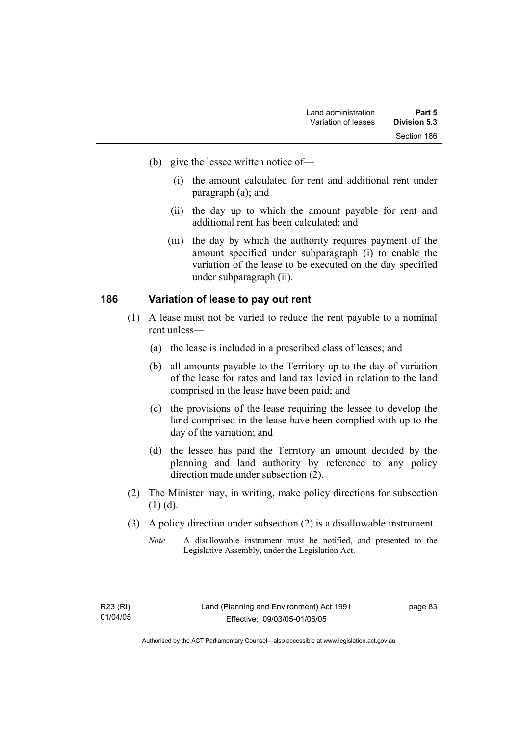- (b) give the lessee written notice of—
	- (i) the amount calculated for rent and additional rent under paragraph (a); and
	- (ii) the day up to which the amount payable for rent and additional rent has been calculated; and
	- (iii) the day by which the authority requires payment of the amount specified under subparagraph (i) to enable the variation of the lease to be executed on the day specified under subparagraph (ii).

### **186 Variation of lease to pay out rent**

- (1) A lease must not be varied to reduce the rent payable to a nominal rent unless—
	- (a) the lease is included in a prescribed class of leases; and
	- (b) all amounts payable to the Territory up to the day of variation of the lease for rates and land tax levied in relation to the land comprised in the lease have been paid; and
	- (c) the provisions of the lease requiring the lessee to develop the land comprised in the lease have been complied with up to the day of the variation; and
	- (d) the lessee has paid the Territory an amount decided by the planning and land authority by reference to any policy direction made under subsection (2).
- (2) The Minister may, in writing, make policy directions for subsection (1) (d).
- (3) A policy direction under subsection (2) is a disallowable instrument.
	- *Note* A disallowable instrument must be notified, and presented to the Legislative Assembly, under the Legislation Act.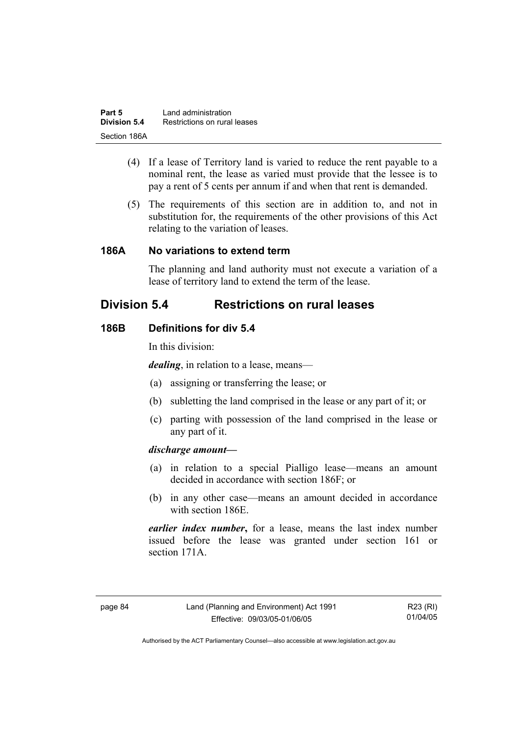| Part 5       | Land administration          |
|--------------|------------------------------|
| Division 5.4 | Restrictions on rural leases |
| Section 186A |                              |

- (4) If a lease of Territory land is varied to reduce the rent payable to a nominal rent, the lease as varied must provide that the lessee is to pay a rent of 5 cents per annum if and when that rent is demanded.
- (5) The requirements of this section are in addition to, and not in substitution for, the requirements of the other provisions of this Act relating to the variation of leases.

#### **186A No variations to extend term**

The planning and land authority must not execute a variation of a lease of territory land to extend the term of the lease.

# **Division 5.4 Restrictions on rural leases**

#### **186B Definitions for div 5.4**

In this division:

*dealing*, in relation to a lease, means—

- (a) assigning or transferring the lease; or
- (b) subletting the land comprised in the lease or any part of it; or
- (c) parting with possession of the land comprised in the lease or any part of it.

#### *discharge amount—*

- (a) in relation to a special Pialligo lease—means an amount decided in accordance with section 186F; or
- (b) in any other case—means an amount decided in accordance with section 186E.

*earlier index number***,** for a lease, means the last index number issued before the lease was granted under section 161 or section 171A

R23 (RI) 01/04/05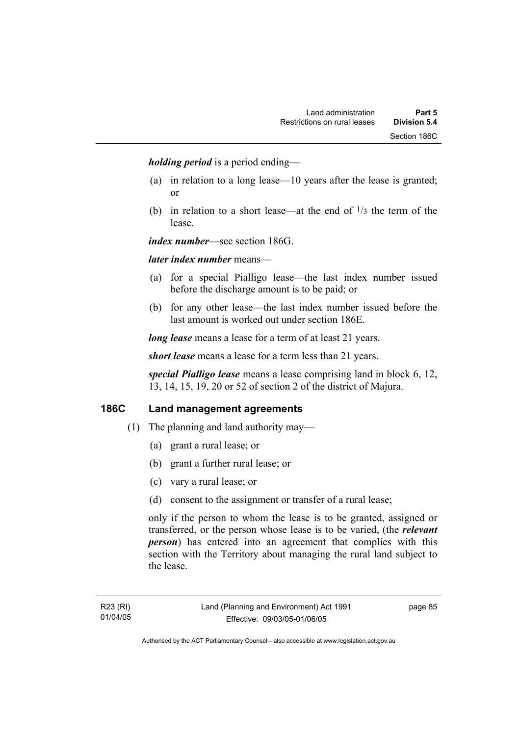*holding period* is a period ending—

- (a) in relation to a long lease—10 years after the lease is granted; or
- (b) in relation to a short lease—at the end of  $\frac{1}{3}$  the term of the lease.

*index number*—see section 186G.

#### *later index number* means—

- (a) for a special Pialligo lease—the last index number issued before the discharge amount is to be paid; or
- (b) for any other lease—the last index number issued before the last amount is worked out under section 186E.

*long lease* means a lease for a term of at least 21 years.

*short lease* means a lease for a term less than 21 years.

*special Pialligo lease* means a lease comprising land in block 6, 12, 13, 14, 15, 19, 20 or 52 of section 2 of the district of Majura.

## **186C Land management agreements**

- (1) The planning and land authority may—
	- (a) grant a rural lease; or
	- (b) grant a further rural lease; or
	- (c) vary a rural lease; or
	- (d) consent to the assignment or transfer of a rural lease;

only if the person to whom the lease is to be granted, assigned or transferred, or the person whose lease is to be varied, (the *relevant person*) has entered into an agreement that complies with this section with the Territory about managing the rural land subject to the lease.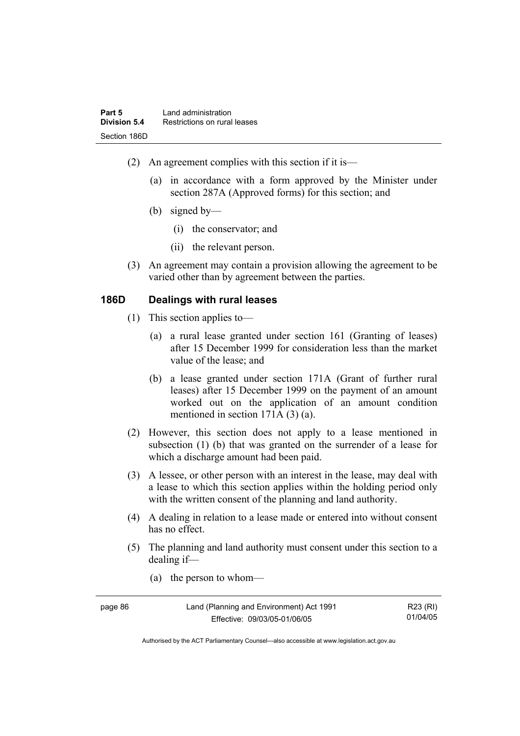- (2) An agreement complies with this section if it is—
	- (a) in accordance with a form approved by the Minister under section 287A (Approved forms) for this section; and
	- (b) signed by—
		- (i) the conservator; and
		- (ii) the relevant person.
- (3) An agreement may contain a provision allowing the agreement to be varied other than by agreement between the parties.

### **186D Dealings with rural leases**

- (1) This section applies to—
	- (a) a rural lease granted under section 161 (Granting of leases) after 15 December 1999 for consideration less than the market value of the lease; and
	- (b) a lease granted under section 171A (Grant of further rural leases) after 15 December 1999 on the payment of an amount worked out on the application of an amount condition mentioned in section 171A (3) (a).
- (2) However, this section does not apply to a lease mentioned in subsection (1) (b) that was granted on the surrender of a lease for which a discharge amount had been paid.
- (3) A lessee, or other person with an interest in the lease, may deal with a lease to which this section applies within the holding period only with the written consent of the planning and land authority.
- (4) A dealing in relation to a lease made or entered into without consent has no effect.
- (5) The planning and land authority must consent under this section to a dealing if—
	- (a) the person to whom—

| page 86 | Land (Planning and Environment) Act 1991 | R23 (RI) |
|---------|------------------------------------------|----------|
|         | Effective: 09/03/05-01/06/05             | 01/04/05 |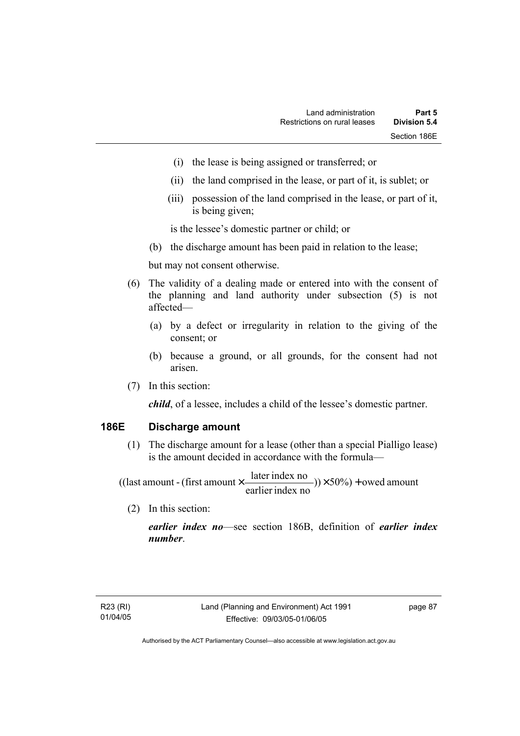- (i) the lease is being assigned or transferred; or
- (ii) the land comprised in the lease, or part of it, is sublet; or
- (iii) possession of the land comprised in the lease, or part of it, is being given;

is the lessee's domestic partner or child; or

(b) the discharge amount has been paid in relation to the lease;

but may not consent otherwise.

- (6) The validity of a dealing made or entered into with the consent of the planning and land authority under subsection (5) is not affected—
	- (a) by a defect or irregularity in relation to the giving of the consent; or
	- (b) because a ground, or all grounds, for the consent had not arisen.
- (7) In this section:

*child*, of a lessee, includes a child of the lessee's domestic partner.

### **186E Discharge amount**

 (1) The discharge amount for a lease (other than a special Pialligo lease) is the amount decided in accordance with the formula—

 $(y) \times 50\%$  + owed amount earlier index no ((last amount - (first amount  $\times \frac{\text{later index no}}{\text{inter index}}$ )) $\times$  50%) +

(2) In this section:

*earlier index no*—see section 186B, definition of *earlier index number*.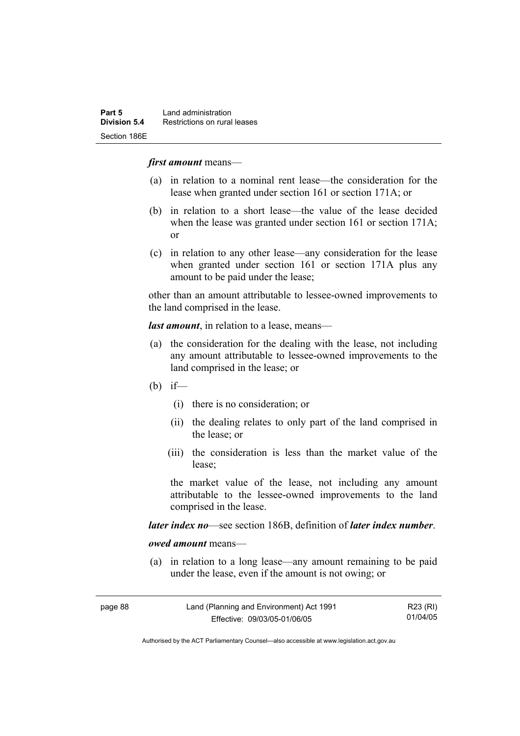#### *first amount* means—

- (a) in relation to a nominal rent lease—the consideration for the lease when granted under section 161 or section 171A; or
- (b) in relation to a short lease—the value of the lease decided when the lease was granted under section 161 or section 171A; or
- (c) in relation to any other lease—any consideration for the lease when granted under section 161 or section 171A plus any amount to be paid under the lease;

other than an amount attributable to lessee-owned improvements to the land comprised in the lease.

*last amount*, in relation to a lease, means—

- (a) the consideration for the dealing with the lease, not including any amount attributable to lessee-owned improvements to the land comprised in the lease; or
- (b) if—
	- (i) there is no consideration; or
	- (ii) the dealing relates to only part of the land comprised in the lease; or
	- (iii) the consideration is less than the market value of the lease;

the market value of the lease, not including any amount attributable to the lessee-owned improvements to the land comprised in the lease.

*later index no*—see section 186B, definition of *later index number*.

*owed amount* means—

 (a) in relation to a long lease—any amount remaining to be paid under the lease, even if the amount is not owing; or

| page 88 | Land (Planning and Environment) Act 1991 | R23 (RI) |
|---------|------------------------------------------|----------|
|         | Effective: 09/03/05-01/06/05             | 01/04/05 |

Authorised by the ACT Parliamentary Counsel—also accessible at www.legislation.act.gov.au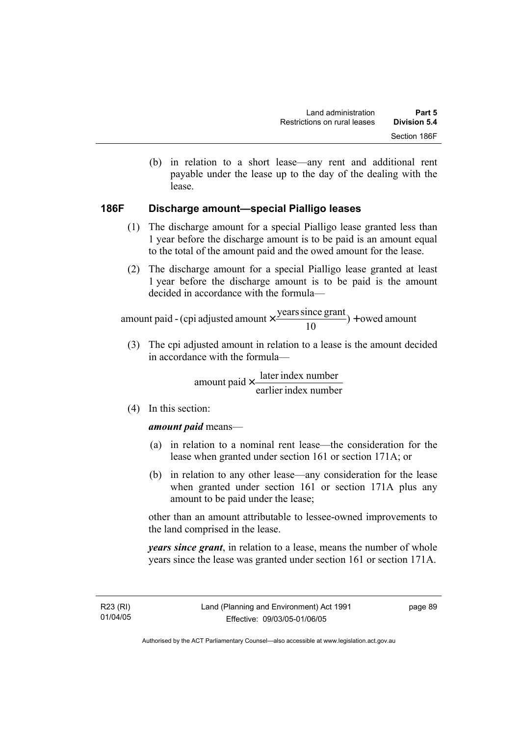(b) in relation to a short lease—any rent and additional rent payable under the lease up to the day of the dealing with the lease.

# **186F Discharge amount—special Pialligo leases**

- (1) The discharge amount for a special Pialligo lease granted less than 1 year before the discharge amount is to be paid is an amount equal to the total of the amount paid and the owed amount for the lease.
- (2) The discharge amount for a special Pialligo lease granted at least 1 year before the discharge amount is to be paid is the amount decided in accordance with the formula—

 $) +$  owed amount 10 amount paid - (cpi adjusted amount  $\times \frac{\text{years since grant}}{10}$ ) +

 (3) The cpi adjusted amount in relation to a lease is the amount decided in accordance with the formula—

> earlier index number amount paid  $\times \frac{\text{later index number}}{\text{lintermax}}$

(4) In this section:

### *amount paid* means—

- (a) in relation to a nominal rent lease—the consideration for the lease when granted under section 161 or section 171A; or
- (b) in relation to any other lease—any consideration for the lease when granted under section 161 or section 171A plus any amount to be paid under the lease;

other than an amount attributable to lessee-owned improvements to the land comprised in the lease.

*years since grant*, in relation to a lease, means the number of whole years since the lease was granted under section 161 or section 171A.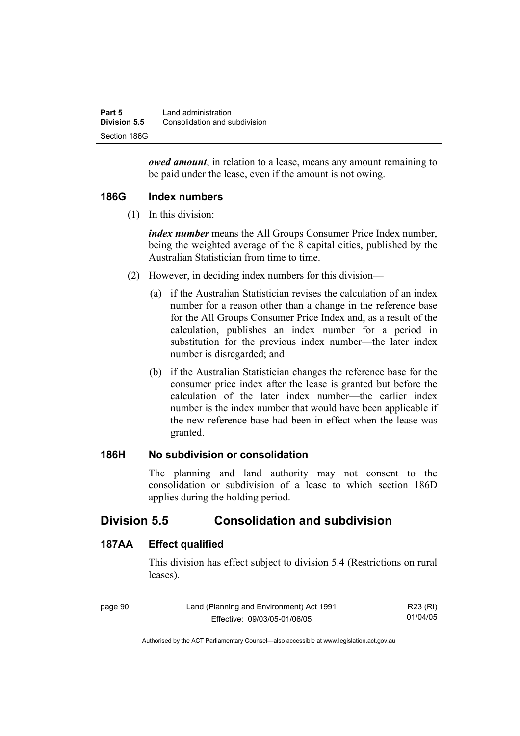| Part 5       | Land administration           |
|--------------|-------------------------------|
| Division 5.5 | Consolidation and subdivision |
| Section 186G |                               |

*owed amount*, in relation to a lease, means any amount remaining to be paid under the lease, even if the amount is not owing.

## **186G Index numbers**

(1) In this division:

*index number* means the All Groups Consumer Price Index number, being the weighted average of the 8 capital cities, published by the Australian Statistician from time to time.

- (2) However, in deciding index numbers for this division—
	- (a) if the Australian Statistician revises the calculation of an index number for a reason other than a change in the reference base for the All Groups Consumer Price Index and, as a result of the calculation, publishes an index number for a period in substitution for the previous index number—the later index number is disregarded; and
	- (b) if the Australian Statistician changes the reference base for the consumer price index after the lease is granted but before the calculation of the later index number—the earlier index number is the index number that would have been applicable if the new reference base had been in effect when the lease was granted.

# **186H No subdivision or consolidation**

The planning and land authority may not consent to the consolidation or subdivision of a lease to which section 186D applies during the holding period.

# **Division 5.5 Consolidation and subdivision**

# **187AA Effect qualified**

This division has effect subject to division 5.4 (Restrictions on rural leases).

| page 90 | Land (Planning and Environment) Act 1991 | R23 (RI) |
|---------|------------------------------------------|----------|
|         | Effective: 09/03/05-01/06/05             | 01/04/05 |

Authorised by the ACT Parliamentary Counsel—also accessible at www.legislation.act.gov.au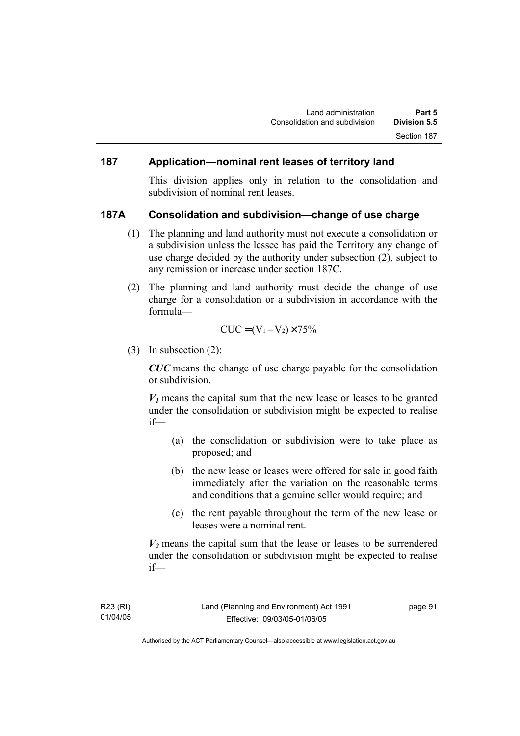## **187 Application—nominal rent leases of territory land**

This division applies only in relation to the consolidation and subdivision of nominal rent leases.

#### **187A Consolidation and subdivision—change of use charge**

- (1) The planning and land authority must not execute a consolidation or a subdivision unless the lessee has paid the Territory any change of use charge decided by the authority under subsection (2), subject to any remission or increase under section 187C.
- (2) The planning and land authority must decide the change of use charge for a consolidation or a subdivision in accordance with the formula—

$$
CUC = (V_1 - V_2) \times 75\%
$$

(3) In subsection (2):

*CUC* means the change of use charge payable for the consolidation or subdivision.

 $V_1$  means the capital sum that the new lease or leases to be granted under the consolidation or subdivision might be expected to realise if—

- (a) the consolidation or subdivision were to take place as proposed; and
- (b) the new lease or leases were offered for sale in good faith immediately after the variation on the reasonable terms and conditions that a genuine seller would require; and
- (c) the rent payable throughout the term of the new lease or leases were a nominal rent.

 $V_2$  means the capital sum that the lease or leases to be surrendered under the consolidation or subdivision might be expected to realise if—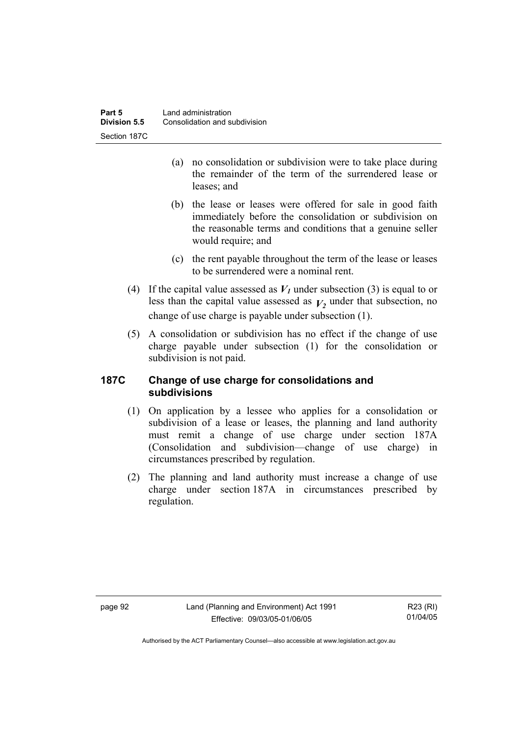| Part 5       | Land administration           |
|--------------|-------------------------------|
| Division 5.5 | Consolidation and subdivision |
| Section 187C |                               |

- (a) no consolidation or subdivision were to take place during the remainder of the term of the surrendered lease or leases; and
- (b) the lease or leases were offered for sale in good faith immediately before the consolidation or subdivision on the reasonable terms and conditions that a genuine seller would require; and
- (c) the rent payable throughout the term of the lease or leases to be surrendered were a nominal rent.
- (4) If the capital value assessed as  $V_I$  under subsection (3) is equal to or less than the capital value assessed as  $V_2$  under that subsection, no change of use charge is payable under subsection (1).
- (5) A consolidation or subdivision has no effect if the change of use charge payable under subsection (1) for the consolidation or subdivision is not paid.

# **187C Change of use charge for consolidations and subdivisions**

- (1) On application by a lessee who applies for a consolidation or subdivision of a lease or leases, the planning and land authority must remit a change of use charge under section 187A (Consolidation and subdivision—change of use charge) in circumstances prescribed by regulation.
- (2) The planning and land authority must increase a change of use charge under section 187A in circumstances prescribed by regulation.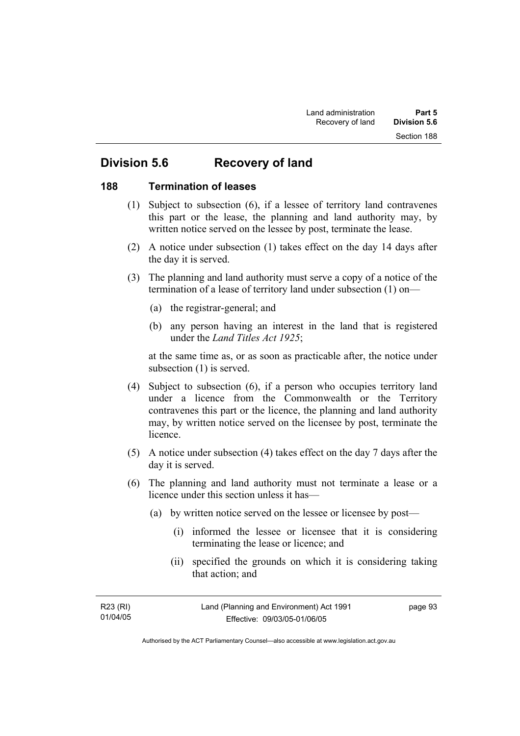# **Division 5.6 Recovery of land**

### **188 Termination of leases**

- (1) Subject to subsection (6), if a lessee of territory land contravenes this part or the lease, the planning and land authority may, by written notice served on the lessee by post, terminate the lease.
- (2) A notice under subsection (1) takes effect on the day 14 days after the day it is served.
- (3) The planning and land authority must serve a copy of a notice of the termination of a lease of territory land under subsection (1) on—
	- (a) the registrar-general; and
	- (b) any person having an interest in the land that is registered under the *Land Titles Act 1925*;

at the same time as, or as soon as practicable after, the notice under subsection (1) is served.

- (4) Subject to subsection (6), if a person who occupies territory land under a licence from the Commonwealth or the Territory contravenes this part or the licence, the planning and land authority may, by written notice served on the licensee by post, terminate the licence.
- (5) A notice under subsection (4) takes effect on the day 7 days after the day it is served.
- (6) The planning and land authority must not terminate a lease or a licence under this section unless it has—
	- (a) by written notice served on the lessee or licensee by post—
		- (i) informed the lessee or licensee that it is considering terminating the lease or licence; and
		- (ii) specified the grounds on which it is considering taking that action; and

| R23 (RI) | Land (Planning and Environment) Act 1991 | page 93 |
|----------|------------------------------------------|---------|
| 01/04/05 | Effective: 09/03/05-01/06/05             |         |
|          |                                          |         |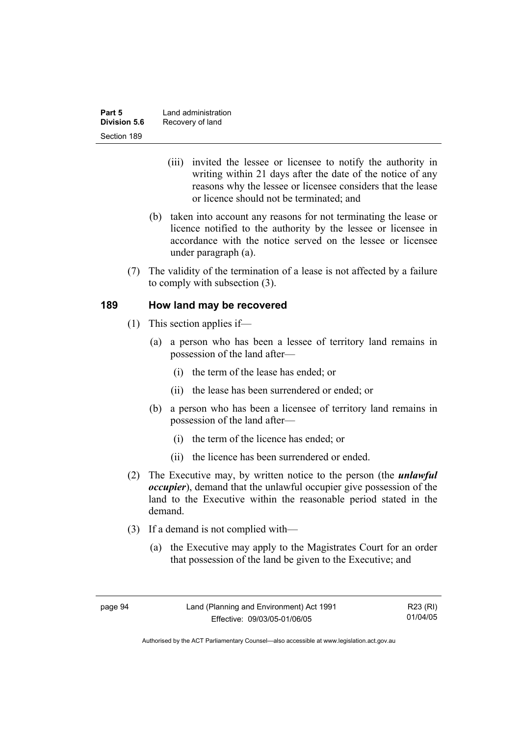| Part 5              | Land administration |
|---------------------|---------------------|
| <b>Division 5.6</b> | Recovery of land    |
| Section 189         |                     |

- (iii) invited the lessee or licensee to notify the authority in writing within 21 days after the date of the notice of any reasons why the lessee or licensee considers that the lease or licence should not be terminated; and
- (b) taken into account any reasons for not terminating the lease or licence notified to the authority by the lessee or licensee in accordance with the notice served on the lessee or licensee under paragraph (a).
- (7) The validity of the termination of a lease is not affected by a failure to comply with subsection (3).

## **189 How land may be recovered**

- (1) This section applies if—
	- (a) a person who has been a lessee of territory land remains in possession of the land after—
		- (i) the term of the lease has ended; or
		- (ii) the lease has been surrendered or ended; or
	- (b) a person who has been a licensee of territory land remains in possession of the land after—
		- (i) the term of the licence has ended; or
		- (ii) the licence has been surrendered or ended.
- (2) The Executive may, by written notice to the person (the *unlawful occupier*), demand that the unlawful occupier give possession of the land to the Executive within the reasonable period stated in the demand.
- (3) If a demand is not complied with—
	- (a) the Executive may apply to the Magistrates Court for an order that possession of the land be given to the Executive; and

R23 (RI) 01/04/05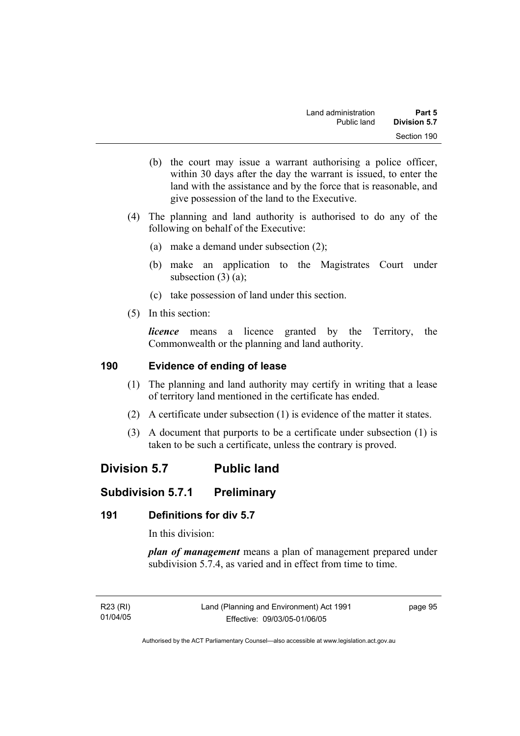- (b) the court may issue a warrant authorising a police officer, within 30 days after the day the warrant is issued, to enter the land with the assistance and by the force that is reasonable, and give possession of the land to the Executive.
- (4) The planning and land authority is authorised to do any of the following on behalf of the Executive:
	- (a) make a demand under subsection (2);
	- (b) make an application to the Magistrates Court under subsection  $(3)$   $(a)$ ;
	- (c) take possession of land under this section.
- (5) In this section:

*licence* means a licence granted by the Territory, the Commonwealth or the planning and land authority.

# **190 Evidence of ending of lease**

- (1) The planning and land authority may certify in writing that a lease of territory land mentioned in the certificate has ended.
- (2) A certificate under subsection (1) is evidence of the matter it states.
- (3) A document that purports to be a certificate under subsection (1) is taken to be such a certificate, unless the contrary is proved.

# **Division 5.7 Public land**

# **Subdivision 5.7.1 Preliminary**

# **191 Definitions for div 5.7**

In this division:

*plan of management* means a plan of management prepared under subdivision 5.7.4, as varied and in effect from time to time.

R23 (RI) 01/04/05 page 95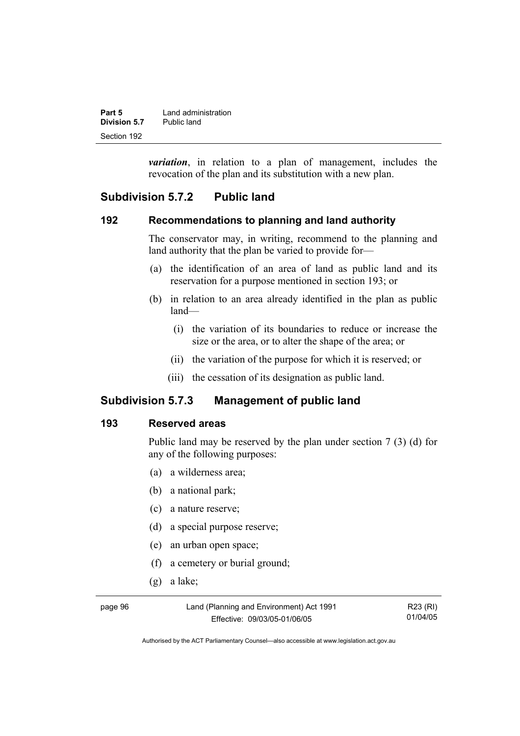| Part 5       | Land administration |
|--------------|---------------------|
| Division 5.7 | Public land         |
| Section 192  |                     |

*variation*, in relation to a plan of management, includes the revocation of the plan and its substitution with a new plan.

# **Subdivision 5.7.2 Public land**

#### **192 Recommendations to planning and land authority**

The conservator may, in writing, recommend to the planning and land authority that the plan be varied to provide for—

- (a) the identification of an area of land as public land and its reservation for a purpose mentioned in section 193; or
- (b) in relation to an area already identified in the plan as public land—
	- (i) the variation of its boundaries to reduce or increase the size or the area, or to alter the shape of the area; or
	- (ii) the variation of the purpose for which it is reserved; or
	- (iii) the cessation of its designation as public land.

# **Subdivision 5.7.3 Management of public land**

#### **193 Reserved areas**

Public land may be reserved by the plan under section 7 (3) (d) for any of the following purposes:

- (a) a wilderness area;
- (b) a national park;
- (c) a nature reserve;
- (d) a special purpose reserve;
- (e) an urban open space;
- (f) a cemetery or burial ground;
- (g) a lake;

page 96 Land (Planning and Environment) Act 1991 Effective: 09/03/05-01/06/05

R23 (RI) 01/04/05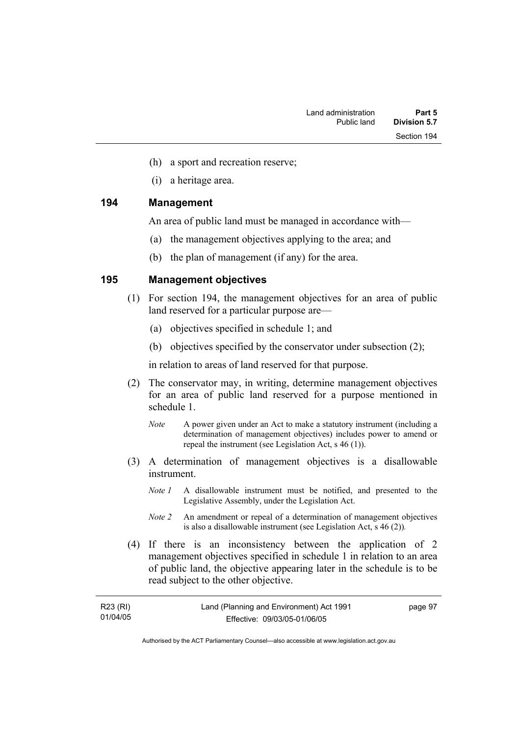- (h) a sport and recreation reserve;
- (i) a heritage area.

#### **194 Management**

An area of public land must be managed in accordance with—

- (a) the management objectives applying to the area; and
- (b) the plan of management (if any) for the area.

#### **195 Management objectives**

- (1) For section 194, the management objectives for an area of public land reserved for a particular purpose are—
	- (a) objectives specified in schedule 1; and
	- (b) objectives specified by the conservator under subsection (2);

in relation to areas of land reserved for that purpose.

- (2) The conservator may, in writing, determine management objectives for an area of public land reserved for a purpose mentioned in schedule 1.
	- *Note* A power given under an Act to make a statutory instrument (including a determination of management objectives) includes power to amend or repeal the instrument (see Legislation Act, s 46 (1)).
- (3) A determination of management objectives is a disallowable instrument.
	- *Note 1* A disallowable instrument must be notified, and presented to the Legislative Assembly, under the Legislation Act.
	- *Note 2* An amendment or repeal of a determination of management objectives is also a disallowable instrument (see Legislation Act, s 46 (2))*.*
- (4) If there is an inconsistency between the application of 2 management objectives specified in schedule 1 in relation to an area of public land, the objective appearing later in the schedule is to be read subject to the other objective.

| R23 (RI) | Land (Planning and Environment) Act 1991 | page 97 |
|----------|------------------------------------------|---------|
| 01/04/05 | Effective: 09/03/05-01/06/05             |         |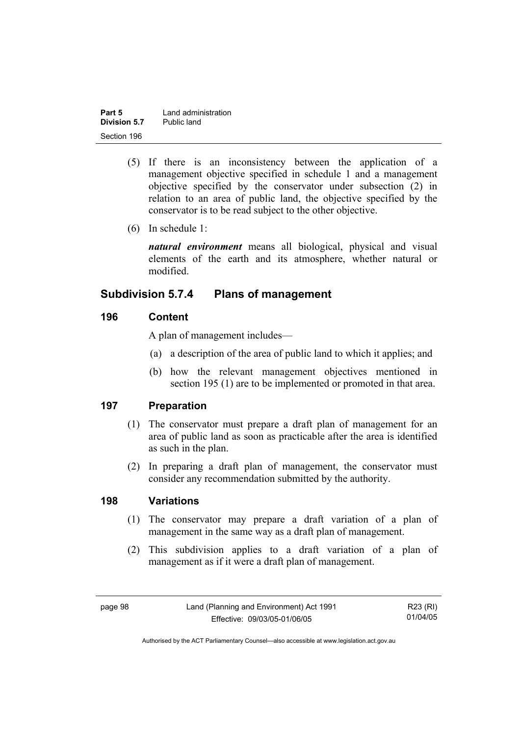| Part 5       | Land administration |
|--------------|---------------------|
| Division 5.7 | Public land         |
| Section 196  |                     |

- (5) If there is an inconsistency between the application of a management objective specified in schedule 1 and a management objective specified by the conservator under subsection (2) in relation to an area of public land, the objective specified by the conservator is to be read subject to the other objective.
- (6) In schedule 1:

*natural environment* means all biological, physical and visual elements of the earth and its atmosphere, whether natural or modified.

# **Subdivision 5.7.4 Plans of management**

# **196 Content**

A plan of management includes—

- (a) a description of the area of public land to which it applies; and
- (b) how the relevant management objectives mentioned in section 195 (1) are to be implemented or promoted in that area.

# **197 Preparation**

- (1) The conservator must prepare a draft plan of management for an area of public land as soon as practicable after the area is identified as such in the plan.
- (2) In preparing a draft plan of management, the conservator must consider any recommendation submitted by the authority.

#### **198 Variations**

- (1) The conservator may prepare a draft variation of a plan of management in the same way as a draft plan of management.
- (2) This subdivision applies to a draft variation of a plan of management as if it were a draft plan of management.

page 98 Land (Planning and Environment) Act 1991 Effective: 09/03/05-01/06/05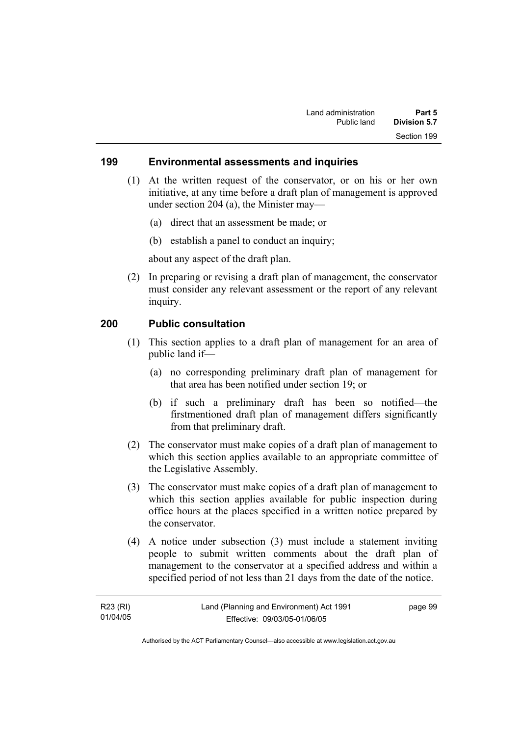#### **199 Environmental assessments and inquiries**

- (1) At the written request of the conservator, or on his or her own initiative, at any time before a draft plan of management is approved under section 204 (a), the Minister may—
	- (a) direct that an assessment be made; or
	- (b) establish a panel to conduct an inquiry;

about any aspect of the draft plan.

 (2) In preparing or revising a draft plan of management, the conservator must consider any relevant assessment or the report of any relevant inquiry.

#### **200 Public consultation**

- (1) This section applies to a draft plan of management for an area of public land if—
	- (a) no corresponding preliminary draft plan of management for that area has been notified under section 19; or
	- (b) if such a preliminary draft has been so notified—the firstmentioned draft plan of management differs significantly from that preliminary draft.
- (2) The conservator must make copies of a draft plan of management to which this section applies available to an appropriate committee of the Legislative Assembly.
- (3) The conservator must make copies of a draft plan of management to which this section applies available for public inspection during office hours at the places specified in a written notice prepared by the conservator.
- (4) A notice under subsection (3) must include a statement inviting people to submit written comments about the draft plan of management to the conservator at a specified address and within a specified period of not less than 21 days from the date of the notice.

| R23 (RI) | Land (Planning and Environment) Act 1991 | page 99 |
|----------|------------------------------------------|---------|
| 01/04/05 | Effective: 09/03/05-01/06/05             |         |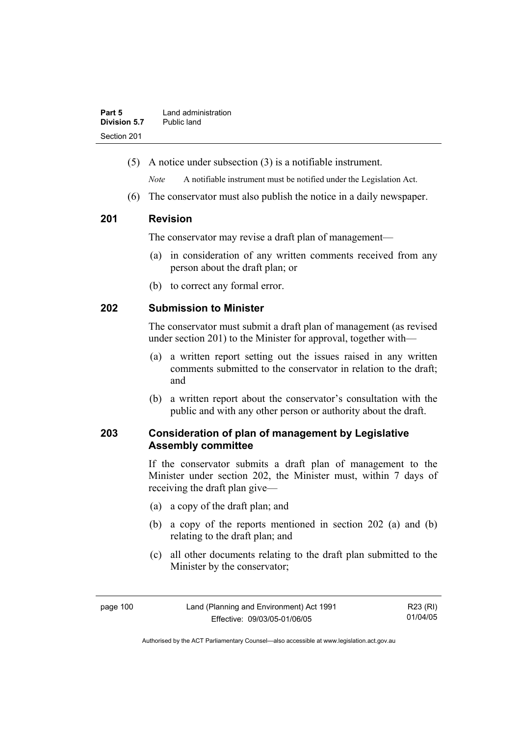| Part 5       | Land administration |
|--------------|---------------------|
| Division 5.7 | Public land         |
| Section 201  |                     |

(5) A notice under subsection (3) is a notifiable instrument.

*Note* A notifiable instrument must be notified under the Legislation Act.

(6) The conservator must also publish the notice in a daily newspaper.

## **201 Revision**

The conservator may revise a draft plan of management—

- (a) in consideration of any written comments received from any person about the draft plan; or
- (b) to correct any formal error.

## **202 Submission to Minister**

The conservator must submit a draft plan of management (as revised under section 201) to the Minister for approval, together with—

- (a) a written report setting out the issues raised in any written comments submitted to the conservator in relation to the draft; and
- (b) a written report about the conservator's consultation with the public and with any other person or authority about the draft.

# **203 Consideration of plan of management by Legislative Assembly committee**

If the conservator submits a draft plan of management to the Minister under section 202, the Minister must, within 7 days of receiving the draft plan give—

- (a) a copy of the draft plan; and
- (b) a copy of the reports mentioned in section 202 (a) and (b) relating to the draft plan; and
- (c) all other documents relating to the draft plan submitted to the Minister by the conservator;

| page 100 | Land (Planning and Environment) Act 1991 | R23 (RI) |
|----------|------------------------------------------|----------|
|          | Effective: 09/03/05-01/06/05             | 01/04/05 |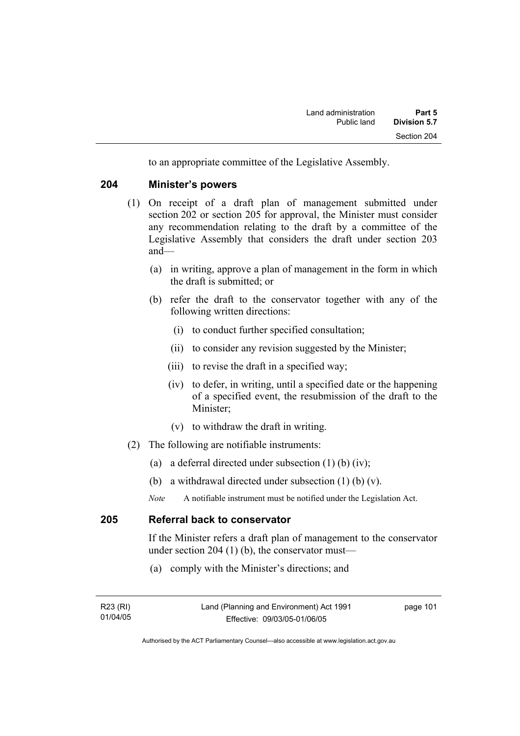to an appropriate committee of the Legislative Assembly.

#### **204 Minister's powers**

- (1) On receipt of a draft plan of management submitted under section 202 or section 205 for approval, the Minister must consider any recommendation relating to the draft by a committee of the Legislative Assembly that considers the draft under section 203 and—
	- (a) in writing, approve a plan of management in the form in which the draft is submitted; or
	- (b) refer the draft to the conservator together with any of the following written directions:
		- (i) to conduct further specified consultation;
		- (ii) to consider any revision suggested by the Minister;
		- (iii) to revise the draft in a specified way;
		- (iv) to defer, in writing, until a specified date or the happening of a specified event, the resubmission of the draft to the Minister;
		- (v) to withdraw the draft in writing.
- (2) The following are notifiable instruments:
	- (a) a deferral directed under subsection  $(1)$  (b)  $(iv)$ ;
	- (b) a withdrawal directed under subsection (1) (b) (v).
	- *Note* A notifiable instrument must be notified under the Legislation Act.

## **205 Referral back to conservator**

If the Minister refers a draft plan of management to the conservator under section 204 (1) (b), the conservator must—

(a) comply with the Minister's directions; and

| R23 (RI) | Land (Planning and Environment) Act 1991 | page 101 |
|----------|------------------------------------------|----------|
| 01/04/05 | Effective: 09/03/05-01/06/05             |          |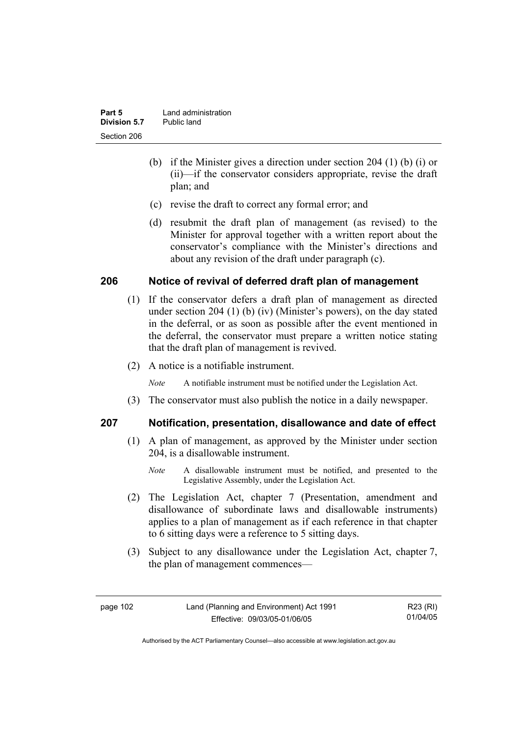| Part 5       | Land administration |
|--------------|---------------------|
| Division 5.7 | Public land         |
| Section 206  |                     |

- (b) if the Minister gives a direction under section 204 (1) (b) (i) or (ii)—if the conservator considers appropriate, revise the draft plan; and
- (c) revise the draft to correct any formal error; and
- (d) resubmit the draft plan of management (as revised) to the Minister for approval together with a written report about the conservator's compliance with the Minister's directions and about any revision of the draft under paragraph (c).

#### **206 Notice of revival of deferred draft plan of management**

- (1) If the conservator defers a draft plan of management as directed under section 204 (1) (b) (iv) (Minister's powers), on the day stated in the deferral, or as soon as possible after the event mentioned in the deferral, the conservator must prepare a written notice stating that the draft plan of management is revived.
- (2) A notice is a notifiable instrument.

*Note* A notifiable instrument must be notified under the Legislation Act.

(3) The conservator must also publish the notice in a daily newspaper.

#### **207 Notification, presentation, disallowance and date of effect**

- (1) A plan of management, as approved by the Minister under section 204, is a disallowable instrument.
	- *Note* A disallowable instrument must be notified, and presented to the Legislative Assembly, under the Legislation Act.
- (2) The Legislation Act, chapter 7 (Presentation, amendment and disallowance of subordinate laws and disallowable instruments) applies to a plan of management as if each reference in that chapter to 6 sitting days were a reference to 5 sitting days.
- (3) Subject to any disallowance under the Legislation Act, chapter 7, the plan of management commences—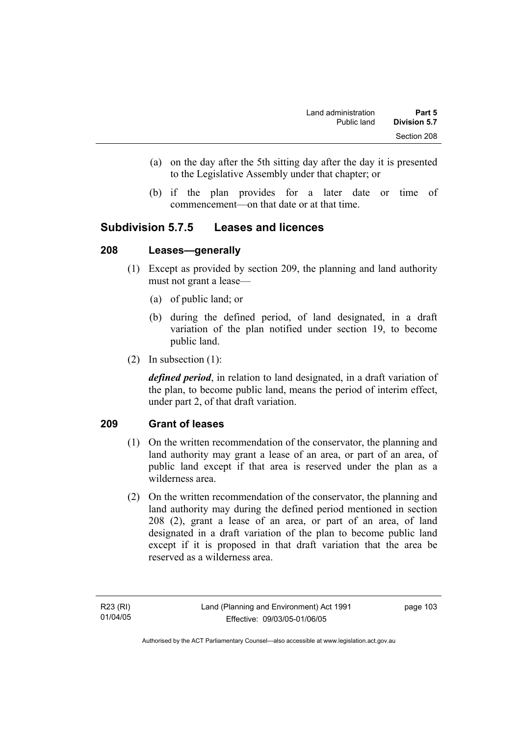- (a) on the day after the 5th sitting day after the day it is presented to the Legislative Assembly under that chapter; or
- (b) if the plan provides for a later date or time of commencement—on that date or at that time.

# **Subdivision 5.7.5 Leases and licences**

#### **208 Leases—generally**

- (1) Except as provided by section 209, the planning and land authority must not grant a lease—
	- (a) of public land; or
	- (b) during the defined period, of land designated, in a draft variation of the plan notified under section 19, to become public land.
- (2) In subsection (1):

*defined period*, in relation to land designated, in a draft variation of the plan, to become public land, means the period of interim effect, under part 2, of that draft variation.

# **209 Grant of leases**

- (1) On the written recommendation of the conservator, the planning and land authority may grant a lease of an area, or part of an area, of public land except if that area is reserved under the plan as a wilderness area.
- (2) On the written recommendation of the conservator, the planning and land authority may during the defined period mentioned in section 208 (2), grant a lease of an area, or part of an area, of land designated in a draft variation of the plan to become public land except if it is proposed in that draft variation that the area be reserved as a wilderness area.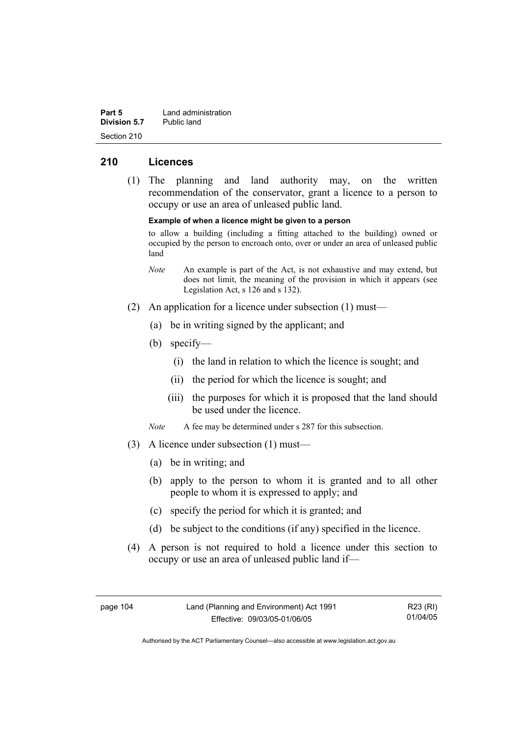| Part 5       | Land administration |
|--------------|---------------------|
| Division 5.7 | Public land         |
| Section 210  |                     |

## **210 Licences**

 (1) The planning and land authority may, on the written recommendation of the conservator, grant a licence to a person to occupy or use an area of unleased public land.

**Example of when a licence might be given to a person** 

to allow a building (including a fitting attached to the building) owned or occupied by the person to encroach onto, over or under an area of unleased public land

- *Note* An example is part of the Act, is not exhaustive and may extend, but does not limit, the meaning of the provision in which it appears (see Legislation Act, s 126 and s 132).
- (2) An application for a licence under subsection (1) must—
	- (a) be in writing signed by the applicant; and
	- (b) specify—
		- (i) the land in relation to which the licence is sought; and
		- (ii) the period for which the licence is sought; and
		- (iii) the purposes for which it is proposed that the land should be used under the licence.
	- *Note* A fee may be determined under s 287 for this subsection.
- (3) A licence under subsection (1) must—
	- (a) be in writing; and
	- (b) apply to the person to whom it is granted and to all other people to whom it is expressed to apply; and
	- (c) specify the period for which it is granted; and
	- (d) be subject to the conditions (if any) specified in the licence.
- (4) A person is not required to hold a licence under this section to occupy or use an area of unleased public land if—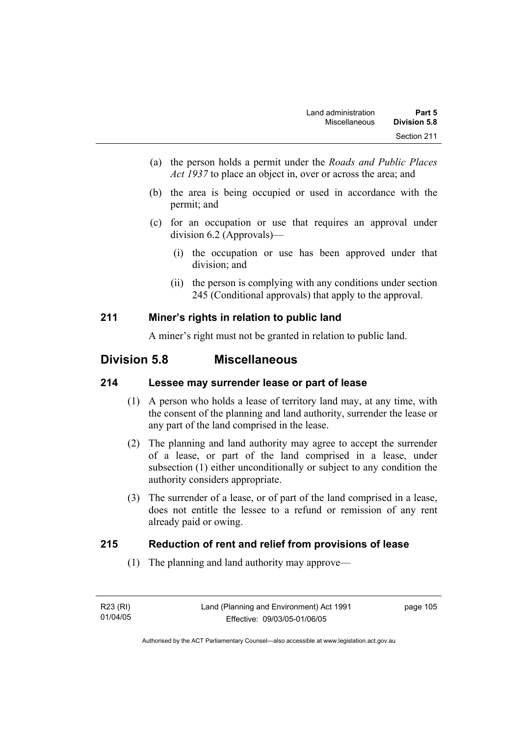- (a) the person holds a permit under the *Roads and Public Places Act 1937* to place an object in, over or across the area; and
- (b) the area is being occupied or used in accordance with the permit; and
- (c) for an occupation or use that requires an approval under division 6.2 (Approvals)—
	- (i) the occupation or use has been approved under that division; and
	- (ii) the person is complying with any conditions under section 245 (Conditional approvals) that apply to the approval.

# **211 Miner's rights in relation to public land**

A miner's right must not be granted in relation to public land.

# **Division 5.8 Miscellaneous**

# **214 Lessee may surrender lease or part of lease**

- (1) A person who holds a lease of territory land may, at any time, with the consent of the planning and land authority, surrender the lease or any part of the land comprised in the lease.
- (2) The planning and land authority may agree to accept the surrender of a lease, or part of the land comprised in a lease, under subsection (1) either unconditionally or subject to any condition the authority considers appropriate.
- (3) The surrender of a lease, or of part of the land comprised in a lease, does not entitle the lessee to a refund or remission of any rent already paid or owing.

# **215 Reduction of rent and relief from provisions of lease**

(1) The planning and land authority may approve—

| R23 (RI) | Land (Planning and Environment) Act 1991 | page 105 |
|----------|------------------------------------------|----------|
| 01/04/05 | Effective: 09/03/05-01/06/05             |          |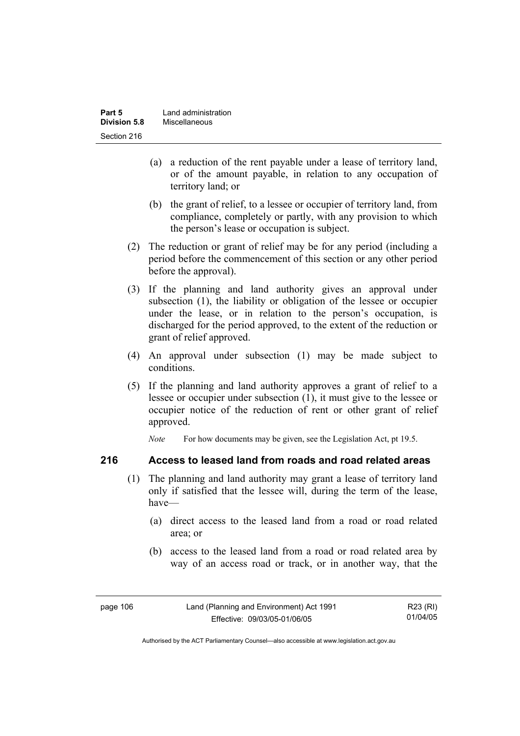| Part 5       | Land administration |
|--------------|---------------------|
| Division 5.8 | Miscellaneous       |
| Section 216  |                     |

- (a) a reduction of the rent payable under a lease of territory land, or of the amount payable, in relation to any occupation of territory land; or
- (b) the grant of relief, to a lessee or occupier of territory land, from compliance, completely or partly, with any provision to which the person's lease or occupation is subject.
- (2) The reduction or grant of relief may be for any period (including a period before the commencement of this section or any other period before the approval).
- (3) If the planning and land authority gives an approval under subsection (1), the liability or obligation of the lessee or occupier under the lease, or in relation to the person's occupation, is discharged for the period approved, to the extent of the reduction or grant of relief approved.
- (4) An approval under subsection (1) may be made subject to conditions.
- (5) If the planning and land authority approves a grant of relief to a lessee or occupier under subsection (1), it must give to the lessee or occupier notice of the reduction of rent or other grant of relief approved.

*Note* For how documents may be given, see the Legislation Act, pt 19.5.

#### **216 Access to leased land from roads and road related areas**

- (1) The planning and land authority may grant a lease of territory land only if satisfied that the lessee will, during the term of the lease, have—
	- (a) direct access to the leased land from a road or road related area; or
	- (b) access to the leased land from a road or road related area by way of an access road or track, or in another way, that the

| page 106 | Land (Planning and Environment) Act 1991 | R23 (RI) |
|----------|------------------------------------------|----------|
|          | Effective: 09/03/05-01/06/05             | 01/04/05 |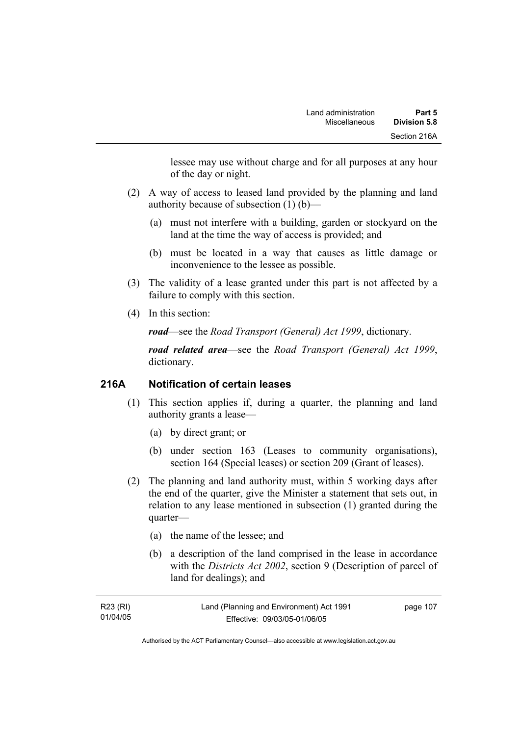lessee may use without charge and for all purposes at any hour of the day or night.

- (2) A way of access to leased land provided by the planning and land authority because of subsection (1) (b)—
	- (a) must not interfere with a building, garden or stockyard on the land at the time the way of access is provided; and
	- (b) must be located in a way that causes as little damage or inconvenience to the lessee as possible.
- (3) The validity of a lease granted under this part is not affected by a failure to comply with this section.
- (4) In this section:

*road*—see the *Road Transport (General) Act 1999*, dictionary.

*road related area*—see the *Road Transport (General) Act 1999*, dictionary.

#### **216A Notification of certain leases**

- (1) This section applies if, during a quarter, the planning and land authority grants a lease—
	- (a) by direct grant; or
	- (b) under section 163 (Leases to community organisations), section 164 (Special leases) or section 209 (Grant of leases).
- (2) The planning and land authority must, within 5 working days after the end of the quarter, give the Minister a statement that sets out, in relation to any lease mentioned in subsection (1) granted during the quarter—
	- (a) the name of the lessee; and
	- (b) a description of the land comprised in the lease in accordance with the *Districts Act 2002*, section 9 (Description of parcel of land for dealings); and

| R23 (RI) | Land (Planning and Environment) Act 1991 | page 107 |
|----------|------------------------------------------|----------|
| 01/04/05 | Effective: 09/03/05-01/06/05             |          |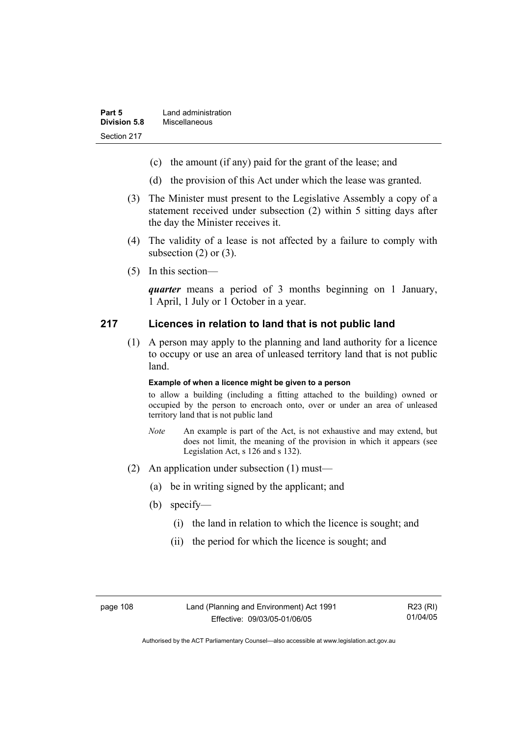- (c) the amount (if any) paid for the grant of the lease; and
- (d) the provision of this Act under which the lease was granted.
- (3) The Minister must present to the Legislative Assembly a copy of a statement received under subsection (2) within 5 sitting days after the day the Minister receives it.
- (4) The validity of a lease is not affected by a failure to comply with subsection  $(2)$  or  $(3)$ .
- (5) In this section—

*quarter* means a period of 3 months beginning on 1 January, 1 April, 1 July or 1 October in a year.

#### **217 Licences in relation to land that is not public land**

 (1) A person may apply to the planning and land authority for a licence to occupy or use an area of unleased territory land that is not public land.

#### **Example of when a licence might be given to a person**

to allow a building (including a fitting attached to the building) owned or occupied by the person to encroach onto, over or under an area of unleased territory land that is not public land

- *Note* An example is part of the Act, is not exhaustive and may extend, but does not limit, the meaning of the provision in which it appears (see Legislation Act, s 126 and s 132).
- (2) An application under subsection (1) must—
	- (a) be in writing signed by the applicant; and
	- (b) specify—
		- (i) the land in relation to which the licence is sought; and
		- (ii) the period for which the licence is sought; and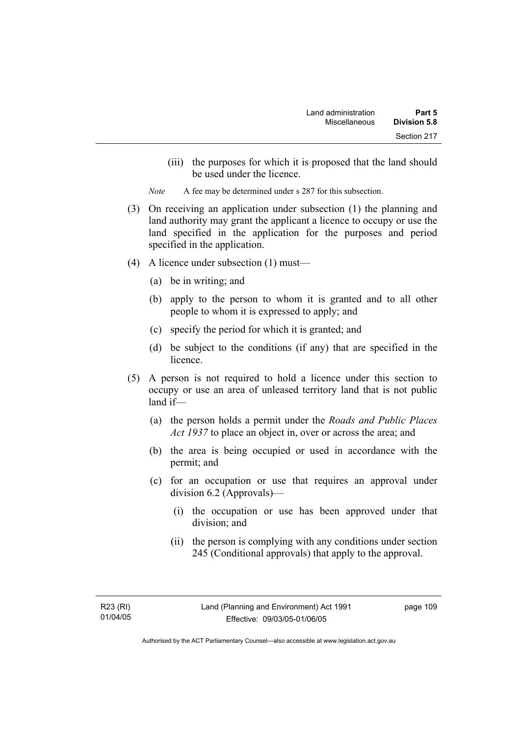(iii) the purposes for which it is proposed that the land should be used under the licence.

*Note* A fee may be determined under s 287 for this subsection.

- (3) On receiving an application under subsection (1) the planning and land authority may grant the applicant a licence to occupy or use the land specified in the application for the purposes and period specified in the application.
- (4) A licence under subsection (1) must—
	- (a) be in writing; and
	- (b) apply to the person to whom it is granted and to all other people to whom it is expressed to apply; and
	- (c) specify the period for which it is granted; and
	- (d) be subject to the conditions (if any) that are specified in the licence.
- (5) A person is not required to hold a licence under this section to occupy or use an area of unleased territory land that is not public land if—
	- (a) the person holds a permit under the *Roads and Public Places Act 1937* to place an object in, over or across the area; and
	- (b) the area is being occupied or used in accordance with the permit; and
	- (c) for an occupation or use that requires an approval under division 6.2 (Approvals)—
		- (i) the occupation or use has been approved under that division; and
		- (ii) the person is complying with any conditions under section 245 (Conditional approvals) that apply to the approval.

page 109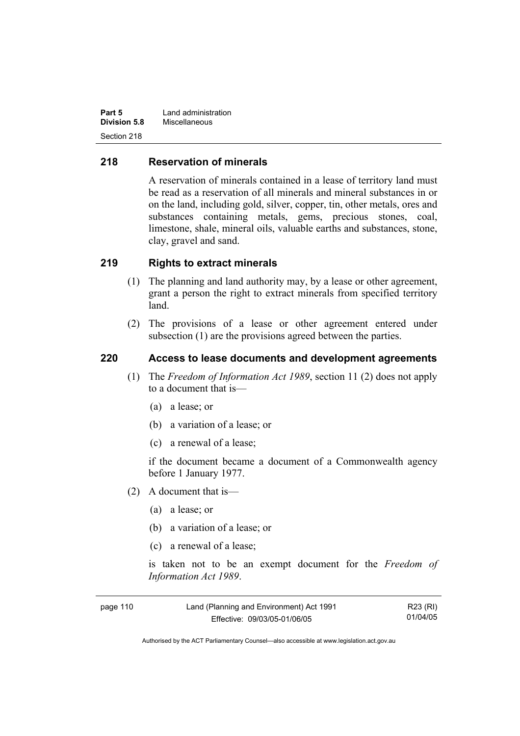| Part 5              | Land administration |
|---------------------|---------------------|
| <b>Division 5.8</b> | Miscellaneous       |
| Section 218         |                     |

#### **218 Reservation of minerals**

A reservation of minerals contained in a lease of territory land must be read as a reservation of all minerals and mineral substances in or on the land, including gold, silver, copper, tin, other metals, ores and substances containing metals, gems, precious stones, coal, limestone, shale, mineral oils, valuable earths and substances, stone, clay, gravel and sand.

#### **219 Rights to extract minerals**

- (1) The planning and land authority may, by a lease or other agreement, grant a person the right to extract minerals from specified territory land.
- (2) The provisions of a lease or other agreement entered under subsection (1) are the provisions agreed between the parties.

#### **220 Access to lease documents and development agreements**

- (1) The *Freedom of Information Act 1989*, section 11 (2) does not apply to a document that is—
	- (a) a lease; or
	- (b) a variation of a lease; or
	- (c) a renewal of a lease;

if the document became a document of a Commonwealth agency before 1 January 1977.

- (2) A document that is—
	- (a) a lease; or
	- (b) a variation of a lease; or
	- (c) a renewal of a lease;

is taken not to be an exempt document for the *Freedom of Information Act 1989*.

| page 110 | Land (Planning and Environment) Act 1991 | R23 (RI) |
|----------|------------------------------------------|----------|
|          | Effective: 09/03/05-01/06/05             | 01/04/05 |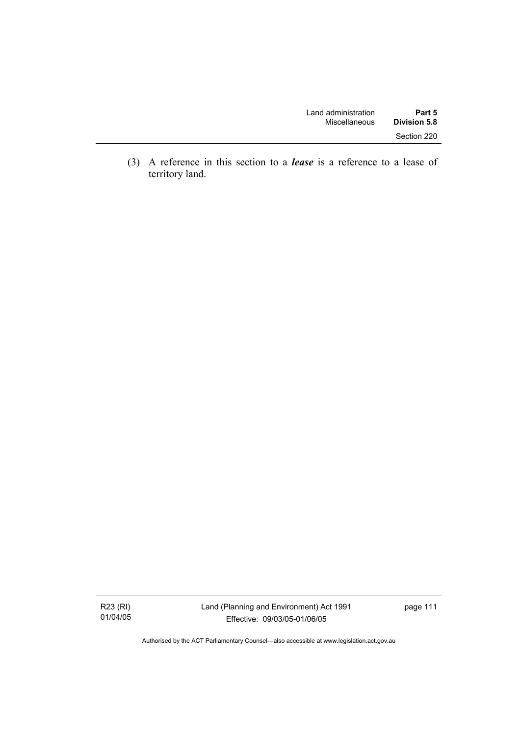| Land administration | Part 5              |
|---------------------|---------------------|
| Miscellaneous       | <b>Division 5.8</b> |
|                     | Section 220         |

 (3) A reference in this section to a *lease* is a reference to a lease of territory land.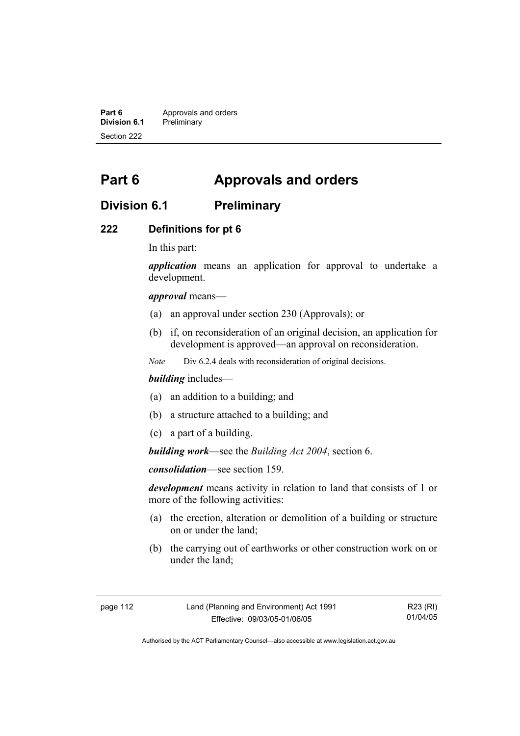**Part 6 Approvals and orders**<br>**Division 6.1 Preliminary Division 6.1** Preliminary Section 222

# **Part 6 Approvals and orders**

# **Division 6.1 Preliminary**

#### **222 Definitions for pt 6**

In this part:

*application* means an application for approval to undertake a development.

*approval* means—

- (a) an approval under section 230 (Approvals); or
- (b) if, on reconsideration of an original decision, an application for development is approved—an approval on reconsideration.

*Note* Div 6.2.4 deals with reconsideration of original decisions.

#### *building* includes—

- (a) an addition to a building; and
- (b) a structure attached to a building; and
- (c) a part of a building.

*building work*—see the *Building Act 2004*, section 6.

*consolidation*—see section 159.

*development* means activity in relation to land that consists of 1 or more of the following activities:

- (a) the erection, alteration or demolition of a building or structure on or under the land;
- (b) the carrying out of earthworks or other construction work on or under the land;

| page 112 | Land (Planning and Environment) Act 1991 | R23 (RI) |
|----------|------------------------------------------|----------|
|          | Effective: 09/03/05-01/06/05             | 01/04/05 |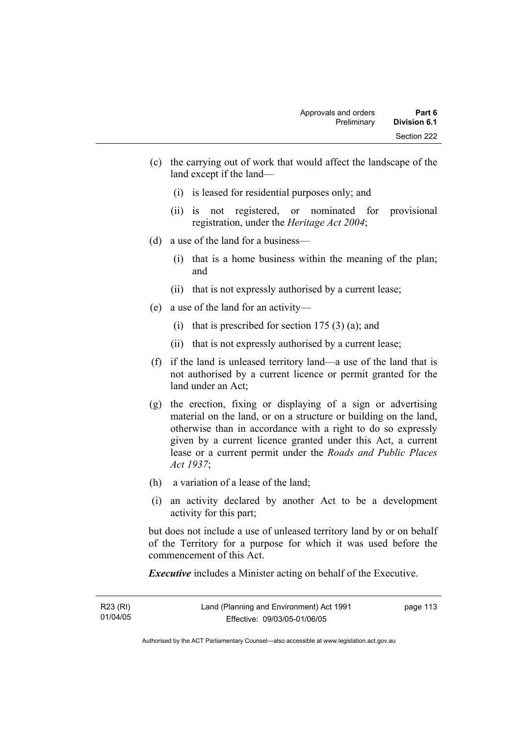- (c) the carrying out of work that would affect the landscape of the land except if the land—
	- (i) is leased for residential purposes only; and
	- (ii) is not registered, or nominated for provisional registration, under the *Heritage Act 2004*;
- (d) a use of the land for a business—
	- (i) that is a home business within the meaning of the plan; and
	- (ii) that is not expressly authorised by a current lease;
- (e) a use of the land for an activity—
	- (i) that is prescribed for section  $175(3)(a)$ ; and
	- (ii) that is not expressly authorised by a current lease;
- (f) if the land is unleased territory land—a use of the land that is not authorised by a current licence or permit granted for the land under an Act;
- (g) the erection, fixing or displaying of a sign or advertising material on the land, or on a structure or building on the land, otherwise than in accordance with a right to do so expressly given by a current licence granted under this Act, a current lease or a current permit under the *Roads and Public Places Act 1937*;
- (h) a variation of a lease of the land;
- (i) an activity declared by another Act to be a development activity for this part;

but does not include a use of unleased territory land by or on behalf of the Territory for a purpose for which it was used before the commencement of this Act.

*Executive* includes a Minister acting on behalf of the Executive.

| R23 (RI) | Land (Planning and Environment) Act 1991 | page 113 |
|----------|------------------------------------------|----------|
| 01/04/05 | Effective: 09/03/05-01/06/05             |          |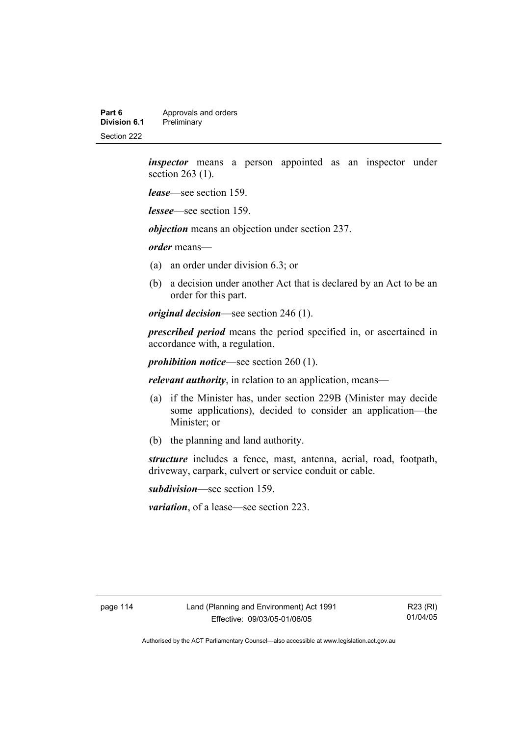**Part 6 Approvals and orders**<br>**Division 6.1 Preliminary Division 6.1** Preliminary Section 222

> *inspector* means a person appointed as an inspector under section 263 (1).

*lease*—see section 159.

*lessee*—see section 159.

*objection* means an objection under section 237.

*order* means—

- (a) an order under division 6.3; or
- (b) a decision under another Act that is declared by an Act to be an order for this part.

*original decision*—see section 246 (1).

*prescribed period* means the period specified in, or ascertained in accordance with, a regulation.

*prohibition notice*—see section 260 (1).

*relevant authority*, in relation to an application, means—

- (a) if the Minister has, under section 229B (Minister may decide some applications), decided to consider an application—the Minister; or
- (b) the planning and land authority.

*structure* includes a fence, mast, antenna, aerial, road, footpath, driveway, carpark, culvert or service conduit or cable.

*subdivision—*see section 159.

*variation*, of a lease—see section 223.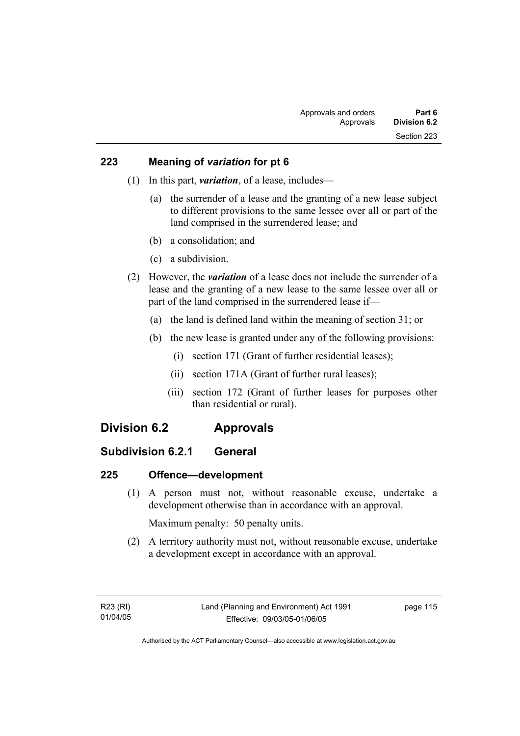## **223 Meaning of** *variation* **for pt 6**

- (1) In this part, *variation*, of a lease, includes—
	- (a) the surrender of a lease and the granting of a new lease subject to different provisions to the same lessee over all or part of the land comprised in the surrendered lease; and
	- (b) a consolidation; and
	- (c) a subdivision.
- (2) However, the *variation* of a lease does not include the surrender of a lease and the granting of a new lease to the same lessee over all or part of the land comprised in the surrendered lease if—
	- (a) the land is defined land within the meaning of section 31; or
	- (b) the new lease is granted under any of the following provisions:
		- (i) section 171 (Grant of further residential leases);
		- (ii) section 171A (Grant of further rural leases);
		- (iii) section 172 (Grant of further leases for purposes other than residential or rural).

# **Division 6.2 Approvals**

# **Subdivision 6.2.1 General**

# **225 Offence—development**

 (1) A person must not, without reasonable excuse, undertake a development otherwise than in accordance with an approval.

Maximum penalty: 50 penalty units.

 (2) A territory authority must not, without reasonable excuse, undertake a development except in accordance with an approval.

page 115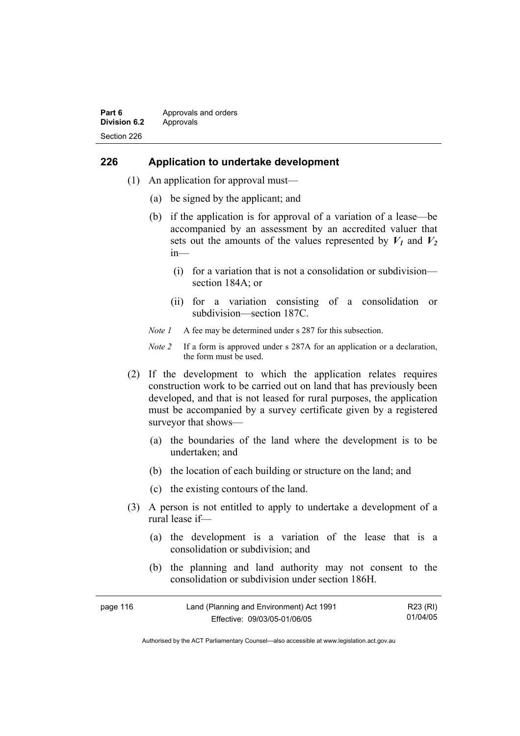#### **Part 6 Approvals and orders Division 6.2** Approvals Section 226

#### **226 Application to undertake development**

- (1) An application for approval must—
	- (a) be signed by the applicant; and
	- (b) if the application is for approval of a variation of a lease—be accompanied by an assessment by an accredited valuer that sets out the amounts of the values represented by  $V_1$  and  $V_2$ in—
		- (i) for a variation that is not a consolidation or subdivision section 184A; or
		- (ii) for a variation consisting of a consolidation or subdivision—section 187C.
	- *Note 1* A fee may be determined under s 287 for this subsection.
	- *Note 2* If a form is approved under s 287A for an application or a declaration, the form must be used.
- (2) If the development to which the application relates requires construction work to be carried out on land that has previously been developed, and that is not leased for rural purposes, the application must be accompanied by a survey certificate given by a registered surveyor that shows—
	- (a) the boundaries of the land where the development is to be undertaken; and
	- (b) the location of each building or structure on the land; and
	- (c) the existing contours of the land.
- (3) A person is not entitled to apply to undertake a development of a rural lease if—
	- (a) the development is a variation of the lease that is a consolidation or subdivision; and
	- (b) the planning and land authority may not consent to the consolidation or subdivision under section 186H.

| page 116 | Land (Planning and Environment) Act 1991 | R23 (RI) |
|----------|------------------------------------------|----------|
|          | Effective: 09/03/05-01/06/05             | 01/04/05 |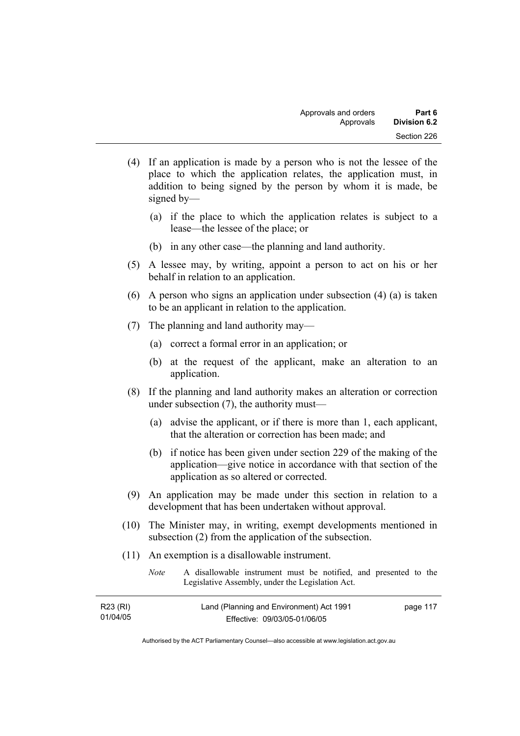- (4) If an application is made by a person who is not the lessee of the place to which the application relates, the application must, in addition to being signed by the person by whom it is made, be signed by—
	- (a) if the place to which the application relates is subject to a lease—the lessee of the place; or
	- (b) in any other case—the planning and land authority.
- (5) A lessee may, by writing, appoint a person to act on his or her behalf in relation to an application.
- (6) A person who signs an application under subsection (4) (a) is taken to be an applicant in relation to the application.
- (7) The planning and land authority may—
	- (a) correct a formal error in an application; or
	- (b) at the request of the applicant, make an alteration to an application.
- (8) If the planning and land authority makes an alteration or correction under subsection (7), the authority must—
	- (a) advise the applicant, or if there is more than 1, each applicant, that the alteration or correction has been made; and
	- (b) if notice has been given under section 229 of the making of the application—give notice in accordance with that section of the application as so altered or corrected.
- (9) An application may be made under this section in relation to a development that has been undertaken without approval.
- (10) The Minister may, in writing, exempt developments mentioned in subsection (2) from the application of the subsection.
- (11) An exemption is a disallowable instrument.

| <i>Note</i> | A disallowable instrument must be notified, and presented to the |
|-------------|------------------------------------------------------------------|
|             | Legislative Assembly, under the Legislation Act.                 |

| R23 (RI) | Land (Planning and Environment) Act 1991 | page 117 |
|----------|------------------------------------------|----------|
| 01/04/05 | Effective: 09/03/05-01/06/05             |          |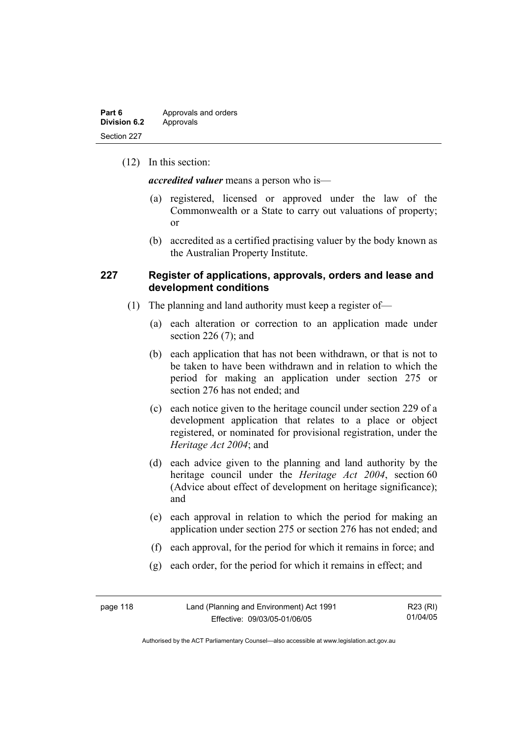(12) In this section:

*accredited valuer* means a person who is—

- (a) registered, licensed or approved under the law of the Commonwealth or a State to carry out valuations of property; or
- (b) accredited as a certified practising valuer by the body known as the Australian Property Institute.

#### **227 Register of applications, approvals, orders and lease and development conditions**

- (1) The planning and land authority must keep a register of—
	- (a) each alteration or correction to an application made under section 226 (7); and
	- (b) each application that has not been withdrawn, or that is not to be taken to have been withdrawn and in relation to which the period for making an application under section 275 or section 276 has not ended; and
	- (c) each notice given to the heritage council under section 229 of a development application that relates to a place or object registered, or nominated for provisional registration, under the *Heritage Act 2004*; and
	- (d) each advice given to the planning and land authority by the heritage council under the *Heritage Act 2004*, section 60 (Advice about effect of development on heritage significance); and
	- (e) each approval in relation to which the period for making an application under section 275 or section 276 has not ended; and
	- (f) each approval, for the period for which it remains in force; and
	- (g) each order, for the period for which it remains in effect; and

| page 118 | Land (Planning and Environment) Act 1991 | R23 (RI) |
|----------|------------------------------------------|----------|
|          | Effective: 09/03/05-01/06/05             | 01/04/05 |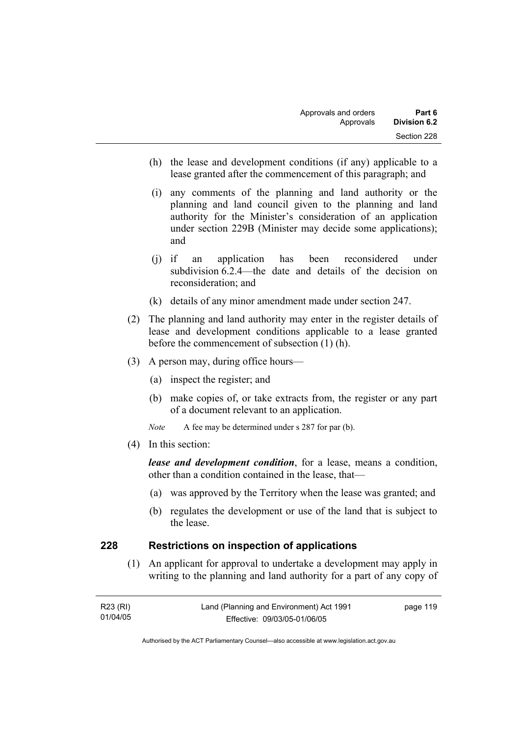- (h) the lease and development conditions (if any) applicable to a lease granted after the commencement of this paragraph; and
- (i) any comments of the planning and land authority or the planning and land council given to the planning and land authority for the Minister's consideration of an application under section 229B (Minister may decide some applications); and
- (j) if an application has been reconsidered under subdivision 6.2.4—the date and details of the decision on reconsideration; and
- (k) details of any minor amendment made under section 247.
- (2) The planning and land authority may enter in the register details of lease and development conditions applicable to a lease granted before the commencement of subsection (1) (h).
- (3) A person may, during office hours—
	- (a) inspect the register; and
	- (b) make copies of, or take extracts from, the register or any part of a document relevant to an application.
	- *Note* A fee may be determined under s 287 for par (b).
- (4) In this section:

*lease and development condition*, for a lease, means a condition, other than a condition contained in the lease, that—

- (a) was approved by the Territory when the lease was granted; and
- (b) regulates the development or use of the land that is subject to the lease.

#### **228 Restrictions on inspection of applications**

 (1) An applicant for approval to undertake a development may apply in writing to the planning and land authority for a part of any copy of

| R23 (RI) | Land (Planning and Environment) Act 1991 | page 119 |
|----------|------------------------------------------|----------|
| 01/04/05 | Effective: 09/03/05-01/06/05             |          |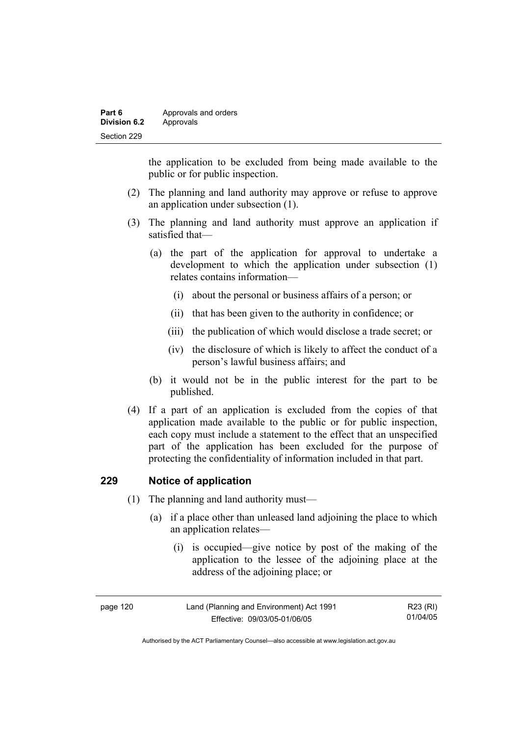| Part 6              | Approvals and orders |
|---------------------|----------------------|
| <b>Division 6.2</b> | Approvals            |
| Section 229         |                      |

the application to be excluded from being made available to the public or for public inspection.

- (2) The planning and land authority may approve or refuse to approve an application under subsection (1).
- (3) The planning and land authority must approve an application if satisfied that—
	- (a) the part of the application for approval to undertake a development to which the application under subsection (1) relates contains information—
		- (i) about the personal or business affairs of a person; or
		- (ii) that has been given to the authority in confidence; or
		- (iii) the publication of which would disclose a trade secret; or
		- (iv) the disclosure of which is likely to affect the conduct of a person's lawful business affairs; and
	- (b) it would not be in the public interest for the part to be published.
- (4) If a part of an application is excluded from the copies of that application made available to the public or for public inspection, each copy must include a statement to the effect that an unspecified part of the application has been excluded for the purpose of protecting the confidentiality of information included in that part.

#### **229 Notice of application**

- (1) The planning and land authority must—
	- (a) if a place other than unleased land adjoining the place to which an application relates—
		- (i) is occupied—give notice by post of the making of the application to the lessee of the adjoining place at the address of the adjoining place; or

| page 120 | Land (Planning and Environment) Act 1991 | R23 (RI) |
|----------|------------------------------------------|----------|
|          | Effective: 09/03/05-01/06/05             | 01/04/05 |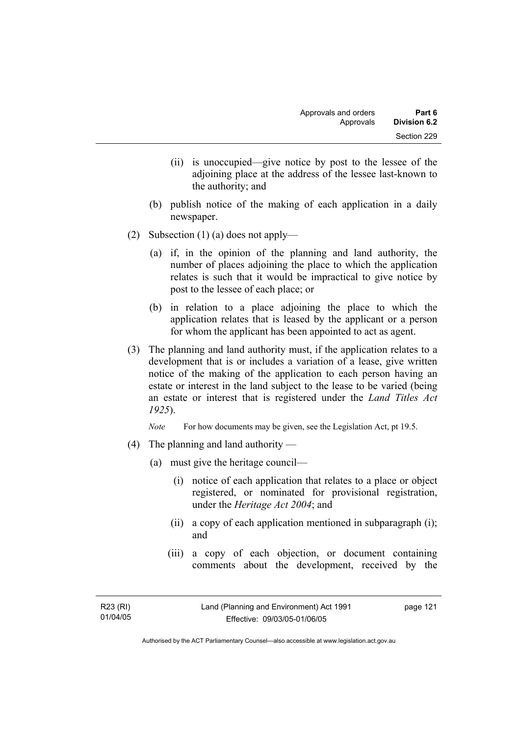- (ii) is unoccupied—give notice by post to the lessee of the adjoining place at the address of the lessee last-known to the authority; and
- (b) publish notice of the making of each application in a daily newspaper.
- (2) Subsection (1) (a) does not apply—
	- (a) if, in the opinion of the planning and land authority, the number of places adjoining the place to which the application relates is such that it would be impractical to give notice by post to the lessee of each place; or
	- (b) in relation to a place adjoining the place to which the application relates that is leased by the applicant or a person for whom the applicant has been appointed to act as agent.
- (3) The planning and land authority must, if the application relates to a development that is or includes a variation of a lease, give written notice of the making of the application to each person having an estate or interest in the land subject to the lease to be varied (being an estate or interest that is registered under the *Land Titles Act 1925*).

*Note* For how documents may be given, see the Legislation Act, pt 19.5.

- (4) The planning and land authority
	- (a) must give the heritage council—
		- (i) notice of each application that relates to a place or object registered, or nominated for provisional registration, under the *Heritage Act 2004*; and
		- (ii) a copy of each application mentioned in subparagraph (i); and
		- (iii) a copy of each objection, or document containing comments about the development, received by the

page 121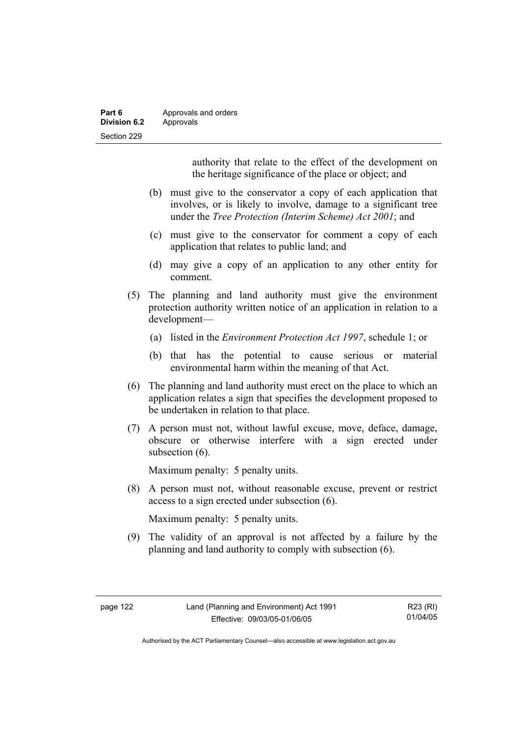| Part 6              | Approvals and orders |
|---------------------|----------------------|
| <b>Division 6.2</b> | Approvals            |
| Section 229         |                      |

authority that relate to the effect of the development on the heritage significance of the place or object; and

- (b) must give to the conservator a copy of each application that involves, or is likely to involve, damage to a significant tree under the *Tree Protection (Interim Scheme) Act 2001*; and
- (c) must give to the conservator for comment a copy of each application that relates to public land; and
- (d) may give a copy of an application to any other entity for comment.
- (5) The planning and land authority must give the environment protection authority written notice of an application in relation to a development—
	- (a) listed in the *Environment Protection Act 1997*, schedule 1; or
	- (b) that has the potential to cause serious or material environmental harm within the meaning of that Act.
- (6) The planning and land authority must erect on the place to which an application relates a sign that specifies the development proposed to be undertaken in relation to that place.
- (7) A person must not, without lawful excuse, move, deface, damage, obscure or otherwise interfere with a sign erected under subsection  $(6)$ .

Maximum penalty: 5 penalty units.

 (8) A person must not, without reasonable excuse, prevent or restrict access to a sign erected under subsection (6).

Maximum penalty: 5 penalty units.

 (9) The validity of an approval is not affected by a failure by the planning and land authority to comply with subsection (6).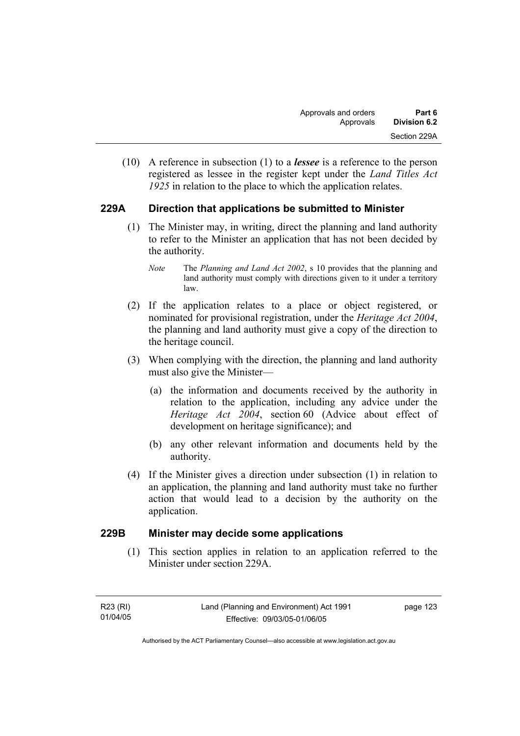(10) A reference in subsection (1) to a *lessee* is a reference to the person registered as lessee in the register kept under the *Land Titles Act 1925* in relation to the place to which the application relates.

# **229A Direction that applications be submitted to Minister**

- (1) The Minister may, in writing, direct the planning and land authority to refer to the Minister an application that has not been decided by the authority.
	- *Note* The *Planning and Land Act 2002*, s 10 provides that the planning and land authority must comply with directions given to it under a territory law.
- (2) If the application relates to a place or object registered, or nominated for provisional registration, under the *Heritage Act 2004*, the planning and land authority must give a copy of the direction to the heritage council.
- (3) When complying with the direction, the planning and land authority must also give the Minister—
	- (a) the information and documents received by the authority in relation to the application, including any advice under the *Heritage Act 2004*, section 60 (Advice about effect of development on heritage significance); and
	- (b) any other relevant information and documents held by the authority.
- (4) If the Minister gives a direction under subsection (1) in relation to an application, the planning and land authority must take no further action that would lead to a decision by the authority on the application.

# **229B Minister may decide some applications**

 (1) This section applies in relation to an application referred to the Minister under section 229A.

page 123

Authorised by the ACT Parliamentary Counsel—also accessible at www.legislation.act.gov.au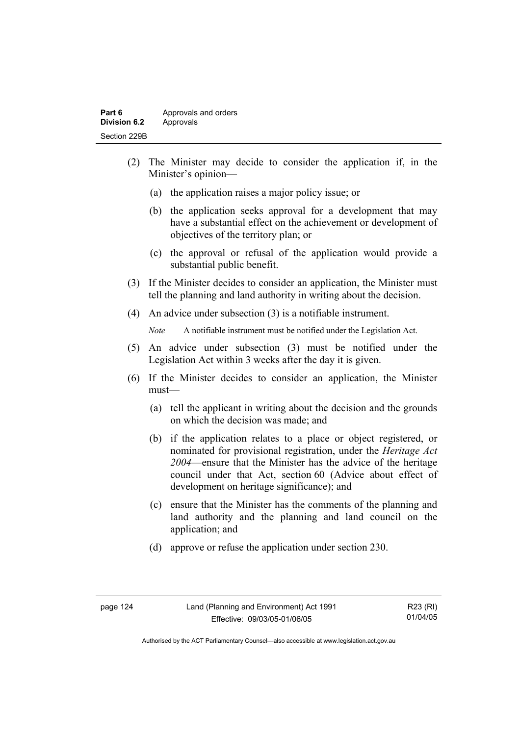- (2) The Minister may decide to consider the application if, in the Minister's opinion—
	- (a) the application raises a major policy issue; or
	- (b) the application seeks approval for a development that may have a substantial effect on the achievement or development of objectives of the territory plan; or
	- (c) the approval or refusal of the application would provide a substantial public benefit.
- (3) If the Minister decides to consider an application, the Minister must tell the planning and land authority in writing about the decision.
- (4) An advice under subsection (3) is a notifiable instrument.

*Note* A notifiable instrument must be notified under the Legislation Act.

- (5) An advice under subsection (3) must be notified under the Legislation Act within 3 weeks after the day it is given.
- (6) If the Minister decides to consider an application, the Minister must—
	- (a) tell the applicant in writing about the decision and the grounds on which the decision was made; and
	- (b) if the application relates to a place or object registered, or nominated for provisional registration, under the *Heritage Act 2004*—ensure that the Minister has the advice of the heritage council under that Act, section 60 (Advice about effect of development on heritage significance); and
	- (c) ensure that the Minister has the comments of the planning and land authority and the planning and land council on the application; and
	- (d) approve or refuse the application under section 230.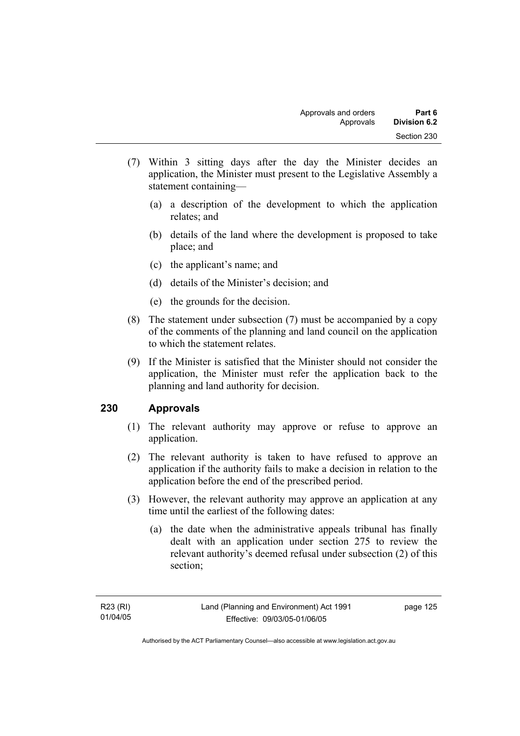- (7) Within 3 sitting days after the day the Minister decides an application, the Minister must present to the Legislative Assembly a statement containing—
	- (a) a description of the development to which the application relates; and
	- (b) details of the land where the development is proposed to take place; and
	- (c) the applicant's name; and
	- (d) details of the Minister's decision; and
	- (e) the grounds for the decision.
- (8) The statement under subsection (7) must be accompanied by a copy of the comments of the planning and land council on the application to which the statement relates.
- (9) If the Minister is satisfied that the Minister should not consider the application, the Minister must refer the application back to the planning and land authority for decision.

# **230 Approvals**

- (1) The relevant authority may approve or refuse to approve an application.
- (2) The relevant authority is taken to have refused to approve an application if the authority fails to make a decision in relation to the application before the end of the prescribed period.
- (3) However, the relevant authority may approve an application at any time until the earliest of the following dates:
	- (a) the date when the administrative appeals tribunal has finally dealt with an application under section 275 to review the relevant authority's deemed refusal under subsection (2) of this section;

page 125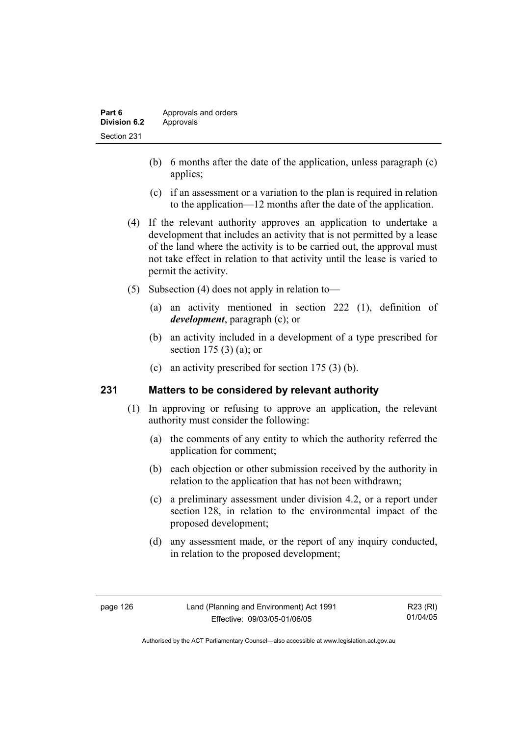- (b) 6 months after the date of the application, unless paragraph (c) applies;
- (c) if an assessment or a variation to the plan is required in relation to the application—12 months after the date of the application.
- (4) If the relevant authority approves an application to undertake a development that includes an activity that is not permitted by a lease of the land where the activity is to be carried out, the approval must not take effect in relation to that activity until the lease is varied to permit the activity.
- (5) Subsection (4) does not apply in relation to—
	- (a) an activity mentioned in section 222 (1), definition of *development*, paragraph (c); or
	- (b) an activity included in a development of a type prescribed for section 175 (3) (a); or
	- (c) an activity prescribed for section 175 (3) (b).

#### **231 Matters to be considered by relevant authority**

- (1) In approving or refusing to approve an application, the relevant authority must consider the following:
	- (a) the comments of any entity to which the authority referred the application for comment;
	- (b) each objection or other submission received by the authority in relation to the application that has not been withdrawn;
	- (c) a preliminary assessment under division 4.2, or a report under section 128, in relation to the environmental impact of the proposed development;
	- (d) any assessment made, or the report of any inquiry conducted, in relation to the proposed development;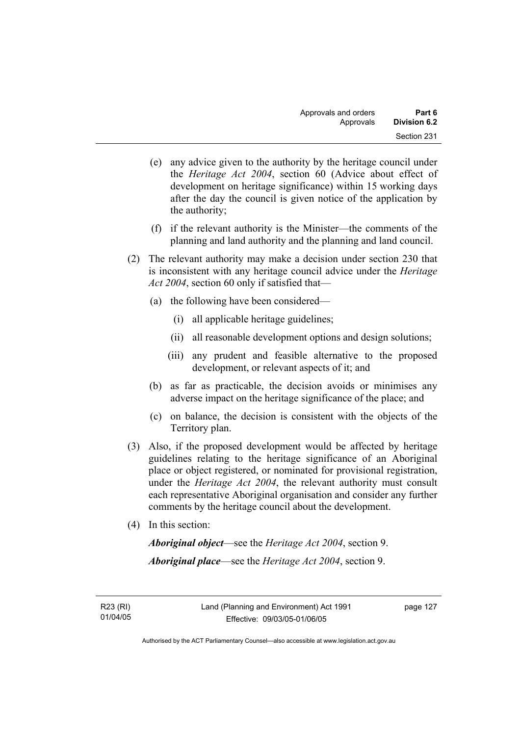- (e) any advice given to the authority by the heritage council under the *Heritage Act 2004*, section 60 (Advice about effect of development on heritage significance) within 15 working days after the day the council is given notice of the application by the authority;
- (f) if the relevant authority is the Minister—the comments of the planning and land authority and the planning and land council.
- (2) The relevant authority may make a decision under section 230 that is inconsistent with any heritage council advice under the *Heritage Act 2004*, section 60 only if satisfied that—
	- (a) the following have been considered—
		- (i) all applicable heritage guidelines;
		- (ii) all reasonable development options and design solutions;
		- (iii) any prudent and feasible alternative to the proposed development, or relevant aspects of it; and
	- (b) as far as practicable, the decision avoids or minimises any adverse impact on the heritage significance of the place; and
	- (c) on balance, the decision is consistent with the objects of the Territory plan.
- (3) Also, if the proposed development would be affected by heritage guidelines relating to the heritage significance of an Aboriginal place or object registered, or nominated for provisional registration, under the *Heritage Act 2004*, the relevant authority must consult each representative Aboriginal organisation and consider any further comments by the heritage council about the development.
- (4) In this section:

*Aboriginal object*—see the *Heritage Act 2004*, section 9. *Aboriginal place*—see the *Heritage Act 2004*, section 9.

R23 (RI) 01/04/05 page 127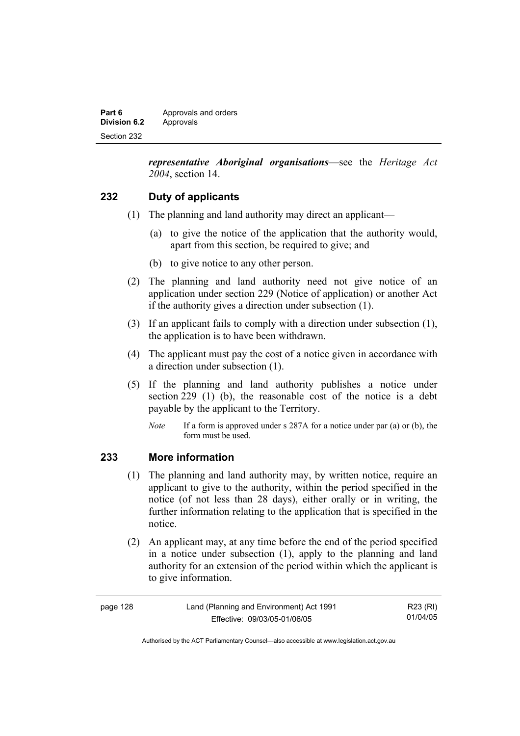| Part 6       | Approvals and orders |
|--------------|----------------------|
| Division 6.2 | Approvals            |
| Section 232  |                      |

*representative Aboriginal organisations*—see the *Heritage Act 2004*, section 14.

## **232 Duty of applicants**

- (1) The planning and land authority may direct an applicant—
	- (a) to give the notice of the application that the authority would, apart from this section, be required to give; and
	- (b) to give notice to any other person.
- (2) The planning and land authority need not give notice of an application under section 229 (Notice of application) or another Act if the authority gives a direction under subsection (1).
- (3) If an applicant fails to comply with a direction under subsection (1), the application is to have been withdrawn.
- (4) The applicant must pay the cost of a notice given in accordance with a direction under subsection (1).
- (5) If the planning and land authority publishes a notice under section 229 (1) (b), the reasonable cost of the notice is a debt payable by the applicant to the Territory.
	- *Note* If a form is approved under s 287A for a notice under par (a) or (b), the form must be used.

#### **233 More information**

- (1) The planning and land authority may, by written notice, require an applicant to give to the authority, within the period specified in the notice (of not less than 28 days), either orally or in writing, the further information relating to the application that is specified in the notice.
- (2) An applicant may, at any time before the end of the period specified in a notice under subsection (1), apply to the planning and land authority for an extension of the period within which the applicant is to give information.

| page 128 | Land (Planning and Environment) Act 1991 | R23 (RI) |
|----------|------------------------------------------|----------|
|          | Effective: 09/03/05-01/06/05             | 01/04/05 |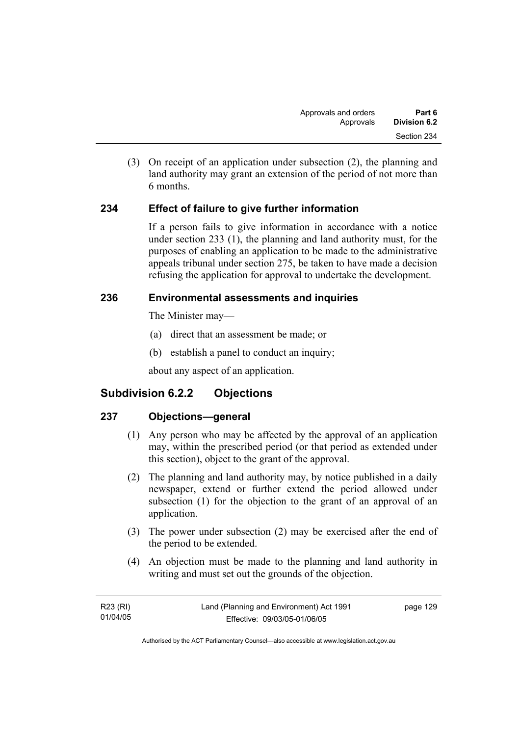(3) On receipt of an application under subsection (2), the planning and land authority may grant an extension of the period of not more than 6 months.

# **234 Effect of failure to give further information**

If a person fails to give information in accordance with a notice under section 233 (1), the planning and land authority must, for the purposes of enabling an application to be made to the administrative appeals tribunal under section 275, be taken to have made a decision refusing the application for approval to undertake the development.

# **236 Environmental assessments and inquiries**

The Minister may—

- (a) direct that an assessment be made; or
- (b) establish a panel to conduct an inquiry;

about any aspect of an application.

# **Subdivision 6.2.2 Objections**

# **237 Objections—general**

- (1) Any person who may be affected by the approval of an application may, within the prescribed period (or that period as extended under this section), object to the grant of the approval.
- (2) The planning and land authority may, by notice published in a daily newspaper, extend or further extend the period allowed under subsection (1) for the objection to the grant of an approval of an application.
- (3) The power under subsection (2) may be exercised after the end of the period to be extended.
- (4) An objection must be made to the planning and land authority in writing and must set out the grounds of the objection.

| R23 (RI) | Land (Planning and Environment) Act 1991 | page 129 |
|----------|------------------------------------------|----------|
| 01/04/05 | Effective: 09/03/05-01/06/05             |          |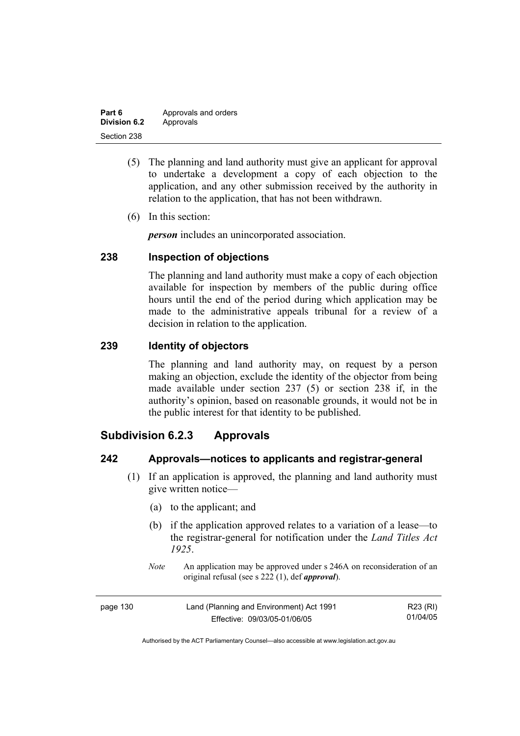| Part 6              | Approvals and orders |
|---------------------|----------------------|
| <b>Division 6.2</b> | Approvals            |
| Section 238         |                      |

- (5) The planning and land authority must give an applicant for approval to undertake a development a copy of each objection to the application, and any other submission received by the authority in relation to the application, that has not been withdrawn.
- (6) In this section:

*person* includes an unincorporated association.

## **238 Inspection of objections**

The planning and land authority must make a copy of each objection available for inspection by members of the public during office hours until the end of the period during which application may be made to the administrative appeals tribunal for a review of a decision in relation to the application.

#### **239 Identity of objectors**

The planning and land authority may, on request by a person making an objection, exclude the identity of the objector from being made available under section 237 (5) or section 238 if, in the authority's opinion, based on reasonable grounds, it would not be in the public interest for that identity to be published.

# **Subdivision 6.2.3 Approvals**

#### **242 Approvals—notices to applicants and registrar-general**

- (1) If an application is approved, the planning and land authority must give written notice—
	- (a) to the applicant; and
	- (b) if the application approved relates to a variation of a lease—to the registrar-general for notification under the *Land Titles Act 1925*.
	- *Note* An application may be approved under s 246A on reconsideration of an original refusal (see s 222 (1), def *approval*).

| page 130 | Land (Planning and Environment) Act 1991 | R23 (RI) |
|----------|------------------------------------------|----------|
|          | Effective: 09/03/05-01/06/05             | 01/04/05 |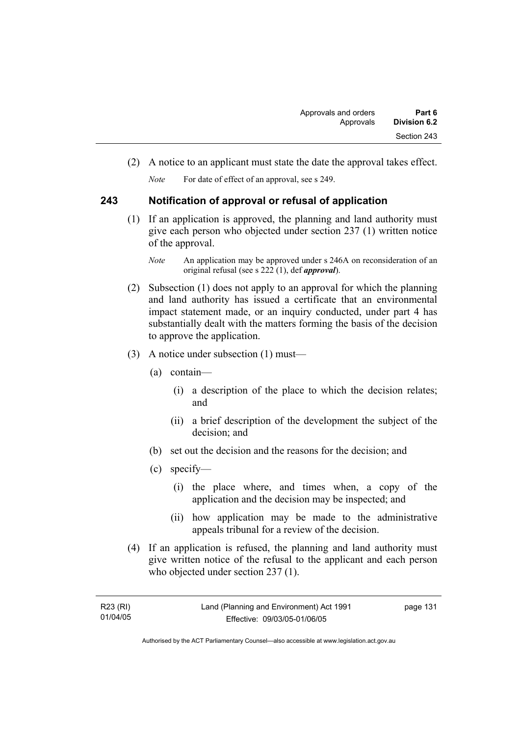(2) A notice to an applicant must state the date the approval takes effect.

*Note* For date of effect of an approval, see s 249.

# **243 Notification of approval or refusal of application**

 (1) If an application is approved, the planning and land authority must give each person who objected under section 237 (1) written notice of the approval.

- (2) Subsection (1) does not apply to an approval for which the planning and land authority has issued a certificate that an environmental impact statement made, or an inquiry conducted, under part 4 has substantially dealt with the matters forming the basis of the decision to approve the application.
- (3) A notice under subsection (1) must—
	- (a) contain—
		- (i) a description of the place to which the decision relates; and
		- (ii) a brief description of the development the subject of the decision; and
	- (b) set out the decision and the reasons for the decision; and
	- (c) specify—
		- (i) the place where, and times when, a copy of the application and the decision may be inspected; and
		- (ii) how application may be made to the administrative appeals tribunal for a review of the decision.
- (4) If an application is refused, the planning and land authority must give written notice of the refusal to the applicant and each person who objected under section 237 (1).

| R23 (RI) | Land (Planning and Environment) Act 1991 | page 131 |
|----------|------------------------------------------|----------|
| 01/04/05 | Effective: 09/03/05-01/06/05             |          |

*Note* An application may be approved under s 246A on reconsideration of an original refusal (see s 222 (1), def *approval*).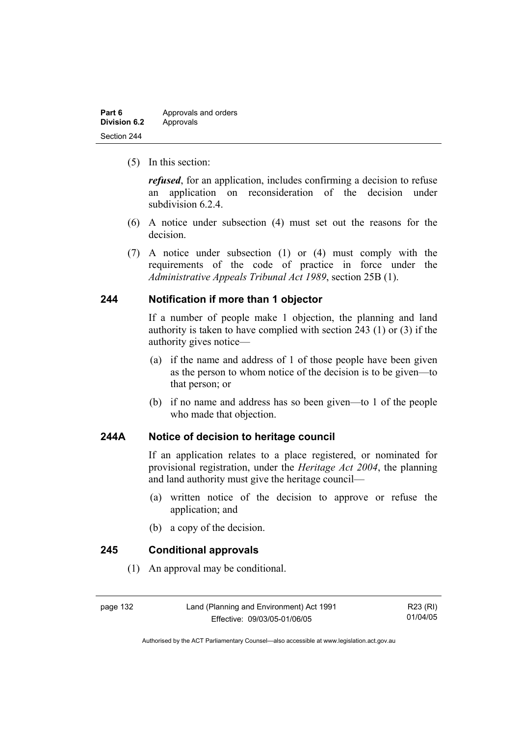| Part 6              | Approvals and orders |
|---------------------|----------------------|
| <b>Division 6.2</b> | Approvals            |
| Section 244         |                      |

(5) In this section:

*refused*, for an application, includes confirming a decision to refuse an application on reconsideration of the decision under subdivision 6.2.4.

- (6) A notice under subsection (4) must set out the reasons for the decision.
- (7) A notice under subsection (1) or (4) must comply with the requirements of the code of practice in force under the *Administrative Appeals Tribunal Act 1989*, section 25B (1).

### **244 Notification if more than 1 objector**

If a number of people make 1 objection, the planning and land authority is taken to have complied with section 243 (1) or (3) if the authority gives notice—

- (a) if the name and address of 1 of those people have been given as the person to whom notice of the decision is to be given—to that person; or
- (b) if no name and address has so been given—to 1 of the people who made that objection.

# **244A Notice of decision to heritage council**

If an application relates to a place registered, or nominated for provisional registration, under the *Heritage Act 2004*, the planning and land authority must give the heritage council—

- (a) written notice of the decision to approve or refuse the application; and
- (b) a copy of the decision.

#### **245 Conditional approvals**

(1) An approval may be conditional.

page 132 Land (Planning and Environment) Act 1991 Effective: 09/03/05-01/06/05

R23 (RI) 01/04/05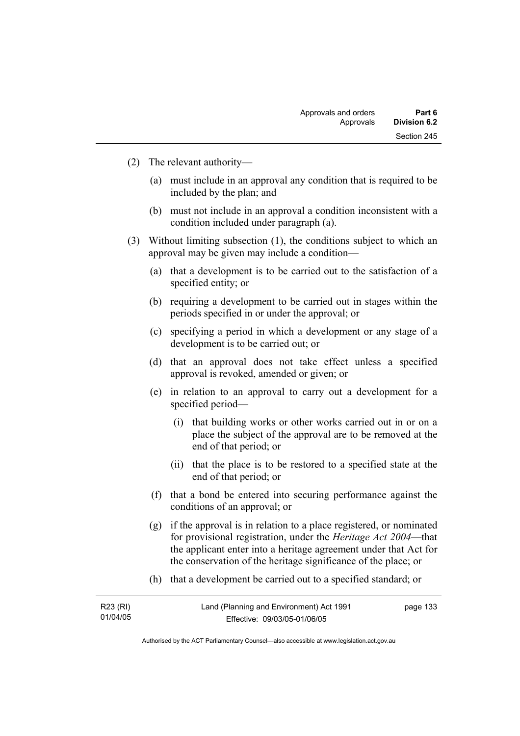- (2) The relevant authority—
	- (a) must include in an approval any condition that is required to be included by the plan; and
	- (b) must not include in an approval a condition inconsistent with a condition included under paragraph (a).
- (3) Without limiting subsection (1), the conditions subject to which an approval may be given may include a condition—
	- (a) that a development is to be carried out to the satisfaction of a specified entity; or
	- (b) requiring a development to be carried out in stages within the periods specified in or under the approval; or
	- (c) specifying a period in which a development or any stage of a development is to be carried out; or
	- (d) that an approval does not take effect unless a specified approval is revoked, amended or given; or
	- (e) in relation to an approval to carry out a development for a specified period—
		- (i) that building works or other works carried out in or on a place the subject of the approval are to be removed at the end of that period; or
		- (ii) that the place is to be restored to a specified state at the end of that period; or
	- (f) that a bond be entered into securing performance against the conditions of an approval; or
	- (g) if the approval is in relation to a place registered, or nominated for provisional registration, under the *Heritage Act 2004*—that the applicant enter into a heritage agreement under that Act for the conservation of the heritage significance of the place; or
	- (h) that a development be carried out to a specified standard; or

| R23 (RI) | Land (Planning and Environment) Act 1991 | page 133 |
|----------|------------------------------------------|----------|
| 01/04/05 | Effective: 09/03/05-01/06/05             |          |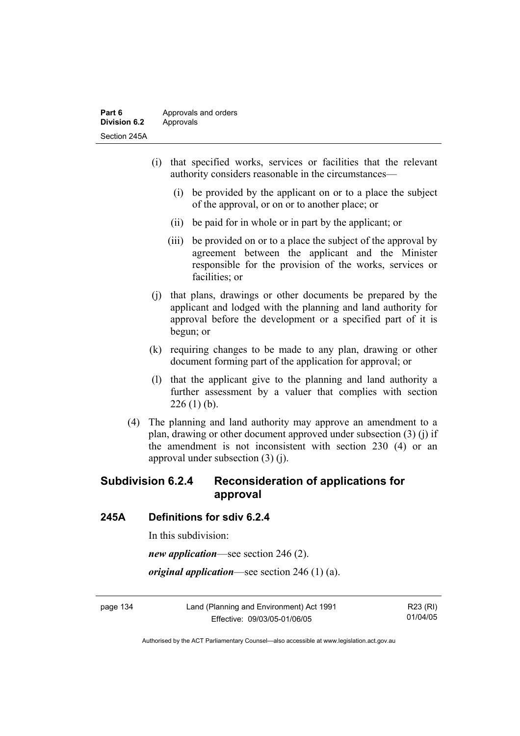- (i) that specified works, services or facilities that the relevant authority considers reasonable in the circumstances—
	- (i) be provided by the applicant on or to a place the subject of the approval, or on or to another place; or
	- (ii) be paid for in whole or in part by the applicant; or
	- (iii) be provided on or to a place the subject of the approval by agreement between the applicant and the Minister responsible for the provision of the works, services or facilities; or
- (j) that plans, drawings or other documents be prepared by the applicant and lodged with the planning and land authority for approval before the development or a specified part of it is begun; or
- (k) requiring changes to be made to any plan, drawing or other document forming part of the application for approval; or
- (l) that the applicant give to the planning and land authority a further assessment by a valuer that complies with section  $226(1)$  (b).
- (4) The planning and land authority may approve an amendment to a plan, drawing or other document approved under subsection (3) (j) if the amendment is not inconsistent with section 230 (4) or an approval under subsection (3) (j).

# **Subdivision 6.2.4 Reconsideration of applications for approval**

### **245A Definitions for sdiv 6.2.4**

In this subdivision:

*new application*—see section 246 (2).

*original application*—see section 246 (1) (a).

page 134 Land (Planning and Environment) Act 1991 Effective: 09/03/05-01/06/05

R23 (RI) 01/04/05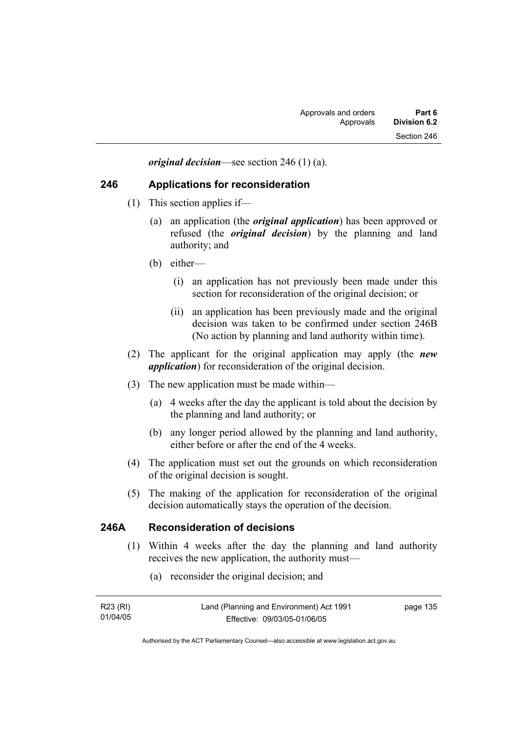*original decision*—see section 246 (1) (a).

### **246 Applications for reconsideration**

- (1) This section applies if—
	- (a) an application (the *original application*) has been approved or refused (the *original decision*) by the planning and land authority; and
	- (b) either—
		- (i) an application has not previously been made under this section for reconsideration of the original decision; or
		- (ii) an application has been previously made and the original decision was taken to be confirmed under section 246B (No action by planning and land authority within time).
- (2) The applicant for the original application may apply (the *new application*) for reconsideration of the original decision.
- (3) The new application must be made within—
	- (a) 4 weeks after the day the applicant is told about the decision by the planning and land authority; or
	- (b) any longer period allowed by the planning and land authority, either before or after the end of the 4 weeks.
- (4) The application must set out the grounds on which reconsideration of the original decision is sought.
- (5) The making of the application for reconsideration of the original decision automatically stays the operation of the decision.

## **246A Reconsideration of decisions**

- (1) Within 4 weeks after the day the planning and land authority receives the new application, the authority must—
	- (a) reconsider the original decision; and

| R23 (RI) | Land (Planning and Environment) Act 1991 | page 135 |
|----------|------------------------------------------|----------|
| 01/04/05 | Effective: 09/03/05-01/06/05             |          |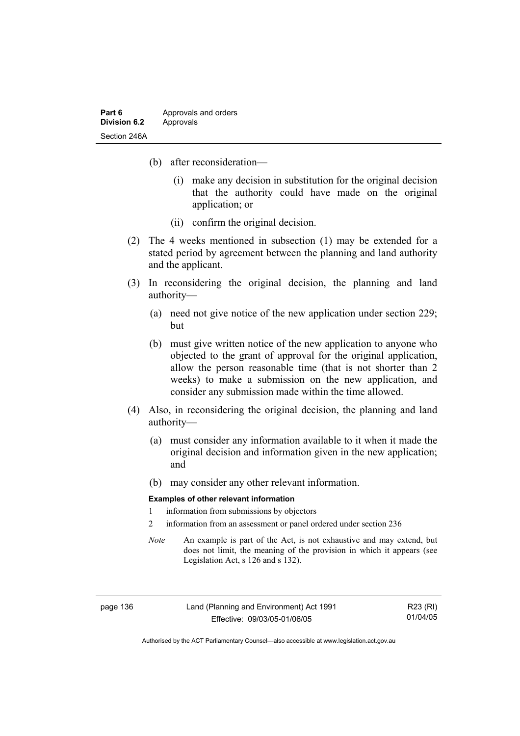- (b) after reconsideration—
	- (i) make any decision in substitution for the original decision that the authority could have made on the original application; or
	- (ii) confirm the original decision.
- (2) The 4 weeks mentioned in subsection (1) may be extended for a stated period by agreement between the planning and land authority and the applicant.
- (3) In reconsidering the original decision, the planning and land authority—
	- (a) need not give notice of the new application under section 229; but
	- (b) must give written notice of the new application to anyone who objected to the grant of approval for the original application, allow the person reasonable time (that is not shorter than 2 weeks) to make a submission on the new application, and consider any submission made within the time allowed.
- (4) Also, in reconsidering the original decision, the planning and land authority—
	- (a) must consider any information available to it when it made the original decision and information given in the new application; and
	- (b) may consider any other relevant information.

#### **Examples of other relevant information**

- 1 information from submissions by objectors
- 2 information from an assessment or panel ordered under section 236
- *Note* An example is part of the Act, is not exhaustive and may extend, but does not limit, the meaning of the provision in which it appears (see Legislation Act, s 126 and s 132).

Land (Planning and Environment) Act 1991 Effective: 09/03/05-01/06/05

R23 (RI) 01/04/05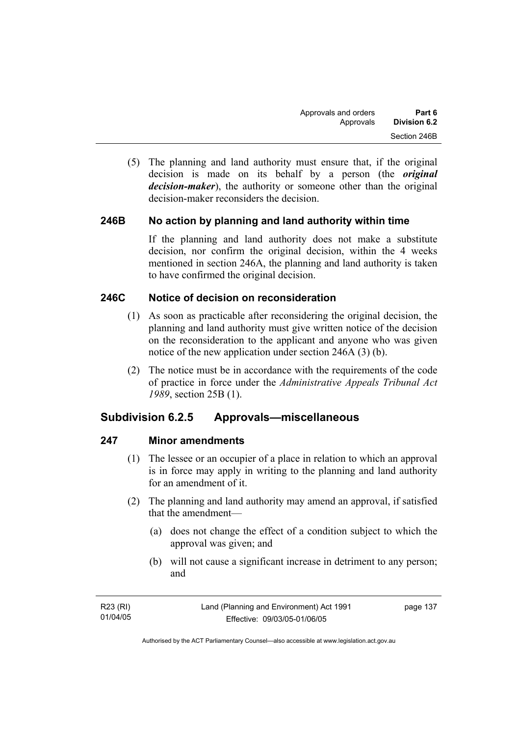(5) The planning and land authority must ensure that, if the original decision is made on its behalf by a person (the *original decision-maker*), the authority or someone other than the original decision-maker reconsiders the decision.

# **246B No action by planning and land authority within time**

If the planning and land authority does not make a substitute decision, nor confirm the original decision, within the 4 weeks mentioned in section 246A, the planning and land authority is taken to have confirmed the original decision.

# **246C Notice of decision on reconsideration**

- (1) As soon as practicable after reconsidering the original decision, the planning and land authority must give written notice of the decision on the reconsideration to the applicant and anyone who was given notice of the new application under section 246A (3) (b).
- (2) The notice must be in accordance with the requirements of the code of practice in force under the *Administrative Appeals Tribunal Act 1989*, section 25B (1).

# **Subdivision 6.2.5 Approvals—miscellaneous**

### **247 Minor amendments**

- (1) The lessee or an occupier of a place in relation to which an approval is in force may apply in writing to the planning and land authority for an amendment of it.
- (2) The planning and land authority may amend an approval, if satisfied that the amendment—
	- (a) does not change the effect of a condition subject to which the approval was given; and
	- (b) will not cause a significant increase in detriment to any person; and

| R23 (RI) | Land (Planning and Environment) Act 1991 | page 137 |
|----------|------------------------------------------|----------|
| 01/04/05 | Effective: 09/03/05-01/06/05             |          |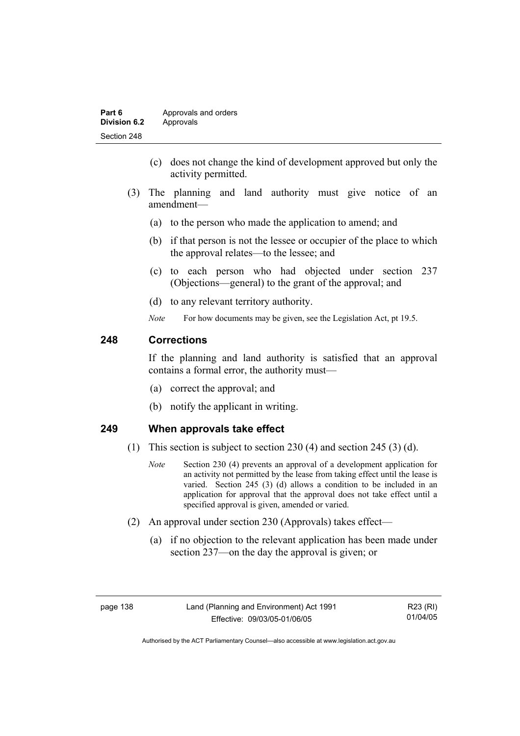| Part 6       | Approvals and orders |
|--------------|----------------------|
| Division 6.2 | Approvals            |
| Section 248  |                      |

- (c) does not change the kind of development approved but only the activity permitted.
- (3) The planning and land authority must give notice of an amendment—
	- (a) to the person who made the application to amend; and
	- (b) if that person is not the lessee or occupier of the place to which the approval relates—to the lessee; and
	- (c) to each person who had objected under section 237 (Objections—general) to the grant of the approval; and
	- (d) to any relevant territory authority.
	- *Note* For how documents may be given, see the Legislation Act, pt 19.5.

# **248 Corrections**

If the planning and land authority is satisfied that an approval contains a formal error, the authority must—

- (a) correct the approval; and
- (b) notify the applicant in writing.

### **249 When approvals take effect**

- (1) This section is subject to section 230 (4) and section 245 (3) (d).
	- *Note* Section 230 (4) prevents an approval of a development application for an activity not permitted by the lease from taking effect until the lease is varied. Section 245 (3) (d) allows a condition to be included in an application for approval that the approval does not take effect until a specified approval is given, amended or varied.
- (2) An approval under section 230 (Approvals) takes effect—
	- (a) if no objection to the relevant application has been made under section 237—on the day the approval is given; or

R23 (RI) 01/04/05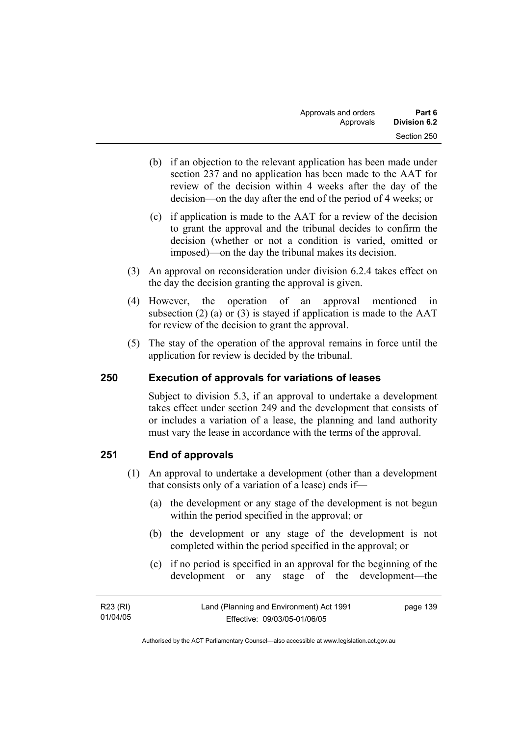- (b) if an objection to the relevant application has been made under section 237 and no application has been made to the AAT for review of the decision within 4 weeks after the day of the decision—on the day after the end of the period of 4 weeks; or
- (c) if application is made to the AAT for a review of the decision to grant the approval and the tribunal decides to confirm the decision (whether or not a condition is varied, omitted or imposed)—on the day the tribunal makes its decision.
- (3) An approval on reconsideration under division 6.2.4 takes effect on the day the decision granting the approval is given.
- (4) However, the operation of an approval mentioned in subsection (2) (a) or (3) is stayed if application is made to the  $AAT$ for review of the decision to grant the approval.
- (5) The stay of the operation of the approval remains in force until the application for review is decided by the tribunal.

# **250 Execution of approvals for variations of leases**

Subject to division 5.3, if an approval to undertake a development takes effect under section 249 and the development that consists of or includes a variation of a lease, the planning and land authority must vary the lease in accordance with the terms of the approval.

# **251 End of approvals**

- (1) An approval to undertake a development (other than a development that consists only of a variation of a lease) ends if—
	- (a) the development or any stage of the development is not begun within the period specified in the approval; or
	- (b) the development or any stage of the development is not completed within the period specified in the approval; or
	- (c) if no period is specified in an approval for the beginning of the development or any stage of the development—the

| R23 (RI) | Land (Planning and Environment) Act 1991 | page 139 |
|----------|------------------------------------------|----------|
| 01/04/05 | Effective: 09/03/05-01/06/05             |          |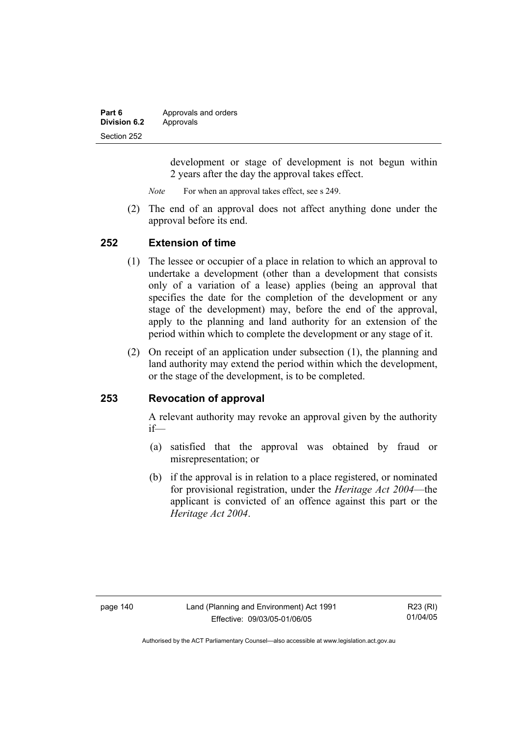| Part 6       | Approvals and orders |
|--------------|----------------------|
| Division 6.2 | Approvals            |
| Section 252  |                      |

development or stage of development is not begun within 2 years after the day the approval takes effect.

*Note* For when an approval takes effect, see s 249.

 (2) The end of an approval does not affect anything done under the approval before its end.

#### **252 Extension of time**

- (1) The lessee or occupier of a place in relation to which an approval to undertake a development (other than a development that consists only of a variation of a lease) applies (being an approval that specifies the date for the completion of the development or any stage of the development) may, before the end of the approval, apply to the planning and land authority for an extension of the period within which to complete the development or any stage of it.
- (2) On receipt of an application under subsection (1), the planning and land authority may extend the period within which the development, or the stage of the development, is to be completed.

### **253 Revocation of approval**

A relevant authority may revoke an approval given by the authority if—

- (a) satisfied that the approval was obtained by fraud or misrepresentation; or
- (b) if the approval is in relation to a place registered, or nominated for provisional registration, under the *Heritage Act 2004*—the applicant is convicted of an offence against this part or the *Heritage Act 2004*.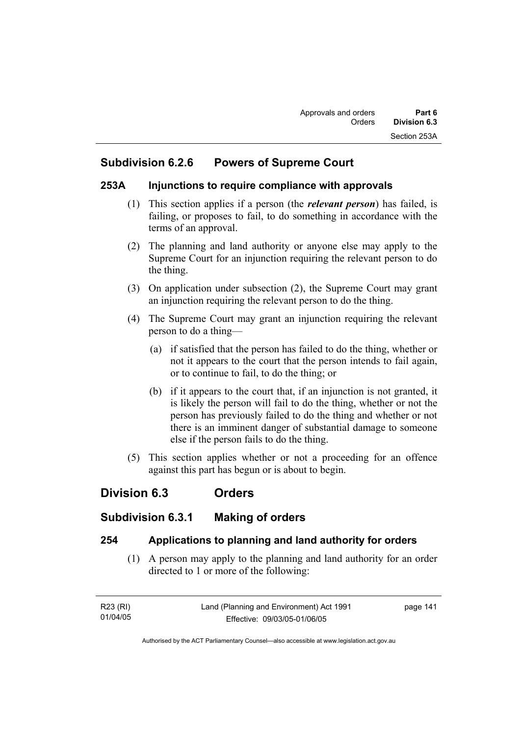# **Subdivision 6.2.6 Powers of Supreme Court**

# **253A Injunctions to require compliance with approvals**

- (1) This section applies if a person (the *relevant person*) has failed, is failing, or proposes to fail, to do something in accordance with the terms of an approval.
- (2) The planning and land authority or anyone else may apply to the Supreme Court for an injunction requiring the relevant person to do the thing.
- (3) On application under subsection (2), the Supreme Court may grant an injunction requiring the relevant person to do the thing.
- (4) The Supreme Court may grant an injunction requiring the relevant person to do a thing—
	- (a) if satisfied that the person has failed to do the thing, whether or not it appears to the court that the person intends to fail again, or to continue to fail, to do the thing; or
	- (b) if it appears to the court that, if an injunction is not granted, it is likely the person will fail to do the thing, whether or not the person has previously failed to do the thing and whether or not there is an imminent danger of substantial damage to someone else if the person fails to do the thing.
- (5) This section applies whether or not a proceeding for an offence against this part has begun or is about to begin.

# **Division 6.3 Orders**

# **Subdivision 6.3.1 Making of orders**

# **254 Applications to planning and land authority for orders**

 (1) A person may apply to the planning and land authority for an order directed to 1 or more of the following:

| R23 (RI) | Land (Planning and Environment) Act 1991 | page 141 |
|----------|------------------------------------------|----------|
| 01/04/05 | Effective: 09/03/05-01/06/05             |          |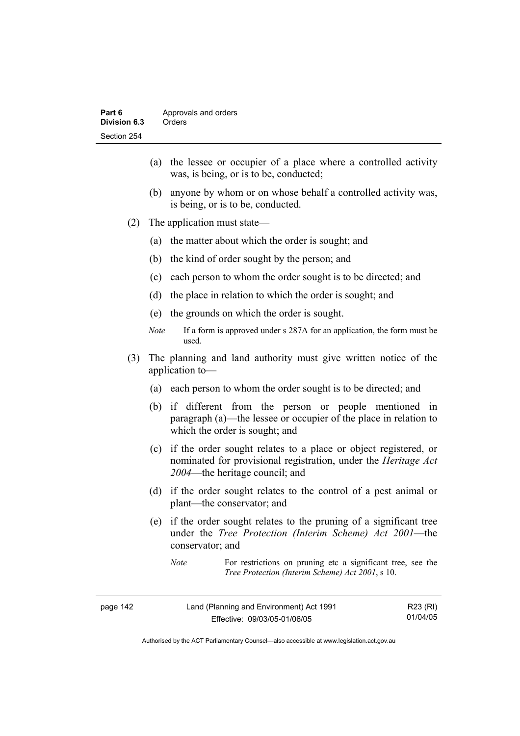- (a) the lessee or occupier of a place where a controlled activity was, is being, or is to be, conducted;
- (b) anyone by whom or on whose behalf a controlled activity was, is being, or is to be, conducted.
- (2) The application must state—
	- (a) the matter about which the order is sought; and
	- (b) the kind of order sought by the person; and
	- (c) each person to whom the order sought is to be directed; and
	- (d) the place in relation to which the order is sought; and
	- (e) the grounds on which the order is sought.
	- *Note* If a form is approved under s 287A for an application, the form must be used.
- (3) The planning and land authority must give written notice of the application to—
	- (a) each person to whom the order sought is to be directed; and
	- (b) if different from the person or people mentioned in paragraph (a)—the lessee or occupier of the place in relation to which the order is sought; and
	- (c) if the order sought relates to a place or object registered, or nominated for provisional registration, under the *Heritage Act 2004*—the heritage council; and
	- (d) if the order sought relates to the control of a pest animal or plant—the conservator; and
	- (e) if the order sought relates to the pruning of a significant tree under the *Tree Protection (Interim Scheme) Act 2001*—the conservator; and

*Note* For restrictions on pruning etc a significant tree, see the *Tree Protection (Interim Scheme) Act 2001*, s 10.

| page 142 | Land (Planning and Environment) Act 1991 | R23 (RI) |
|----------|------------------------------------------|----------|
|          | Effective: 09/03/05-01/06/05             | 01/04/05 |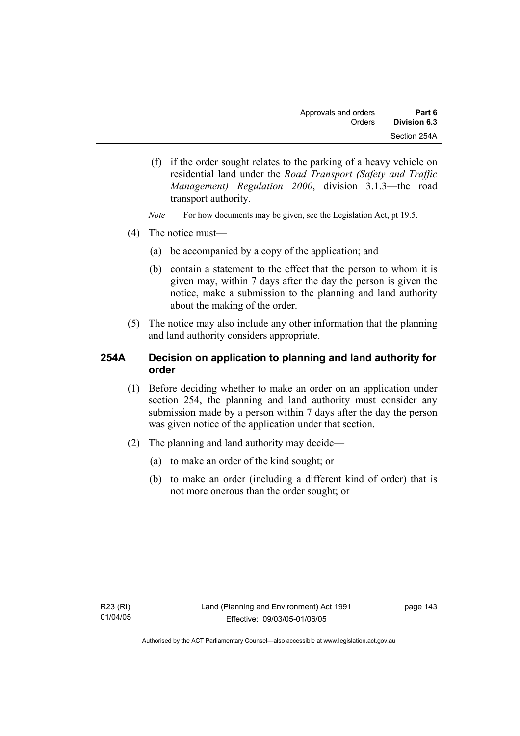- (f) if the order sought relates to the parking of a heavy vehicle on residential land under the *Road Transport (Safety and Traffic Management) Regulation 2000*, division 3.1.3—the road transport authority.
- *Note* For how documents may be given, see the Legislation Act, pt 19.5.
- (4) The notice must—
	- (a) be accompanied by a copy of the application; and
	- (b) contain a statement to the effect that the person to whom it is given may, within 7 days after the day the person is given the notice, make a submission to the planning and land authority about the making of the order.
- (5) The notice may also include any other information that the planning and land authority considers appropriate.

# **254A Decision on application to planning and land authority for order**

- (1) Before deciding whether to make an order on an application under section 254, the planning and land authority must consider any submission made by a person within 7 days after the day the person was given notice of the application under that section.
- (2) The planning and land authority may decide—
	- (a) to make an order of the kind sought; or
	- (b) to make an order (including a different kind of order) that is not more onerous than the order sought; or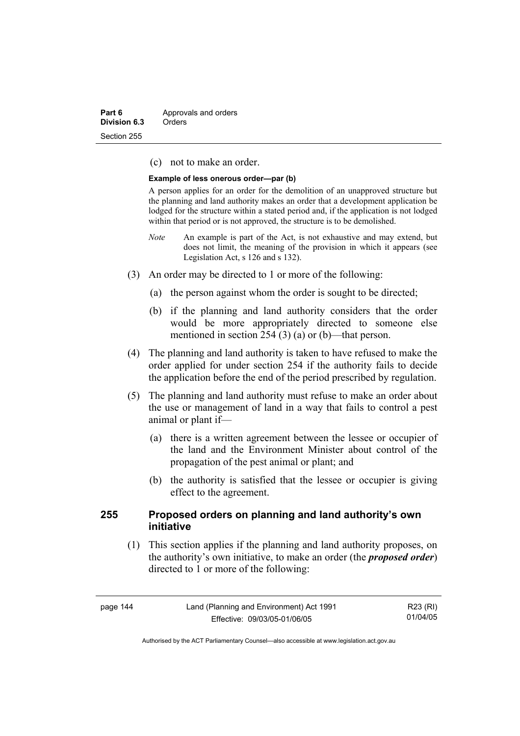| Part 6       | Approvals and orders |
|--------------|----------------------|
| Division 6.3 | Orders               |
| Section 255  |                      |

(c) not to make an order.

#### **Example of less onerous order—par (b)**

A person applies for an order for the demolition of an unapproved structure but the planning and land authority makes an order that a development application be lodged for the structure within a stated period and, if the application is not lodged within that period or is not approved, the structure is to be demolished.

- *Note* An example is part of the Act, is not exhaustive and may extend, but does not limit, the meaning of the provision in which it appears (see Legislation Act, s 126 and s 132).
- (3) An order may be directed to 1 or more of the following:
	- (a) the person against whom the order is sought to be directed;
	- (b) if the planning and land authority considers that the order would be more appropriately directed to someone else mentioned in section 254 (3) (a) or (b)—that person.
- (4) The planning and land authority is taken to have refused to make the order applied for under section 254 if the authority fails to decide the application before the end of the period prescribed by regulation.
- (5) The planning and land authority must refuse to make an order about the use or management of land in a way that fails to control a pest animal or plant if—
	- (a) there is a written agreement between the lessee or occupier of the land and the Environment Minister about control of the propagation of the pest animal or plant; and
	- (b) the authority is satisfied that the lessee or occupier is giving effect to the agreement.

### **255 Proposed orders on planning and land authority's own initiative**

 (1) This section applies if the planning and land authority proposes, on the authority's own initiative, to make an order (the *proposed order*) directed to 1 or more of the following:

| page 144 | Land (Planning and Environment) Act 1991 | R23 (RI) |
|----------|------------------------------------------|----------|
|          | Effective: 09/03/05-01/06/05             | 01/04/05 |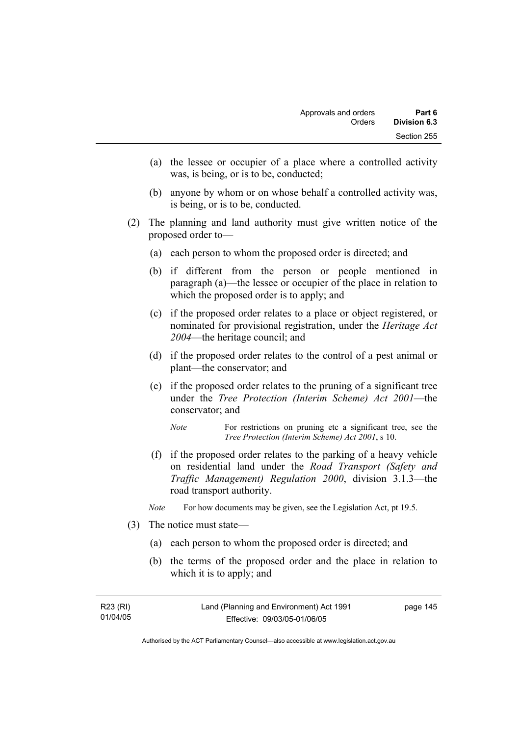- (a) the lessee or occupier of a place where a controlled activity was, is being, or is to be, conducted;
- (b) anyone by whom or on whose behalf a controlled activity was, is being, or is to be, conducted.
- (2) The planning and land authority must give written notice of the proposed order to—
	- (a) each person to whom the proposed order is directed; and
	- (b) if different from the person or people mentioned in paragraph (a)—the lessee or occupier of the place in relation to which the proposed order is to apply; and
	- (c) if the proposed order relates to a place or object registered, or nominated for provisional registration, under the *Heritage Act 2004*—the heritage council; and
	- (d) if the proposed order relates to the control of a pest animal or plant—the conservator; and
	- (e) if the proposed order relates to the pruning of a significant tree under the *Tree Protection (Interim Scheme) Act 2001*—the conservator; and
		- *Note* For restrictions on pruning etc a significant tree, see the *Tree Protection (Interim Scheme) Act 2001*, s 10.
	- (f) if the proposed order relates to the parking of a heavy vehicle on residential land under the *Road Transport (Safety and Traffic Management) Regulation 2000*, division 3.1.3—the road transport authority.
	- *Note* For how documents may be given, see the Legislation Act, pt 19.5.
- (3) The notice must state—
	- (a) each person to whom the proposed order is directed; and
	- (b) the terms of the proposed order and the place in relation to which it is to apply; and

| R23 (RI) | Land (Planning and Environment) Act 1991 | page 145 |
|----------|------------------------------------------|----------|
| 01/04/05 | Effective: 09/03/05-01/06/05             |          |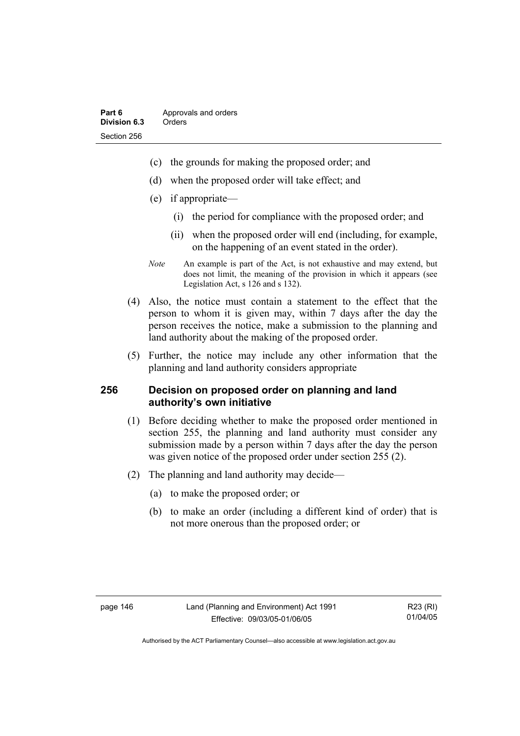- (c) the grounds for making the proposed order; and
- (d) when the proposed order will take effect; and
- (e) if appropriate—
	- (i) the period for compliance with the proposed order; and
	- (ii) when the proposed order will end (including, for example, on the happening of an event stated in the order).
- *Note* An example is part of the Act, is not exhaustive and may extend, but does not limit, the meaning of the provision in which it appears (see Legislation Act, s 126 and s 132).
- (4) Also, the notice must contain a statement to the effect that the person to whom it is given may, within 7 days after the day the person receives the notice, make a submission to the planning and land authority about the making of the proposed order.
- (5) Further, the notice may include any other information that the planning and land authority considers appropriate

### **256 Decision on proposed order on planning and land authority's own initiative**

- (1) Before deciding whether to make the proposed order mentioned in section 255, the planning and land authority must consider any submission made by a person within 7 days after the day the person was given notice of the proposed order under section 255 (2).
- (2) The planning and land authority may decide—
	- (a) to make the proposed order; or
	- (b) to make an order (including a different kind of order) that is not more onerous than the proposed order; or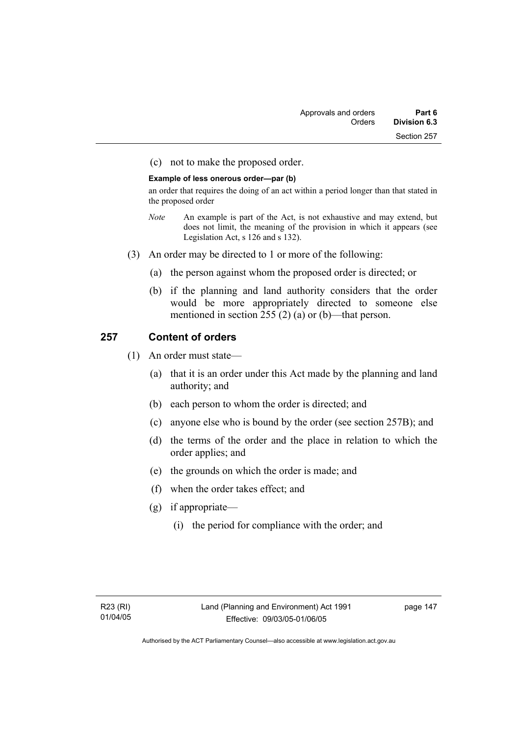(c) not to make the proposed order.

#### **Example of less onerous order—par (b)**

an order that requires the doing of an act within a period longer than that stated in the proposed order

- *Note* An example is part of the Act, is not exhaustive and may extend, but does not limit, the meaning of the provision in which it appears (see Legislation Act, s 126 and s 132).
- (3) An order may be directed to 1 or more of the following:
	- (a) the person against whom the proposed order is directed; or
	- (b) if the planning and land authority considers that the order would be more appropriately directed to someone else mentioned in section 255 (2) (a) or (b)—that person.

# **257 Content of orders**

- (1) An order must state—
	- (a) that it is an order under this Act made by the planning and land authority; and
	- (b) each person to whom the order is directed; and
	- (c) anyone else who is bound by the order (see section 257B); and
	- (d) the terms of the order and the place in relation to which the order applies; and
	- (e) the grounds on which the order is made; and
	- (f) when the order takes effect; and
	- (g) if appropriate—
		- (i) the period for compliance with the order; and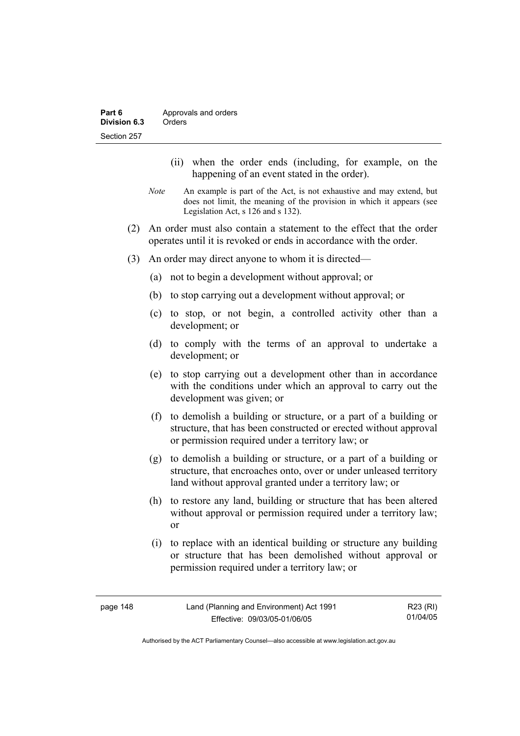- (ii) when the order ends (including, for example, on the happening of an event stated in the order).
- *Note* An example is part of the Act, is not exhaustive and may extend, but does not limit, the meaning of the provision in which it appears (see Legislation Act, s 126 and s 132).
- (2) An order must also contain a statement to the effect that the order operates until it is revoked or ends in accordance with the order.
- (3) An order may direct anyone to whom it is directed—
	- (a) not to begin a development without approval; or
	- (b) to stop carrying out a development without approval; or
	- (c) to stop, or not begin, a controlled activity other than a development; or
	- (d) to comply with the terms of an approval to undertake a development; or
	- (e) to stop carrying out a development other than in accordance with the conditions under which an approval to carry out the development was given; or
	- (f) to demolish a building or structure, or a part of a building or structure, that has been constructed or erected without approval or permission required under a territory law; or
	- (g) to demolish a building or structure, or a part of a building or structure, that encroaches onto, over or under unleased territory land without approval granted under a territory law; or
	- (h) to restore any land, building or structure that has been altered without approval or permission required under a territory law; or
	- (i) to replace with an identical building or structure any building or structure that has been demolished without approval or permission required under a territory law; or

| page 148 | Land (Planning and Environment) Act 1991 | R23 (RI) |
|----------|------------------------------------------|----------|
|          | Effective: 09/03/05-01/06/05             | 01/04/05 |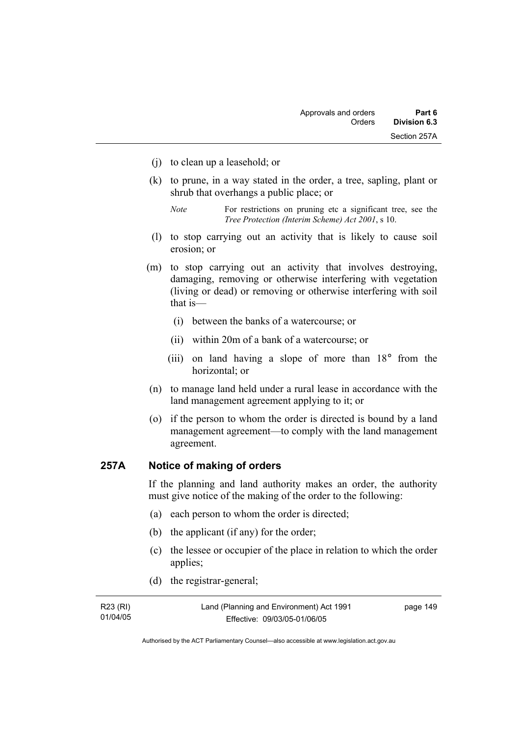- (j) to clean up a leasehold; or
- (k) to prune, in a way stated in the order, a tree, sapling, plant or shrub that overhangs a public place; or
	- *Note* For restrictions on pruning etc a significant tree, see the *Tree Protection (Interim Scheme) Act 2001*, s 10.
- (l) to stop carrying out an activity that is likely to cause soil erosion; or
- (m) to stop carrying out an activity that involves destroying, damaging, removing or otherwise interfering with vegetation (living or dead) or removing or otherwise interfering with soil that is—
	- (i) between the banks of a watercourse; or
	- (ii) within 20m of a bank of a watercourse; or
	- (iii) on land having a slope of more than 18° from the horizontal; or
- (n) to manage land held under a rural lease in accordance with the land management agreement applying to it; or
- (o) if the person to whom the order is directed is bound by a land management agreement—to comply with the land management agreement.

# **257A Notice of making of orders**

If the planning and land authority makes an order, the authority must give notice of the making of the order to the following:

- (a) each person to whom the order is directed;
- (b) the applicant (if any) for the order;
- (c) the lessee or occupier of the place in relation to which the order applies;
- (d) the registrar-general;

| R23 (RI) | Land (Planning and Environment) Act 1991 | page 149 |
|----------|------------------------------------------|----------|
| 01/04/05 | Effective: 09/03/05-01/06/05             |          |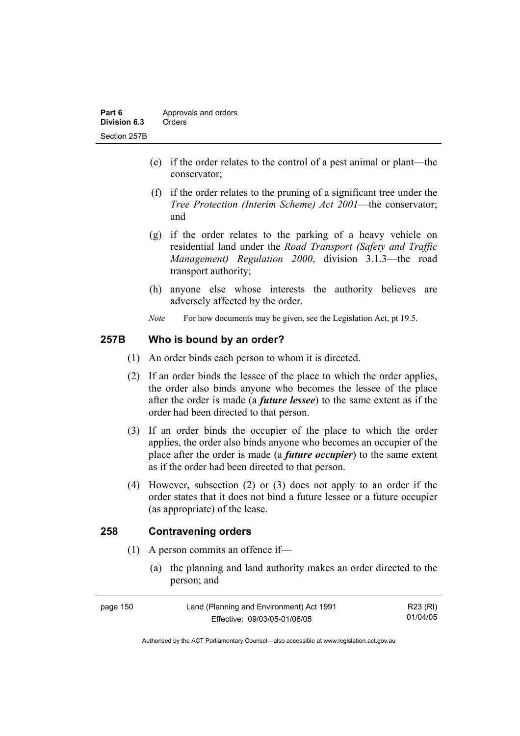- (e) if the order relates to the control of a pest animal or plant—the conservator;
- (f) if the order relates to the pruning of a significant tree under the *Tree Protection (Interim Scheme) Act 2001*—the conservator; and
- (g) if the order relates to the parking of a heavy vehicle on residential land under the *Road Transport (Safety and Traffic Management) Regulation 2000*, division 3.1.3—the road transport authority;
- (h) anyone else whose interests the authority believes are adversely affected by the order.
- *Note* For how documents may be given, see the Legislation Act, pt 19.5.

# **257B Who is bound by an order?**

- (1) An order binds each person to whom it is directed.
- (2) If an order binds the lessee of the place to which the order applies, the order also binds anyone who becomes the lessee of the place after the order is made (a *future lessee*) to the same extent as if the order had been directed to that person.
- (3) If an order binds the occupier of the place to which the order applies, the order also binds anyone who becomes an occupier of the place after the order is made (a *future occupier*) to the same extent as if the order had been directed to that person.
- (4) However, subsection (2) or (3) does not apply to an order if the order states that it does not bind a future lessee or a future occupier (as appropriate) of the lease.

### **258 Contravening orders**

- (1) A person commits an offence if—
	- (a) the planning and land authority makes an order directed to the person; and

| page 150 | Land (Planning and Environment) Act 1991 | R23 (RI) |
|----------|------------------------------------------|----------|
|          | Effective: 09/03/05-01/06/05             | 01/04/05 |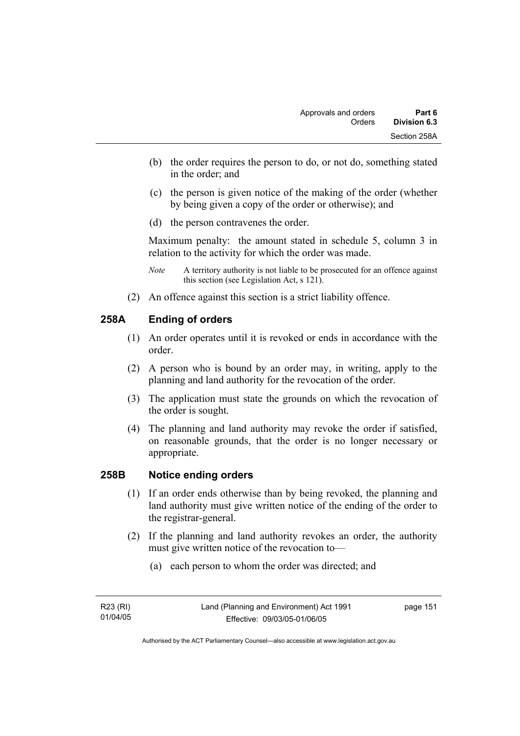- (b) the order requires the person to do, or not do, something stated in the order; and
- (c) the person is given notice of the making of the order (whether by being given a copy of the order or otherwise); and
- (d) the person contravenes the order.

Maximum penalty: the amount stated in schedule 5, column 3 in relation to the activity for which the order was made.

- *Note* A territory authority is not liable to be prosecuted for an offence against this section (see Legislation Act, s 121).
- (2) An offence against this section is a strict liability offence.

# **258A Ending of orders**

- (1) An order operates until it is revoked or ends in accordance with the order.
- (2) A person who is bound by an order may, in writing, apply to the planning and land authority for the revocation of the order.
- (3) The application must state the grounds on which the revocation of the order is sought.
- (4) The planning and land authority may revoke the order if satisfied, on reasonable grounds, that the order is no longer necessary or appropriate.

### **258B Notice ending orders**

- (1) If an order ends otherwise than by being revoked, the planning and land authority must give written notice of the ending of the order to the registrar-general.
- (2) If the planning and land authority revokes an order, the authority must give written notice of the revocation to—
	- (a) each person to whom the order was directed; and

page 151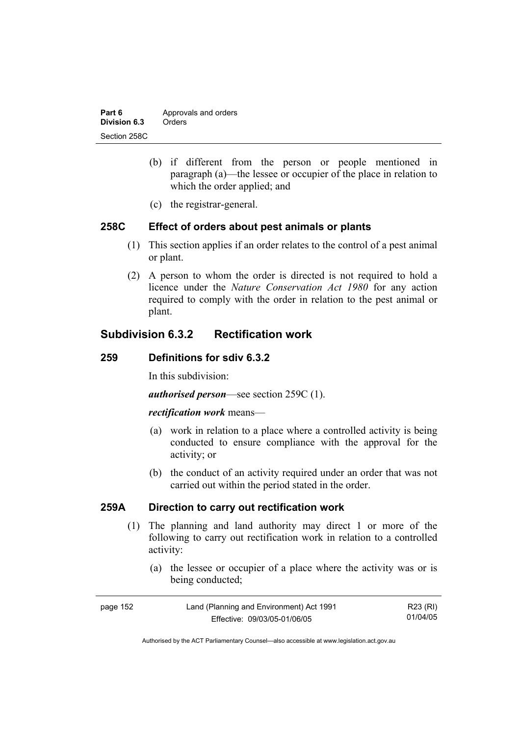| Part 6       | Approvals and orders |
|--------------|----------------------|
| Division 6.3 | Orders               |
| Section 258C |                      |

- (b) if different from the person or people mentioned in paragraph (a)—the lessee or occupier of the place in relation to which the order applied; and
- (c) the registrar-general.

### **258C Effect of orders about pest animals or plants**

- (1) This section applies if an order relates to the control of a pest animal or plant.
- (2) A person to whom the order is directed is not required to hold a licence under the *Nature Conservation Act 1980* for any action required to comply with the order in relation to the pest animal or plant.

# **Subdivision 6.3.2 Rectification work**

#### **259 Definitions for sdiv 6.3.2**

In this subdivision:

*authorised person*—see section 259C (1).

#### *rectification work* means—

- (a) work in relation to a place where a controlled activity is being conducted to ensure compliance with the approval for the activity; or
- (b) the conduct of an activity required under an order that was not carried out within the period stated in the order.

# **259A Direction to carry out rectification work**

- (1) The planning and land authority may direct 1 or more of the following to carry out rectification work in relation to a controlled activity:
	- (a) the lessee or occupier of a place where the activity was or is being conducted;

| page 152 | Land (Planning and Environment) Act 1991 | R23 (RI) |
|----------|------------------------------------------|----------|
|          | Effective: 09/03/05-01/06/05             | 01/04/05 |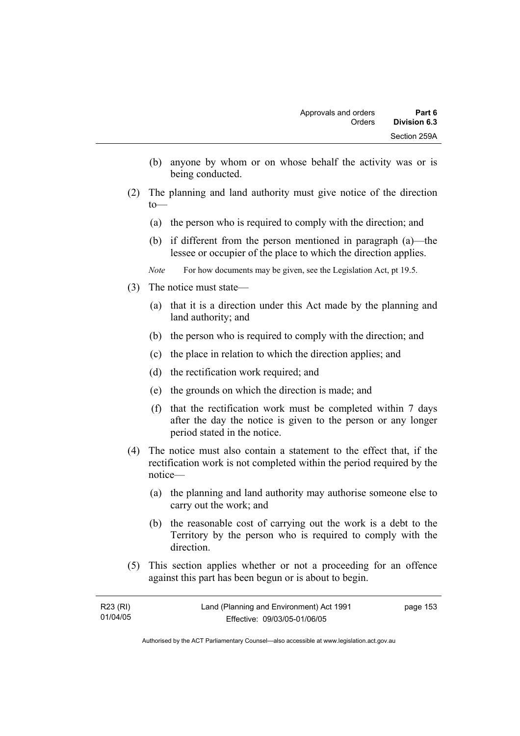- (b) anyone by whom or on whose behalf the activity was or is being conducted.
- (2) The planning and land authority must give notice of the direction to—
	- (a) the person who is required to comply with the direction; and
	- (b) if different from the person mentioned in paragraph (a)—the lessee or occupier of the place to which the direction applies.
	- *Note* For how documents may be given, see the Legislation Act, pt 19.5.
- (3) The notice must state—
	- (a) that it is a direction under this Act made by the planning and land authority; and
	- (b) the person who is required to comply with the direction; and
	- (c) the place in relation to which the direction applies; and
	- (d) the rectification work required; and
	- (e) the grounds on which the direction is made; and
	- (f) that the rectification work must be completed within 7 days after the day the notice is given to the person or any longer period stated in the notice.
- (4) The notice must also contain a statement to the effect that, if the rectification work is not completed within the period required by the notice—
	- (a) the planning and land authority may authorise someone else to carry out the work; and
	- (b) the reasonable cost of carrying out the work is a debt to the Territory by the person who is required to comply with the direction.
- (5) This section applies whether or not a proceeding for an offence against this part has been begun or is about to begin.

| R23 (RI) | Land (Planning and Environment) Act 1991 | page 153 |
|----------|------------------------------------------|----------|
| 01/04/05 | Effective: 09/03/05-01/06/05             |          |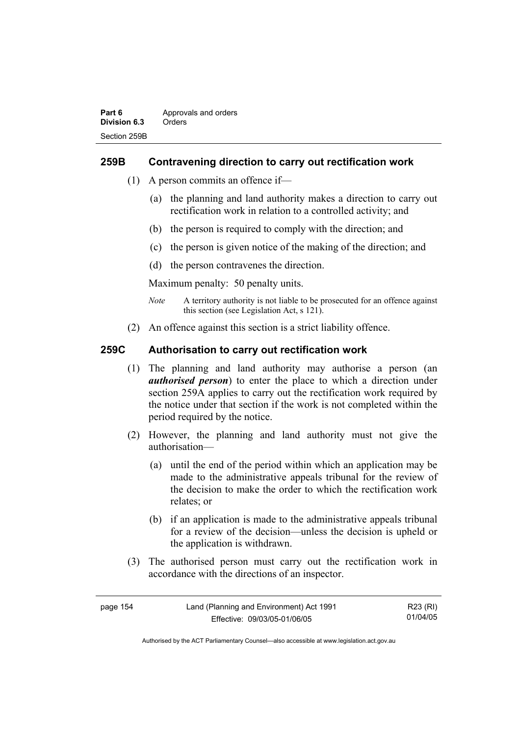# **259B Contravening direction to carry out rectification work**

- (1) A person commits an offence if—
	- (a) the planning and land authority makes a direction to carry out rectification work in relation to a controlled activity; and
	- (b) the person is required to comply with the direction; and
	- (c) the person is given notice of the making of the direction; and
	- (d) the person contravenes the direction.

Maximum penalty: 50 penalty units.

- *Note* A territory authority is not liable to be prosecuted for an offence against this section (see Legislation Act, s 121).
- (2) An offence against this section is a strict liability offence.

# **259C Authorisation to carry out rectification work**

- (1) The planning and land authority may authorise a person (an *authorised person*) to enter the place to which a direction under section 259A applies to carry out the rectification work required by the notice under that section if the work is not completed within the period required by the notice.
- (2) However, the planning and land authority must not give the authorisation—
	- (a) until the end of the period within which an application may be made to the administrative appeals tribunal for the review of the decision to make the order to which the rectification work relates; or
	- (b) if an application is made to the administrative appeals tribunal for a review of the decision—unless the decision is upheld or the application is withdrawn.
- (3) The authorised person must carry out the rectification work in accordance with the directions of an inspector.

| page 154 | Land (Planning and Environment) Act 1991 | R23 (RI) |
|----------|------------------------------------------|----------|
|          | Effective: 09/03/05-01/06/05             | 01/04/05 |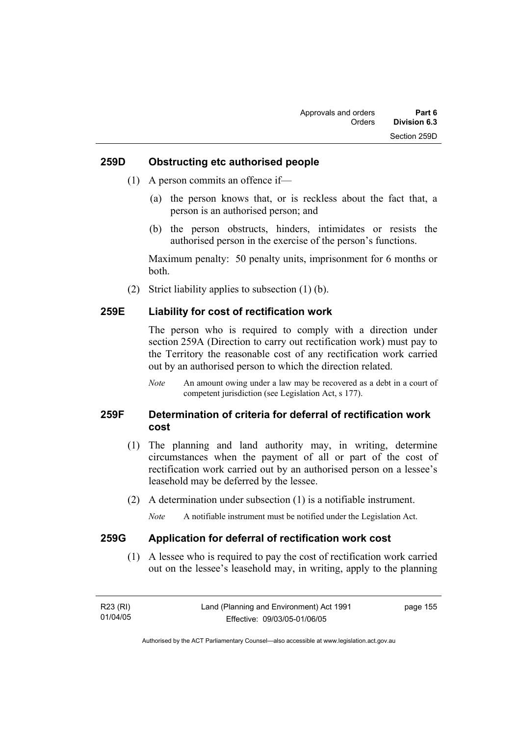#### **259D Obstructing etc authorised people**

- (1) A person commits an offence if—
	- (a) the person knows that, or is reckless about the fact that, a person is an authorised person; and
	- (b) the person obstructs, hinders, intimidates or resists the authorised person in the exercise of the person's functions.

Maximum penalty: 50 penalty units, imprisonment for 6 months or both.

(2) Strict liability applies to subsection (1) (b).

### **259E Liability for cost of rectification work**

The person who is required to comply with a direction under section 259A (Direction to carry out rectification work) must pay to the Territory the reasonable cost of any rectification work carried out by an authorised person to which the direction related.

*Note* An amount owing under a law may be recovered as a debt in a court of competent jurisdiction (see Legislation Act, s 177).

# **259F Determination of criteria for deferral of rectification work cost**

- (1) The planning and land authority may, in writing, determine circumstances when the payment of all or part of the cost of rectification work carried out by an authorised person on a lessee's leasehold may be deferred by the lessee.
- (2) A determination under subsection (1) is a notifiable instrument.

*Note* A notifiable instrument must be notified under the Legislation Act.

#### **259G Application for deferral of rectification work cost**

 (1) A lessee who is required to pay the cost of rectification work carried out on the lessee's leasehold may, in writing, apply to the planning

| R23 (RI) | Land (Planning and Environment) Act 1991 | page 155 |
|----------|------------------------------------------|----------|
| 01/04/05 | Effective: 09/03/05-01/06/05             |          |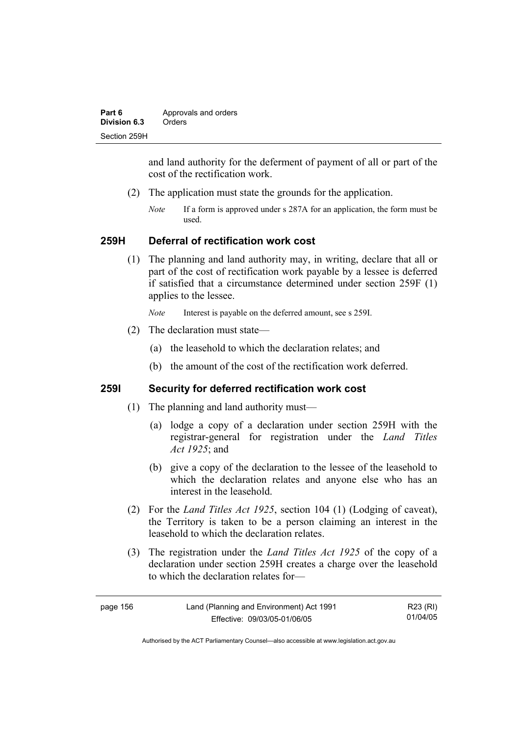| Part 6       | Approvals and orders |  |
|--------------|----------------------|--|
| Division 6.3 | Orders               |  |
| Section 259H |                      |  |

and land authority for the deferment of payment of all or part of the cost of the rectification work.

- (2) The application must state the grounds for the application.
	- *Note* If a form is approved under s 287A for an application, the form must be used.

#### **259H Deferral of rectification work cost**

 (1) The planning and land authority may, in writing, declare that all or part of the cost of rectification work payable by a lessee is deferred if satisfied that a circumstance determined under section 259F (1) applies to the lessee.

*Note* Interest is payable on the deferred amount, see s 259I.

- (2) The declaration must state—
	- (a) the leasehold to which the declaration relates; and
	- (b) the amount of the cost of the rectification work deferred.

# **259I Security for deferred rectification work cost**

- (1) The planning and land authority must—
	- (a) lodge a copy of a declaration under section 259H with the registrar-general for registration under the *Land Titles Act 1925*; and
	- (b) give a copy of the declaration to the lessee of the leasehold to which the declaration relates and anyone else who has an interest in the leasehold.
- (2) For the *Land Titles Act 1925*, section 104 (1) (Lodging of caveat), the Territory is taken to be a person claiming an interest in the leasehold to which the declaration relates.
- (3) The registration under the *Land Titles Act 1925* of the copy of a declaration under section 259H creates a charge over the leasehold to which the declaration relates for—

| page 156 | Land (Planning and Environment) Act 1991 | R23 (RI) |
|----------|------------------------------------------|----------|
|          | Effective: 09/03/05-01/06/05             | 01/04/05 |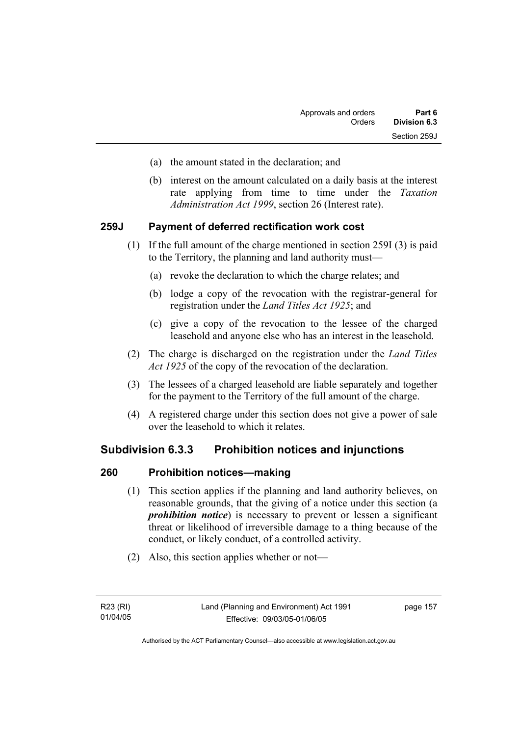- (a) the amount stated in the declaration; and
- (b) interest on the amount calculated on a daily basis at the interest rate applying from time to time under the *Taxation Administration Act 1999*, section 26 (Interest rate).

### **259J Payment of deferred rectification work cost**

- (1) If the full amount of the charge mentioned in section 259I (3) is paid to the Territory, the planning and land authority must—
	- (a) revoke the declaration to which the charge relates; and
	- (b) lodge a copy of the revocation with the registrar-general for registration under the *Land Titles Act 1925*; and
	- (c) give a copy of the revocation to the lessee of the charged leasehold and anyone else who has an interest in the leasehold.
- (2) The charge is discharged on the registration under the *Land Titles Act 1925* of the copy of the revocation of the declaration.
- (3) The lessees of a charged leasehold are liable separately and together for the payment to the Territory of the full amount of the charge.
- (4) A registered charge under this section does not give a power of sale over the leasehold to which it relates.

# **Subdivision 6.3.3 Prohibition notices and injunctions**

### **260 Prohibition notices—making**

- (1) This section applies if the planning and land authority believes, on reasonable grounds, that the giving of a notice under this section (a *prohibition notice*) is necessary to prevent or lessen a significant threat or likelihood of irreversible damage to a thing because of the conduct, or likely conduct, of a controlled activity.
- (2) Also, this section applies whether or not—

page 157

Authorised by the ACT Parliamentary Counsel—also accessible at www.legislation.act.gov.au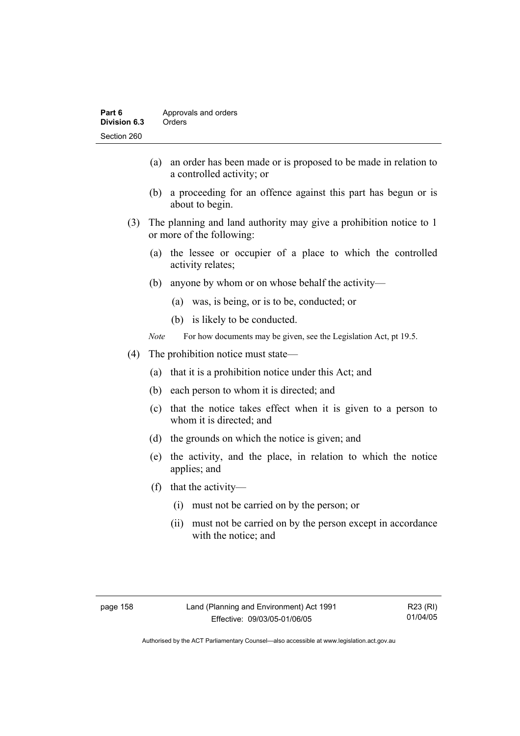- (a) an order has been made or is proposed to be made in relation to a controlled activity; or
- (b) a proceeding for an offence against this part has begun or is about to begin.
- (3) The planning and land authority may give a prohibition notice to 1 or more of the following:
	- (a) the lessee or occupier of a place to which the controlled activity relates;
	- (b) anyone by whom or on whose behalf the activity—
		- (a) was, is being, or is to be, conducted; or
		- (b) is likely to be conducted.
	- *Note* For how documents may be given, see the Legislation Act, pt 19.5.
- (4) The prohibition notice must state—
	- (a) that it is a prohibition notice under this Act; and
	- (b) each person to whom it is directed; and
	- (c) that the notice takes effect when it is given to a person to whom it is directed; and
	- (d) the grounds on which the notice is given; and
	- (e) the activity, and the place, in relation to which the notice applies; and
	- (f) that the activity—
		- (i) must not be carried on by the person; or
		- (ii) must not be carried on by the person except in accordance with the notice; and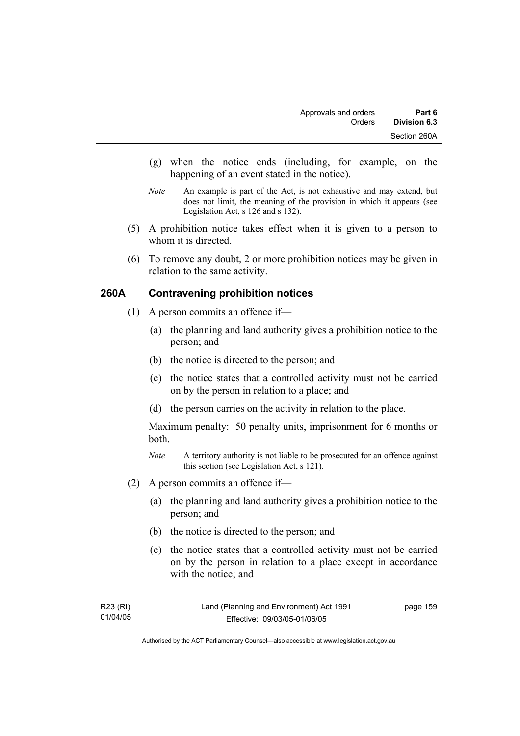- (g) when the notice ends (including, for example, on the happening of an event stated in the notice).
- *Note* An example is part of the Act, is not exhaustive and may extend, but does not limit, the meaning of the provision in which it appears (see Legislation Act, s 126 and s 132).
- (5) A prohibition notice takes effect when it is given to a person to whom it is directed.
- (6) To remove any doubt, 2 or more prohibition notices may be given in relation to the same activity.

# **260A Contravening prohibition notices**

- (1) A person commits an offence if—
	- (a) the planning and land authority gives a prohibition notice to the person; and
	- (b) the notice is directed to the person; and
	- (c) the notice states that a controlled activity must not be carried on by the person in relation to a place; and
	- (d) the person carries on the activity in relation to the place.

Maximum penalty: 50 penalty units, imprisonment for 6 months or both.

- *Note* A territory authority is not liable to be prosecuted for an offence against this section (see Legislation Act, s 121).
- (2) A person commits an offence if—
	- (a) the planning and land authority gives a prohibition notice to the person; and
	- (b) the notice is directed to the person; and
	- (c) the notice states that a controlled activity must not be carried on by the person in relation to a place except in accordance with the notice; and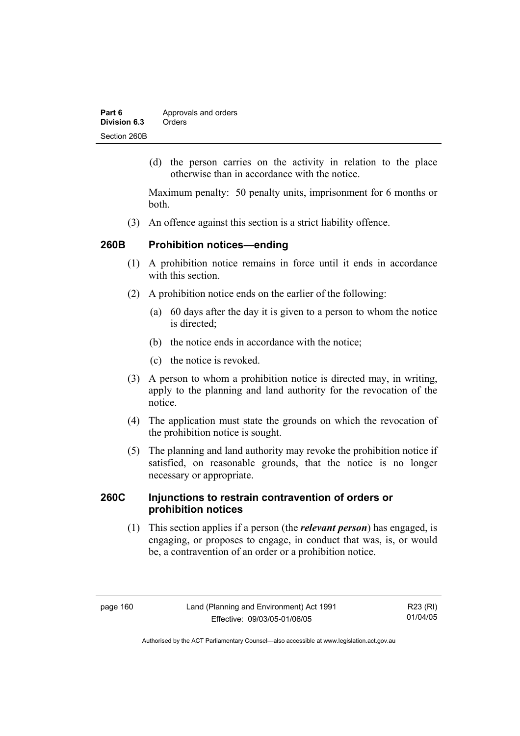| Part 6       | Approvals and orders |
|--------------|----------------------|
| Division 6.3 | Orders               |
| Section 260B |                      |

 (d) the person carries on the activity in relation to the place otherwise than in accordance with the notice.

Maximum penalty: 50 penalty units, imprisonment for 6 months or both.

(3) An offence against this section is a strict liability offence.

# **260B Prohibition notices—ending**

- (1) A prohibition notice remains in force until it ends in accordance with this section
- (2) A prohibition notice ends on the earlier of the following:
	- (a) 60 days after the day it is given to a person to whom the notice is directed:
	- (b) the notice ends in accordance with the notice;
	- (c) the notice is revoked.
- (3) A person to whom a prohibition notice is directed may, in writing, apply to the planning and land authority for the revocation of the notice.
- (4) The application must state the grounds on which the revocation of the prohibition notice is sought.
- (5) The planning and land authority may revoke the prohibition notice if satisfied, on reasonable grounds, that the notice is no longer necessary or appropriate.

# **260C Injunctions to restrain contravention of orders or prohibition notices**

 (1) This section applies if a person (the *relevant person*) has engaged, is engaging, or proposes to engage, in conduct that was, is, or would be, a contravention of an order or a prohibition notice.

R23 (RI) 01/04/05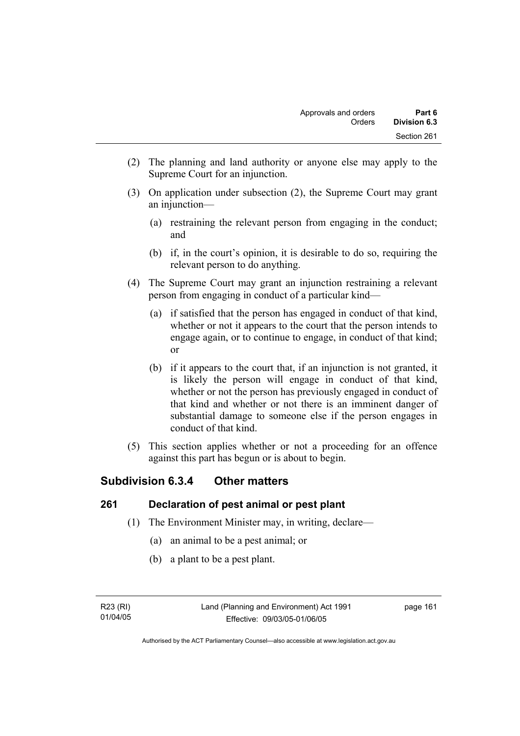- (2) The planning and land authority or anyone else may apply to the Supreme Court for an injunction.
- (3) On application under subsection (2), the Supreme Court may grant an injunction—
	- (a) restraining the relevant person from engaging in the conduct; and
	- (b) if, in the court's opinion, it is desirable to do so, requiring the relevant person to do anything.
- (4) The Supreme Court may grant an injunction restraining a relevant person from engaging in conduct of a particular kind—
	- (a) if satisfied that the person has engaged in conduct of that kind, whether or not it appears to the court that the person intends to engage again, or to continue to engage, in conduct of that kind; or
	- (b) if it appears to the court that, if an injunction is not granted, it is likely the person will engage in conduct of that kind, whether or not the person has previously engaged in conduct of that kind and whether or not there is an imminent danger of substantial damage to someone else if the person engages in conduct of that kind.
- (5) This section applies whether or not a proceeding for an offence against this part has begun or is about to begin.

# **Subdivision 6.3.4 Other matters**

# **261 Declaration of pest animal or pest plant**

- (1) The Environment Minister may, in writing, declare—
	- (a) an animal to be a pest animal; or
	- (b) a plant to be a pest plant.

R23 (RI) 01/04/05 page 161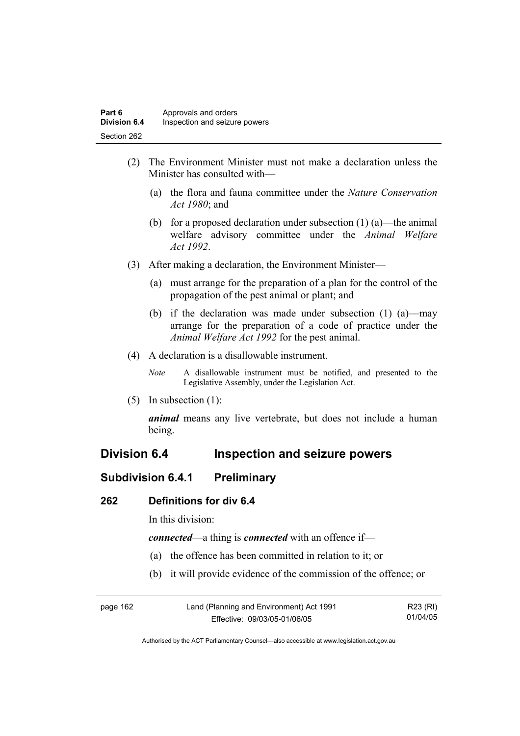- (2) The Environment Minister must not make a declaration unless the Minister has consulted with—
	- (a) the flora and fauna committee under the *Nature Conservation Act 1980*; and
	- (b) for a proposed declaration under subsection  $(1)$  (a)—the animal welfare advisory committee under the *Animal Welfare Act 1992*.
- (3) After making a declaration, the Environment Minister—
	- (a) must arrange for the preparation of a plan for the control of the propagation of the pest animal or plant; and
	- (b) if the declaration was made under subsection (1) (a)—may arrange for the preparation of a code of practice under the *Animal Welfare Act 1992* for the pest animal.
- (4) A declaration is a disallowable instrument.
	- *Note* A disallowable instrument must be notified, and presented to the Legislative Assembly, under the Legislation Act.
- (5) In subsection (1):

*animal* means any live vertebrate, but does not include a human being.

# **Division 6.4 Inspection and seizure powers**

# **Subdivision 6.4.1 Preliminary**

#### **262 Definitions for div 6.4**

In this division:

*connected*—a thing is *connected* with an offence if—

- (a) the offence has been committed in relation to it; or
- (b) it will provide evidence of the commission of the offence; or

| page 162 | Land (Planning and Environment) Act 1991 | R23 (RI) |
|----------|------------------------------------------|----------|
|          | Effective: 09/03/05-01/06/05             | 01/04/05 |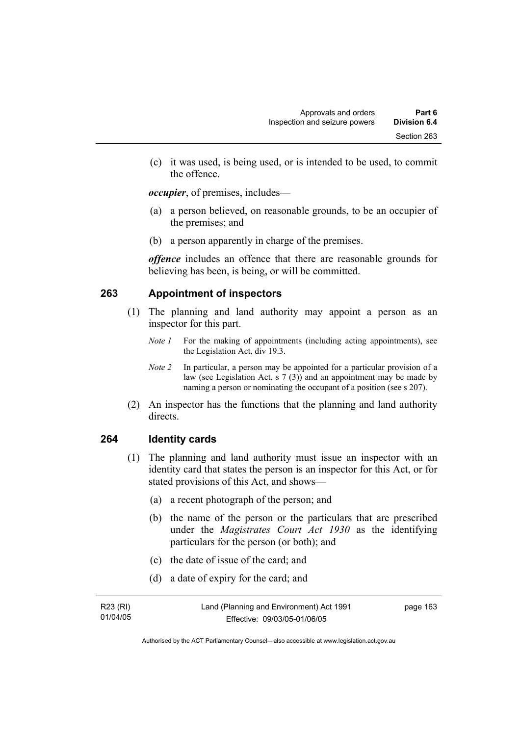(c) it was used, is being used, or is intended to be used, to commit the offence.

*occupier*, of premises, includes—

- (a) a person believed, on reasonable grounds, to be an occupier of the premises; and
- (b) a person apparently in charge of the premises.

*offence* includes an offence that there are reasonable grounds for believing has been, is being, or will be committed.

# **263 Appointment of inspectors**

- (1) The planning and land authority may appoint a person as an inspector for this part.
	- *Note 1* For the making of appointments (including acting appointments), see the Legislation Act, div 19.3.
	- *Note 2* In particular, a person may be appointed for a particular provision of a law (see Legislation Act, s 7 (3)) and an appointment may be made by naming a person or nominating the occupant of a position (see s 207).
- (2) An inspector has the functions that the planning and land authority directs.

### **264 Identity cards**

- (1) The planning and land authority must issue an inspector with an identity card that states the person is an inspector for this Act, or for stated provisions of this Act, and shows—
	- (a) a recent photograph of the person; and
	- (b) the name of the person or the particulars that are prescribed under the *Magistrates Court Act 1930* as the identifying particulars for the person (or both); and
	- (c) the date of issue of the card; and
	- (d) a date of expiry for the card; and

| R23 (RI) | Land (Planning and Environment) Act 1991 | page 163 |
|----------|------------------------------------------|----------|
| 01/04/05 | Effective: 09/03/05-01/06/05             |          |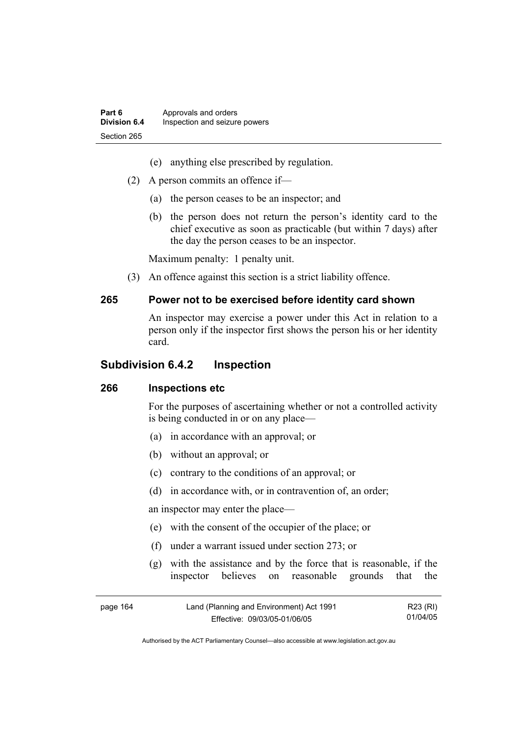- (e) anything else prescribed by regulation.
- (2) A person commits an offence if—
	- (a) the person ceases to be an inspector; and
	- (b) the person does not return the person's identity card to the chief executive as soon as practicable (but within 7 days) after the day the person ceases to be an inspector.

Maximum penalty: 1 penalty unit.

(3) An offence against this section is a strict liability offence.

#### **265 Power not to be exercised before identity card shown**

An inspector may exercise a power under this Act in relation to a person only if the inspector first shows the person his or her identity card.

## **Subdivision 6.4.2 Inspection**

### **266 Inspections etc**

For the purposes of ascertaining whether or not a controlled activity is being conducted in or on any place—

- (a) in accordance with an approval; or
- (b) without an approval; or
- (c) contrary to the conditions of an approval; or
- (d) in accordance with, or in contravention of, an order;

an inspector may enter the place—

- (e) with the consent of the occupier of the place; or
- (f) under a warrant issued under section 273; or
- (g) with the assistance and by the force that is reasonable, if the inspector believes on reasonable grounds that the

| page 164 | Land (Planning and Environment) Act 1991 | R23 (RI) |
|----------|------------------------------------------|----------|
|          | Effective: 09/03/05-01/06/05             | 01/04/05 |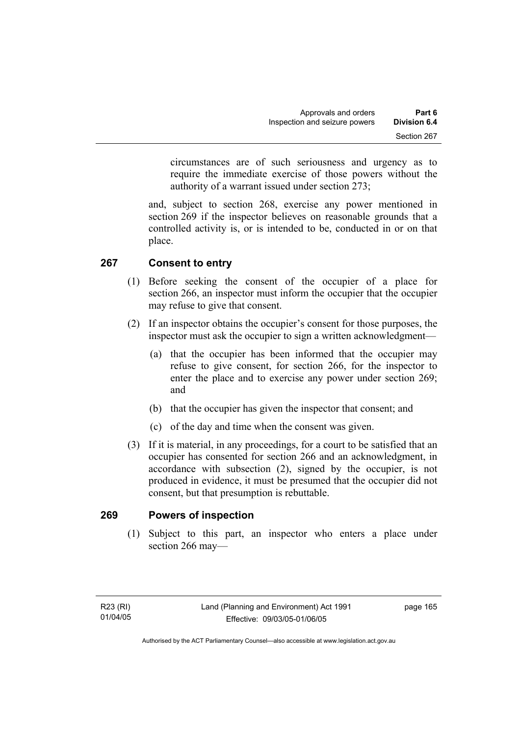circumstances are of such seriousness and urgency as to require the immediate exercise of those powers without the authority of a warrant issued under section 273;

and, subject to section 268, exercise any power mentioned in section 269 if the inspector believes on reasonable grounds that a controlled activity is, or is intended to be, conducted in or on that place.

# **267 Consent to entry**

- (1) Before seeking the consent of the occupier of a place for section 266, an inspector must inform the occupier that the occupier may refuse to give that consent.
- (2) If an inspector obtains the occupier's consent for those purposes, the inspector must ask the occupier to sign a written acknowledgment—
	- (a) that the occupier has been informed that the occupier may refuse to give consent, for section 266, for the inspector to enter the place and to exercise any power under section 269; and
	- (b) that the occupier has given the inspector that consent; and
	- (c) of the day and time when the consent was given.
- (3) If it is material, in any proceedings, for a court to be satisfied that an occupier has consented for section 266 and an acknowledgment, in accordance with subsection (2), signed by the occupier, is not produced in evidence, it must be presumed that the occupier did not consent, but that presumption is rebuttable.

### **269 Powers of inspection**

 (1) Subject to this part, an inspector who enters a place under section 266 may—

page 165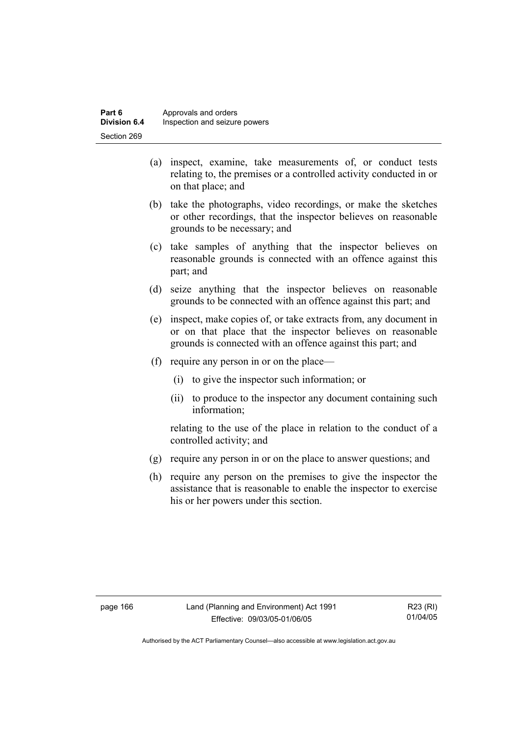- (a) inspect, examine, take measurements of, or conduct tests relating to, the premises or a controlled activity conducted in or on that place; and
- (b) take the photographs, video recordings, or make the sketches or other recordings, that the inspector believes on reasonable grounds to be necessary; and
- (c) take samples of anything that the inspector believes on reasonable grounds is connected with an offence against this part; and
- (d) seize anything that the inspector believes on reasonable grounds to be connected with an offence against this part; and
- (e) inspect, make copies of, or take extracts from, any document in or on that place that the inspector believes on reasonable grounds is connected with an offence against this part; and
- (f) require any person in or on the place—
	- (i) to give the inspector such information; or
	- (ii) to produce to the inspector any document containing such information;

relating to the use of the place in relation to the conduct of a controlled activity; and

- (g) require any person in or on the place to answer questions; and
- (h) require any person on the premises to give the inspector the assistance that is reasonable to enable the inspector to exercise his or her powers under this section.

R23 (RI) 01/04/05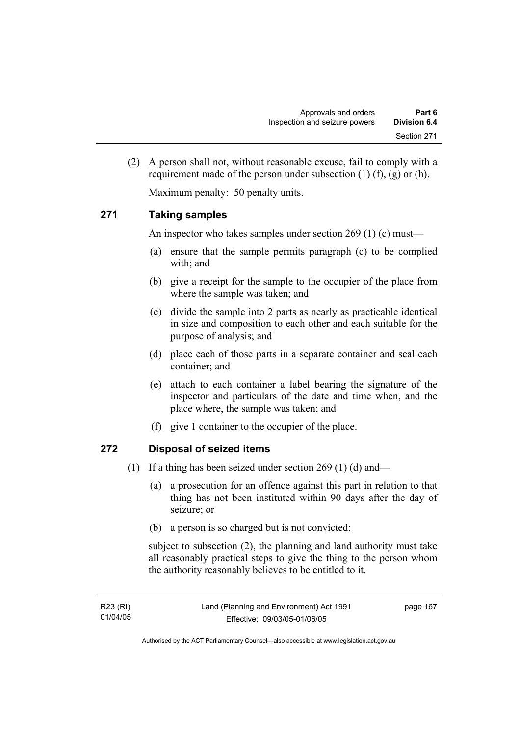(2) A person shall not, without reasonable excuse, fail to comply with a requirement made of the person under subsection  $(1)$   $(f)$ ,  $(g)$  or  $(h)$ .

Maximum penalty: 50 penalty units.

#### **271 Taking samples**

An inspector who takes samples under section 269 (1) (c) must—

- (a) ensure that the sample permits paragraph (c) to be complied with; and
- (b) give a receipt for the sample to the occupier of the place from where the sample was taken; and
- (c) divide the sample into 2 parts as nearly as practicable identical in size and composition to each other and each suitable for the purpose of analysis; and
- (d) place each of those parts in a separate container and seal each container; and
- (e) attach to each container a label bearing the signature of the inspector and particulars of the date and time when, and the place where, the sample was taken; and
- (f) give 1 container to the occupier of the place.

#### **272 Disposal of seized items**

- (1) If a thing has been seized under section 269 (1) (d) and—
	- (a) a prosecution for an offence against this part in relation to that thing has not been instituted within 90 days after the day of seizure; or
	- (b) a person is so charged but is not convicted;

subject to subsection (2), the planning and land authority must take all reasonably practical steps to give the thing to the person whom the authority reasonably believes to be entitled to it.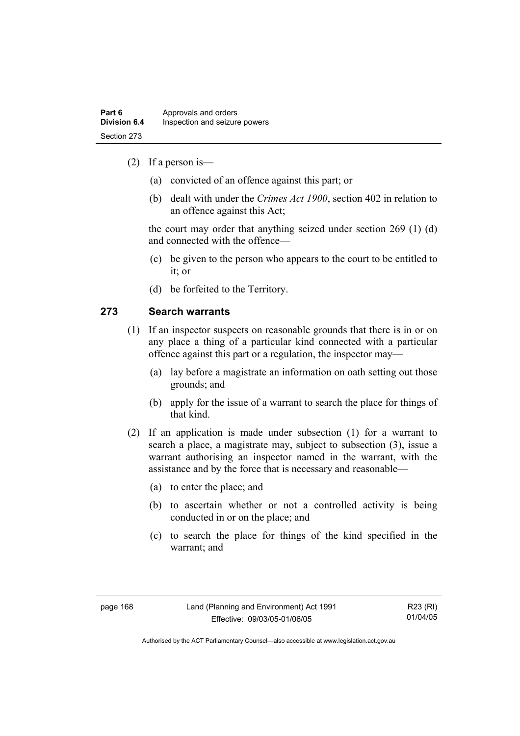- (2) If a person is—
	- (a) convicted of an offence against this part; or
	- (b) dealt with under the *Crimes Act 1900*, section 402 in relation to an offence against this Act;

the court may order that anything seized under section 269 (1) (d) and connected with the offence—

- (c) be given to the person who appears to the court to be entitled to it; or
- (d) be forfeited to the Territory.

#### **273 Search warrants**

- (1) If an inspector suspects on reasonable grounds that there is in or on any place a thing of a particular kind connected with a particular offence against this part or a regulation, the inspector may—
	- (a) lay before a magistrate an information on oath setting out those grounds; and
	- (b) apply for the issue of a warrant to search the place for things of that kind.
- (2) If an application is made under subsection (1) for a warrant to search a place, a magistrate may, subject to subsection (3), issue a warrant authorising an inspector named in the warrant, with the assistance and by the force that is necessary and reasonable—
	- (a) to enter the place; and
	- (b) to ascertain whether or not a controlled activity is being conducted in or on the place; and
	- (c) to search the place for things of the kind specified in the warrant; and

R23 (RI) 01/04/05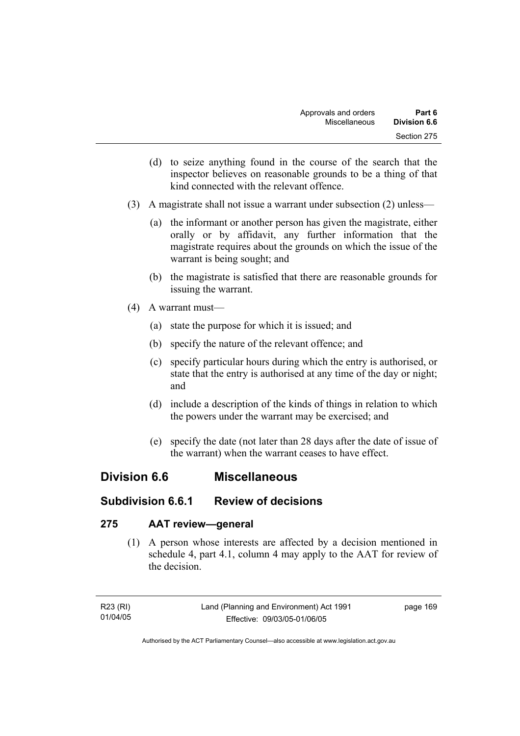- (d) to seize anything found in the course of the search that the inspector believes on reasonable grounds to be a thing of that kind connected with the relevant offence.
- (3) A magistrate shall not issue a warrant under subsection (2) unless—
	- (a) the informant or another person has given the magistrate, either orally or by affidavit, any further information that the magistrate requires about the grounds on which the issue of the warrant is being sought; and
	- (b) the magistrate is satisfied that there are reasonable grounds for issuing the warrant.
- (4) A warrant must—
	- (a) state the purpose for which it is issued; and
	- (b) specify the nature of the relevant offence; and
	- (c) specify particular hours during which the entry is authorised, or state that the entry is authorised at any time of the day or night; and
	- (d) include a description of the kinds of things in relation to which the powers under the warrant may be exercised; and
	- (e) specify the date (not later than 28 days after the date of issue of the warrant) when the warrant ceases to have effect.

### **Division 6.6 Miscellaneous**

### **Subdivision 6.6.1 Review of decisions**

#### **275 AAT review—general**

 (1) A person whose interests are affected by a decision mentioned in schedule 4, part 4.1, column 4 may apply to the AAT for review of the decision.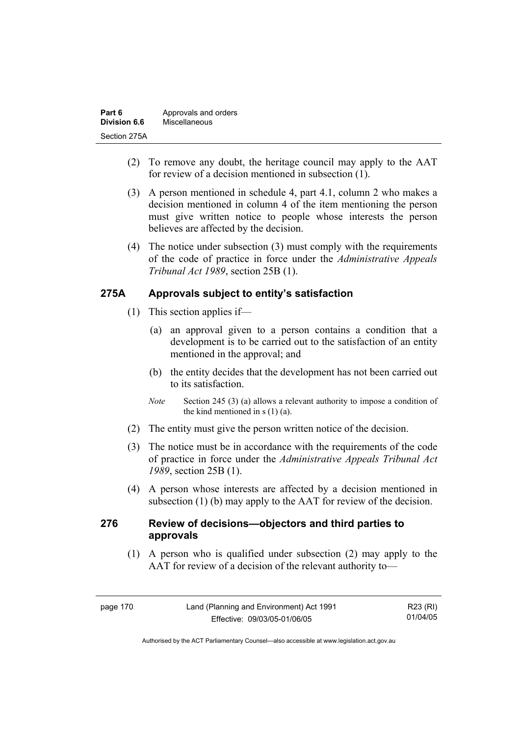| Part 6       | Approvals and orders |
|--------------|----------------------|
| Division 6.6 | Miscellaneous        |
| Section 275A |                      |

- (2) To remove any doubt, the heritage council may apply to the AAT for review of a decision mentioned in subsection (1).
- (3) A person mentioned in schedule 4, part 4.1, column 2 who makes a decision mentioned in column 4 of the item mentioning the person must give written notice to people whose interests the person believes are affected by the decision.
- (4) The notice under subsection (3) must comply with the requirements of the code of practice in force under the *Administrative Appeals Tribunal Act 1989*, section 25B (1).

#### **275A Approvals subject to entity's satisfaction**

- (1) This section applies if—
	- (a) an approval given to a person contains a condition that a development is to be carried out to the satisfaction of an entity mentioned in the approval; and
	- (b) the entity decides that the development has not been carried out to its satisfaction.
	- *Note* Section 245 (3) (a) allows a relevant authority to impose a condition of the kind mentioned in  $s(1)(a)$ .
- (2) The entity must give the person written notice of the decision.
- (3) The notice must be in accordance with the requirements of the code of practice in force under the *Administrative Appeals Tribunal Act 1989*, section 25B (1).
- (4) A person whose interests are affected by a decision mentioned in subsection (1) (b) may apply to the AAT for review of the decision.

#### **276 Review of decisions—objectors and third parties to approvals**

 (1) A person who is qualified under subsection (2) may apply to the AAT for review of a decision of the relevant authority to—

| page 170 | Land (Planning and Environment) Act 1991 | R23 (RI) |
|----------|------------------------------------------|----------|
|          | Effective: 09/03/05-01/06/05             | 01/04/05 |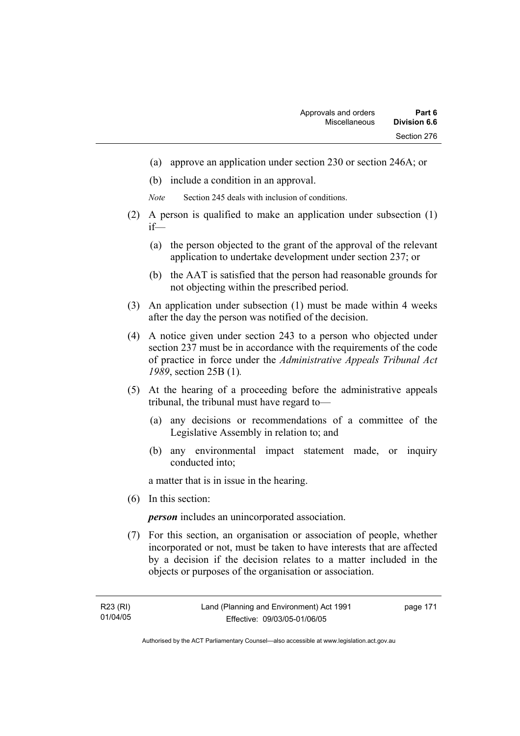- (a) approve an application under section 230 or section 246A; or
- (b) include a condition in an approval.
- *Note* Section 245 deals with inclusion of conditions.
- (2) A person is qualified to make an application under subsection (1) if—
	- (a) the person objected to the grant of the approval of the relevant application to undertake development under section 237; or
	- (b) the AAT is satisfied that the person had reasonable grounds for not objecting within the prescribed period.
- (3) An application under subsection (1) must be made within 4 weeks after the day the person was notified of the decision.
- (4) A notice given under section 243 to a person who objected under section 237 must be in accordance with the requirements of the code of practice in force under the *Administrative Appeals Tribunal Act 1989*, section 25B (1)*.*
- (5) At the hearing of a proceeding before the administrative appeals tribunal, the tribunal must have regard to—
	- (a) any decisions or recommendations of a committee of the Legislative Assembly in relation to; and
	- (b) any environmental impact statement made, or inquiry conducted into;

a matter that is in issue in the hearing.

(6) In this section:

*person* includes an unincorporated association.

 (7) For this section, an organisation or association of people, whether incorporated or not, must be taken to have interests that are affected by a decision if the decision relates to a matter included in the objects or purposes of the organisation or association.

page 171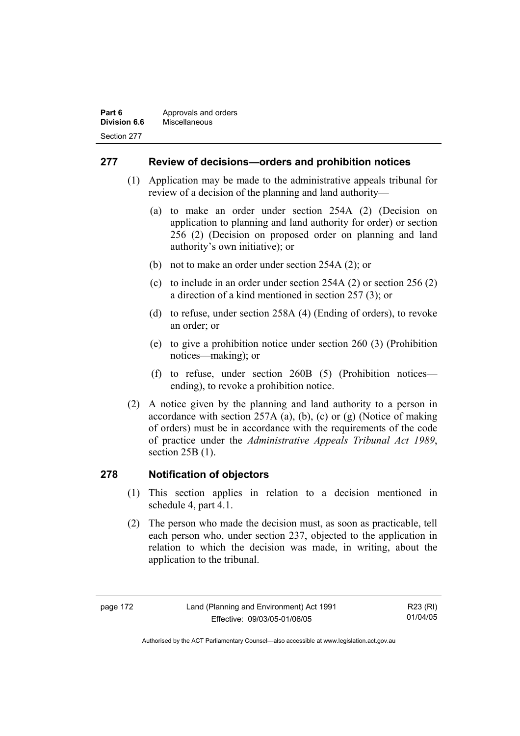#### **Part 6 Approvals and orders Division 6.6** Miscellaneous Section 277

#### **277 Review of decisions—orders and prohibition notices**

- (1) Application may be made to the administrative appeals tribunal for review of a decision of the planning and land authority—
	- (a) to make an order under section 254A (2) (Decision on application to planning and land authority for order) or section 256 (2) (Decision on proposed order on planning and land authority's own initiative); or
	- (b) not to make an order under section 254A (2); or
	- (c) to include in an order under section 254A (2) or section 256 (2) a direction of a kind mentioned in section 257 (3); or
	- (d) to refuse, under section 258A (4) (Ending of orders), to revoke an order; or
	- (e) to give a prohibition notice under section 260 (3) (Prohibition notices—making); or
	- (f) to refuse, under section 260B (5) (Prohibition notices ending), to revoke a prohibition notice.
- (2) A notice given by the planning and land authority to a person in accordance with section 257A (a), (b), (c) or (g) (Notice of making of orders) must be in accordance with the requirements of the code of practice under the *Administrative Appeals Tribunal Act 1989*, section 25B (1).

#### **278 Notification of objectors**

- (1) This section applies in relation to a decision mentioned in schedule 4, part 4.1.
- (2) The person who made the decision must, as soon as practicable, tell each person who, under section 237, objected to the application in relation to which the decision was made, in writing, about the application to the tribunal.

R23 (RI) 01/04/05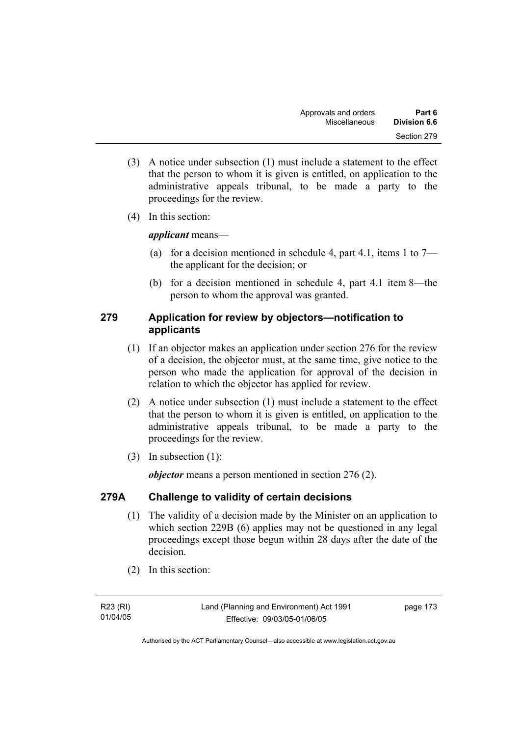- (3) A notice under subsection (1) must include a statement to the effect that the person to whom it is given is entitled, on application to the administrative appeals tribunal, to be made a party to the proceedings for the review.
- (4) In this section:

#### *applicant* means—

- (a) for a decision mentioned in schedule 4, part 4.1, items 1 to  $7$ the applicant for the decision; or
- (b) for a decision mentioned in schedule 4, part 4.1 item 8—the person to whom the approval was granted.

#### **279 Application for review by objectors—notification to applicants**

- (1) If an objector makes an application under section 276 for the review of a decision, the objector must, at the same time, give notice to the person who made the application for approval of the decision in relation to which the objector has applied for review.
- (2) A notice under subsection (1) must include a statement to the effect that the person to whom it is given is entitled, on application to the administrative appeals tribunal, to be made a party to the proceedings for the review.
- (3) In subsection (1):

*objector* means a person mentioned in section 276 (2).

#### **279A Challenge to validity of certain decisions**

- (1) The validity of a decision made by the Minister on an application to which section 229B (6) applies may not be questioned in any legal proceedings except those begun within 28 days after the date of the decision.
- (2) In this section:

R23 (RI) 01/04/05 page 173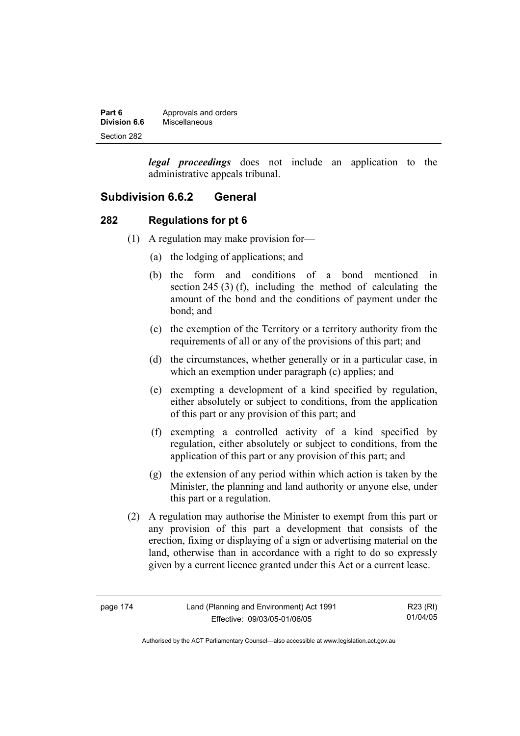| Part 6       | Approvals and orders |
|--------------|----------------------|
| Division 6.6 | Miscellaneous        |
| Section 282  |                      |

*legal proceedings* does not include an application to the administrative appeals tribunal.

#### **Subdivision 6.6.2 General**

#### **282 Regulations for pt 6**

- (1) A regulation may make provision for—
	- (a) the lodging of applications; and
	- (b) the form and conditions of a bond mentioned in section 245 (3) (f), including the method of calculating the amount of the bond and the conditions of payment under the bond; and
	- (c) the exemption of the Territory or a territory authority from the requirements of all or any of the provisions of this part; and
	- (d) the circumstances, whether generally or in a particular case, in which an exemption under paragraph (c) applies; and
	- (e) exempting a development of a kind specified by regulation, either absolutely or subject to conditions, from the application of this part or any provision of this part; and
	- (f) exempting a controlled activity of a kind specified by regulation, either absolutely or subject to conditions, from the application of this part or any provision of this part; and
	- (g) the extension of any period within which action is taken by the Minister, the planning and land authority or anyone else, under this part or a regulation.
- (2) A regulation may authorise the Minister to exempt from this part or any provision of this part a development that consists of the erection, fixing or displaying of a sign or advertising material on the land, otherwise than in accordance with a right to do so expressly given by a current licence granted under this Act or a current lease.

| page | 4 |
|------|---|
|------|---|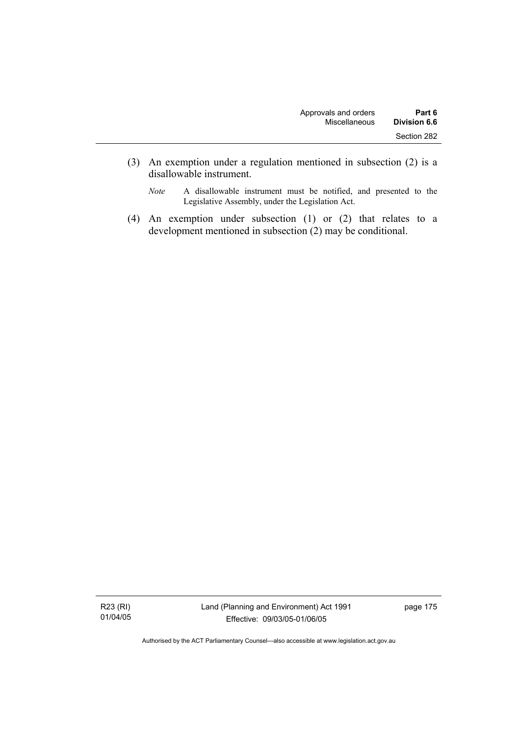- (3) An exemption under a regulation mentioned in subsection (2) is a disallowable instrument.
	- *Note* A disallowable instrument must be notified, and presented to the Legislative Assembly, under the Legislation Act.
- (4) An exemption under subsection (1) or (2) that relates to a development mentioned in subsection (2) may be conditional.

R23 (RI) 01/04/05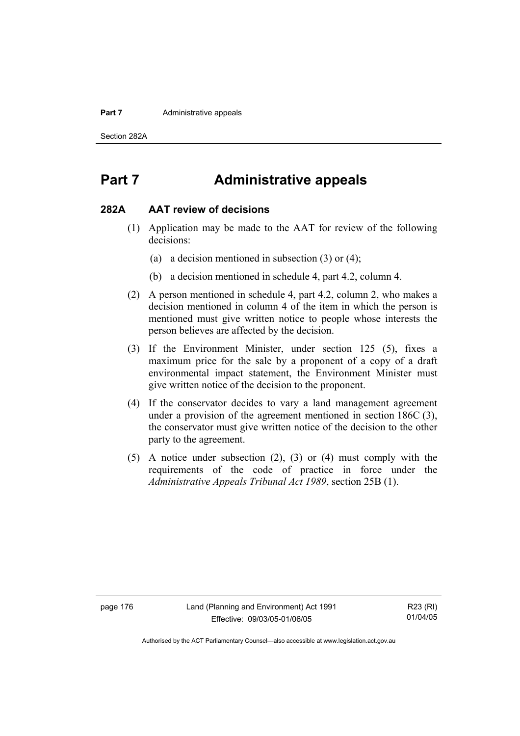#### **Part 7 Administrative appeals**

Section 282A

## **Part 7 Administrative appeals**

#### **282A AAT review of decisions**

- (1) Application may be made to the AAT for review of the following decisions:
	- (a) a decision mentioned in subsection (3) or (4);
	- (b) a decision mentioned in schedule 4, part 4.2, column 4.
- (2) A person mentioned in schedule 4, part 4.2, column 2, who makes a decision mentioned in column 4 of the item in which the person is mentioned must give written notice to people whose interests the person believes are affected by the decision.
- (3) If the Environment Minister, under section 125 (5), fixes a maximum price for the sale by a proponent of a copy of a draft environmental impact statement, the Environment Minister must give written notice of the decision to the proponent.
- (4) If the conservator decides to vary a land management agreement under a provision of the agreement mentioned in section 186C (3), the conservator must give written notice of the decision to the other party to the agreement.
- (5) A notice under subsection (2), (3) or (4) must comply with the requirements of the code of practice in force under the *Administrative Appeals Tribunal Act 1989*, section 25B (1).

page 176 Land (Planning and Environment) Act 1991 Effective: 09/03/05-01/06/05

R23 (RI) 01/04/05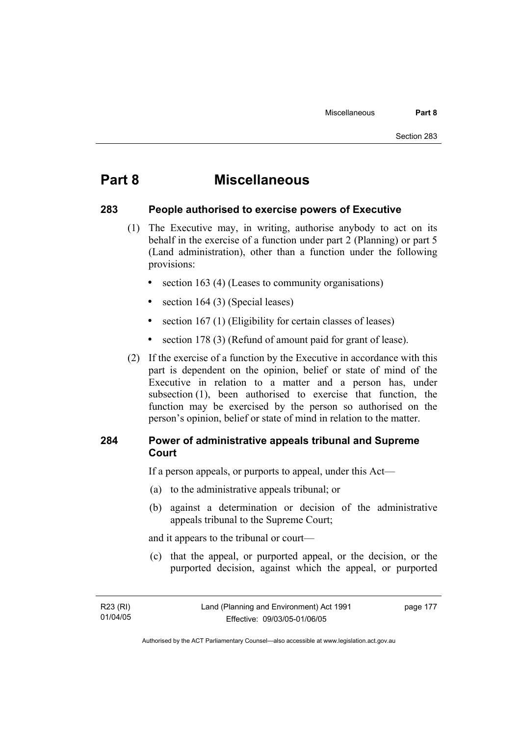## **Part 8 Miscellaneous**

#### **283 People authorised to exercise powers of Executive**

- (1) The Executive may, in writing, authorise anybody to act on its behalf in the exercise of a function under part 2 (Planning) or part 5 (Land administration), other than a function under the following provisions:
	- section 163 (4) (Leases to community organisations)
	- section 164 (3) (Special leases)
	- section 167 (1) (Eligibility for certain classes of leases)
	- section 178 (3) (Refund of amount paid for grant of lease).
- (2) If the exercise of a function by the Executive in accordance with this part is dependent on the opinion, belief or state of mind of the Executive in relation to a matter and a person has, under subsection (1), been authorised to exercise that function, the function may be exercised by the person so authorised on the person's opinion, belief or state of mind in relation to the matter.

#### **284 Power of administrative appeals tribunal and Supreme Court**

If a person appeals, or purports to appeal, under this Act—

- (a) to the administrative appeals tribunal; or
- (b) against a determination or decision of the administrative appeals tribunal to the Supreme Court;

and it appears to the tribunal or court—

 (c) that the appeal, or purported appeal, or the decision, or the purported decision, against which the appeal, or purported

page 177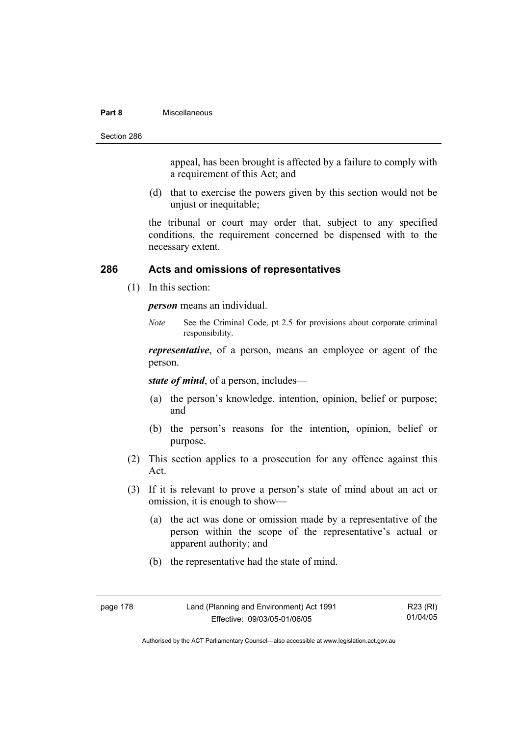#### **Part 8** Miscellaneous

Section 286

appeal, has been brought is affected by a failure to comply with a requirement of this Act; and

 (d) that to exercise the powers given by this section would not be unjust or inequitable;

the tribunal or court may order that, subject to any specified conditions, the requirement concerned be dispensed with to the necessary extent.

#### **286 Acts and omissions of representatives**

(1) In this section:

*person* means an individual.

*Note* See the Criminal Code, pt 2.5 for provisions about corporate criminal responsibility.

*representative*, of a person, means an employee or agent of the person.

*state of mind*, of a person, includes—

- (a) the person's knowledge, intention, opinion, belief or purpose; and
- (b) the person's reasons for the intention, opinion, belief or purpose.
- (2) This section applies to a prosecution for any offence against this Act.
- (3) If it is relevant to prove a person's state of mind about an act or omission, it is enough to show—
	- (a) the act was done or omission made by a representative of the person within the scope of the representative's actual or apparent authority; and
	- (b) the representative had the state of mind.

| page |  |
|------|--|
|------|--|

R23 (RI) 01/04/05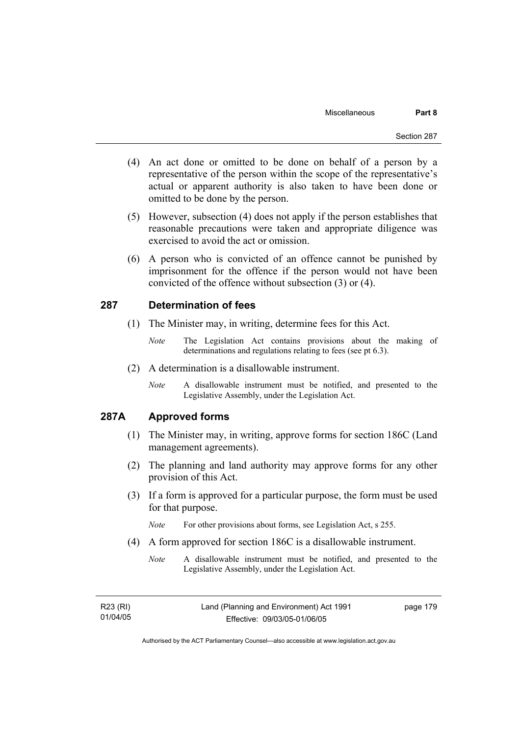- (4) An act done or omitted to be done on behalf of a person by a representative of the person within the scope of the representative's actual or apparent authority is also taken to have been done or omitted to be done by the person.
- (5) However, subsection (4) does not apply if the person establishes that reasonable precautions were taken and appropriate diligence was exercised to avoid the act or omission.
- (6) A person who is convicted of an offence cannot be punished by imprisonment for the offence if the person would not have been convicted of the offence without subsection (3) or (4).

#### **287 Determination of fees**

- (1) The Minister may, in writing, determine fees for this Act.
	- *Note* The Legislation Act contains provisions about the making of determinations and regulations relating to fees (see pt 6.3).
- (2) A determination is a disallowable instrument.
	- *Note* A disallowable instrument must be notified, and presented to the Legislative Assembly, under the Legislation Act.

#### **287A Approved forms**

- (1) The Minister may, in writing, approve forms for section 186C (Land management agreements).
- (2) The planning and land authority may approve forms for any other provision of this Act.
- (3) If a form is approved for a particular purpose, the form must be used for that purpose.

*Note* For other provisions about forms, see Legislation Act, s 255.

- (4) A form approved for section 186C is a disallowable instrument.
	- *Note* A disallowable instrument must be notified, and presented to the Legislative Assembly, under the Legislation Act.

| R23 (RI) | Land (Planning and Environment) Act 1991 | page 179 |
|----------|------------------------------------------|----------|
| 01/04/05 | Effective: 09/03/05-01/06/05             |          |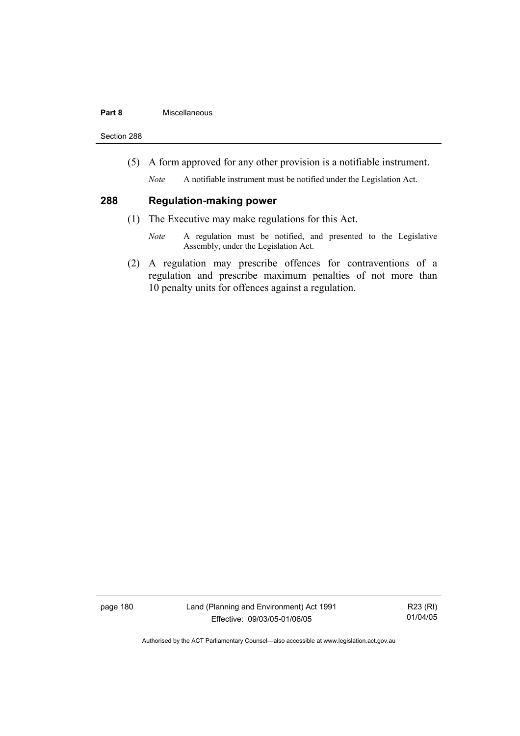#### **Part 8** Miscellaneous

Section 288

(5) A form approved for any other provision is a notifiable instrument.

*Note* A notifiable instrument must be notified under the Legislation Act.

#### **288 Regulation-making power**

- (1) The Executive may make regulations for this Act.
	- *Note* A regulation must be notified, and presented to the Legislative Assembly, under the Legislation Act.
- (2) A regulation may prescribe offences for contraventions of a regulation and prescribe maximum penalties of not more than 10 penalty units for offences against a regulation.

page 180 Land (Planning and Environment) Act 1991 Effective: 09/03/05-01/06/05

R23 (RI) 01/04/05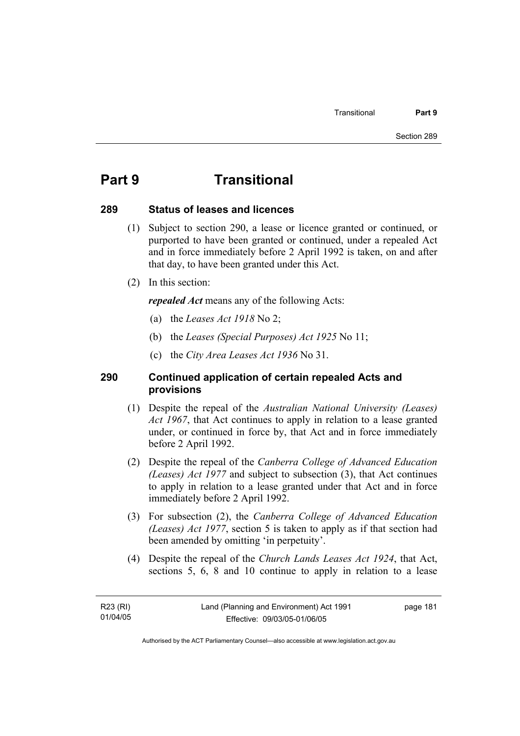## **Part 9 Transitional**

#### **289 Status of leases and licences**

- (1) Subject to section 290, a lease or licence granted or continued, or purported to have been granted or continued, under a repealed Act and in force immediately before 2 April 1992 is taken, on and after that day, to have been granted under this Act.
- (2) In this section:

*repealed Act* means any of the following Acts:

- (a) the *Leases Act 1918* No 2;
- (b) the *Leases (Special Purposes) Act 1925* No 11;
- (c) the *City Area Leases Act 1936* No 31.

#### **290 Continued application of certain repealed Acts and provisions**

- (1) Despite the repeal of the *Australian National University (Leases) Act 1967*, that Act continues to apply in relation to a lease granted under, or continued in force by, that Act and in force immediately before 2 April 1992.
- (2) Despite the repeal of the *Canberra College of Advanced Education (Leases) Act 1977* and subject to subsection (3), that Act continues to apply in relation to a lease granted under that Act and in force immediately before 2 April 1992.
- (3) For subsection (2), the *Canberra College of Advanced Education (Leases) Act 1977*, section 5 is taken to apply as if that section had been amended by omitting 'in perpetuity'.
- (4) Despite the repeal of the *Church Lands Leases Act 1924*, that Act, sections 5, 6, 8 and 10 continue to apply in relation to a lease

R23 (RI) 01/04/05 page 181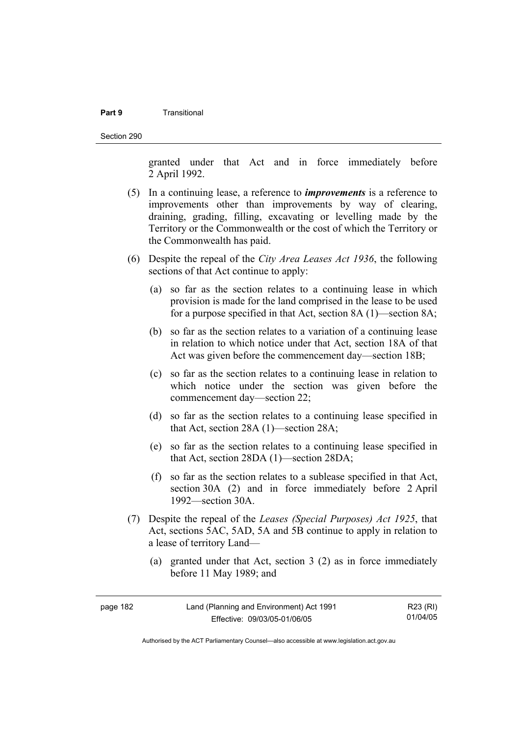#### **Part 9** Transitional

Section 290

granted under that Act and in force immediately before 2 April 1992.

- (5) In a continuing lease, a reference to *improvements* is a reference to improvements other than improvements by way of clearing, draining, grading, filling, excavating or levelling made by the Territory or the Commonwealth or the cost of which the Territory or the Commonwealth has paid.
- (6) Despite the repeal of the *City Area Leases Act 1936*, the following sections of that Act continue to apply:
	- (a) so far as the section relates to a continuing lease in which provision is made for the land comprised in the lease to be used for a purpose specified in that Act, section 8A (1)—section 8A;
	- (b) so far as the section relates to a variation of a continuing lease in relation to which notice under that Act, section 18A of that Act was given before the commencement day—section 18B;
	- (c) so far as the section relates to a continuing lease in relation to which notice under the section was given before the commencement day—section 22;
	- (d) so far as the section relates to a continuing lease specified in that Act, section 28A (1)—section 28A;
	- (e) so far as the section relates to a continuing lease specified in that Act, section 28DA (1)—section 28DA;
	- (f) so far as the section relates to a sublease specified in that Act, section 30A (2) and in force immediately before 2 April 1992—section 30A.
- (7) Despite the repeal of the *Leases (Special Purposes) Act 1925*, that Act, sections 5AC, 5AD, 5A and 5B continue to apply in relation to a lease of territory Land—
	- (a) granted under that Act, section 3 (2) as in force immediately before 11 May 1989; and

| page 182 | Land (Planning and Environment) Act 1991 | R23 (RI) |
|----------|------------------------------------------|----------|
|          | Effective: 09/03/05-01/06/05             | 01/04/05 |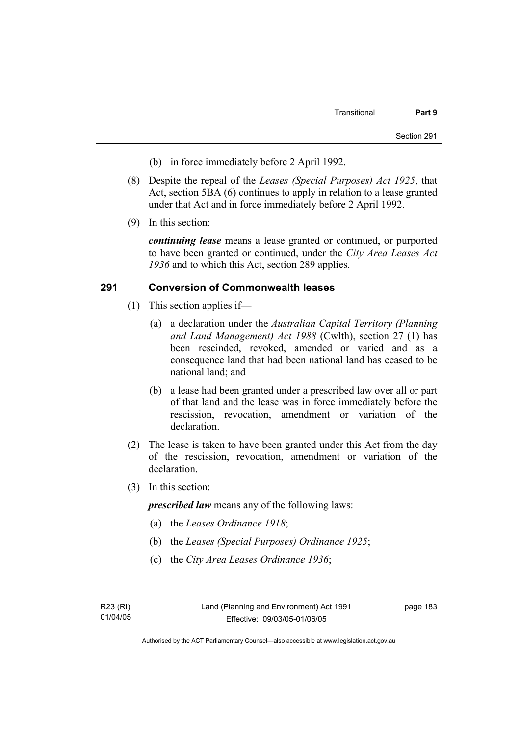- (b) in force immediately before 2 April 1992.
- (8) Despite the repeal of the *Leases (Special Purposes) Act 1925*, that Act, section 5BA (6) continues to apply in relation to a lease granted under that Act and in force immediately before 2 April 1992.
- (9) In this section:

*continuing lease* means a lease granted or continued, or purported to have been granted or continued, under the *City Area Leases Act 1936* and to which this Act, section 289 applies.

#### **291 Conversion of Commonwealth leases**

- (1) This section applies if—
	- (a) a declaration under the *Australian Capital Territory (Planning and Land Management) Act 1988* (Cwlth), section 27 (1) has been rescinded, revoked, amended or varied and as a consequence land that had been national land has ceased to be national land; and
	- (b) a lease had been granted under a prescribed law over all or part of that land and the lease was in force immediately before the rescission, revocation, amendment or variation of the declaration.
- (2) The lease is taken to have been granted under this Act from the day of the rescission, revocation, amendment or variation of the declaration.
- (3) In this section:

*prescribed law* means any of the following laws:

- (a) the *Leases Ordinance 1918*;
- (b) the *Leases (Special Purposes) Ordinance 1925*;
- (c) the *City Area Leases Ordinance 1936*;

R23 (RI) 01/04/05 page 183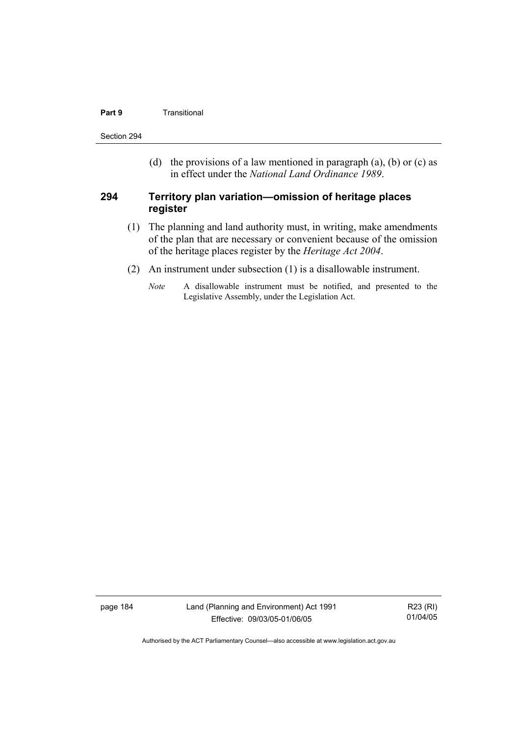#### **Part 9 Transitional**

Section 294

(d) the provisions of a law mentioned in paragraph (a), (b) or (c) as in effect under the *National Land Ordinance 1989*.

#### **294 Territory plan variation—omission of heritage places register**

- (1) The planning and land authority must, in writing, make amendments of the plan that are necessary or convenient because of the omission of the heritage places register by the *Heritage Act 2004*.
- (2) An instrument under subsection (1) is a disallowable instrument.
	- *Note* A disallowable instrument must be notified, and presented to the Legislative Assembly, under the Legislation Act.

page 184 Land (Planning and Environment) Act 1991 Effective: 09/03/05-01/06/05

R23 (RI) 01/04/05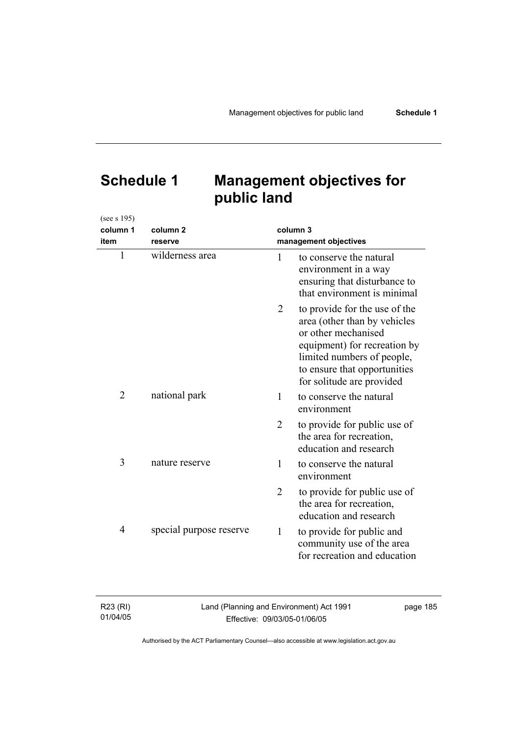# **Schedule 1 Management objectives for public land**

(see s 195)

| column 1<br>item | column <sub>2</sub><br>reserve |                | column 3<br>management objectives                                                                                                                                                                               |
|------------------|--------------------------------|----------------|-----------------------------------------------------------------------------------------------------------------------------------------------------------------------------------------------------------------|
| $\mathbf{1}$     | wilderness area                | 1              | to conserve the natural<br>environment in a way<br>ensuring that disturbance to<br>that environment is minimal                                                                                                  |
|                  |                                | 2              | to provide for the use of the<br>area (other than by vehicles<br>or other mechanised<br>equipment) for recreation by<br>limited numbers of people,<br>to ensure that opportunities<br>for solitude are provided |
| $\overline{2}$   | national park                  | 1              | to conserve the natural<br>environment                                                                                                                                                                          |
|                  |                                | $\overline{2}$ | to provide for public use of<br>the area for recreation,<br>education and research                                                                                                                              |
| 3                | nature reserve                 | 1              | to conserve the natural<br>environment                                                                                                                                                                          |
|                  |                                | $\overline{2}$ | to provide for public use of<br>the area for recreation,<br>education and research                                                                                                                              |
| 4                | special purpose reserve        | 1              | to provide for public and<br>community use of the area<br>for recreation and education                                                                                                                          |

| R23 (RI) | Land (Planning and Environment) Act 1991 | page 185 |
|----------|------------------------------------------|----------|
| 01/04/05 | Effective: 09/03/05-01/06/05             |          |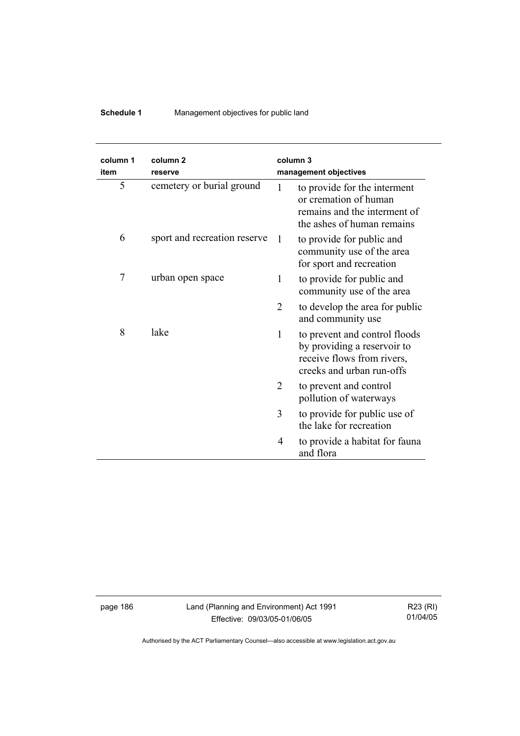### **Schedule 1** Management objectives for public land

| column 1<br>item | column <sub>2</sub><br>reserve | column 3     | management objectives                                                                                                   |
|------------------|--------------------------------|--------------|-------------------------------------------------------------------------------------------------------------------------|
| 5                | cemetery or burial ground      | 1            | to provide for the interment<br>or cremation of human<br>remains and the interment of<br>the ashes of human remains     |
| 6                | sport and recreation reserve   | -1           | to provide for public and<br>community use of the area<br>for sport and recreation                                      |
| 7                | urban open space               | 1            | to provide for public and<br>community use of the area                                                                  |
|                  |                                | 2            | to develop the area for public<br>and community use                                                                     |
| 8                | lake                           | $\mathbf{1}$ | to prevent and control floods<br>by providing a reservoir to<br>receive flows from rivers,<br>creeks and urban run-offs |
|                  |                                | 2            | to prevent and control<br>pollution of waterways                                                                        |
|                  |                                | 3            | to provide for public use of<br>the lake for recreation                                                                 |
|                  |                                | 4            | to provide a habitat for fauna<br>and flora                                                                             |

page 186 Land (Planning and Environment) Act 1991 Effective: 09/03/05-01/06/05

R23 (RI) 01/04/05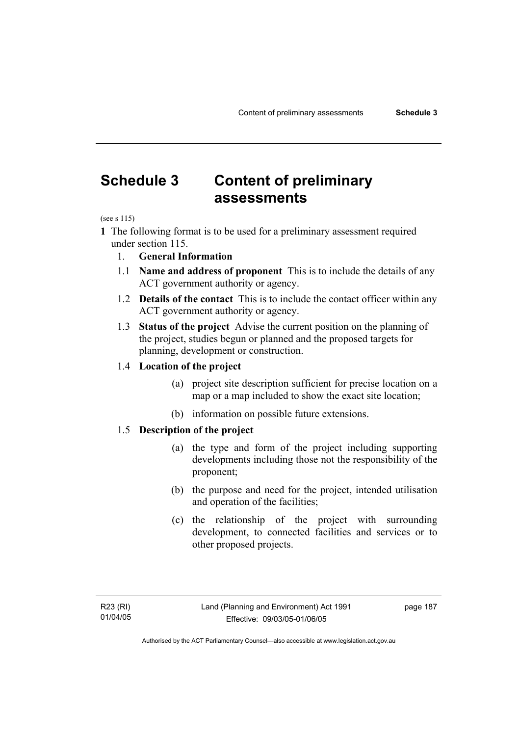## **Schedule 3 Content of preliminary assessments**

(see s 115)

**1** The following format is to be used for a preliminary assessment required under section 115.

- 1. **General Information**
- 1.1 **Name and address of proponent** This is to include the details of any ACT government authority or agency.
- 1.2 **Details of the contact** This is to include the contact officer within any ACT government authority or agency.
- 1.3 **Status of the project** Advise the current position on the planning of the project, studies begun or planned and the proposed targets for planning, development or construction.

#### 1.4 **Location of the project**

- (a) project site description sufficient for precise location on a map or a map included to show the exact site location;
- (b) information on possible future extensions.

#### 1.5 **Description of the project**

- (a) the type and form of the project including supporting developments including those not the responsibility of the proponent;
- (b) the purpose and need for the project, intended utilisation and operation of the facilities;
- (c) the relationship of the project with surrounding development, to connected facilities and services or to other proposed projects.

page 187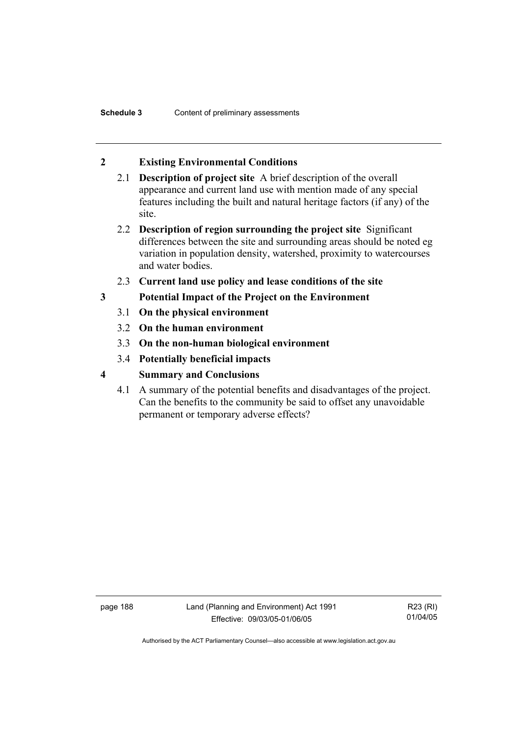#### **2 Existing Environmental Conditions**

- 2.1 **Description of project site** A brief description of the overall appearance and current land use with mention made of any special features including the built and natural heritage factors (if any) of the site.
- 2.2 **Description of region surrounding the project site** Significant differences between the site and surrounding areas should be noted eg variation in population density, watershed, proximity to watercourses and water bodies.
- 2.3 **Current land use policy and lease conditions of the site**
- **3 Potential Impact of the Project on the Environment** 
	- 3.1 **On the physical environment**
	- 3.2 **On the human environment**
	- 3.3 **On the non-human biological environment**
	- 3.4 **Potentially beneficial impacts**
- **4 Summary and Conclusions** 
	- 4.1 A summary of the potential benefits and disadvantages of the project. Can the benefits to the community be said to offset any unavoidable permanent or temporary adverse effects?

page 188 Land (Planning and Environment) Act 1991 Effective: 09/03/05-01/06/05

R23 (RI) 01/04/05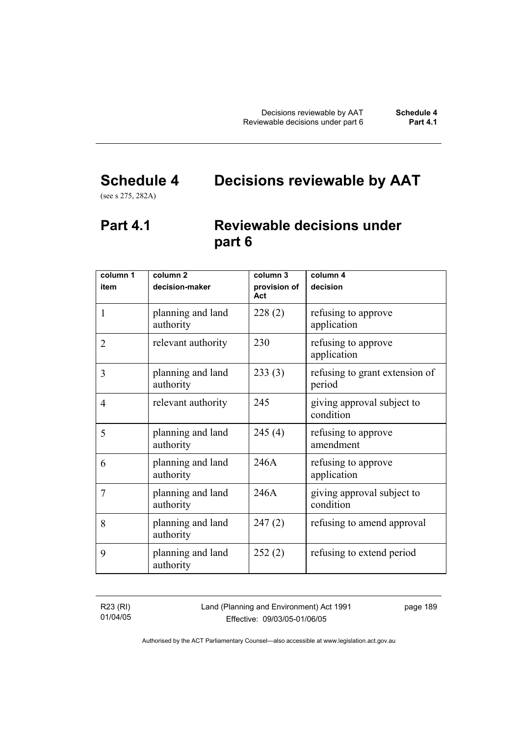# **Schedule 4 Decisions reviewable by AAT**

(see s 275, 282A)

## **Part 4.1 Reviewable decisions under part 6**

| column 1<br>item | column <sub>2</sub><br>decision-maker | column 3<br>provision of | column 4<br>decision                     |
|------------------|---------------------------------------|--------------------------|------------------------------------------|
|                  |                                       | Act                      |                                          |
| 1                | planning and land<br>authority        | 228(2)                   | refusing to approve<br>application       |
| $\overline{2}$   | relevant authority                    | 230                      | refusing to approve<br>application       |
| 3                | planning and land<br>authority        | 233(3)                   | refusing to grant extension of<br>period |
| $\overline{4}$   | relevant authority                    | 245                      | giving approval subject to<br>condition  |
| 5                | planning and land<br>authority        | 245(4)                   | refusing to approve<br>amendment         |
| 6                | planning and land<br>authority        | 246A                     | refusing to approve<br>application       |
| 7                | planning and land<br>authority        | 246A                     | giving approval subject to<br>condition  |
| 8                | planning and land<br>authority        | 247(2)                   | refusing to amend approval               |
| 9                | planning and land<br>authority        | 252(2)                   | refusing to extend period                |

R23 (RI) 01/04/05 Land (Planning and Environment) Act 1991 Effective: 09/03/05-01/06/05

page 189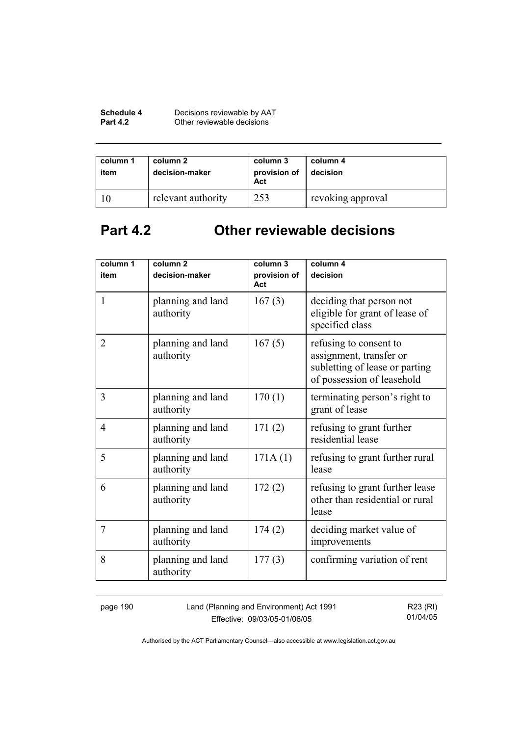| Schedule 4      | Decisions reviewable by AAT |
|-----------------|-----------------------------|
| <b>Part 4.2</b> | Other reviewable decisions  |

| column 1<br>item | column 2<br>decision-maker | column 3<br>provision of<br>Act | column 4<br>decision |
|------------------|----------------------------|---------------------------------|----------------------|
|                  | relevant authority         | 253                             | revoking approval    |

# **Part 4.2 Other reviewable decisions**

| column 1       | column <sub>2</sub>            | column 3            | column 4                                                                                                          |
|----------------|--------------------------------|---------------------|-------------------------------------------------------------------------------------------------------------------|
| item           | decision-maker                 | provision of<br>Act | decision                                                                                                          |
| $\mathbf{1}$   | planning and land<br>authority | 167(3)              | deciding that person not<br>eligible for grant of lease of<br>specified class                                     |
| $\overline{2}$ | planning and land<br>authority | 167(5)              | refusing to consent to<br>assignment, transfer or<br>subletting of lease or parting<br>of possession of leasehold |
| 3              | planning and land<br>authority | 170(1)              | terminating person's right to<br>grant of lease                                                                   |
| 4              | planning and land<br>authority | 171(2)              | refusing to grant further<br>residential lease                                                                    |
| 5              | planning and land<br>authority | 171A(1)             | refusing to grant further rural<br>lease                                                                          |
| 6              | planning and land<br>authority | 172(2)              | refusing to grant further lease<br>other than residential or rural<br>lease                                       |
| 7              | planning and land<br>authority | 174(2)              | deciding market value of<br>improvements                                                                          |
| 8              | planning and land<br>authority | 177(3)              | confirming variation of rent                                                                                      |

page 190 Land (Planning and Environment) Act 1991 Effective: 09/03/05-01/06/05

R23 (RI) 01/04/05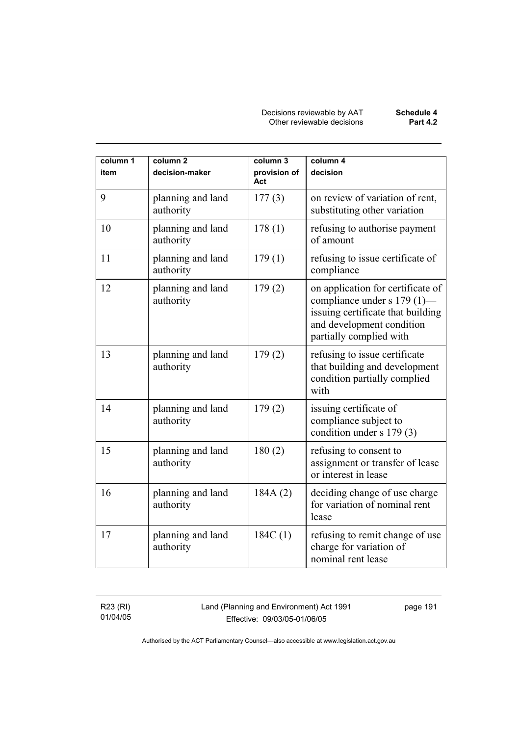| column 1<br>item | column <sub>2</sub><br>decision-maker | column 3<br>provision of<br>Act | column 4<br>decision                                                                                                                                          |
|------------------|---------------------------------------|---------------------------------|---------------------------------------------------------------------------------------------------------------------------------------------------------------|
| 9                | planning and land<br>authority        | 177(3)                          | on review of variation of rent,<br>substituting other variation                                                                                               |
| 10               | planning and land<br>authority        | 178(1)                          | refusing to authorise payment<br>of amount                                                                                                                    |
| 11               | planning and land<br>authority        | 179(1)                          | refusing to issue certificate of<br>compliance                                                                                                                |
| 12               | planning and land<br>authority        | 179(2)                          | on application for certificate of<br>compliance under s 179 (1)—<br>issuing certificate that building<br>and development condition<br>partially complied with |
| 13               | planning and land<br>authority        | 179(2)                          | refusing to issue certificate<br>that building and development<br>condition partially complied<br>with                                                        |
| 14               | planning and land<br>authority        | 179(2)                          | issuing certificate of<br>compliance subject to<br>condition under s 179 (3)                                                                                  |
| 15               | planning and land<br>authority        | 180(2)                          | refusing to consent to<br>assignment or transfer of lease<br>or interest in lease                                                                             |
| 16               | planning and land<br>authority        | 184A(2)                         | deciding change of use charge<br>for variation of nominal rent<br>lease                                                                                       |
| 17               | planning and land<br>authority        | 184C(1)                         | refusing to remit change of use<br>charge for variation of<br>nominal rent lease                                                                              |

R23 (RI) 01/04/05 Land (Planning and Environment) Act 1991 Effective: 09/03/05-01/06/05

page 191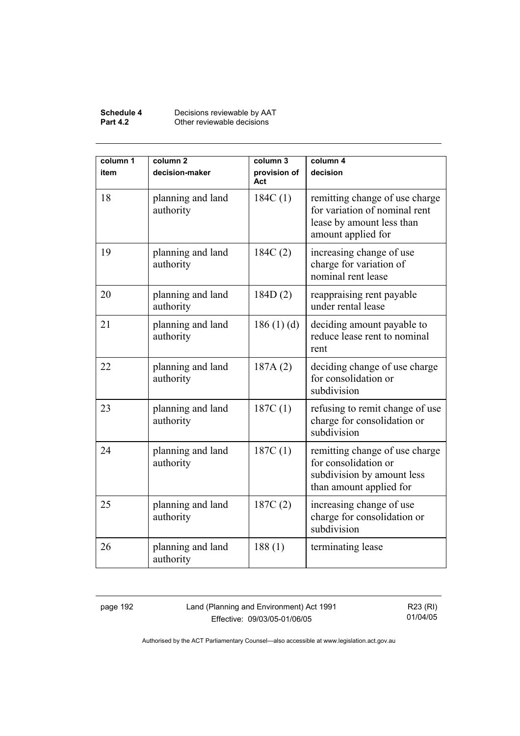#### **Schedule 4** Decisions reviewable by AAT **Part 4.2 Other reviewable decisions**

| column 1<br>item | column <sub>2</sub><br>decision-maker | column 3<br>provision of<br>Act | column 4<br>decision                                                                                               |
|------------------|---------------------------------------|---------------------------------|--------------------------------------------------------------------------------------------------------------------|
| 18               | planning and land<br>authority        | 184C(1)                         | remitting change of use charge<br>for variation of nominal rent<br>lease by amount less than<br>amount applied for |
| 19               | planning and land<br>authority        | 184C(2)                         | increasing change of use<br>charge for variation of<br>nominal rent lease                                          |
| 20               | planning and land<br>authority        | 184D(2)                         | reappraising rent payable<br>under rental lease                                                                    |
| 21               | planning and land<br>authority        | 186(1)(d)                       | deciding amount payable to<br>reduce lease rent to nominal<br>rent                                                 |
| 22               | planning and land<br>authority        | 187A(2)                         | deciding change of use charge<br>for consolidation or<br>subdivision                                               |
| 23               | planning and land<br>authority        | 187C(1)                         | refusing to remit change of use<br>charge for consolidation or<br>subdivision                                      |
| 24               | planning and land<br>authority        | 187C(1)                         | remitting change of use charge<br>for consolidation or<br>subdivision by amount less<br>than amount applied for    |
| 25               | planning and land<br>authority        | 187C(2)                         | increasing change of use<br>charge for consolidation or<br>subdivision                                             |
| 26               | planning and land<br>authority        | 188(1)                          | terminating lease                                                                                                  |

page 192 Land (Planning and Environment) Act 1991 Effective: 09/03/05-01/06/05

R23 (RI) 01/04/05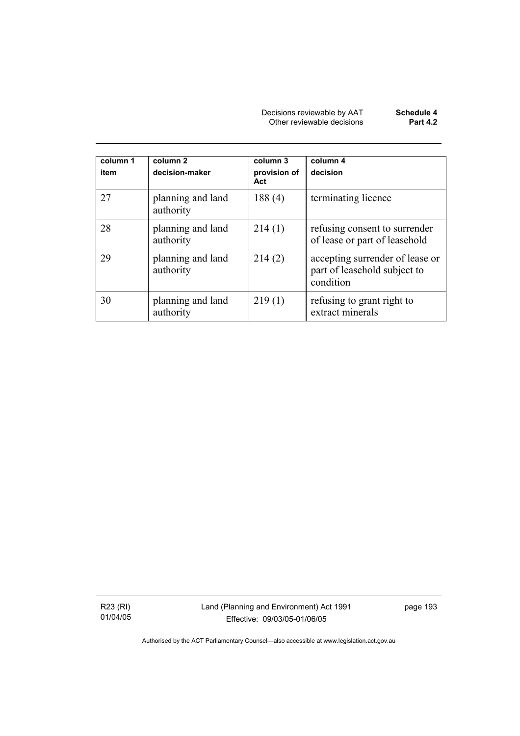| Decisions reviewable by AAT | Schedule 4      |
|-----------------------------|-----------------|
| Other reviewable decisions  | <b>Part 4.2</b> |

| column 1<br>item | column 2<br>decision-maker     | column 3<br>provision of<br>Act | column 4<br>decision                                                         |
|------------------|--------------------------------|---------------------------------|------------------------------------------------------------------------------|
| 27               | planning and land<br>authority | 188(4)                          | terminating licence                                                          |
| 28               | planning and land<br>authority | 214(1)                          | refusing consent to surrender<br>of lease or part of leasehold               |
| 29               | planning and land<br>authority | 214(2)                          | accepting surrender of lease or<br>part of leasehold subject to<br>condition |
| 30               | planning and land<br>authority | 219(1)                          | refusing to grant right to<br>extract minerals                               |

R23 (RI) 01/04/05 Land (Planning and Environment) Act 1991 Effective: 09/03/05-01/06/05

page 193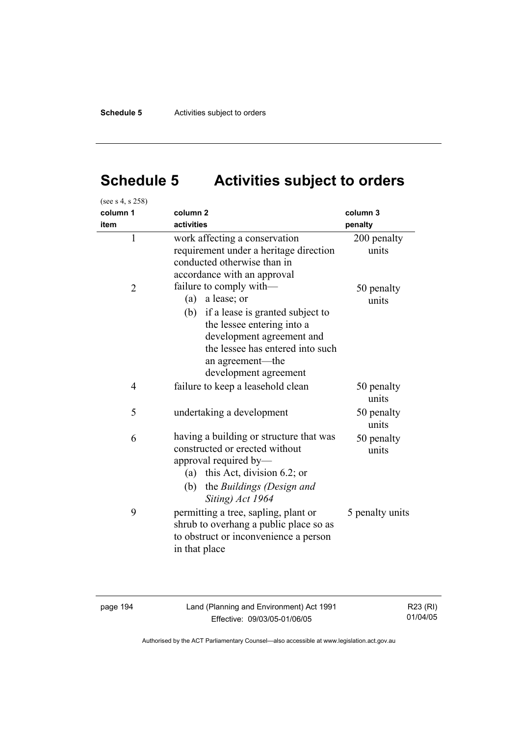# **Schedule 5 Activities subject to orders**

| (see s 4, s 258) |                                                                                                                                                                                                                                      |                      |
|------------------|--------------------------------------------------------------------------------------------------------------------------------------------------------------------------------------------------------------------------------------|----------------------|
| column 1         | column <sub>2</sub>                                                                                                                                                                                                                  | column 3             |
| item             | activities                                                                                                                                                                                                                           | penalty              |
| $\mathbf{1}$     | work affecting a conservation<br>requirement under a heritage direction<br>conducted otherwise than in<br>accordance with an approval                                                                                                | 200 penalty<br>units |
| $\overline{2}$   | failure to comply with—<br>a lease; or<br>(a)<br>(b)<br>if a lease is granted subject to<br>the lessee entering into a<br>development agreement and<br>the lessee has entered into such<br>an agreement—the<br>development agreement | 50 penalty<br>units  |
| $\overline{4}$   | failure to keep a leasehold clean                                                                                                                                                                                                    | 50 penalty<br>units  |
| 5                | undertaking a development                                                                                                                                                                                                            | 50 penalty<br>units  |
| 6                | having a building or structure that was<br>constructed or erected without<br>approval required by-<br>(a) this Act, division 6.2; or<br>the Buildings (Design and<br>(b)<br>Siting) Act 1964                                         | 50 penalty<br>units  |
| 9                | permitting a tree, sapling, plant or<br>shrub to overhang a public place so as<br>to obstruct or inconvenience a person<br>in that place                                                                                             | 5 penalty units      |

page 194 Land (Planning and Environment) Act 1991 Effective: 09/03/05-01/06/05

R23 (RI) 01/04/05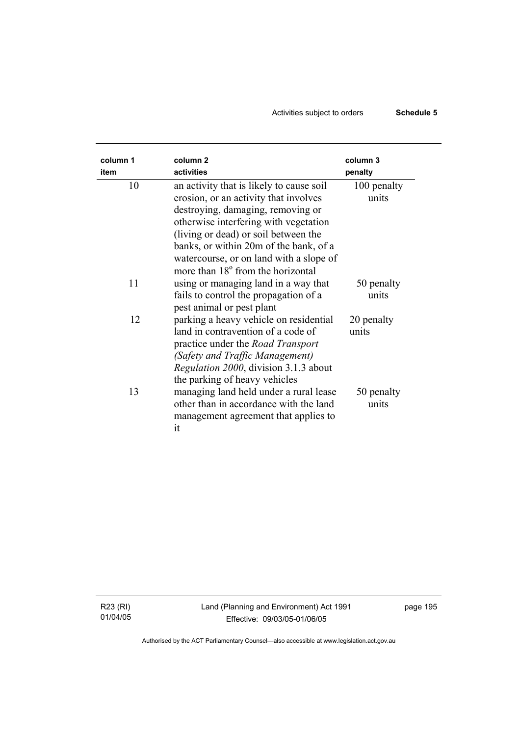### Activities subject to orders **Schedule 5**

| column 1 | column <sub>2</sub>                                                                                                                                                                                                               | column 3             |
|----------|-----------------------------------------------------------------------------------------------------------------------------------------------------------------------------------------------------------------------------------|----------------------|
| item     | activities                                                                                                                                                                                                                        | penalty              |
| 10       | an activity that is likely to cause soil<br>erosion, or an activity that involves<br>destroying, damaging, removing or                                                                                                            | 100 penalty<br>units |
|          | otherwise interfering with vegetation<br>(living or dead) or soil between the<br>banks, or within 20m of the bank, of a<br>watercourse, or on land with a slope of                                                                |                      |
| 11       | more than 18 <sup>°</sup> from the horizontal<br>using or managing land in a way that<br>fails to control the propagation of a                                                                                                    | 50 penalty<br>units  |
| 12       | pest animal or pest plant<br>parking a heavy vehicle on residential<br>land in contravention of a code of<br>practice under the <i>Road Transport</i><br>(Safety and Traffic Management)<br>Regulation 2000, division 3.1.3 about | 20 penalty<br>units  |
| 13       | the parking of heavy vehicles<br>managing land held under a rural lease<br>other than in accordance with the land<br>management agreement that applies to<br>it                                                                   | 50 penalty<br>units  |

R23 (RI) 01/04/05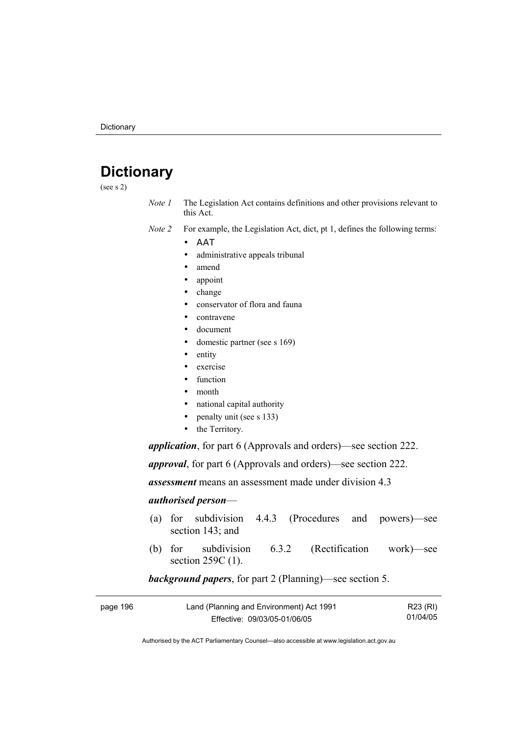## **Dictionary**

(see s 2)

- *Note 1* The Legislation Act contains definitions and other provisions relevant to this Act.
- *Note 2* For example, the Legislation Act, dict, pt 1, defines the following terms:
	- ΑΑΤ
		- administrative appeals tribunal
		- amend
		- appoint
		- change
		- conservator of flora and fauna
		- contravene
		- document
		- domestic partner (see s 169)
		- entity
		- exercise
		- function
		- month
		- national capital authority
		- penalty unit (see s 133)
		- the Territory.

*application*, for part 6 (Approvals and orders)—see section 222.

*approval*, for part 6 (Approvals and orders)—see section 222.

*assessment* means an assessment made under division 4.3

#### *authorised person*—

- (a) for subdivision 4.4.3 (Procedures and powers)—see section 143; and
- (b) for subdivision 6.3.2 (Rectification work)—see section 259C (1).

#### *background papers*, for part 2 (Planning)—see section 5.

| page 196 | Land (Planning and Environment) Act 1991 | R23 (RI) |
|----------|------------------------------------------|----------|
|          | Effective: 09/03/05-01/06/05             | 01/04/05 |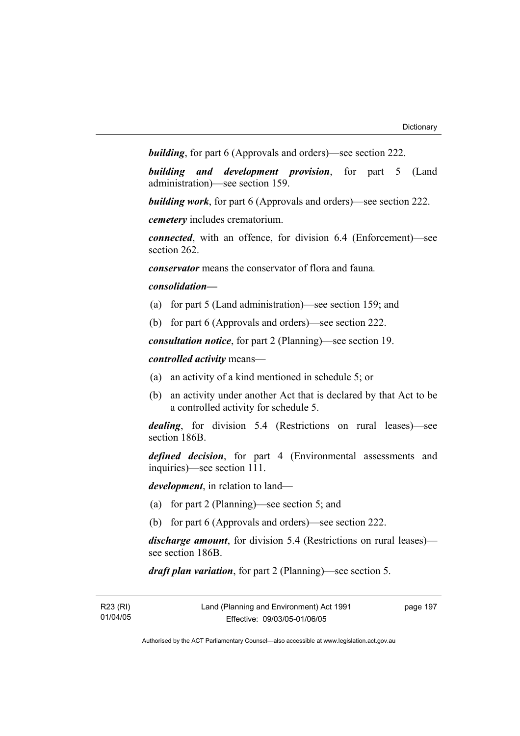*building*, for part 6 (Approvals and orders)—see section 222.

*building and development provision*, for part 5 (Land administration)—see section 159.

*building work*, for part 6 (Approvals and orders)—see section 222.

*cemetery* includes crematorium.

*connected*, with an offence, for division 6.4 (Enforcement)—see section 262.

*conservator* means the conservator of flora and fauna*.*

#### *consolidation—*

- (a) for part 5 (Land administration)—see section 159; and
- (b) for part 6 (Approvals and orders)—see section 222.

*consultation notice*, for part 2 (Planning)—see section 19.

#### *controlled activity* means—

- (a) an activity of a kind mentioned in schedule 5; or
- (b) an activity under another Act that is declared by that Act to be a controlled activity for schedule 5.

*dealing*, for division 5.4 (Restrictions on rural leases)—see section 186B.

*defined decision*, for part 4 (Environmental assessments and inquiries)—see section 111.

*development*, in relation to land—

- (a) for part 2 (Planning)—see section 5; and
- (b) for part 6 (Approvals and orders)—see section 222.

*discharge amount*, for division 5.4 (Restrictions on rural leases) see section 186B.

*draft plan variation*, for part 2 (Planning)—see section 5.

| R23 (RI) | Land (Planning and Environment) Act 1991 | page 197 |
|----------|------------------------------------------|----------|
| 01/04/05 | Effective: 09/03/05-01/06/05             |          |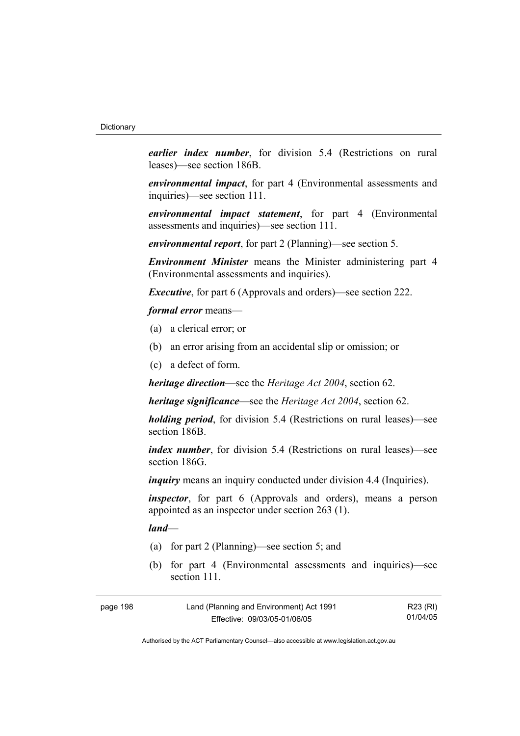*earlier index number*, for division 5.4 (Restrictions on rural leases)—see section 186B.

*environmental impact*, for part 4 (Environmental assessments and inquiries)—see section 111.

*environmental impact statement*, for part 4 (Environmental assessments and inquiries)—see section 111.

*environmental report*, for part 2 (Planning)—see section 5.

*Environment Minister* means the Minister administering part 4 (Environmental assessments and inquiries).

*Executive*, for part 6 (Approvals and orders)—see section 222.

*formal error* means—

- (a) a clerical error; or
- (b) an error arising from an accidental slip or omission; or
- (c) a defect of form.

*heritage direction*—see the *Heritage Act 2004*, section 62.

*heritage significance*—see the *Heritage Act 2004*, section 62.

*holding period*, for division 5.4 (Restrictions on rural leases)—see section 186B.

*index number*, for division 5.4 (Restrictions on rural leases)—see section 186G.

*inquiry* means an inquiry conducted under division 4.4 (Inquiries).

*inspector*, for part 6 (Approvals and orders), means a person appointed as an inspector under section 263 (1).

*land*—

- (a) for part 2 (Planning)—see section 5; and
- (b) for part 4 (Environmental assessments and inquiries)—see section 111

| page 198 | Land (Planning and Environment) Act 1991 | R23 (RI) |
|----------|------------------------------------------|----------|
|          | Effective: 09/03/05-01/06/05             | 01/04/05 |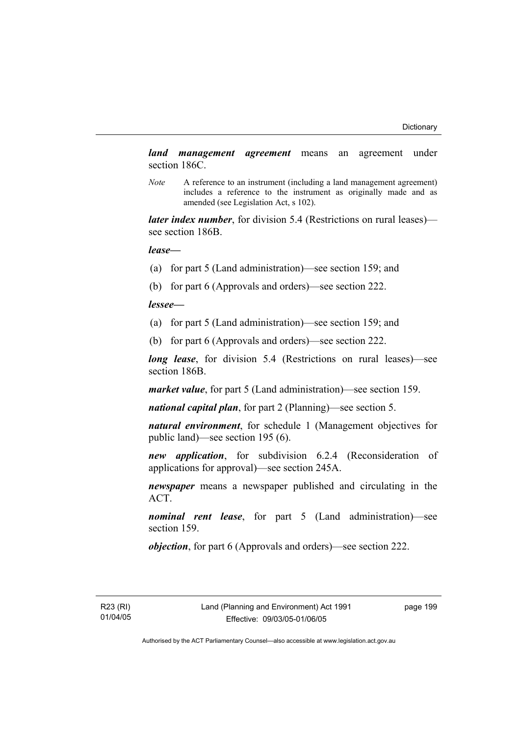*land management agreement* means an agreement under section 186C.

*Note* A reference to an instrument (including a land management agreement) includes a reference to the instrument as originally made and as amended (see Legislation Act, s 102).

*later index number*, for division 5.4 (Restrictions on rural leases) see section 186B.

*lease—*

- (a) for part 5 (Land administration)—see section 159; and
- (b) for part 6 (Approvals and orders)—see section 222.

*lessee—*

- (a) for part 5 (Land administration)—see section 159; and
- (b) for part 6 (Approvals and orders)—see section 222.

*long lease*, for division 5.4 (Restrictions on rural leases)—see section 186B.

*market value*, for part 5 (Land administration)—see section 159.

*national capital plan*, for part 2 (Planning)—see section 5.

*natural environment*, for schedule 1 (Management objectives for public land)—see section 195 (6).

*new application*, for subdivision 6.2.4 (Reconsideration of applications for approval)—see section 245A.

*newspaper* means a newspaper published and circulating in the ACT.

*nominal rent lease*, for part 5 (Land administration)—see section 159.

*objection*, for part 6 (Approvals and orders)—see section 222.

R23 (RI) 01/04/05 page 199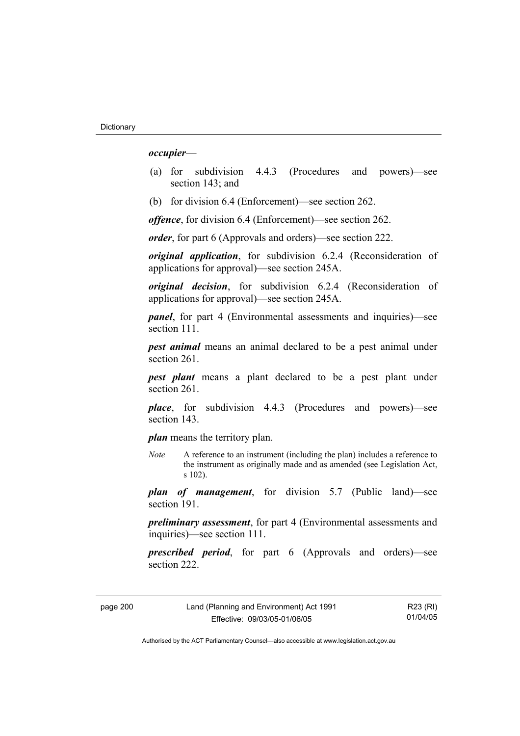#### *occupier*—

- (a) for subdivision 4.4.3 (Procedures and powers)—see section 143; and
- (b) for division 6.4 (Enforcement)—see section 262.

*offence*, for division 6.4 (Enforcement)—see section 262.

*order*, for part 6 (Approvals and orders)—see section 222.

*original application*, for subdivision 6.2.4 (Reconsideration of applications for approval)—see section 245A.

*original decision*, for subdivision 6.2.4 (Reconsideration of applications for approval)—see section 245A.

*panel*, for part 4 (Environmental assessments and inquiries)—see section 111.

*pest animal* means an animal declared to be a pest animal under section 261.

*pest plant* means a plant declared to be a pest plant under section 261

*place*, for subdivision 4.4.3 (Procedures and powers)—see section 143.

*plan* means the territory plan.

*Note* A reference to an instrument (including the plan) includes a reference to the instrument as originally made and as amended (see Legislation Act, s 102).

*plan of management*, for division 5.7 (Public land)—see section 191.

*preliminary assessment*, for part 4 (Environmental assessments and inquiries)—see section 111.

*prescribed period*, for part 6 (Approvals and orders)—see section 222.

page 200 Land (Planning and Environment) Act 1991 Effective: 09/03/05-01/06/05

R23 (RI) 01/04/05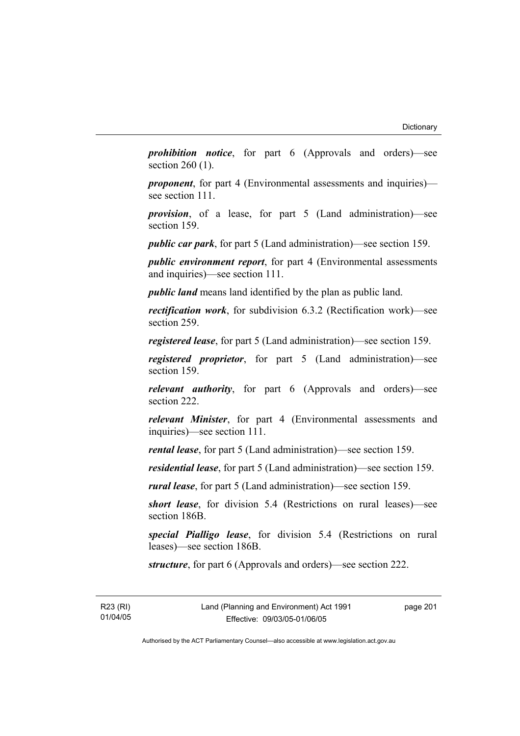*prohibition notice*, for part 6 (Approvals and orders)—see section 260 (1).

*proponent*, for part 4 (Environmental assessments and inquiries) see section 111.

*provision*, of a lease, for part 5 (Land administration)—see section 159.

*public car park*, for part 5 (Land administration)—see section 159.

*public environment report*, for part 4 (Environmental assessments and inquiries)—see section 111.

*public land* means land identified by the plan as public land.

*rectification work*, for subdivision 6.3.2 (Rectification work)—see section 259.

*registered lease*, for part 5 (Land administration)—see section 159.

*registered proprietor*, for part 5 (Land administration)—see section 159.

*relevant authority*, for part 6 (Approvals and orders)—see section 222.

*relevant Minister*, for part 4 (Environmental assessments and inquiries)—see section 111.

*rental lease*, for part 5 (Land administration)—see section 159.

*residential lease*, for part 5 (Land administration)—see section 159.

*rural lease*, for part 5 (Land administration)—see section 159.

*short lease*, for division 5.4 (Restrictions on rural leases)—see section 186B.

*special Pialligo lease*, for division 5.4 (Restrictions on rural leases)—see section 186B.

*structure*, for part 6 (Approvals and orders)—see section 222.

R23 (RI) 01/04/05 page 201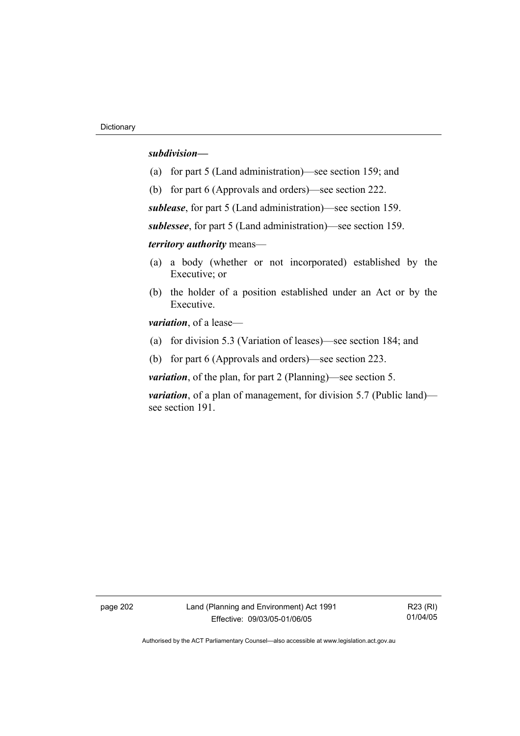#### *subdivision—*

- (a) for part 5 (Land administration)—see section 159; and
- (b) for part 6 (Approvals and orders)—see section 222.

*sublease*, for part 5 (Land administration)—see section 159.

*sublessee*, for part 5 (Land administration)—see section 159.

*territory authority* means—

- (a) a body (whether or not incorporated) established by the Executive; or
- (b) the holder of a position established under an Act or by the Executive.

*variation*, of a lease—

- (a) for division 5.3 (Variation of leases)—see section 184; and
- (b) for part 6 (Approvals and orders)—see section 223.

*variation*, of the plan, for part 2 (Planning)—see section 5.

*variation*, of a plan of management, for division 5.7 (Public land) see section 191.

page 202 Land (Planning and Environment) Act 1991 Effective: 09/03/05-01/06/05

R23 (RI) 01/04/05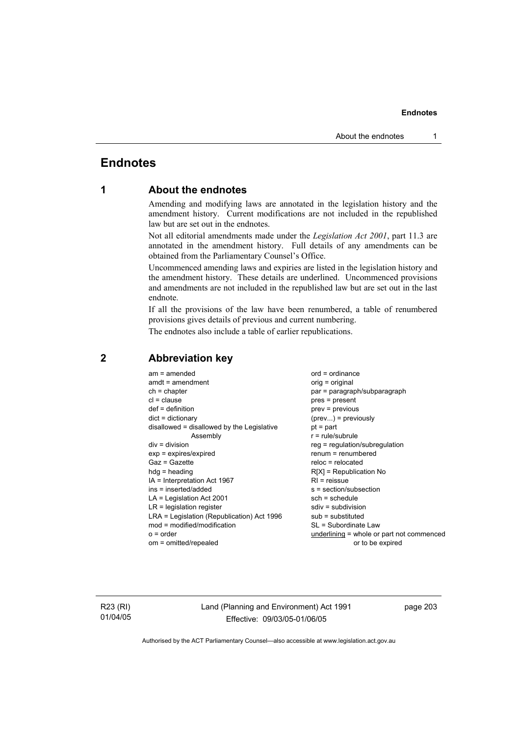# **Endnotes**

# **1 About the endnotes**

Amending and modifying laws are annotated in the legislation history and the amendment history. Current modifications are not included in the republished law but are set out in the endnotes.

Not all editorial amendments made under the *Legislation Act 2001*, part 11.3 are annotated in the amendment history. Full details of any amendments can be obtained from the Parliamentary Counsel's Office.

Uncommenced amending laws and expiries are listed in the legislation history and the amendment history. These details are underlined. Uncommenced provisions and amendments are not included in the republished law but are set out in the last endnote.

If all the provisions of the law have been renumbered, a table of renumbered provisions gives details of previous and current numbering.

The endnotes also include a table of earlier republications.

| $am = amended$                             | $ord = ordinance$                         |
|--------------------------------------------|-------------------------------------------|
| $amdt = amendment$                         | orig = original                           |
| $ch = chapter$                             | par = paragraph/subparagraph              |
| $cl = clause$                              | $pres = present$                          |
| $def = definition$                         | $prev = previous$                         |
| $dict = dictionary$                        | $(\text{prev})$ = previously              |
| disallowed = disallowed by the Legislative | $pt = part$                               |
| Assembly                                   | $r = rule/subrule$                        |
| $div = division$                           | reg = regulation/subregulation            |
| $exp = expires/expired$                    | $renum = renumbered$                      |
| $Gaz = Gazette$                            | $reloc = relocated$                       |
| $h dq =$ heading                           | $R[X]$ = Republication No                 |
| $IA = Interpretation Act 1967$             | $RI =$ reissue                            |
| $ins = inserted/added$                     | $s = section/subsection$                  |
| $LA =$ Legislation Act 2001                | $sch = schedule$                          |
| $LR =$ legislation register                | sdiv = subdivision                        |
| LRA = Legislation (Republication) Act 1996 | $sub =$ substituted                       |
| $mod = modified/modification$              | SL = Subordinate Law                      |
|                                            |                                           |
| $o = order$                                | underlining = whole or part not commenced |
| om = omitted/repealed                      | or to be expired                          |
|                                            |                                           |

# **2 Abbreviation key**

R23 (RI) 01/04/05 Land (Planning and Environment) Act 1991 Effective: 09/03/05-01/06/05

page 203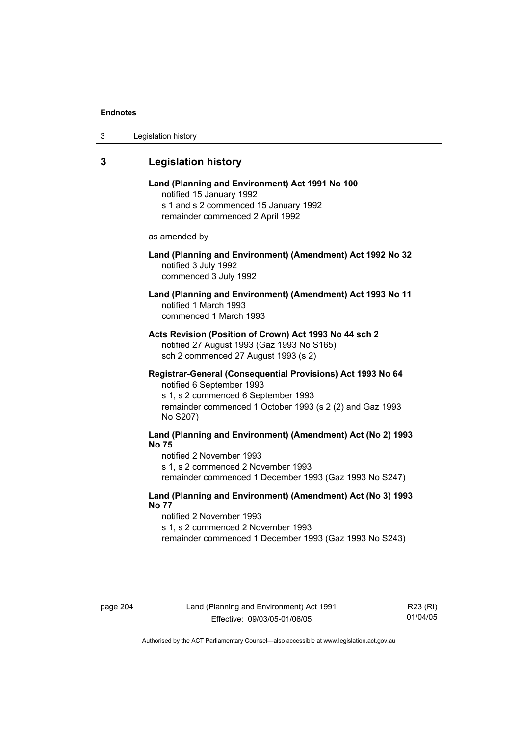| 3 | Legislation history |  |
|---|---------------------|--|
|---|---------------------|--|

# **3 Legislation history**

**Land (Planning and Environment) Act 1991 No 100**  notified 15 January 1992 s 1 and s 2 commenced 15 January 1992 remainder commenced 2 April 1992

as amended by

## **Land (Planning and Environment) (Amendment) Act 1992 No 32**  notified 3 July 1992 commenced 3 July 1992

# **Land (Planning and Environment) (Amendment) Act 1993 No 11**  notified 1 March 1993 commenced 1 March 1993

**Acts Revision (Position of Crown) Act 1993 No 44 sch 2**  notified 27 August 1993 (Gaz 1993 No S165) sch 2 commenced 27 August 1993 (s 2)

## **Registrar-General (Consequential Provisions) Act 1993 No 64**  notified 6 September 1993

s 1, s 2 commenced 6 September 1993 remainder commenced 1 October 1993 (s 2 (2) and Gaz 1993 No S207)

# **Land (Planning and Environment) (Amendment) Act (No 2) 1993 No 75**

notified 2 November 1993 s 1, s 2 commenced 2 November 1993 remainder commenced 1 December 1993 (Gaz 1993 No S247)

## **Land (Planning and Environment) (Amendment) Act (No 3) 1993 No 77**

notified 2 November 1993 s 1, s 2 commenced 2 November 1993 remainder commenced 1 December 1993 (Gaz 1993 No S243)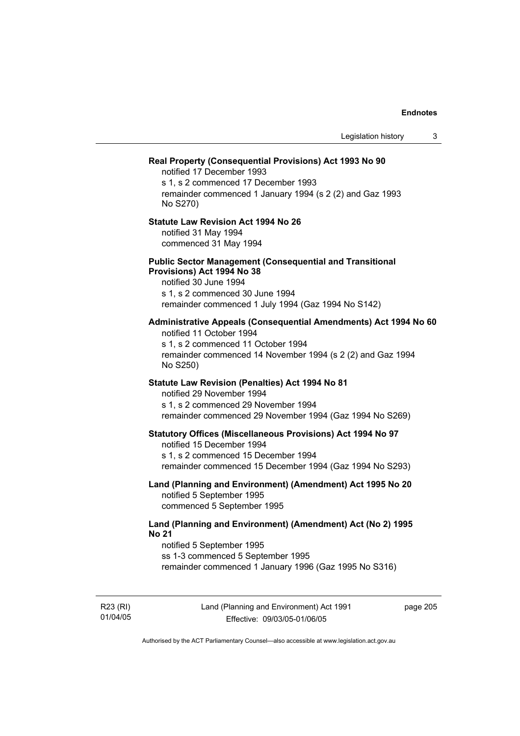|                                                                                                                                                                                                                 | Legislation history | 3 |
|-----------------------------------------------------------------------------------------------------------------------------------------------------------------------------------------------------------------|---------------------|---|
| Real Property (Consequential Provisions) Act 1993 No 90<br>notified 17 December 1993<br>s 1, s 2 commenced 17 December 1993<br>remainder commenced 1 January 1994 (s 2 (2) and Gaz 1993<br>No S270)             |                     |   |
| <b>Statute Law Revision Act 1994 No 26</b><br>notified 31 May 1994<br>commenced 31 May 1994                                                                                                                     |                     |   |
| <b>Public Sector Management (Consequential and Transitional</b><br>Provisions) Act 1994 No 38<br>notified 30 June 1994<br>s 1, s 2 commenced 30 June 1994<br>remainder commenced 1 July 1994 (Gaz 1994 No S142) |                     |   |
| Administrative Appeals (Consequential Amendments) Act 1994 No 60<br>notified 11 October 1994<br>s 1, s 2 commenced 11 October 1994<br>remainder commenced 14 November 1994 (s 2 (2) and Gaz 1994<br>No S250)    |                     |   |
| Statute Law Revision (Penalties) Act 1994 No 81<br>notified 29 November 1994<br>s 1, s 2 commenced 29 November 1994<br>remainder commenced 29 November 1994 (Gaz 1994 No S269)                                  |                     |   |
| <b>Statutory Offices (Miscellaneous Provisions) Act 1994 No 97</b><br>notified 15 December 1994<br>s 1, s 2 commenced 15 December 1994<br>remainder commenced 15 December 1994 (Gaz 1994 No S293)               |                     |   |
| Land (Planning and Environment) (Amendment) Act 1995 No 20<br>notified 5 September 1995<br>commenced 5 September 1995                                                                                           |                     |   |
| Land (Planning and Environment) (Amendment) Act (No 2) 1995<br><b>No 21</b><br>notified 5 September 1995<br>ss 1-3 commenced 5 September 1995<br>remainder commenced 1 January 1996 (Gaz 1995 No S316)          |                     |   |

R23 (RI) 01/04/05 Land (Planning and Environment) Act 1991 Effective: 09/03/05-01/06/05

page 205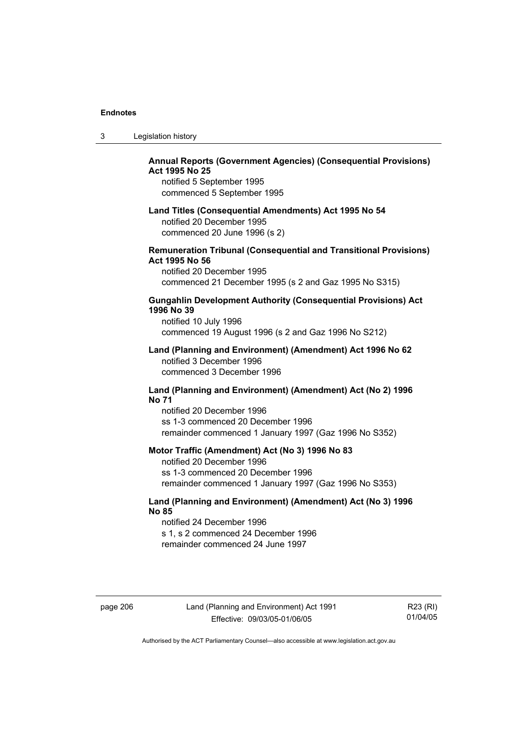| 3 | Legislation history |  |
|---|---------------------|--|
|---|---------------------|--|

# **Annual Reports (Government Agencies) (Consequential Provisions) Act 1995 No 25**

notified 5 September 1995 commenced 5 September 1995

#### **Land Titles (Consequential Amendments) Act 1995 No 54**

notified 20 December 1995 commenced 20 June 1996 (s 2)

### **Remuneration Tribunal (Consequential and Transitional Provisions) Act 1995 No 56**

notified 20 December 1995 commenced 21 December 1995 (s 2 and Gaz 1995 No S315)

## **Gungahlin Development Authority (Consequential Provisions) Act 1996 No 39**

notified 10 July 1996 commenced 19 August 1996 (s 2 and Gaz 1996 No S212)

#### **Land (Planning and Environment) (Amendment) Act 1996 No 62**  notified 3 December 1996 commenced 3 December 1996

#### **Land (Planning and Environment) (Amendment) Act (No 2) 1996 No 71**

notified 20 December 1996 ss 1-3 commenced 20 December 1996 remainder commenced 1 January 1997 (Gaz 1996 No S352)

## **Motor Traffic (Amendment) Act (No 3) 1996 No 83**

notified 20 December 1996 ss 1-3 commenced 20 December 1996 remainder commenced 1 January 1997 (Gaz 1996 No S353)

## **Land (Planning and Environment) (Amendment) Act (No 3) 1996 No 85**

notified 24 December 1996 s 1, s 2 commenced 24 December 1996 remainder commenced 24 June 1997

page 206 Land (Planning and Environment) Act 1991 Effective: 09/03/05-01/06/05

R23 (RI) 01/04/05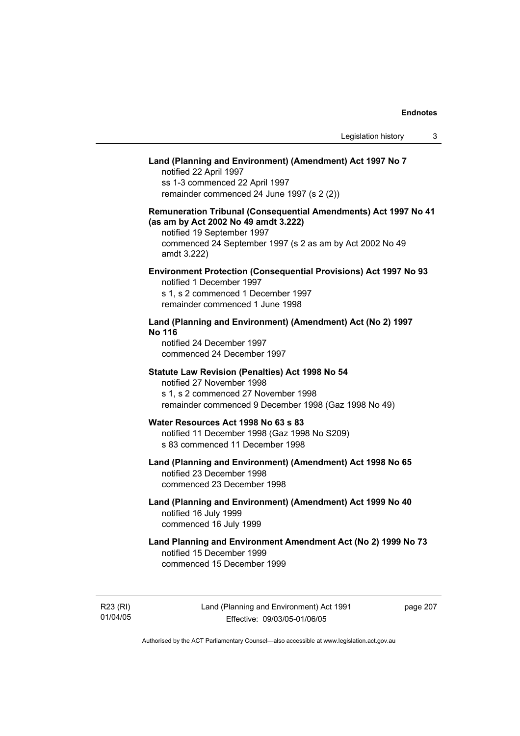# **Land (Planning and Environment) (Amendment) Act 1997 No 7**

notified 22 April 1997 ss 1-3 commenced 22 April 1997 remainder commenced 24 June 1997 (s 2 (2))

## **Remuneration Tribunal (Consequential Amendments) Act 1997 No 41 (as am by Act 2002 No 49 amdt 3.222)**

notified 19 September 1997 commenced 24 September 1997 (s 2 as am by Act 2002 No 49 amdt 3.222)

## **Environment Protection (Consequential Provisions) Act 1997 No 93**

notified 1 December 1997 s 1, s 2 commenced 1 December 1997 remainder commenced 1 June 1998

## **Land (Planning and Environment) (Amendment) Act (No 2) 1997 No 116**

notified 24 December 1997 commenced 24 December 1997

#### **Statute Law Revision (Penalties) Act 1998 No 54**

notified 27 November 1998 s 1, s 2 commenced 27 November 1998 remainder commenced 9 December 1998 (Gaz 1998 No 49)

## **Water Resources Act 1998 No 63 s 83**

notified 11 December 1998 (Gaz 1998 No S209) s 83 commenced 11 December 1998

# **Land (Planning and Environment) (Amendment) Act 1998 No 65**  notified 23 December 1998

commenced 23 December 1998

## **Land (Planning and Environment) (Amendment) Act 1999 No 40**  notified 16 July 1999 commenced 16 July 1999

# **Land Planning and Environment Amendment Act (No 2) 1999 No 73**  notified 15 December 1999 commenced 15 December 1999

R23 (RI) 01/04/05 Land (Planning and Environment) Act 1991 Effective: 09/03/05-01/06/05

page 207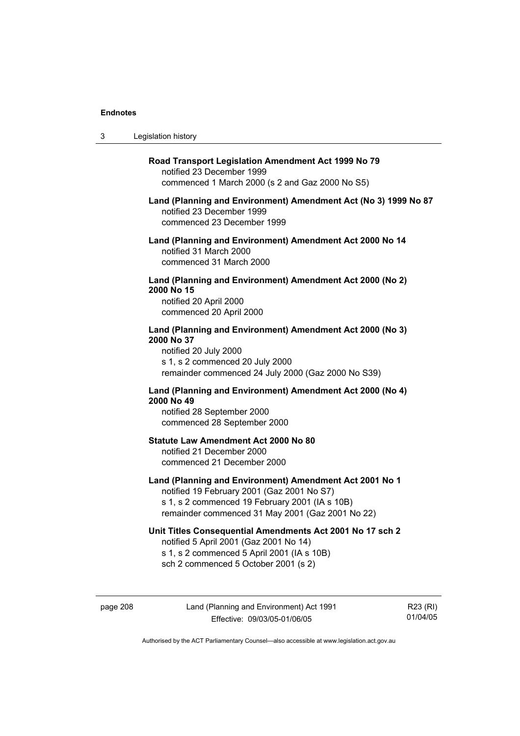$3<sub>1</sub>$ 

| Legislation history                                                                                                                                                                                         |
|-------------------------------------------------------------------------------------------------------------------------------------------------------------------------------------------------------------|
| Road Transport Legislation Amendment Act 1999 No 79<br>notified 23 December 1999<br>commenced 1 March 2000 (s 2 and Gaz 2000 No S5)                                                                         |
| Land (Planning and Environment) Amendment Act (No 3) 1999 No 87<br>notified 23 December 1999<br>commenced 23 December 1999                                                                                  |
| Land (Planning and Environment) Amendment Act 2000 No 14<br>notified 31 March 2000<br>commenced 31 March 2000                                                                                               |
| Land (Planning and Environment) Amendment Act 2000 (No 2)<br>2000 No 15<br>notified 20 April 2000<br>commenced 20 April 2000                                                                                |
| Land (Planning and Environment) Amendment Act 2000 (No 3)<br>2000 No 37<br>notified 20 July 2000<br>s 1, s 2 commenced 20 July 2000<br>remainder commenced 24 July 2000 (Gaz 2000 No S39)                   |
| Land (Planning and Environment) Amendment Act 2000 (No 4)<br>2000 No 49<br>notified 28 September 2000<br>commenced 28 September 2000                                                                        |
| <b>Statute Law Amendment Act 2000 No 80</b><br>notified 21 December 2000<br>commenced 21 December 2000                                                                                                      |
| Land (Planning and Environment) Amendment Act 2001 No 1<br>notified 19 February 2001 (Gaz 2001 No S7)<br>s 1, s 2 commenced 19 February 2001 (IA s 10B)<br>remainder commenced 31 May 2001 (Gaz 2001 No 22) |
| Unit Titles Consequential Amendments Act 2001 No 17 sch 2<br>notified 5 April 2001 (Gaz 2001 No 14)<br>s 1, s 2 commenced 5 April 2001 (IA s 10B)<br>sch 2 commenced 5 October 2001 (s 2)                   |

page 208 Land (Planning and Environment) Act 1991 Effective: 09/03/05-01/06/05

R23 (RI) 01/04/05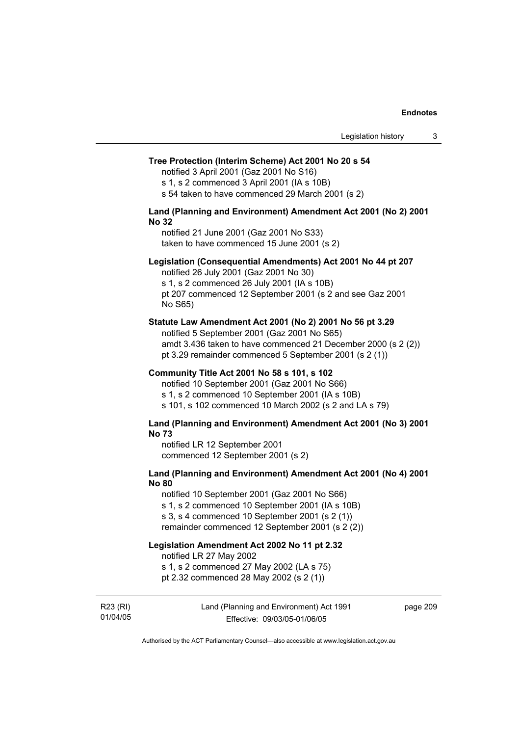#### **Tree Protection (Interim Scheme) Act 2001 No 20 s 54**

notified 3 April 2001 (Gaz 2001 No S16)

s 1, s 2 commenced 3 April 2001 (IA s 10B)

s 54 taken to have commenced 29 March 2001 (s 2)

#### **Land (Planning and Environment) Amendment Act 2001 (No 2) 2001 No 32**

notified 21 June 2001 (Gaz 2001 No S33) taken to have commenced 15 June 2001 (s 2)

#### **Legislation (Consequential Amendments) Act 2001 No 44 pt 207**

notified 26 July 2001 (Gaz 2001 No 30) s 1, s 2 commenced 26 July 2001 (IA s 10B) pt 207 commenced 12 September 2001 (s 2 and see Gaz 2001 No S65)

#### **Statute Law Amendment Act 2001 (No 2) 2001 No 56 pt 3.29**

notified 5 September 2001 (Gaz 2001 No S65) amdt 3.436 taken to have commenced 21 December 2000 (s 2 (2)) pt 3.29 remainder commenced 5 September 2001 (s 2 (1))

#### **Community Title Act 2001 No 58 s 101, s 102**

notified 10 September 2001 (Gaz 2001 No S66) s 1, s 2 commenced 10 September 2001 (IA s 10B) s 101, s 102 commenced 10 March 2002 (s 2 and LA s 79)

#### **Land (Planning and Environment) Amendment Act 2001 (No 3) 2001 No 73**

notified LR 12 September 2001 commenced 12 September 2001 (s 2)

## **Land (Planning and Environment) Amendment Act 2001 (No 4) 2001 No 80**

notified 10 September 2001 (Gaz 2001 No S66) s 1, s 2 commenced 10 September 2001 (IA s 10B) s 3, s 4 commenced 10 September 2001 (s 2 (1)) remainder commenced 12 September 2001 (s 2 (2))

## **Legislation Amendment Act 2002 No 11 pt 2.32**

notified LR 27 May 2002

s 1, s 2 commenced 27 May 2002 (LA s 75)

pt 2.32 commenced 28 May 2002 (s 2 (1))

R23 (RI) 01/04/05 Land (Planning and Environment) Act 1991 Effective: 09/03/05-01/06/05

page 209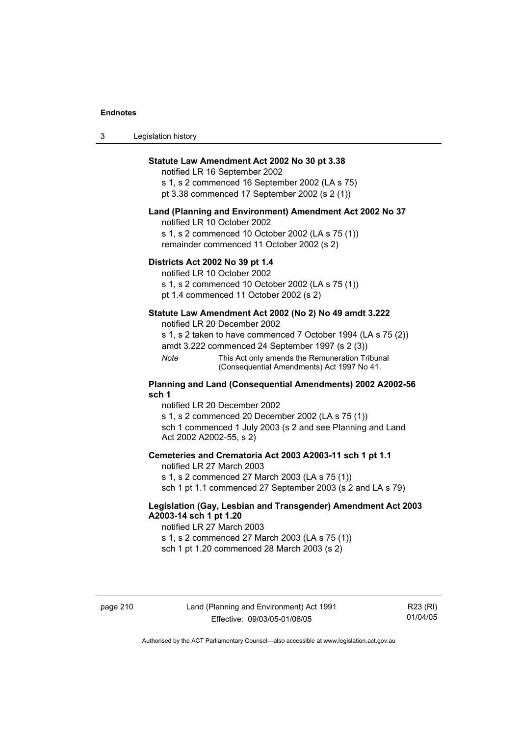| 3 | Legislation history |  |
|---|---------------------|--|
|---|---------------------|--|

## **Statute Law Amendment Act 2002 No 30 pt 3.38**

notified LR 16 September 2002 s 1, s 2 commenced 16 September 2002 (LA s 75) pt 3.38 commenced 17 September 2002 (s 2 (1))

#### **Land (Planning and Environment) Amendment Act 2002 No 37**

notified LR 10 October 2002

s 1, s 2 commenced 10 October 2002 (LA s 75 (1)) remainder commenced 11 October 2002 (s 2)

#### **Districts Act 2002 No 39 pt 1.4**

notified LR 10 October 2002

s 1, s 2 commenced 10 October 2002 (LA s 75 (1))

pt 1.4 commenced 11 October 2002 (s 2)

## **Statute Law Amendment Act 2002 (No 2) No 49 amdt 3.222**

notified LR 20 December 2002

s 1, s 2 taken to have commenced 7 October 1994 (LA s 75 (2)) amdt 3.222 commenced 24 September 1997 (s 2 (3))

*Note* This Act only amends the Remuneration Tribunal (Consequential Amendments) Act 1997 No 41.

#### **Planning and Land (Consequential Amendments) 2002 A2002-56 sch 1**

notified LR 20 December 2002 s 1, s 2 commenced 20 December 2002 (LA s 75 (1)) sch 1 commenced 1 July 2003 (s 2 and see Planning and Land Act 2002 A2002-55, s 2)

## **Cemeteries and Crematoria Act 2003 A2003-11 sch 1 pt 1.1**

notified LR 27 March 2003 s 1, s 2 commenced 27 March 2003 (LA s 75 (1)) sch 1 pt 1.1 commenced 27 September 2003 (s 2 and LA s 79)

## **Legislation (Gay, Lesbian and Transgender) Amendment Act 2003 A2003-14 sch 1 pt 1.20**

notified LR 27 March 2003 s 1, s 2 commenced 27 March 2003 (LA s 75 (1)) sch 1 pt 1.20 commenced 28 March 2003 (s 2)

R23 (RI) 01/04/05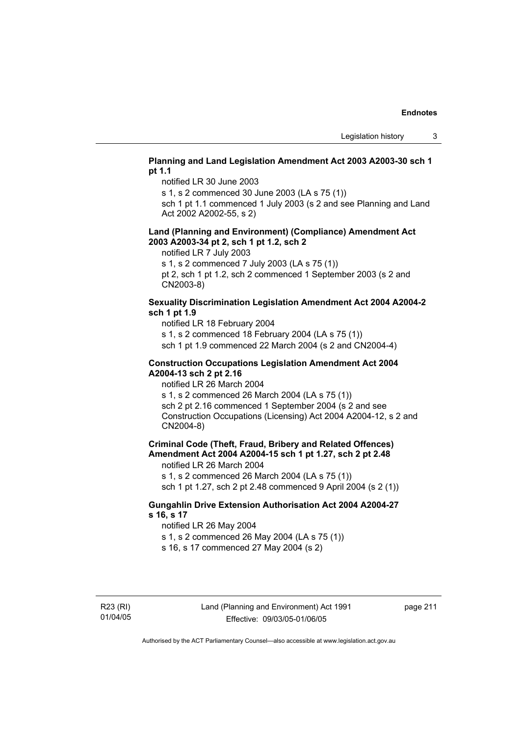## **Planning and Land Legislation Amendment Act 2003 A2003-30 sch 1 pt 1.1**

notified LR 30 June 2003

s 1, s 2 commenced 30 June 2003 (LA s 75 (1))

sch 1 pt 1.1 commenced 1 July 2003 (s 2 and see Planning and Land Act 2002 A2002-55, s 2)

#### **Land (Planning and Environment) (Compliance) Amendment Act 2003 A2003-34 pt 2, sch 1 pt 1.2, sch 2**

notified LR 7 July 2003

s 1, s 2 commenced 7 July 2003 (LA s 75 (1))

pt 2, sch 1 pt 1.2, sch 2 commenced 1 September 2003 (s 2 and CN2003-8)

## **Sexuality Discrimination Legislation Amendment Act 2004 A2004-2 sch 1 pt 1.9**

notified LR 18 February 2004

s 1, s 2 commenced 18 February 2004 (LA s 75 (1))

sch 1 pt 1.9 commenced 22 March 2004 (s 2 and CN2004-4)

### **Construction Occupations Legislation Amendment Act 2004 A2004-13 sch 2 pt 2.16**

notified LR 26 March 2004

s 1, s 2 commenced 26 March 2004 (LA s 75 (1)) sch 2 pt 2.16 commenced 1 September 2004 (s 2 and see Construction Occupations (Licensing) Act 2004 A2004-12, s 2 and CN2004-8)

# **Criminal Code (Theft, Fraud, Bribery and Related Offences) Amendment Act 2004 A2004-15 sch 1 pt 1.27, sch 2 pt 2.48**

notified LR 26 March 2004

s 1, s 2 commenced 26 March 2004 (LA s 75 (1))

sch 1 pt 1.27, sch 2 pt 2.48 commenced 9 April 2004 (s 2 (1))

## **Gungahlin Drive Extension Authorisation Act 2004 A2004-27 s 16, s 17**

notified LR 26 May 2004

s 1, s 2 commenced 26 May 2004 (LA s 75 (1))

s 16, s 17 commenced 27 May 2004 (s 2)

page 211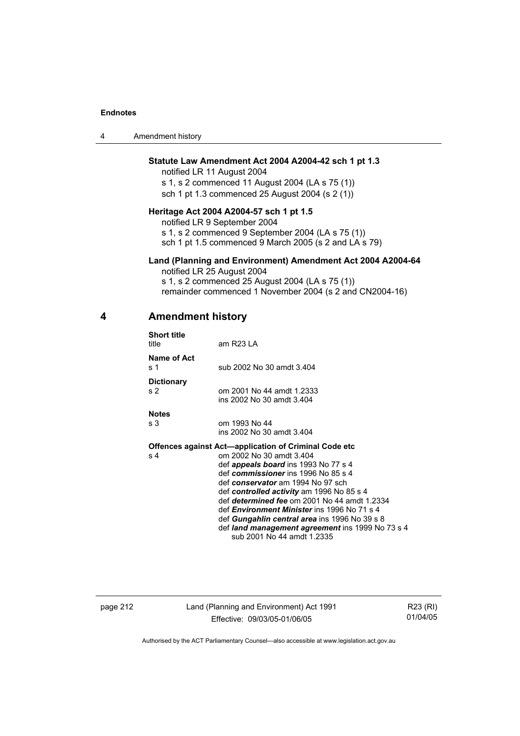4 Amendment history

## **Statute Law Amendment Act 2004 A2004-42 sch 1 pt 1.3**

notified LR 11 August 2004 s 1, s 2 commenced 11 August 2004 (LA s 75 (1)) sch 1 pt 1.3 commenced 25 August 2004 (s 2 (1))

## **Heritage Act 2004 A2004-57 sch 1 pt 1.5**

notified LR 9 September 2004 s 1, s 2 commenced 9 September 2004 (LA s 75 (1)) sch 1 pt 1.5 commenced 9 March 2005 (s 2 and LA s 79)

### **Land (Planning and Environment) Amendment Act 2004 A2004-64**

notified LR 25 August 2004 s 1, s 2 commenced 25 August 2004 (LA s 75 (1)) remainder commenced 1 November 2004 (s 2 and CN2004-16)

## **4 Amendment history**

| <b>Short title</b><br>title         | am R23 LA                                                    |
|-------------------------------------|--------------------------------------------------------------|
| Name of Act<br>s 1                  | sub 2002 No 30 amdt 3.404                                    |
| <b>Dictionary</b><br>s <sub>2</sub> | om 2001 No 44 amdt 1.2333<br>ins 2002 No 30 amdt 3.404       |
| <b>Notes</b>                        |                                                              |
| s 3                                 | om 1993 No 44                                                |
|                                     | ins 2002 No 30 amdt 3.404                                    |
|                                     | <b>Offences against Act—application of Criminal Code etc</b> |
| s <sub>4</sub>                      | om 2002 No 30 amdt 3.404                                     |
|                                     | def <i>appeals board</i> ins 1993 No 77 s 4                  |
|                                     | def commissioner ins 1996 No 85 s 4                          |
|                                     | def conservator am 1994 No 97 sch                            |
|                                     | def controlled activity am 1996 No 85 s 4                    |
|                                     | def determined fee om 2001 No 44 amdt 1.2334                 |
|                                     | def <i>Environment Minister</i> ins 1996 No 71 s 4           |
|                                     | def Gungahlin central area ins 1996 No 39 s 8                |
|                                     | def land management agreement ins 1999 No 73 s 4             |
|                                     | sub 2001 No 44 amdt 1.2335                                   |

page 212 Land (Planning and Environment) Act 1991 Effective: 09/03/05-01/06/05

R23 (RI) 01/04/05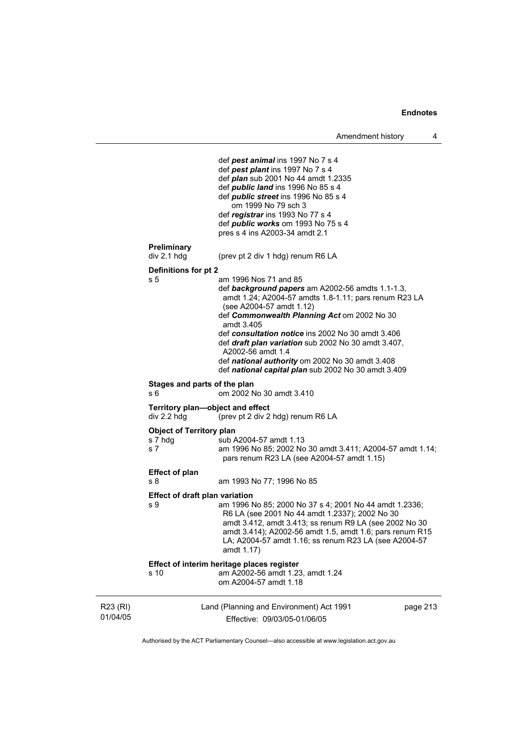```
R23 (RI) 
01/04/05 
                          Land (Planning and Environment) Act 1991 
                                 Effective: 09/03/05-01/06/05 
                                                                                 page 213 
                                def pest animal ins 1997 No 7 s 4 
                                def pest plant ins 1997 No 7 s 4 
                                def plan sub 2001 No 44 amdt 1.2335 
                                def public land ins 1996 No 85 s 4 
                                def public street ins 1996 No 85 s 4 
                                    om 1999 No 79 sch 3 
                                def registrar ins 1993 No 77 s 4 
                                def public works om 1993 No 75 s 4 
                                pres s 4 ins A2003-34 amdt 2.1 
            Preliminary 
                               (prev pt 2 div 1 hdg) renum R6 LA
            Definitions for pt 2 
            s 5 am 1996 Nos 71 and 85 
                                def background papers am A2002-56 amdts 1.1-1.3, 
                                amdt 1.24; A2004-57 amdts 1.8-1.11; pars renum R23 LA 
                                (see A2004-57 amdt 1.12) 
                                def Commonwealth Planning Act om 2002 No 30 
                                amdt 3.405 
                                def consultation notice ins 2002 No 30 amdt 3.406 
                                def draft plan variation sub 2002 No 30 amdt 3.407, 
                                A2002-56 amdt 1.4 
                                def national authority om 2002 No 30 amdt 3.408 
                                def national capital plan sub 2002 No 30 amdt 3.409 
            Stages and parts of the plan 
            s 6 om 2002 No 30 amdt 3.410 
            Territory plan—object and effect 
            div 2.2 hdg (prev pt 2 div 2 hdg) renum R6 LA 
            Object of Territory plan<br>s 7 hda b sub /
                               \frac{1}{2}sub A2004-57 amdt 1.13
            s 7 am 1996 No 85; 2002 No 30 amdt 3.411; A2004-57 amdt 1.14; 
                                pars renum R23 LA (see A2004-57 amdt 1.15) 
            Effect of plan 
            s 8 am 1993 No 77; 1996 No 85 
            Effect of draft plan variation 
            s 9 am 1996 No 85; 2000 No 37 s 4; 2001 No 44 amdt 1.2336; 
                                R6 LA (see 2001 No 44 amdt 1.2337); 2002 No 30 
                                amdt 3.412, amdt 3.413; ss renum R9 LA (see 2002 No 30 
                                amdt 3.414); A2002-56 amdt 1.5, amdt 1.6; pars renum R15 
                                LA; A2004-57 amdt 1.16; ss renum R23 LA (see A2004-57 
                                amdt 1.17) 
            Effect of interim heritage places register 
            s 10 am A2002-56 amdt 1.23, amdt 1.24 
                                om A2004-57 amdt 1.18
```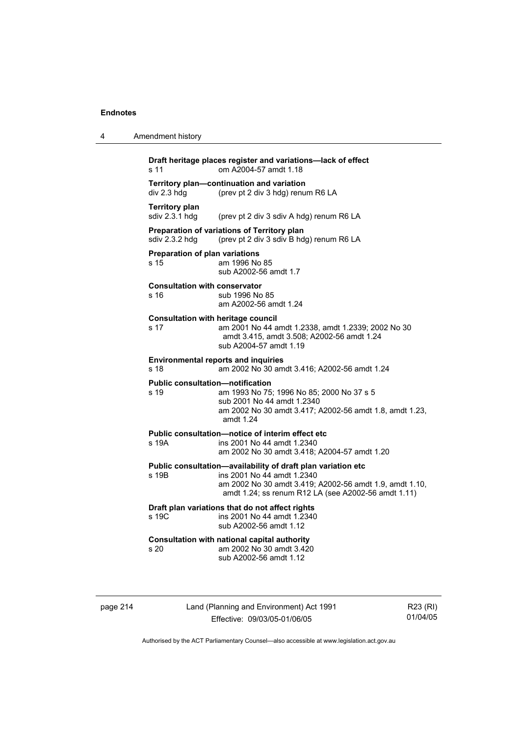4 Amendment history

| s <sub>11</sub>                              | om A2004-57 amdt 1.18                                                                                                                                                                                        |
|----------------------------------------------|--------------------------------------------------------------------------------------------------------------------------------------------------------------------------------------------------------------|
| div 2.3 hdg                                  | Territory plan-continuation and variation<br>(prev pt 2 div 3 hdg) renum R6 LA                                                                                                                               |
| <b>Territory plan</b><br>sdiv 2.3.1 hdg      | (prev pt 2 div 3 sdiv A hdg) renum R6 LA                                                                                                                                                                     |
| sdiv 2.3.2 hdg                               | Preparation of variations of Territory plan<br>(prev pt 2 div 3 sdiv B hdg) renum R6 LA                                                                                                                      |
| Preparation of plan variations<br>s 15       | am 1996 No 85<br>sub A2002-56 amdt 1.7                                                                                                                                                                       |
| <b>Consultation with conservator</b><br>s 16 | sub 1996 No 85<br>am A2002-56 amdt 1.24                                                                                                                                                                      |
| s 17                                         | <b>Consultation with heritage council</b><br>am 2001 No 44 amdt 1.2338, amdt 1.2339; 2002 No 30<br>amdt 3.415, amdt 3.508; A2002-56 amdt 1.24<br>sub A2004-57 amdt 1.19                                      |
| s 18                                         | <b>Environmental reports and inquiries</b><br>am 2002 No 30 amdt 3.416; A2002-56 amdt 1.24                                                                                                                   |
| s 19                                         | <b>Public consultation-notification</b><br>am 1993 No 75; 1996 No 85; 2000 No 37 s 5<br>sub 2001 No 44 amdt 1.2340<br>am 2002 No 30 amdt 3.417; A2002-56 amdt 1.8, amdt 1.23,<br>amdt 1.24                   |
| s 19A                                        | Public consultation-notice of interim effect etc<br>ins 2001 No 44 amdt 1.2340<br>am 2002 No 30 amdt 3.418; A2004-57 amdt 1.20                                                                               |
| s 19B                                        | Public consultation-availability of draft plan variation etc<br>ins 2001 No 44 amdt 1.2340<br>am 2002 No 30 amdt 3.419; A2002-56 amdt 1.9, amdt 1.10,<br>amdt 1.24; ss renum R12 LA (see A2002-56 amdt 1.11) |
| s 19C                                        | Draft plan variations that do not affect rights<br>ins 2001 No 44 amdt 1.2340<br>sub A2002-56 amdt 1.12                                                                                                      |
| s 20                                         | Consultation with national capital authority<br>am 2002 No 30 amdt 3.420<br>sub A2002-56 amdt 1.12                                                                                                           |

page 214 Land (Planning and Environment) Act 1991 Effective: 09/03/05-01/06/05

R23 (RI) 01/04/05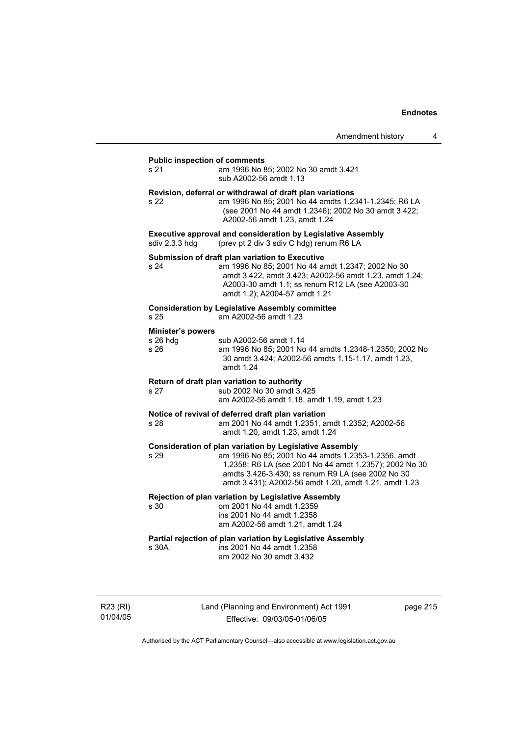#### **Public inspection of comments**

s 21 am 1996 No 85; 2002 No 30 amdt 3.421 sub A2002-56 amdt 1.13

#### **Revision, deferral or withdrawal of draft plan variations**

s 22 am 1996 No 85; 2001 No 44 amdts 1.2341-1.2345; R6 LA (see 2001 No 44 amdt 1.2346); 2002 No 30 amdt 3.422; A2002-56 amdt 1.23, amdt 1.24

**Executive approval and consideration by Legislative Assembly sdiv 2.3.3 hdg** (prev pt 2 div 3 sdiv C hdg) renum R6 LA (prev pt 2 div 3 sdiv C hdg) renum R6 LA

#### **Submission of draft plan variation to Executive**

s 24 am 1996 No 85; 2001 No 44 amdt 1.2347; 2002 No 30 amdt 3.422, amdt 3.423; A2002-56 amdt 1.23, amdt 1.24; A2003-30 amdt 1.1; ss renum R12 LA (see A2003-30 amdt 1.2); A2004-57 amdt 1.21

#### **Consideration by Legislative Assembly committee**

s 25 am A2002-56 amdt 1.23

#### **Minister's powers**

| s 26 hda | sub A2002-56 amdt 1.14                                           |
|----------|------------------------------------------------------------------|
| s 26     | am 1996 No 85; 2001 No 44 amdts 1.2348-1.2350; 2002 No           |
|          | 30 amdt 3.424: A2002-56 amdts 1.15-1.17, amdt 1.23.<br>amdt 1.24 |

#### **Return of draft plan variation to authority**

s 27 sub 2002 No 30 amdt 3.425 am A2002-56 amdt 1.18, amdt 1.19, amdt 1.23

#### **Notice of revival of deferred draft plan variation**

s 28 am 2001 No 44 amdt 1.2351, amdt 1.2352; A2002-56 amdt 1.20, amdt 1.23, amdt 1.24

#### **Consideration of plan variation by Legislative Assembly**

s 29 am 1996 No 85; 2001 No 44 amdts 1.2353-1.2356, amdt 1.2358; R6 LA (see 2001 No 44 amdt 1.2357); 2002 No 30 amdts 3.426-3.430; ss renum R9 LA (see 2002 No 30 amdt 3.431); A2002-56 amdt 1.20, amdt 1.21, amdt 1.23

#### **Rejection of plan variation by Legislative Assembly**

s 30 om 2001 No 44 amdt 1.2359 ins 2001 No 44 amdt 1.2358 am A2002-56 amdt 1.21, amdt 1.24

#### **Partial rejection of plan variation by Legislative Assembly**

s 30A ins 2001 No 44 amdt 1.2358 am 2002 No 30 amdt 3.432

R23 (RI) 01/04/05 Land (Planning and Environment) Act 1991 Effective: 09/03/05-01/06/05

page 215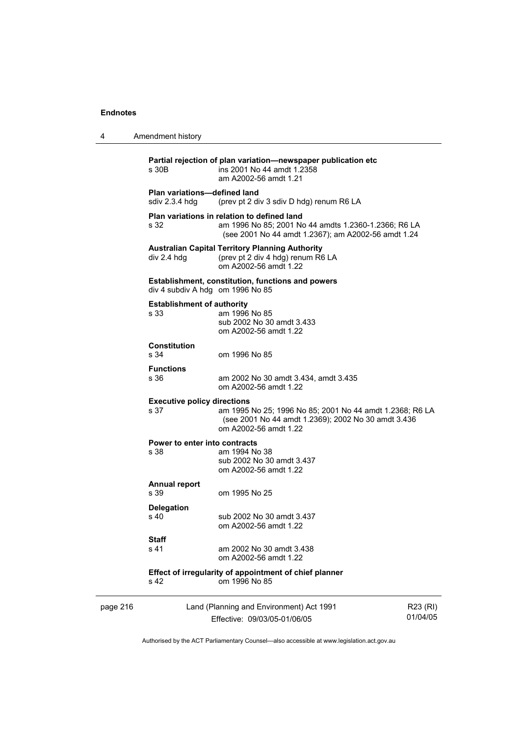| 4        | Amendment history                                     |                                                                                                                                                            |                      |
|----------|-------------------------------------------------------|------------------------------------------------------------------------------------------------------------------------------------------------------------|----------------------|
|          | s 30B                                                 | Partial rejection of plan variation-newspaper publication etc<br>ins 2001 No 44 amdt 1.2358<br>am A2002-56 amdt 1.21                                       |                      |
|          | <b>Plan variations-defined land</b><br>sdiv 2.3.4 hdg | (prev pt 2 div 3 sdiv D hdg) renum R6 LA                                                                                                                   |                      |
|          | s 32                                                  | Plan variations in relation to defined land<br>am 1996 No 85; 2001 No 44 amdts 1.2360-1.2366; R6 LA<br>(see 2001 No 44 amdt 1.2367); am A2002-56 amdt 1.24 |                      |
|          | div 2.4 hdg                                           | <b>Australian Capital Territory Planning Authority</b><br>(prev pt 2 div 4 hdg) renum R6 LA<br>om A2002-56 amdt 1.22                                       |                      |
|          | div 4 subdiv A hdg om 1996 No 85                      | <b>Establishment, constitution, functions and powers</b>                                                                                                   |                      |
|          | <b>Establishment of authority</b><br>s 33             | am 1996 No 85<br>sub 2002 No 30 amdt 3.433<br>om A2002-56 amdt 1.22                                                                                        |                      |
|          | Constitution<br>s 34                                  | om 1996 No 85                                                                                                                                              |                      |
|          | <b>Functions</b><br>s 36                              | am 2002 No 30 amdt 3.434, amdt 3.435<br>om A2002-56 amdt 1.22                                                                                              |                      |
|          | <b>Executive policy directions</b><br>s 37            | am 1995 No 25; 1996 No 85; 2001 No 44 amdt 1.2368; R6 LA<br>(see 2001 No 44 amdt 1.2369); 2002 No 30 amdt 3.436<br>om A2002-56 amdt 1.22                   |                      |
|          | Power to enter into contracts<br>s 38                 | am 1994 No 38<br>sub 2002 No 30 amdt 3.437<br>om A2002-56 amdt 1.22                                                                                        |                      |
|          | <b>Annual report</b><br>s 39                          | om 1995 No 25                                                                                                                                              |                      |
|          | <b>Delegation</b><br>s 40                             | sub 2002 No 30 amdt 3.437<br>om A2002-56 amdt 1.22                                                                                                         |                      |
|          | Staff<br>s 41                                         | am 2002 No 30 amdt 3.438<br>om A2002-56 amdt 1.22                                                                                                          |                      |
|          | s 42                                                  | Effect of irregularity of appointment of chief planner<br>om 1996 No 85                                                                                    |                      |
| page 216 |                                                       | Land (Planning and Environment) Act 1991<br>Effective: 09/03/05-01/06/05                                                                                   | R23 (RI)<br>01/04/05 |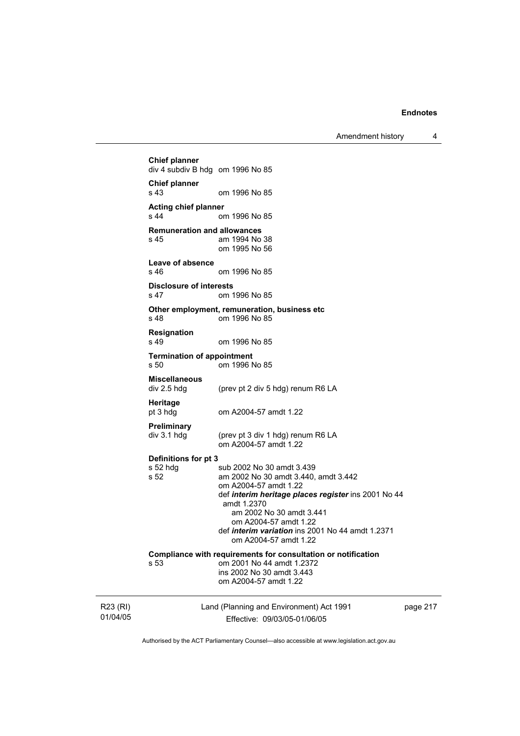Amendment history 4

R23 (RI) 01/04/05 Land (Planning and Environment) Act 1991 Effective: 09/03/05-01/06/05 page 217 **Chief planner**  div 4 subdiv B hdg om 1996 No 85 **Chief planner**  s 43 om 1996 No 85 **Acting chief planner**  om 1996 No 85 **Remuneration and allowances**  s 45 am 1994 No 38 om 1995 No 56 **Leave of absence**  s 46 om 1996 No 85 **Disclosure of interests**  om 1996 No 85 **Other employment, remuneration, business etc**  s 48 om 1996 No 85 **Resignation**  om 1996 No 85 **Termination of appointment**  s 50 om 1996 No 85 **Miscellaneous**  (prev pt 2 div 5 hdg) renum R6 LA **Heritage**  pt 3 hdg om A2004-57 amdt 1.22 **Preliminary**  (prev pt 3 div 1 hdg) renum R6 LA om A2004-57 amdt 1.22 **Definitions for pt 3**  s 52 hdg sub 2002 No 30 amdt 3.439<br>s 52 september 2002 No 30 amdt 3.440 am 2002 No 30 amdt 3.440, amdt 3.442 om A2004-57 amdt 1.22 def *interim heritage places register* ins 2001 No 44 amdt 1.2370 am 2002 No 30 amdt 3.441 om A2004-57 amdt 1.22 def *interim variation* ins 2001 No 44 amdt 1.2371 om A2004-57 amdt 1.22 **Compliance with requirements for consultation or notification**  s 53 om 2001 No 44 amdt 1.2372 ins 2002 No 30 amdt 3.443 om A2004-57 amdt 1.22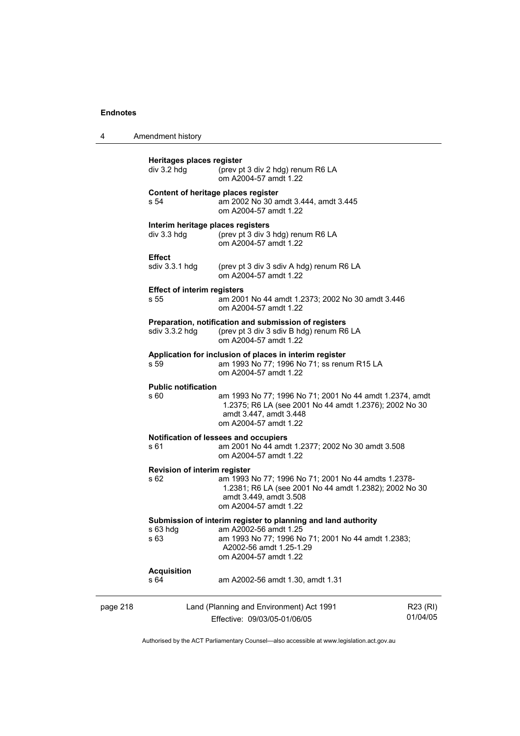| 4        | Amendment history                                  |                                                                                                                                                                                                  |                      |
|----------|----------------------------------------------------|--------------------------------------------------------------------------------------------------------------------------------------------------------------------------------------------------|----------------------|
|          | Heritages places register<br>div 3.2 hdg           | (prev pt 3 div 2 hdg) renum R6 LA<br>om A2004-57 amdt 1.22                                                                                                                                       |                      |
|          | s 54                                               | Content of heritage places register<br>am 2002 No 30 amdt 3.444, amdt 3.445<br>om A2004-57 amdt 1.22                                                                                             |                      |
|          | Interim heritage places registers<br>$div$ 3.3 hdg | (prev pt 3 div 3 hdg) renum R6 LA<br>om A2004-57 amdt 1.22                                                                                                                                       |                      |
|          | <b>Effect</b><br>sdiv 3.3.1 hdg                    | (prev pt 3 div 3 sdiv A hdg) renum R6 LA<br>om A2004-57 amdt 1.22                                                                                                                                |                      |
|          | <b>Effect of interim registers</b><br>s 55         | am 2001 No 44 amdt 1.2373; 2002 No 30 amdt 3.446<br>om A2004-57 amdt 1.22                                                                                                                        |                      |
|          | sdiv 3.3.2 hdg                                     | Preparation, notification and submission of registers<br>(prev pt 3 div 3 sdiv B hdg) renum R6 LA<br>om A2004-57 amdt 1.22                                                                       |                      |
|          | s 59                                               | Application for inclusion of places in interim register<br>am 1993 No 77; 1996 No 71; ss renum R15 LA<br>om A2004-57 amdt 1.22                                                                   |                      |
|          | <b>Public notification</b><br>s 60                 | am 1993 No 77; 1996 No 71; 2001 No 44 amdt 1.2374, amdt<br>1.2375; R6 LA (see 2001 No 44 amdt 1.2376); 2002 No 30<br>amdt 3.447, amdt 3.448<br>om A2004-57 amdt 1.22                             |                      |
|          | s 61                                               | Notification of lessees and occupiers<br>am 2001 No 44 amdt 1.2377; 2002 No 30 amdt 3.508<br>om A2004-57 amdt 1.22                                                                               |                      |
|          | Revision of interim register<br>s 62               | am 1993 No 77; 1996 No 71; 2001 No 44 amdts 1.2378-<br>1.2381; R6 LA (see 2001 No 44 amdt 1.2382); 2002 No 30<br>amdt 3.449, amdt 3.508<br>om A2004-57 amdt 1.22                                 |                      |
|          | s 63 hdg<br>s 63                                   | Submission of interim register to planning and land authority<br>am A2002-56 amdt 1.25<br>am 1993 No 77; 1996 No 71; 2001 No 44 amdt 1.2383;<br>A2002-56 amdt 1.25-1.29<br>om A2004-57 amdt 1.22 |                      |
|          | <b>Acquisition</b><br>s 64                         | am A2002-56 amdt 1.30, amdt 1.31                                                                                                                                                                 |                      |
| page 218 |                                                    | Land (Planning and Environment) Act 1991<br>Effective: 09/03/05-01/06/05                                                                                                                         | R23 (RI)<br>01/04/05 |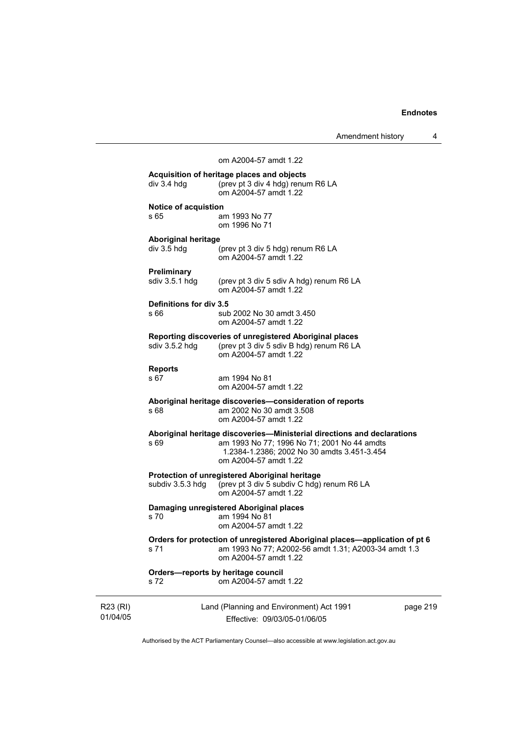|                      |                                             |                                                                                                                                                                                                | Amendment history | 4 |
|----------------------|---------------------------------------------|------------------------------------------------------------------------------------------------------------------------------------------------------------------------------------------------|-------------------|---|
|                      |                                             | om A2004-57 amdt 1.22                                                                                                                                                                          |                   |   |
|                      | $div$ 3.4 hdg                               | Acquisition of heritage places and objects<br>(prev pt 3 div 4 hdg) renum R6 LA<br>om A2004-57 amdt 1.22                                                                                       |                   |   |
|                      | <b>Notice of acquistion</b><br>s 65         | am 1993 No 77<br>om 1996 No 71                                                                                                                                                                 |                   |   |
|                      | <b>Aboriginal heritage</b><br>$div$ 3.5 hdg | (prev pt 3 div 5 hdg) renum R6 LA<br>om A2004-57 amdt 1.22                                                                                                                                     |                   |   |
|                      | Preliminary<br>sdiv 3.5.1 hdg               | (prev pt 3 div 5 sdiv A hdg) renum R6 LA<br>om A2004-57 amdt 1.22                                                                                                                              |                   |   |
|                      | Definitions for div 3.5<br>s 66             | sub 2002 No 30 amdt 3.450<br>om A2004-57 amdt 1.22                                                                                                                                             |                   |   |
|                      | sdiv 3.5.2 hdg                              | Reporting discoveries of unregistered Aboriginal places<br>(prev pt 3 div 5 sdiv B hdg) renum R6 LA<br>om A2004-57 amdt 1.22                                                                   |                   |   |
|                      | <b>Reports</b><br>s 67                      | am 1994 No 81<br>om A2004-57 amdt 1.22                                                                                                                                                         |                   |   |
|                      | s 68                                        | Aboriginal heritage discoveries—consideration of reports<br>am 2002 No 30 amdt 3.508<br>om A2004-57 amdt 1.22                                                                                  |                   |   |
|                      | s 69                                        | Aboriginal heritage discoveries—Ministerial directions and declarations<br>am 1993 No 77; 1996 No 71; 2001 No 44 amdts<br>1.2384-1.2386; 2002 No 30 amdts 3.451-3.454<br>om A2004-57 amdt 1.22 |                   |   |
|                      | subdiv 3.5.3 hdg                            | Protection of unregistered Aboriginal heritage<br>(prev pt 3 div 5 subdiv C hdg) renum R6 LA<br>om A2004-57 amdt 1.22                                                                          |                   |   |
|                      |                                             | Damaging unregistered Aboriginal places<br>s 70 am 1994 No 81<br>om A2004-57 amdt 1.22                                                                                                         |                   |   |
|                      | s 71                                        | Orders for protection of unregistered Aboriginal places-application of pt 6<br>am 1993 No 77; A2002-56 amdt 1.31; A2003-34 amdt 1.3<br>om A2004-57 amdt 1.22                                   |                   |   |
|                      | s 72                                        | Orders-reports by heritage council<br>om A2004-57 amdt 1.22                                                                                                                                    |                   |   |
| R23 (RI)<br>01/04/05 |                                             | Land (Planning and Environment) Act 1991<br>Effective: 09/03/05-01/06/05                                                                                                                       | page 219          |   |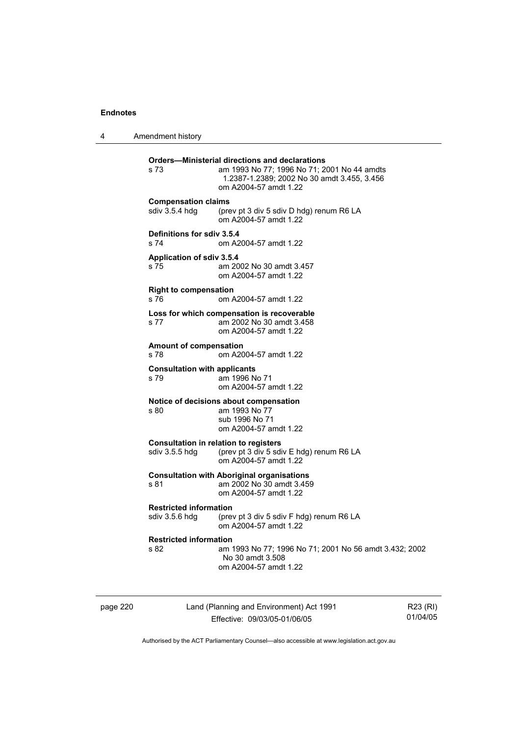4 Amendment history

| s 73                                            | <b>Orders-Ministerial directions and declarations</b><br>am 1993 No 77; 1996 No 71; 2001 No 44 amdts<br>1.2387-1.2389; 2002 No 30 amdt 3.455, 3.456<br>om A2004-57 amdt 1.22 |
|-------------------------------------------------|------------------------------------------------------------------------------------------------------------------------------------------------------------------------------|
| <b>Compensation claims</b><br>sdiv 3.5.4 hdg    | (prev pt 3 div 5 sdiv D hdg) renum R6 LA<br>om A2004-57 amdt 1.22                                                                                                            |
| Definitions for sdiv 3.5.4<br>s 74              | om A2004-57 amdt 1.22                                                                                                                                                        |
| <b>Application of sdiv 3.5.4</b><br>s 75        | am 2002 No 30 amdt 3.457<br>om A2004-57 amdt 1.22                                                                                                                            |
| <b>Right to compensation</b><br>s 76            | om A2004-57 amdt 1.22                                                                                                                                                        |
| s 77                                            | Loss for which compensation is recoverable<br>am 2002 No 30 amdt 3.458<br>om A2004-57 amdt 1.22                                                                              |
| <b>Amount of compensation</b><br>s 78           | om A2004-57 amdt 1.22                                                                                                                                                        |
| <b>Consultation with applicants</b><br>s 79     | am 1996 No 71<br>om A2004-57 amdt 1.22                                                                                                                                       |
| s 80                                            | Notice of decisions about compensation<br>am 1993 No 77<br>sub 1996 No 71<br>om A2004-57 amdt 1.22                                                                           |
| sdiv 3.5.5 hdg                                  | <b>Consultation in relation to registers</b><br>(prev pt 3 div 5 sdiv E hdg) renum R6 LA<br>om A2004-57 amdt 1.22                                                            |
| s 81                                            | <b>Consultation with Aboriginal organisations</b><br>am 2002 No 30 amdt 3.459<br>om A2004-57 amdt 1.22                                                                       |
| <b>Restricted information</b><br>sdiv 3.5.6 hdq | (prev pt 3 div 5 sdiv F hdg) renum R6 LA<br>om A2004-57 amdt 1.22                                                                                                            |
| <b>Restricted information</b><br>s 82           | am 1993 No 77; 1996 No 71; 2001 No 56 amdt 3.432; 2002<br>No 30 amdt 3.508<br>om A2004-57 amdt 1.22                                                                          |
|                                                 |                                                                                                                                                                              |

page 220 Land (Planning and Environment) Act 1991 Effective: 09/03/05-01/06/05

R23 (RI) 01/04/05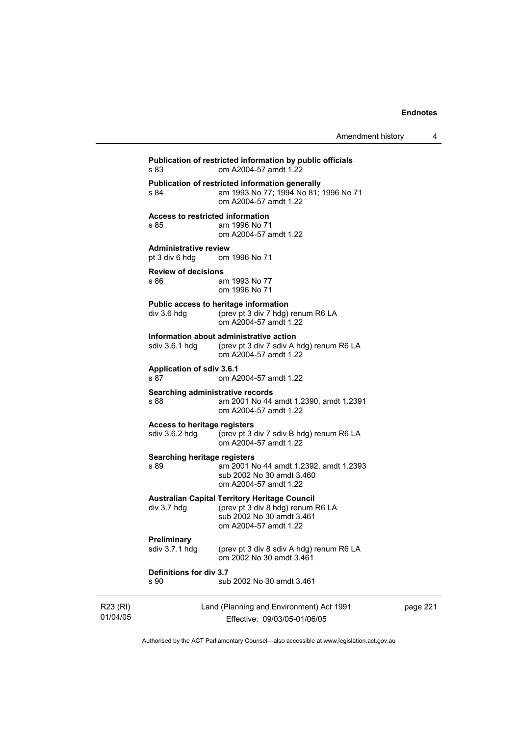| Amendment history |  |
|-------------------|--|
|-------------------|--|

Land (Planning and Environment) Act 1991 **Publication of restricted information by public officials**  om A2004-57 amdt 1.22 **Publication of restricted information generally**  s 84 am 1993 No 77; 1994 No 81; 1996 No 71 om A2004-57 amdt 1.22 **Access to restricted information**  s 85 am 1996 No 71 om A2004-57 amdt 1.22 **Administrative review**  pt 3 div 6 hdg om 1996 No 71 **Review of decisions**  am 1993 No 77 om 1996 No 71 **Public access to heritage information**  div 3.6 hdg (prev pt 3 div 7 hdg) renum R6 LA om A2004-57 amdt 1.22 **Information about administrative action**  sdiv 3.6.1 hdg (prev pt 3 div 7 sdiv A hdg) renum R6 LA om A2004-57 amdt 1.22 **Application of sdiv 3.6.1**  s 87 om A2004-57 amdt 1.22 **Searching administrative records**  s 88 am 2001 No 44 amdt 1.2390, amdt 1.2391 om A2004-57 amdt 1.22 **Access to heritage registers**  sdiv 3.6.2 hdg (prev pt 3 div 7 sdiv B hdg) renum R6 LA om A2004-57 amdt 1.22 **Searching heritage registers**  s 89 am 2001 No 44 amdt 1.2392, amdt 1.2393 sub 2002 No 30 amdt 3.460 om A2004-57 amdt 1.22 **Australian Capital Territory Heritage Council**  div 3.7 hdg (prev pt 3 div 8 hdg) renum R6 LA sub 2002 No 30 amdt 3.461 om A2004-57 amdt 1.22 **Preliminary**  sdiv 3.7.1 hdg (prev pt 3 div 8 sdiv A hdg) renum R6 LA om 2002 No 30 amdt 3.461 **Definitions for div 3.7**  s 90 sub 2002 No 30 amdt 3.461

R23 (RI) 01/04/05 Effective: 09/03/05-01/06/05 page 221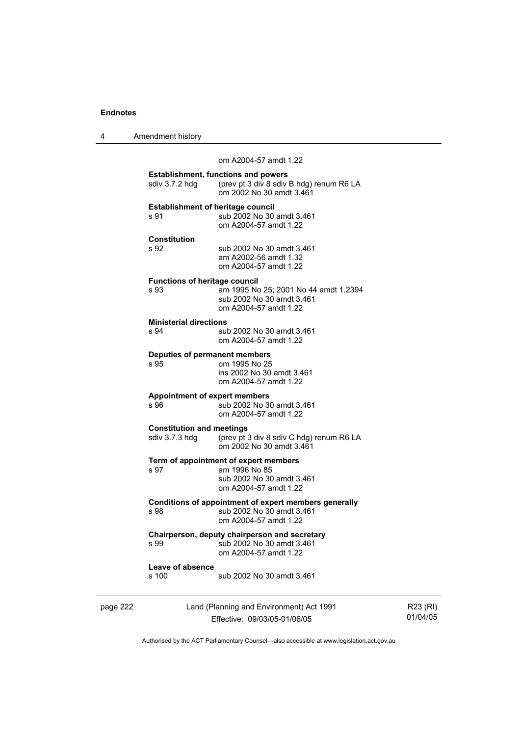| Amendment history |
|-------------------|
|                   |

 om A2004-57 amdt 1.22 **Establishment, functions and powers**  sdiv 3.7.2 hdg (prev pt 3 div 8 sdiv B hdg) renum R6 LA om 2002 No 30 amdt 3.461 **Establishment of heritage council**<br>s 91 sub 2002 No 30 sub 2002 No 30 amdt 3.461 om A2004-57 amdt 1.22 **Constitution**  s 92 sub 2002 No 30 amdt 3.461 am A2002-56 amdt 1.32 om A2004-57 amdt 1.22 **Functions of heritage council**  s 93 am 1995 No 25; 2001 No 44 amdt 1.2394 sub 2002 No 30 amdt 3.461 om A2004-57 amdt 1.22 **Ministerial directions**<br>s 94 sul sub 2002 No 30 amdt 3.461 om A2004-57 amdt 1.22 **Deputies of permanent members**  om 1995 No 25 ins 2002 No 30 amdt 3.461 om A2004-57 amdt 1.22 **Appointment of expert members**  s 96 sub 2002 No 30 amdt 3.461 om A2004-57 amdt 1.22 **Constitution and meetings**<br>sdiv 3.7.3 hdg (prev pt) (prev pt 3 div 8 sdiv C hdg) renum R6 LA om 2002 No 30 amdt 3.461 **Term of appointment of expert members**  s 97 am 1996 No 85 sub 2002 No 30 amdt 3.461 om A2004-57 amdt 1.22 **Conditions of appointment of expert members generally**<br>
s 98 sub 2002 No 30 amdt 3.461 sub 2002 No 30 amdt 3.461 om A2004-57 amdt 1.22 **Chairperson, deputy chairperson and secretary**  s 99 sub 2002 No 30 amdt 3.461 om A2004-57 amdt 1.22 **Leave of absence**  s 100 sub 2002 No 30 amdt 3.461

page 222 Land (Planning and Environment) Act 1991 Effective: 09/03/05-01/06/05

R23 (RI) 01/04/05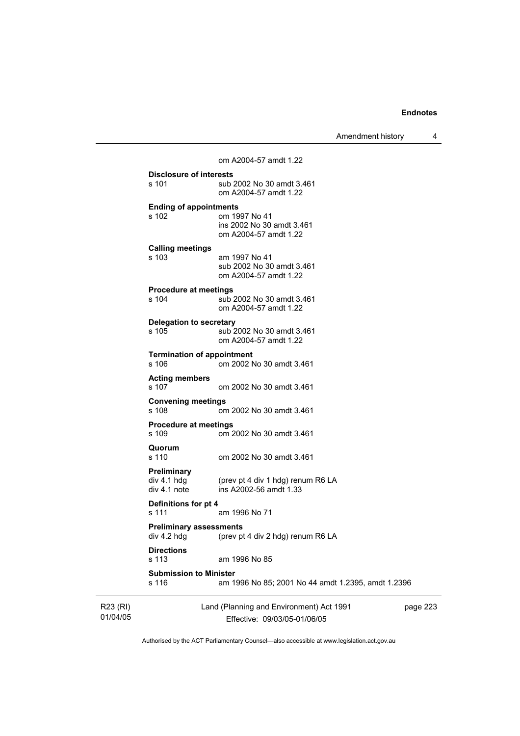Amendment history 4

| s 116                                                       | am 1996 No 85; 2001 No 44 amdt 1.2395, amdt 1.2396                  |  |
|-------------------------------------------------------------|---------------------------------------------------------------------|--|
| <b>Directions</b><br>s 113<br><b>Submission to Minister</b> | am 1996 No 85                                                       |  |
| <b>Preliminary assessments</b><br>div 4.2 hdg               | (prev pt 4 div 2 hdg) renum R6 LA                                   |  |
| Definitions for pt 4<br>s 111                               | am 1996 No 71                                                       |  |
| <b>Preliminary</b><br>div 4.1 hdg<br>div 4.1 note           | (prev pt 4 div 1 hdg) renum R6 LA<br>ins A2002-56 amdt 1.33         |  |
| Quorum<br>s 110                                             | om 2002 No 30 amdt 3.461                                            |  |
| <b>Procedure at meetings</b><br>s 109                       | om 2002 No 30 amdt 3.461                                            |  |
| <b>Convening meetings</b><br>s 108                          | om 2002 No 30 amdt 3.461                                            |  |
| <b>Acting members</b><br>s 107                              | om 2002 No 30 amdt 3.461                                            |  |
| <b>Termination of appointment</b><br>s 106                  | om 2002 No 30 amdt 3.461                                            |  |
| <b>Delegation to secretary</b><br>$s$ 105                   | sub 2002 No 30 amdt 3.461<br>om A2004-57 amdt 1.22                  |  |
| <b>Procedure at meetings</b><br>s 104                       | sub 2002 No 30 amdt 3.461<br>om A2004-57 amdt 1.22                  |  |
| <b>Calling meetings</b><br>s 103                            | am 1997 No 41<br>sub 2002 No 30 amdt 3.461<br>om A2004-57 amdt 1.22 |  |
| <b>Ending of appointments</b><br>s 102                      | om 1997 No 41<br>ins 2002 No 30 amdt 3.461<br>om A2004-57 amdt 1.22 |  |
| s 101                                                       | sub 2002 No 30 amdt 3.461<br>om A2004-57 amdt 1.22                  |  |
| Disclosure of interests                                     |                                                                     |  |

R23 (RI) 01/04/05

Effective: 09/03/05-01/06/05

page 223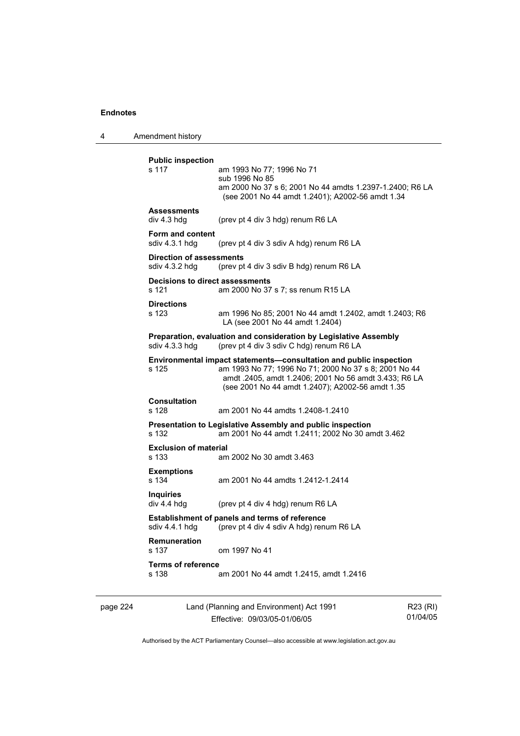4 Amendment history

| <b>Public inspection</b><br>s 117                 | am 1993 No 77; 1996 No 71<br>sub 1996 No 85<br>am 2000 No 37 s 6; 2001 No 44 amdts 1.2397-1.2400; R6 LA<br>(see 2001 No 44 amdt 1.2401); A2002-56 amdt 1.34                                                                              |
|---------------------------------------------------|------------------------------------------------------------------------------------------------------------------------------------------------------------------------------------------------------------------------------------------|
| <b>Assessments</b><br>div 4.3 hdg                 | (prev pt 4 div 3 hdg) renum R6 LA                                                                                                                                                                                                        |
| Form and content<br>sdiv 4.3.1 hdg                | (prev pt 4 div 3 sdiv A hdg) renum R6 LA                                                                                                                                                                                                 |
| <b>Direction of assessments</b><br>sdiv 4.3.2 hdg | (prev pt 4 div 3 sdiv B hdg) renum R6 LA                                                                                                                                                                                                 |
| Decisions to direct assessments<br>s 121          | am 2000 No 37 s 7; ss renum R15 LA                                                                                                                                                                                                       |
| <b>Directions</b><br>s 123                        | am 1996 No 85; 2001 No 44 amdt 1.2402, amdt 1.2403; R6<br>LA (see 2001 No 44 amdt 1.2404)                                                                                                                                                |
| sdiv 4.3.3 hdg                                    | Preparation, evaluation and consideration by Legislative Assembly<br>(prev pt 4 div 3 sdiv C hdg) renum R6 LA                                                                                                                            |
| s 125                                             | Environmental impact statements—consultation and public inspection<br>am 1993 No 77; 1996 No 71; 2000 No 37 s 8; 2001 No 44<br>amdt .2405, amdt 1.2406; 2001 No 56 amdt 3.433; R6 LA<br>(see 2001 No 44 amdt 1.2407); A2002-56 amdt 1.35 |
| <b>Consultation</b><br>s 128                      | am 2001 No 44 amdts 1.2408-1.2410                                                                                                                                                                                                        |
| s 132                                             | Presentation to Legislative Assembly and public inspection<br>am 2001 No 44 amdt 1.2411; 2002 No 30 amdt 3.462                                                                                                                           |
| <b>Exclusion of material</b><br>s 133             | am 2002 No 30 amdt 3.463                                                                                                                                                                                                                 |
| <b>Exemptions</b><br>s 134                        | am 2001 No 44 amdts 1.2412-1.2414                                                                                                                                                                                                        |
| <b>Inquiries</b><br>div 4.4 hdg                   | (prev pt 4 div 4 hdg) renum R6 LA                                                                                                                                                                                                        |
| sdiv 4.4.1 hdg                                    | <b>Establishment of panels and terms of reference</b><br>(prev pt 4 div 4 sdiv A hdg) renum R6 LA                                                                                                                                        |
| <b>Remuneration</b><br>s 137                      | om 1997 No 41                                                                                                                                                                                                                            |
| <b>Terms of reference</b><br>s 138                | am 2001 No 44 amdt 1.2415, amdt 1.2416                                                                                                                                                                                                   |

page 224 Land (Planning and Environment) Act 1991 Effective: 09/03/05-01/06/05

R23 (RI) 01/04/05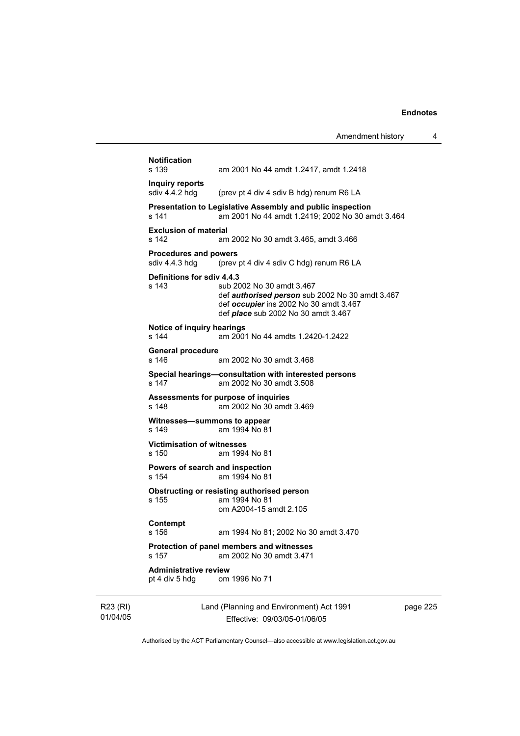| <b>Notification</b><br>s 139                   | am 2001 No 44 amdt 1.2417, amdt 1.2418                                                                                                                               |
|------------------------------------------------|----------------------------------------------------------------------------------------------------------------------------------------------------------------------|
| Inquiry reports                                |                                                                                                                                                                      |
| sdiv 4.4.2 hdg                                 | (prev pt 4 div 4 sdiv B hdg) renum R6 LA                                                                                                                             |
| s 141                                          | Presentation to Legislative Assembly and public inspection<br>am 2001 No 44 amdt 1.2419: 2002 No 30 amdt 3.464                                                       |
| <b>Exclusion of material</b><br>s 142          | am 2002 No 30 amdt 3.465, amdt 3.466                                                                                                                                 |
| <b>Procedures and powers</b><br>sdiv 4.4.3 hdg | (prev pt 4 div 4 sdiv C hdg) renum R6 LA                                                                                                                             |
| Definitions for sdiv 4.4.3<br>s 143            | sub 2002 No 30 amdt 3.467<br>def authorised person sub 2002 No 30 amdt 3.467<br>def occupier ins 2002 No 30 amdt 3.467<br>def <i>place</i> sub 2002 No 30 amdt 3.467 |
| Notice of inquiry hearings<br>s 144            | am 2001 No 44 amdts 1.2420-1.2422                                                                                                                                    |
| General procedure<br>s 146                     | am 2002 No 30 amdt 3.468                                                                                                                                             |
| s 147                                          | Special hearings—consultation with interested persons<br>am 2002 No 30 amdt 3.508                                                                                    |
| s 148                                          | Assessments for purpose of inquiries<br>am 2002 No 30 amdt 3.469                                                                                                     |
| Witnesses—summons to appear<br>s 149           | am 1994 No 81                                                                                                                                                        |
| <b>Victimisation of witnesses</b><br>s 150     | am 1994 No 81                                                                                                                                                        |
| Powers of search and inspection<br>s 154       | am 1994 No 81                                                                                                                                                        |
| s 155                                          | Obstructing or resisting authorised person<br>am 1994 No 81<br>om A2004-15 amdt 2.105                                                                                |
| Contempt                                       | am 1994 No 81; 2002 No 30 amdt 3.470                                                                                                                                 |
| s 156                                          |                                                                                                                                                                      |
| s 157                                          | Protection of panel members and witnesses<br>am 2002 No 30 amdt 3.471                                                                                                |

R23 (RI) 01/04/05 Land (Planning and Environment) Act 1991 Effective: 09/03/05-01/06/05

page 225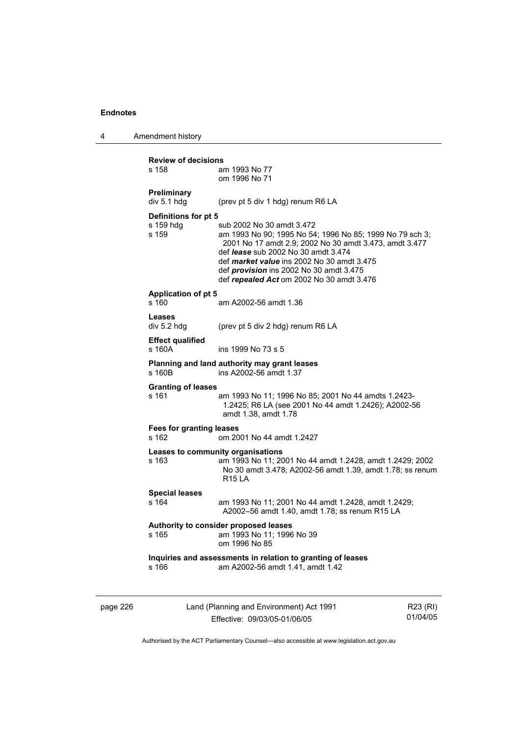4 Amendment history

|          | <b>Review of decisions</b>                 |                                                                                                                                                                                                                                                                                                                                                   |          |
|----------|--------------------------------------------|---------------------------------------------------------------------------------------------------------------------------------------------------------------------------------------------------------------------------------------------------------------------------------------------------------------------------------------------------|----------|
|          | s 158                                      | am 1993 No 77<br>om 1996 No 71                                                                                                                                                                                                                                                                                                                    |          |
|          |                                            |                                                                                                                                                                                                                                                                                                                                                   |          |
|          | Preliminary<br>div 5.1 hdg                 | (prev pt 5 div 1 hdg) renum R6 LA                                                                                                                                                                                                                                                                                                                 |          |
|          |                                            |                                                                                                                                                                                                                                                                                                                                                   |          |
|          | Definitions for pt 5<br>s 159 hdg<br>s 159 | sub 2002 No 30 amdt 3.472<br>am 1993 No 90; 1995 No 54; 1996 No 85; 1999 No 79 sch 3;<br>2001 No 17 amdt 2.9; 2002 No 30 amdt 3.473, amdt 3.477<br>def <i>lease</i> sub 2002 No 30 amdt 3.474<br>def <i>market value</i> ins 2002 No 30 amdt 3.475<br>def <i>provision</i> ins 2002 No 30 amdt 3.475<br>def repealed Act om 2002 No 30 amdt 3.476 |          |
|          | <b>Application of pt 5</b><br>s 160        | am A2002-56 amdt 1.36                                                                                                                                                                                                                                                                                                                             |          |
|          | <b>Leases</b><br>div 5.2 hdg               | (prev pt 5 div 2 hdg) renum R6 LA                                                                                                                                                                                                                                                                                                                 |          |
|          | <b>Effect qualified</b><br>s 160A          | ins 1999 No 73 s 5                                                                                                                                                                                                                                                                                                                                |          |
|          | s 160 <sub>B</sub>                         | Planning and land authority may grant leases<br>ins A2002-56 amdt 1.37                                                                                                                                                                                                                                                                            |          |
|          | <b>Granting of leases</b><br>s 161         | am 1993 No 11; 1996 No 85; 2001 No 44 amdts 1.2423-<br>1.2425; R6 LA (see 2001 No 44 amdt 1.2426); A2002-56<br>amdt 1.38, amdt 1.78                                                                                                                                                                                                               |          |
|          | Fees for granting leases<br>s 162          | om 2001 No 44 amdt 1.2427                                                                                                                                                                                                                                                                                                                         |          |
|          | s 163                                      | Leases to community organisations<br>am 1993 No 11; 2001 No 44 amdt 1.2428, amdt 1.2429; 2002<br>No 30 amdt 3.478; A2002-56 amdt 1.39, amdt 1.78; ss renum<br><b>R15 LA</b>                                                                                                                                                                       |          |
|          | <b>Special leases</b><br>s 164             | am 1993 No 11; 2001 No 44 amdt 1.2428, amdt 1.2429;<br>A2002-56 amdt 1.40, amdt 1.78; ss renum R15 LA                                                                                                                                                                                                                                             |          |
|          | s 165                                      | Authority to consider proposed leases<br>am 1993 No 11; 1996 No 39<br>om 1996 No 85                                                                                                                                                                                                                                                               |          |
|          | s 166                                      | Inquiries and assessments in relation to granting of leases<br>am A2002-56 amdt 1.41, amdt 1.42                                                                                                                                                                                                                                                   |          |
| page 226 |                                            | Land (Planning and Environment) Act 1991                                                                                                                                                                                                                                                                                                          | R23 (RI) |

Effective: 09/03/05-01/06/05

R23 (RI) 01/04/05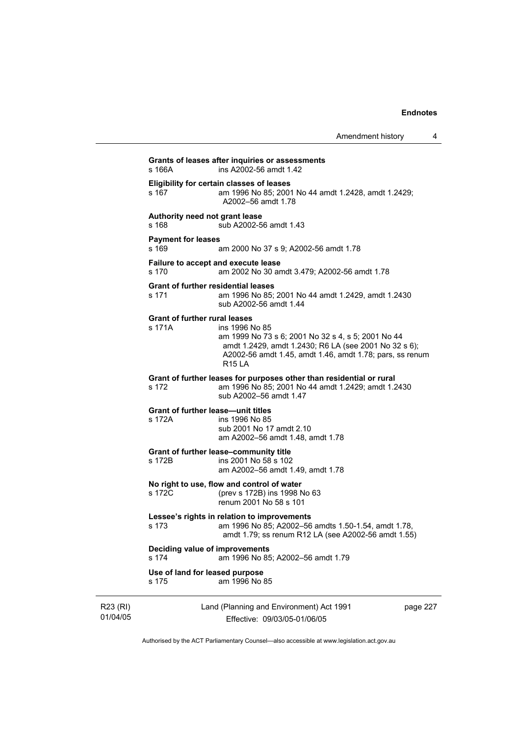| Amendment history |  |
|-------------------|--|
|-------------------|--|

|          | s 166A                                              | Grants of leases after inquiries or assessments<br>ins A2002-56 amdt 1.42                                                                                                                                  |          |
|----------|-----------------------------------------------------|------------------------------------------------------------------------------------------------------------------------------------------------------------------------------------------------------------|----------|
|          | s 167                                               | <b>Eligibility for certain classes of leases</b><br>am 1996 No 85; 2001 No 44 amdt 1.2428, amdt 1.2429;<br>A2002-56 amdt 1.78                                                                              |          |
|          | Authority need not grant lease<br>s 168             | sub A2002-56 amdt 1.43                                                                                                                                                                                     |          |
|          | <b>Payment for leases</b><br>s 169                  | am 2000 No 37 s 9; A2002-56 amdt 1.78                                                                                                                                                                      |          |
|          | s 170                                               | Failure to accept and execute lease<br>am 2002 No 30 amdt 3.479; A2002-56 amdt 1.78                                                                                                                        |          |
|          | <b>Grant of further residential leases</b><br>s 171 | am 1996 No 85; 2001 No 44 amdt 1.2429, amdt 1.2430<br>sub A2002-56 amdt 1.44                                                                                                                               |          |
|          | <b>Grant of further rural leases</b><br>s 171A      | ins 1996 No 85<br>am 1999 No 73 s 6; 2001 No 32 s 4, s 5; 2001 No 44<br>amdt 1.2429, amdt 1.2430; R6 LA (see 2001 No 32 s 6);<br>A2002-56 amdt 1.45, amdt 1.46, amdt 1.78; pars, ss renum<br><b>R15 LA</b> |          |
|          | s 172                                               | Grant of further leases for purposes other than residential or rural<br>am 1996 No 85; 2001 No 44 amdt 1.2429; amdt 1.2430<br>sub A2002-56 amdt 1.47                                                       |          |
|          | <b>Grant of further lease—unit titles</b><br>s 172A | ins 1996 No 85<br>sub 2001 No 17 amdt 2.10<br>am A2002-56 amdt 1.48, amdt 1.78                                                                                                                             |          |
|          | s 172B                                              | Grant of further lease-community title<br>ins 2001 No 58 s 102<br>am A2002-56 amdt 1.49, amdt 1.78                                                                                                         |          |
|          | s 172C                                              | No right to use, flow and control of water<br>(prev s 172B) ins 1998 No 63<br>renum 2001 No 58 s 101                                                                                                       |          |
|          | s 173                                               | Lessee's rights in relation to improvements<br>am 1996 No 85; A2002-56 amdts 1.50-1.54, amdt 1.78,<br>amdt 1.79; ss renum R12 LA (see A2002-56 amdt 1.55)                                                  |          |
|          | Deciding value of improvements<br>s 174             | am 1996 No 85; A2002-56 amdt 1.79                                                                                                                                                                          |          |
|          | Use of land for leased purpose<br>s 175             | am 1996 No 85                                                                                                                                                                                              |          |
| R23 (RI) |                                                     | Land (Planning and Environment) Act 1991                                                                                                                                                                   | page 227 |

Authorised by the ACT Parliamentary Counsel—also accessible at www.legislation.act.gov.au

Effective: 09/03/05-01/06/05

01/04/05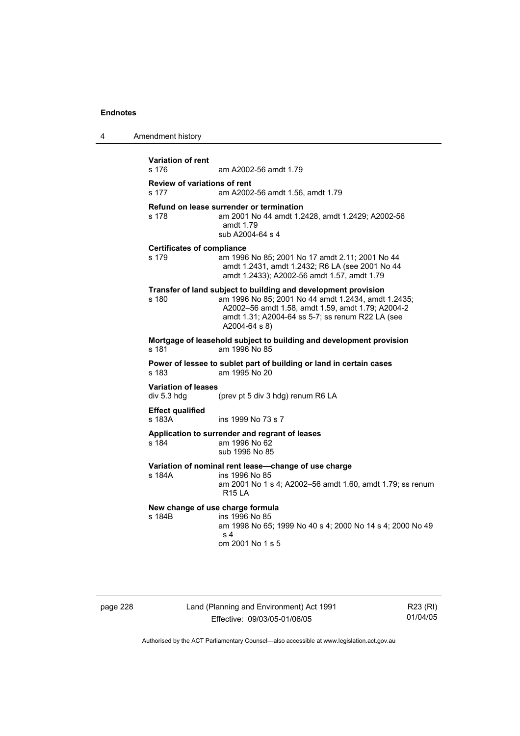| 4 | Amendment history                            |                                                                                                                                                                                                                                                 |
|---|----------------------------------------------|-------------------------------------------------------------------------------------------------------------------------------------------------------------------------------------------------------------------------------------------------|
|   | <b>Variation of rent</b><br>s 176            | am A2002-56 amdt 1.79                                                                                                                                                                                                                           |
|   | <b>Review of variations of rent</b><br>s 177 | am A2002-56 amdt 1.56, amdt 1.79                                                                                                                                                                                                                |
|   | s 178                                        | Refund on lease surrender or termination<br>am 2001 No 44 amdt 1.2428, amdt 1.2429; A2002-56<br>amdt 1.79<br>sub A2004-64 s 4                                                                                                                   |
|   | <b>Certificates of compliance</b><br>s 179   | am 1996 No 85; 2001 No 17 amdt 2.11; 2001 No 44<br>amdt 1.2431, amdt 1.2432; R6 LA (see 2001 No 44<br>amdt 1.2433); A2002-56 amdt 1.57, amdt 1.79                                                                                               |
|   | s 180                                        | Transfer of land subject to building and development provision<br>am 1996 No 85; 2001 No 44 amdt 1.2434, amdt 1.2435;<br>A2002-56 amdt 1.58, amdt 1.59, amdt 1.79; A2004-2<br>amdt 1.31; A2004-64 ss 5-7; ss renum R22 LA (see<br>A2004-64 s 8) |
|   | s 181                                        | Mortgage of leasehold subject to building and development provision<br>am 1996 No 85                                                                                                                                                            |
|   | s 183                                        | Power of lessee to sublet part of building or land in certain cases<br>am 1995 No 20                                                                                                                                                            |
|   | <b>Variation of leases</b><br>div 5.3 hdg    | (prev pt 5 div 3 hdg) renum R6 LA                                                                                                                                                                                                               |
|   | <b>Effect qualified</b><br>s 183A            | ins 1999 No 73 s 7                                                                                                                                                                                                                              |
|   | s 184                                        | Application to surrender and regrant of leases<br>am 1996 No 62<br>sub 1996 No 85                                                                                                                                                               |
|   | s 184A                                       | Variation of nominal rent lease-change of use charge<br>ins 1996 No 85<br>am 2001 No 1 s 4; A2002-56 amdt 1.60, amdt 1.79; ss renum<br><b>R15 LA</b>                                                                                            |
|   | New change of use charge formula<br>s 184B   | ins 1996 No 85<br>am 1998 No 65; 1999 No 40 s 4; 2000 No 14 s 4; 2000 No 49<br>s <sub>4</sub><br>om 2001 No 1 s 5                                                                                                                               |
|   |                                              |                                                                                                                                                                                                                                                 |

page 228 Land (Planning and Environment) Act 1991 Effective: 09/03/05-01/06/05

R23 (RI) 01/04/05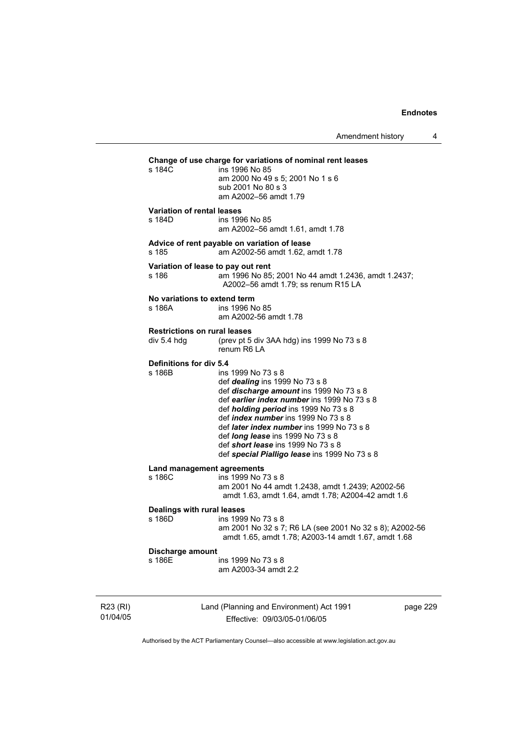| s 184C                                             | Change of use charge for variations of nominal rent leases<br>ins 1996 No 85<br>am 2000 No 49 s 5; 2001 No 1 s 6<br>sub 2001 No 80 s 3<br>am A2002-56 amdt 1.79                                                                                                                                                                                                                                                                                   |        |
|----------------------------------------------------|---------------------------------------------------------------------------------------------------------------------------------------------------------------------------------------------------------------------------------------------------------------------------------------------------------------------------------------------------------------------------------------------------------------------------------------------------|--------|
| <b>Variation of rental leases</b><br>s 184D        | ins 1996 No 85<br>am A2002-56 amdt 1.61, amdt 1.78                                                                                                                                                                                                                                                                                                                                                                                                |        |
| s 185                                              | Advice of rent payable on variation of lease<br>am A2002-56 amdt 1.62, amdt 1.78                                                                                                                                                                                                                                                                                                                                                                  |        |
| s 186                                              | Variation of lease to pay out rent<br>am 1996 No 85; 2001 No 44 amdt 1.2436, amdt 1.2437;<br>A2002-56 amdt 1.79; ss renum R15 LA                                                                                                                                                                                                                                                                                                                  |        |
| No variations to extend term<br>s 186A             | ins 1996 No 85<br>am A2002-56 amdt 1.78                                                                                                                                                                                                                                                                                                                                                                                                           |        |
| <b>Restrictions on rural leases</b><br>div 5.4 hdg | (prev pt 5 div 3AA hdg) ins 1999 No 73 s 8<br>renum R6 LA                                                                                                                                                                                                                                                                                                                                                                                         |        |
| <b>Definitions for div 5.4</b><br>s 186B           | ins 1999 No 73 s 8<br>def <i>dealing</i> ins 1999 No 73 s 8<br>def <i>discharge amount</i> ins 1999 No 73 s 8<br>def earlier index number ins 1999 No 73 s 8<br>def <i>holding period</i> ins 1999 No 73 s 8<br>def <i>index number</i> ins 1999 No 73 s 8<br>def <i>later index number</i> ins 1999 No 73 s 8<br>def <i>long lease</i> ins 1999 No 73 s 8<br>def short lease ins 1999 No 73 s 8<br>def special Pialligo lease ins 1999 No 73 s 8 |        |
| s 186C                                             | Land management agreements<br>ins 1999 No 73 s 8<br>am 2001 No 44 amdt 1.2438, amdt 1.2439; A2002-56<br>amdt 1.63, amdt 1.64, amdt 1.78; A2004-42 amdt 1.6                                                                                                                                                                                                                                                                                        |        |
| <b>Dealings with rural leases</b><br>s 186D        | ins 1999 No 73 s 8<br>am 2001 No 32 s 7; R6 LA (see 2001 No 32 s 8); A2002-56<br>amdt 1.65, amdt 1.78; A2003-14 amdt 1.67, amdt 1.68                                                                                                                                                                                                                                                                                                              |        |
| Discharge amount<br>s 186E                         | ins 1999 No 73 s 8<br>am A2003-34 amdt 2.2                                                                                                                                                                                                                                                                                                                                                                                                        |        |
|                                                    | Land (Planning and Environment) Act 1991                                                                                                                                                                                                                                                                                                                                                                                                          | page 2 |

R23 (RI) 01/04/05

Effective: 09/03/05-01/06/05

page 229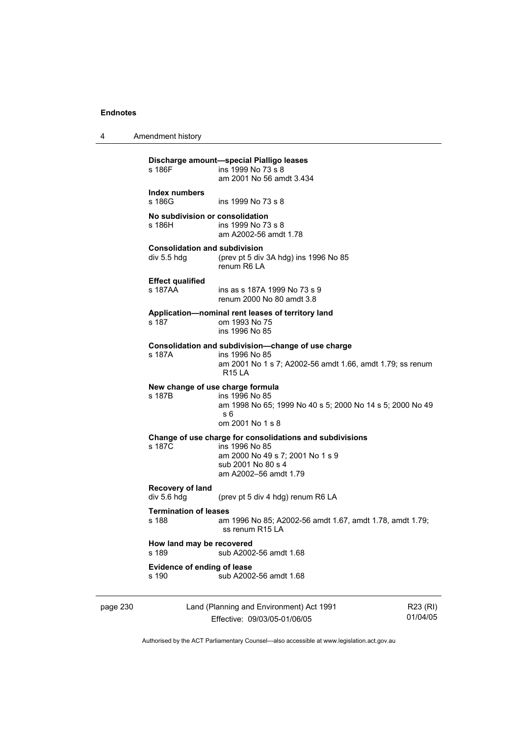| Amendment history<br>4 |  |
|------------------------|--|
|------------------------|--|

|          | s 186F                                              | Discharge amount-special Pialligo leases<br>ins 1999 No 73 s 8<br>am 2001 No 56 amdt 3.434                                                                    |          |
|----------|-----------------------------------------------------|---------------------------------------------------------------------------------------------------------------------------------------------------------------|----------|
|          | Index numbers<br>s 186G                             | ins 1999 No 73 s 8                                                                                                                                            |          |
|          | No subdivision or consolidation<br>s 186H l         | ins 1999 No 73 s 8<br>am A2002-56 amdt 1.78                                                                                                                   |          |
|          | <b>Consolidation and subdivision</b><br>div 5.5 hdg | (prev pt 5 div 3A hdg) ins 1996 No 85<br>renum R6 LA                                                                                                          |          |
|          | <b>Effect qualified</b><br>s 187AA                  | ins as s 187A 1999 No 73 s 9<br>renum 2000 No 80 amdt 3.8                                                                                                     |          |
|          | s 187                                               | Application—nominal rent leases of territory land<br>om 1993 No 75<br>ins 1996 No 85                                                                          |          |
|          | s 187A                                              | Consolidation and subdivision-change of use charge<br>ins 1996 No 85<br>am 2001 No 1 s 7; A2002-56 amdt 1.66, amdt 1.79; ss renum<br><b>R15 LA</b>            |          |
|          | s 187B                                              | New change of use charge formula<br>ins 1996 No 85<br>am 1998 No 65; 1999 No 40 s 5; 2000 No 14 s 5; 2000 No 49<br>s 6<br>om 2001 No 1 s 8                    |          |
|          | s 187C                                              | Change of use charge for consolidations and subdivisions<br>ins 1996 No 85<br>am 2000 No 49 s 7; 2001 No 1 s 9<br>sub 2001 No 80 s 4<br>am A2002-56 amdt 1.79 |          |
|          | <b>Recovery of land</b><br>div 5.6 hdg              | (prev pt 5 div 4 hdg) renum R6 LA                                                                                                                             |          |
|          | <b>Termination of leases</b><br>s 188               | am 1996 No 85; A2002-56 amdt 1.67, amdt 1.78, amdt 1.79;<br>ss renum R15 LA                                                                                   |          |
|          | How land may be recovered<br>s 189                  | sub A2002-56 amdt 1.68                                                                                                                                        |          |
|          | Evidence of ending of lease<br>s 190                | sub A2002-56 amdt 1.68                                                                                                                                        |          |
| page 230 |                                                     | Land (Planning and Environment) Act 1991                                                                                                                      | R23 (RI) |

Effective: 09/03/05-01/06/05

R23 (RI) 01/04/05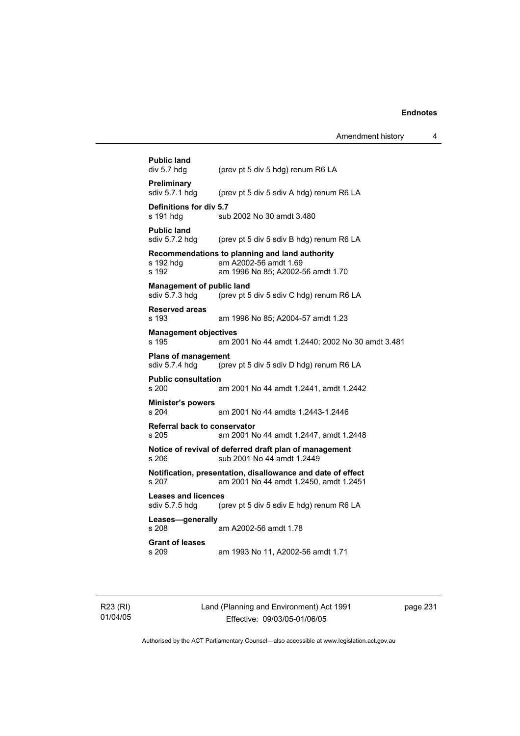| <b>Public land</b><br>div 5.7 hdg                  | (prev pt 5 div 5 hdg) renum R6 LA                                                                            |
|----------------------------------------------------|--------------------------------------------------------------------------------------------------------------|
| Preliminary<br>sdiv 5.7.1 hdg                      | (prev pt 5 div 5 sdiv A hdg) renum R6 LA                                                                     |
| Definitions for div 5.7<br>s 191 hdg               | sub 2002 No 30 amdt 3.480                                                                                    |
| <b>Public land</b><br>sdiv 5.7.2 hdg               | (prev pt 5 div 5 sdiv B hdg) renum R6 LA                                                                     |
| s 192 hdq<br>s 192                                 | Recommendations to planning and land authority<br>am A2002-56 amdt 1.69<br>am 1996 No 85; A2002-56 amdt 1.70 |
| <b>Management of public land</b><br>sdiv 5.7.3 hdg | (prev pt 5 div 5 sdiv C hdg) renum R6 LA                                                                     |
| <b>Reserved areas</b><br>s 193                     | am 1996 No 85; A2004-57 amdt 1.23                                                                            |
| <b>Management objectives</b><br>s 195              | am 2001 No 44 amdt 1.2440; 2002 No 30 amdt 3.481                                                             |
| <b>Plans of management</b><br>sdiv 5.7.4 hdg       | (prev pt 5 div 5 sdiv D hdg) renum R6 LA                                                                     |
| <b>Public consultation</b><br>s 200                | am 2001 No 44 amdt 1.2441, amdt 1.2442                                                                       |
| <b>Minister's powers</b><br>s 204                  | am 2001 No 44 amdts 1.2443-1.2446                                                                            |
| <b>Referral back to conservator</b><br>s 205       | am 2001 No 44 amdt 1.2447, amdt 1.2448                                                                       |
| s 206                                              | Notice of revival of deferred draft plan of management<br>sub 2001 No 44 amdt 1.2449                         |
| s 207                                              | Notification, presentation, disallowance and date of effect<br>am 2001 No 44 amdt 1.2450, amdt 1.2451        |
| <b>Leases and licences</b><br>sdiv 5.7.5 hdg       | (prev pt 5 div 5 sdiv E hdg) renum R6 LA                                                                     |
| Leases-generally<br>s 208                          | am A2002-56 amdt 1.78                                                                                        |
| <b>Grant of leases</b><br>s 209                    | am 1993 No 11, A2002-56 amdt 1.71                                                                            |

R23 (RI) 01/04/05 Land (Planning and Environment) Act 1991 Effective: 09/03/05-01/06/05

page 231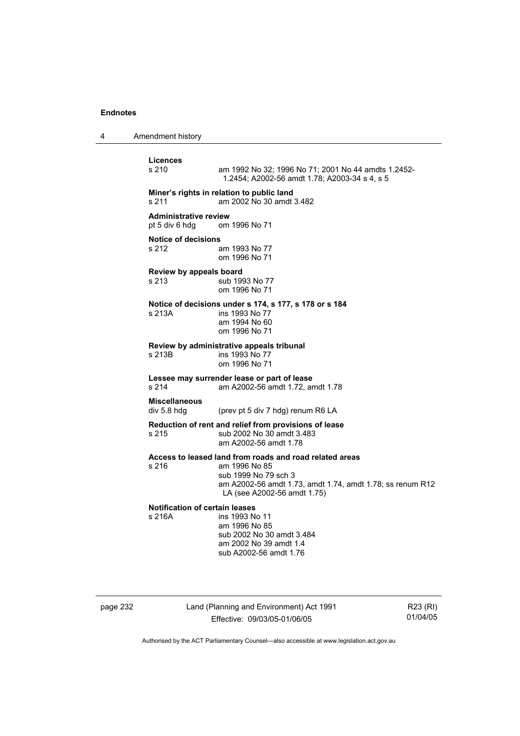4 Amendment history

**Licences**  am 1992 No 32; 1996 No 71; 2001 No 44 amdts 1.2452-1.2454; A2002-56 amdt 1.78; A2003-34 s 4, s 5 **Miner's rights in relation to public land**  s 211 am 2002 No 30 amdt 3.482 **Administrative review**  pt 5 div 6 hdg om 1996 No 71 **Notice of decisions**  s 212 am 1993 No 77 om 1996 No 71 **Review by appeals board**  s 213 sub 1993 No 77 om 1996 No 71 **Notice of decisions under s 174, s 177, s 178 or s 184**  s 213A **ins 1993** No 77 am 1994 No 60 om 1996 No 71 **Review by administrative appeals tribunal**  ins 1993 No 77 om 1996 No 71 **Lessee may surrender lease or part of lease**  s 214 am A2002-56 amdt 1.72, amdt 1.78 **Miscellaneous**  div 5.8 hdg (prev pt 5 div 7 hdg) renum R6 LA **Reduction of rent and relief from provisions of lease**  s 215 sub 2002 No 30 amdt 3.483 am A2002-56 amdt 1.78 **Access to leased land from roads and road related areas**  s 216 am 1996 No 85 sub 1999 No 79 sch 3 am A2002-56 amdt 1.73, amdt 1.74, amdt 1.78; ss renum R12 LA (see A2002-56 amdt 1.75) **Notification of certain leases**  ins 1993 No 11 am 1996 No 85 sub 2002 No 30 amdt 3.484 am 2002 No 39 amdt 1.4 sub A2002-56 amdt 1.76

page 232 Land (Planning and Environment) Act 1991 Effective: 09/03/05-01/06/05

R23 (RI) 01/04/05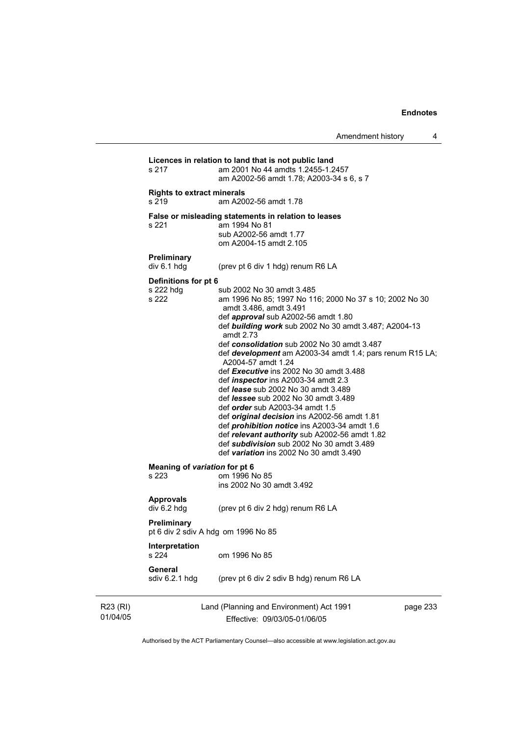|                      | s 217                                      | Licences in relation to land that is not public land<br>am 2001 No 44 amdts 1.2455-1.2457<br>am A2002-56 amdt 1.78; A2003-34 s 6, s 7                                                                                                                                                                                                                                                                                                                                                                                                                                                                                                                                                                                                                                                                                                                             |
|----------------------|--------------------------------------------|-------------------------------------------------------------------------------------------------------------------------------------------------------------------------------------------------------------------------------------------------------------------------------------------------------------------------------------------------------------------------------------------------------------------------------------------------------------------------------------------------------------------------------------------------------------------------------------------------------------------------------------------------------------------------------------------------------------------------------------------------------------------------------------------------------------------------------------------------------------------|
|                      | <b>Rights to extract minerals</b><br>s 219 | am A2002-56 amdt 1.78                                                                                                                                                                                                                                                                                                                                                                                                                                                                                                                                                                                                                                                                                                                                                                                                                                             |
|                      | s 221                                      | False or misleading statements in relation to leases<br>am 1994 No 81<br>sub A2002-56 amdt 1.77<br>om A2004-15 amdt 2.105                                                                                                                                                                                                                                                                                                                                                                                                                                                                                                                                                                                                                                                                                                                                         |
|                      | Preliminary<br>div 6.1 hdg                 | (prev pt 6 div 1 hdg) renum R6 LA                                                                                                                                                                                                                                                                                                                                                                                                                                                                                                                                                                                                                                                                                                                                                                                                                                 |
|                      | Definitions for pt 6<br>s 222 hdg<br>s 222 | sub 2002 No 30 amdt 3.485<br>am 1996 No 85; 1997 No 116; 2000 No 37 s 10; 2002 No 30<br>amdt 3.486, amdt 3.491<br>def <i>approval</i> sub A2002-56 amdt 1.80<br>def building work sub 2002 No 30 amdt 3.487; A2004-13<br>amdt 2.73<br>def consolidation sub 2002 No 30 amdt 3.487<br>def <b>development</b> am A2003-34 amdt 1.4; pars renum R15 LA;<br>A2004-57 amdt 1.24<br>def Executive ins 2002 No 30 amdt 3.488<br>def <i>inspector</i> ins A2003-34 amdt 2.3<br>def <i>lease</i> sub 2002 No 30 amdt 3.489<br>def <i>lessee</i> sub 2002 No 30 amdt 3.489<br>def <i>order</i> sub A2003-34 amdt 1.5<br>def <i>original decision</i> ins A2002-56 amdt 1.81<br>def <i>prohibition notice</i> ins A2003-34 amdt 1.6<br>def relevant authority sub A2002-56 amdt 1.82<br>def subdivision sub 2002 No 30 amdt 3.489<br>def variation ins 2002 No 30 amdt 3.490 |
|                      | Meaning of variation for pt 6<br>s 223     | om 1996 No 85<br>ins 2002 No 30 amdt 3.492                                                                                                                                                                                                                                                                                                                                                                                                                                                                                                                                                                                                                                                                                                                                                                                                                        |
|                      | <b>Approvals</b><br>div 6.2 hdg            | (prev pt 6 div 2 hdg) renum R6 LA                                                                                                                                                                                                                                                                                                                                                                                                                                                                                                                                                                                                                                                                                                                                                                                                                                 |
|                      | Preliminary                                | pt 6 div 2 sdiv A hdg om 1996 No 85                                                                                                                                                                                                                                                                                                                                                                                                                                                                                                                                                                                                                                                                                                                                                                                                                               |
|                      | Interpretation<br>s 224                    | om 1996 No 85                                                                                                                                                                                                                                                                                                                                                                                                                                                                                                                                                                                                                                                                                                                                                                                                                                                     |
|                      | General<br>sdiv 6.2.1 hdg                  | (prev pt 6 div 2 sdiv B hdg) renum R6 LA                                                                                                                                                                                                                                                                                                                                                                                                                                                                                                                                                                                                                                                                                                                                                                                                                          |
| R23 (RI)<br>01/04/05 |                                            | Land (Planning and Environment) Act 1991<br>page 233<br>Effective: 09/03/05-01/06/05                                                                                                                                                                                                                                                                                                                                                                                                                                                                                                                                                                                                                                                                                                                                                                              |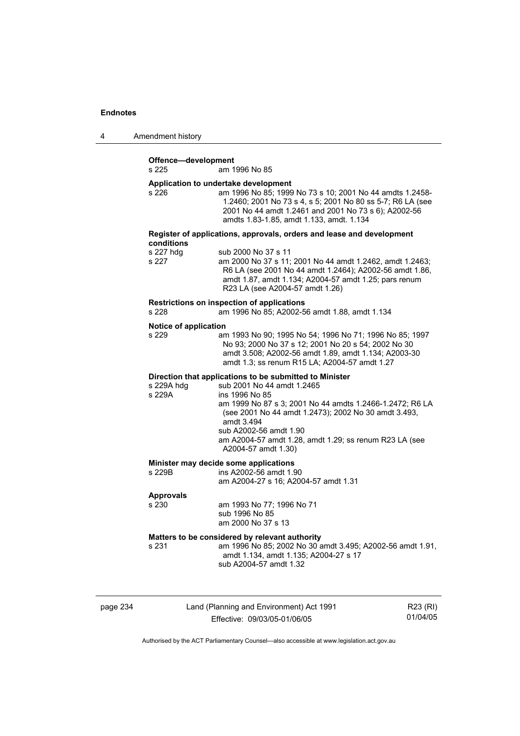| 4 | Amendment history |
|---|-------------------|
|---|-------------------|

# **Offence—development**

am 1996 No 85

#### **Application to undertake development**

| s 226 | am 1996 No 85: 1999 No 73 s 10: 2001 No 44 amdts 1.2458-   |
|-------|------------------------------------------------------------|
|       | 1.2460; 2001 No 73 s 4, s 5; 2001 No 80 ss 5-7; R6 LA (see |
|       | 2001 No 44 amdt 1.2461 and 2001 No 73 s 6); A2002-56       |
|       | amdts 1.83-1.85, amdt 1.133, amdt, 1.134                   |

#### **Register of applications, approvals, orders and lease and development conditions**  s 227 hdg sub 2000 No 37 s 11

| s 227 hdq | sub 2000 No 37 s 11                                      |
|-----------|----------------------------------------------------------|
| s 227     | am 2000 No 37 s 11; 2001 No 44 amdt 1.2462, amdt 1.2463; |
|           | R6 LA (see 2001 No 44 amdt 1.2464); A2002-56 amdt 1.86,  |
|           | amdt 1.87, amdt 1.134; A2004-57 amdt 1.25; pars renum    |
|           | R23 LA (see A2004-57 amdt 1.26)                          |
|           |                                                          |

# **Restrictions on inspection of applications**

am 1996 No 85; A2002-56 amdt 1.88, amdt 1.134

#### **Notice of application**

| s 229 | am 1993 No 90: 1995 No 54: 1996 No 71: 1996 No 85: 1997 |
|-------|---------------------------------------------------------|
|       | No 93: 2000 No 37 s 12: 2001 No 20 s 54: 2002 No 30     |
|       | amdt 3.508: A2002-56 amdt 1.89. amdt 1.134: A2003-30    |
|       | amdt 1.3: ss renum R15 LA: A2004-57 amdt 1.27           |

#### **Direction that applications to be submitted to Minister**

| s 229A hdg | sub 2001 No 44 amdt 1.2465                               |
|------------|----------------------------------------------------------|
| s 229A     | ins 1996 No 85                                           |
|            | am 1999 No 87 s 3; 2001 No 44 amdts 1.2466-1.2472; R6 LA |
|            | (see 2001 No 44 amdt 1.2473); 2002 No 30 amdt 3.493,     |
|            | amdt 3.494                                               |
|            | sub A2002-56 amdt 1.90                                   |
|            | am A2004-57 amdt 1.28, amdt 1.29; ss renum R23 LA (see   |
|            | A2004-57 amdt 1.30)                                      |

# **Minister may decide some applications**<br>s 229B ins A2002-56 amdt 1.9

ins A2002-56 amdt 1.90 am A2004-27 s 16; A2004-57 amdt 1.31

#### **Approvals**

s 230 am 1993 No 77; 1996 No 71

 sub 1996 No 85 am 2000 No 37 s 13

#### **Matters to be considered by relevant authority**

s 231 am 1996 No 85; 2002 No 30 amdt 3.495; A2002-56 amdt 1.91, amdt 1.134, amdt 1.135; A2004-27 s 17 sub A2004-57 amdt 1.32

page 234 Land (Planning and Environment) Act 1991 Effective: 09/03/05-01/06/05

R23 (RI) 01/04/05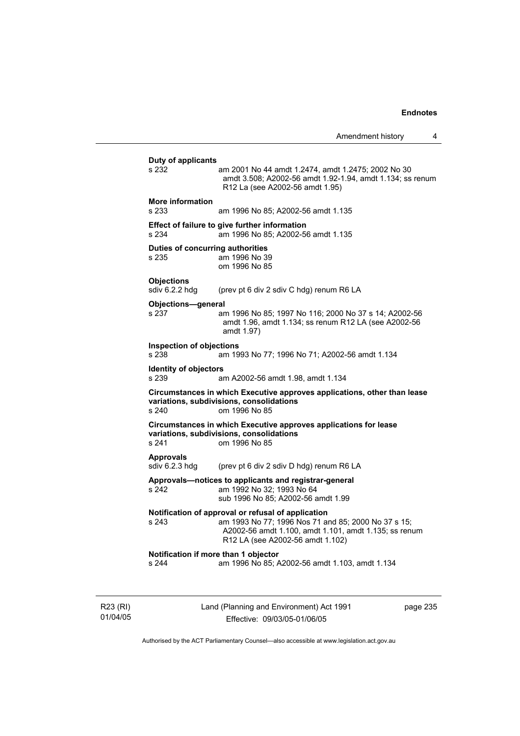Amendment history 4 **Duty of applicants**  am 2001 No 44 amdt 1.2474, amdt 1.2475; 2002 No 30 amdt 3.508; A2002-56 amdt 1.92-1.94, amdt 1.134; ss renum R12 La (see A2002-56 amdt 1.95) **More information**  s 233 am 1996 No 85; A2002-56 amdt 1.135 **Effect of failure to give further information**  s 234 am 1996 No 85; A2002-56 amdt 1.135 **Duties of concurring authorities**  s 235 am 1996 No 39 om 1996 No 85 **Objections**  sdiv 6.2.2 hdg (prev pt 6 div 2 sdiv C hdg) renum R6 LA **Objections—general**  s 237 am 1996 No 85; 1997 No 116; 2000 No 37 s 14; A2002-56 amdt 1.96, amdt 1.134; ss renum R12 LA (see A2002-56 amdt 1.97) **Inspection of objections**  s 238 am 1993 No 77; 1996 No 71; A2002-56 amdt 1.134 **Identity of objectors**<br> **s** 239 a s 239 am A2002-56 amdt 1.98, amdt 1.134 **Circumstances in which Executive approves applications, other than lease variations, subdivisions, consolidations**  s 240 om 1996 No 85 **Circumstances in which Executive approves applications for lease variations, subdivisions, consolidations**  s 241 om 1996 No 85 **Approvals**  sdiv 6.2.3 hdg (prev pt 6 div 2 sdiv D hdg) renum R6 LA **Approvals—notices to applicants and registrar-general**  s 242 am 1992 No 32; 1993 No 64 sub 1996 No 85; A2002-56 amdt 1.99 **Notification of approval or refusal of application**  s 243 am 1993 No 77; 1996 Nos 71 and 85; 2000 No 37 s 15; A2002-56 amdt 1.100, amdt 1.101, amdt 1.135; ss renum R12 LA (see A2002-56 amdt 1.102) **Notification if more than 1 objector**  s 244 am 1996 No 85; A2002-56 amdt 1.103, amdt 1.134

R23 (RI) 01/04/05 Land (Planning and Environment) Act 1991 Effective: 09/03/05-01/06/05

page 235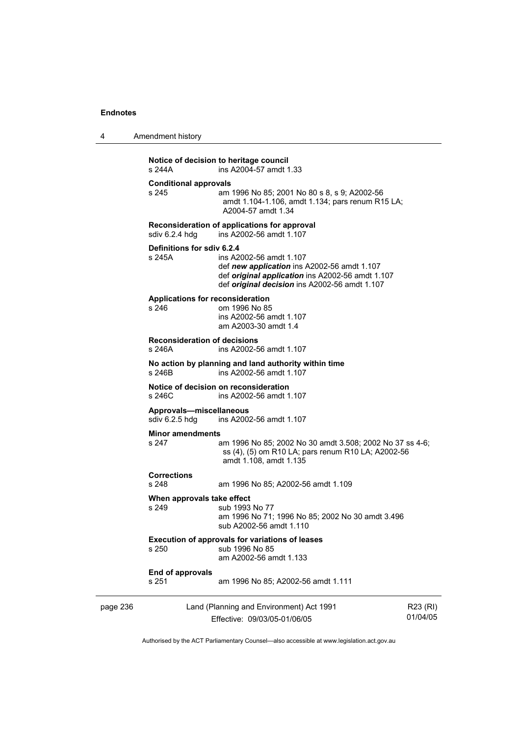| Amendment history<br>$\overline{4}$ |  |
|-------------------------------------|--|
|-------------------------------------|--|

| s 244A   |                                           | Notice of decision to heritage council<br>ins A2004-57 amdt 1.33                                                                                                                   |                      |
|----------|-------------------------------------------|------------------------------------------------------------------------------------------------------------------------------------------------------------------------------------|----------------------|
| s 245    | <b>Conditional approvals</b>              | am 1996 No 85; 2001 No 80 s 8, s 9; A2002-56<br>amdt 1.104-1.106, amdt 1.134; pars renum R15 LA;<br>A2004-57 amdt 1.34                                                             |                      |
|          | sdiv 6.2.4 hdg                            | Reconsideration of applications for approval<br>ins A2002-56 amdt 1.107                                                                                                            |                      |
| s 245A   | Definitions for sdiv 6.2.4                | ins A2002-56 amdt 1.107<br>def new application ins A2002-56 amdt 1.107<br>def original application ins A2002-56 amdt 1.107<br>def <i>original decision</i> ins A2002-56 amdt 1.107 |                      |
| s 246    |                                           | <b>Applications for reconsideration</b><br>om 1996 No 85<br>ins A2002-56 amdt 1.107<br>am A2003-30 amdt 1.4                                                                        |                      |
| s 246A   | <b>Reconsideration of decisions</b>       | ins A2002-56 amdt 1.107                                                                                                                                                            |                      |
| s 246B   |                                           | No action by planning and land authority within time<br>ins A2002-56 amdt 1.107                                                                                                    |                      |
| s 246C   |                                           | Notice of decision on reconsideration<br>ins A2002-56 amdt 1.107                                                                                                                   |                      |
|          | Approvals-miscellaneous<br>sdiv 6.2.5 hdg | ins A2002-56 amdt 1.107                                                                                                                                                            |                      |
| s 247    | <b>Minor amendments</b>                   | am 1996 No 85; 2002 No 30 amdt 3.508; 2002 No 37 ss 4-6;<br>ss (4), (5) om R10 LA; pars renum R10 LA; A2002-56<br>amdt 1.108, amdt 1.135                                           |                      |
| s 248    | <b>Corrections</b>                        | am 1996 No 85; A2002-56 amdt 1.109                                                                                                                                                 |                      |
| s 249    | When approvals take effect                | sub 1993 No 77<br>am 1996 No 71; 1996 No 85; 2002 No 30 amdt 3.496<br>sub A2002-56 amdt 1.110                                                                                      |                      |
|          |                                           | <b>Execution of approvals for variations of leases</b><br>s 250 sub 1996 No 85<br>am A2002-56 amdt 1.133                                                                           |                      |
| s 251    | End of approvals                          | am 1996 No 85; A2002-56 amdt 1.111                                                                                                                                                 |                      |
| page 236 |                                           | Land (Planning and Environment) Act 1991<br>Effective: 09/03/05-01/06/05                                                                                                           | R23 (RI)<br>01/04/05 |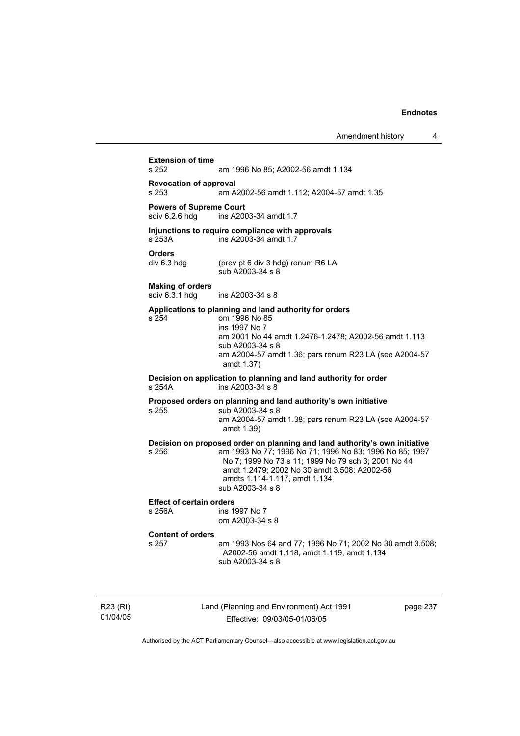Amendment history 4 **Extension of time**  am 1996 No 85; A2002-56 amdt 1.134 **Revocation of approval**  s 253 am A2002-56 amdt 1.112; A2004-57 amdt 1.35 **Powers of Supreme Court**<br>sdiv 6.2.6 hdg ins A200 ins A2003-34 amdt 1.7 **Injunctions to require compliance with approvals**  s 253A ins A2003-34 amdt 1.7 **Orders**<br>div 6.3 hdg (prev pt 6 div 3 hdg) renum R6 LA sub A2003-34 s 8 **Making of orders**  ins A2003-34 s 8 **Applications to planning and land authority for orders**  s 254 om 1996 No 85 ins 1997 No 7 am 2001 No 44 amdt 1.2476-1.2478; A2002-56 amdt 1.113 sub A2003-34 s 8 am A2004-57 amdt 1.36; pars renum R23 LA (see A2004-57 amdt 1.37) **Decision on application to planning and land authority for order**  s 254A ins A2003-34 s 8 **Proposed orders on planning and land authority's own initiative**  s 255 sub A2003-34 s 8 am A2004-57 amdt 1.38; pars renum R23 LA (see A2004-57 amdt 1.39) **Decision on proposed order on planning and land authority's own initiative**  s 256 am 1993 No 77; 1996 No 71; 1996 No 83; 1996 No 85; 1997 No 7; 1999 No 73 s 11; 1999 No 79 sch 3; 2001 No 44 amdt 1.2479; 2002 No 30 amdt 3.508; A2002-56 amdts 1.114-1.117, amdt 1.134 sub A2003-34 s 8 **Effect of certain orders**  ins 1997 No 7 om A2003-34 s 8 **Content of orders**  am 1993 Nos 64 and 77; 1996 No 71; 2002 No 30 amdt 3.508; A2002-56 amdt 1.118, amdt 1.119, amdt 1.134 sub A2003-34 s 8

R23 (RI) 01/04/05 Land (Planning and Environment) Act 1991 Effective: 09/03/05-01/06/05

page 237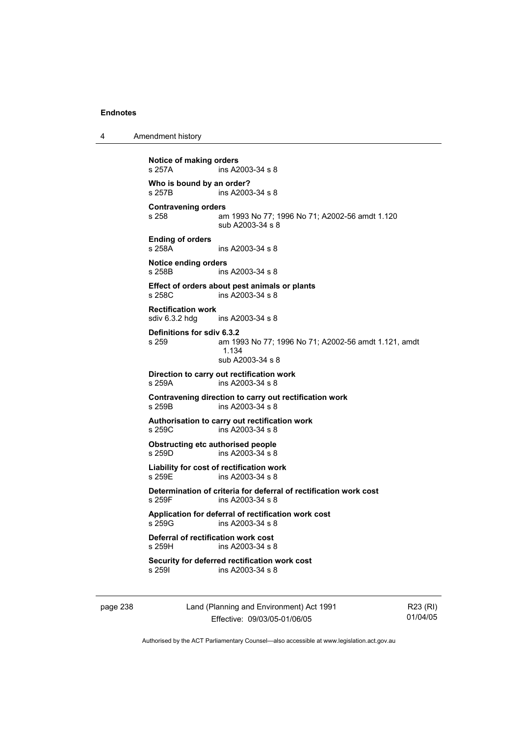4 Amendment history page 238 Land (Planning and Environment) Act 1991 **Notice of making orders**  s 257A ins A2003-34 s 8 **Who is bound by an order?**  s 257B ins A2003-34 s 8 **Contravening orders**  am 1993 No 77; 1996 No 71; A2002-56 amdt 1.120 sub A2003-34 s 8 **Ending of orders**   $ins A2003-34 s 8$ **Notice ending orders**  s 258B ins A2003-34 s 8 **Effect of orders about pest animals or plants**  s 258C ins A2003-34 s 8 **Rectification work**  sdiv 6.3.2 hdg ins A2003-34 s 8 **Definitions for sdiv 6.3.2**  s 259 am 1993 No 77; 1996 No 71; A2002-56 amdt 1.121, amdt 1.134 sub A2003-34 s 8 **Direction to carry out rectification work**  s 259A ins A2003-34 s 8 **Contravening direction to carry out rectification work**  s 259B ins A2003-34 s 8 **Authorisation to carry out rectification work**  s 259C ins A2003-34 s 8 **Obstructing etc authorised people**  s 259D ins A2003-34 s 8 **Liability for cost of rectification work**  s 259E ins A2003-34 s 8 **Determination of criteria for deferral of rectification work cost**  s 259F ins A2003-34 s 8 **Application for deferral of rectification work cost**  ins A2003-34 s 8 **Deferral of rectification work cost**  s 259H ins A2003-34 s 8 **Security for deferred rectification work cost**<br>s 259l **ins A2003-34 s 8** ins A2003-34 s 8

Effective: 09/03/05-01/06/05

R23 (RI) 01/04/05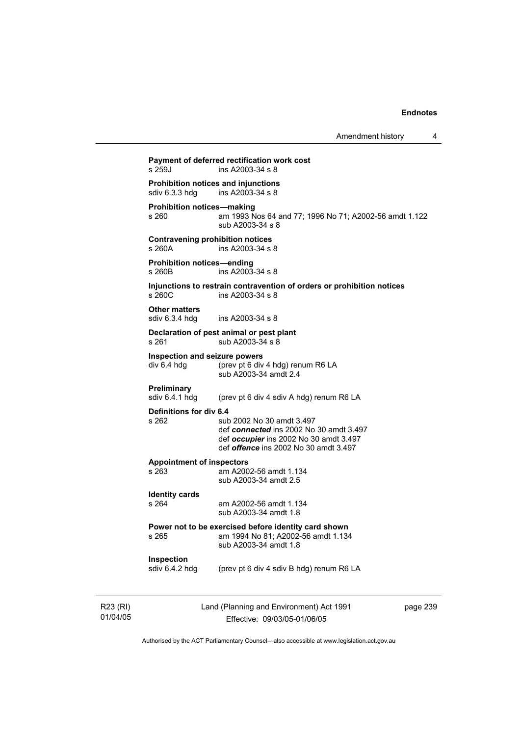| Amendment history |  |
|-------------------|--|
|-------------------|--|

| $s$ 259.1                                             | Payment of deferred rectification work cost<br>ins A2003-34 s 8                                                                                                |
|-------------------------------------------------------|----------------------------------------------------------------------------------------------------------------------------------------------------------------|
| Prohibition notices and injunctions<br>sdiv 6.3.3 hdg | ins A2003-34 s 8                                                                                                                                               |
| <b>Prohibition notices-making</b><br>s 260            | am 1993 Nos 64 and 77; 1996 No 71; A2002-56 amdt 1.122<br>sub A2003-34 s 8                                                                                     |
| <b>Contravening prohibition notices</b><br>s 260A     | ins A2003-34 s 8                                                                                                                                               |
| <b>Prohibition notices-ending</b><br>s 260B           | ins A2003-34 s 8                                                                                                                                               |
| s 260C                                                | Injunctions to restrain contravention of orders or prohibition notices<br>ins A2003-34 s 8                                                                     |
| <b>Other matters</b><br>sdiv $6.3.4$ hdg              | ins A2003-34 s 8                                                                                                                                               |
| s 261                                                 | Declaration of pest animal or pest plant<br>sub A2003-34 s 8                                                                                                   |
| Inspection and seizure powers<br>div 6.4 hdg          | (prev pt 6 div 4 hdg) renum R6 LA<br>sub A2003-34 amdt 2.4                                                                                                     |
| Preliminary<br>sdiv 6.4.1 hdg                         | (prev pt 6 div 4 sdiv A hdg) renum R6 LA                                                                                                                       |
| Definitions for div 6.4<br>s 262                      | sub 2002 No 30 amdt 3.497<br>def connected ins 2002 No 30 amdt 3.497<br>def occupier ins 2002 No 30 amdt 3.497<br>def <i>offence</i> ins 2002 No 30 amdt 3.497 |
| <b>Appointment of inspectors</b><br>s 263             | am A2002-56 amdt 1.134<br>sub A2003-34 amdt 2.5                                                                                                                |
| <b>Identity cards</b><br>s 264                        | am A2002-56 amdt 1.134<br>sub A2003-34 amdt 1.8                                                                                                                |
| s 265                                                 | Power not to be exercised before identity card shown<br>am 1994 No 81; A2002-56 amdt 1.134<br>sub A2003-34 amdt 1.8                                            |
| Inspection<br>sdiv 6.4.2 hdg                          | (prev pt 6 div 4 sdiv B hdg) renum R6 LA                                                                                                                       |
|                                                       |                                                                                                                                                                |
|                                                       |                                                                                                                                                                |

R23 (RI) 01/04/05 Land (Planning and Environment) Act 1991 Effective: 09/03/05-01/06/05

page 239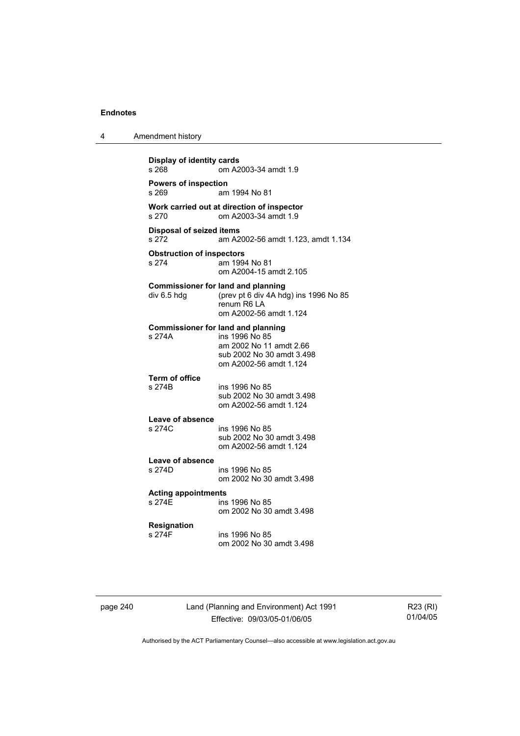4 Amendment history

| s 268                                     | om A2003-34 amdt 1.9                                                                                                                          |
|-------------------------------------------|-----------------------------------------------------------------------------------------------------------------------------------------------|
| <b>Powers of inspection</b><br>s 269      | am 1994 No 81                                                                                                                                 |
| s 270                                     | Work carried out at direction of inspector<br>om A2003-34 amdt 1.9                                                                            |
| <b>Disposal of seized items</b><br>s 272  | am A2002-56 amdt 1.123, amdt 1.134                                                                                                            |
| <b>Obstruction of inspectors</b><br>s 274 | am 1994 No 81<br>om A2004-15 amdt 2.105                                                                                                       |
| div 6.5 hdg                               | <b>Commissioner for land and planning</b><br>(prev pt 6 div 4A hdg) ins 1996 No 85<br>renum R6 LA<br>om A2002-56 amdt 1.124                   |
| s 274A                                    | <b>Commissioner for land and planning</b><br>ins 1996 No 85<br>am 2002 No 11 amdt 2.66<br>sub 2002 No 30 amdt 3.498<br>om A2002-56 amdt 1.124 |
| Term of office<br>s 274B                  | ins 1996 No 85<br>sub 2002 No 30 amdt 3.498<br>om A2002-56 amdt 1.124                                                                         |
| Leave of absence<br>s 274C                | ins 1996 No 85<br>sub 2002 No 30 amdt 3.498<br>om A2002-56 amdt 1.124                                                                         |
| Leave of absence<br>s 274D                | ins 1996 No 85<br>om 2002 No 30 amdt 3.498                                                                                                    |
| <b>Acting appointments</b><br>s 274F      | ins 1996 No 85<br>om 2002 No 30 amdt 3.498                                                                                                    |
| Resignation<br>s 274F                     | ins 1996 No 85<br>om 2002 No 30 amdt 3.498                                                                                                    |

page 240 Land (Planning and Environment) Act 1991 Effective: 09/03/05-01/06/05

R23 (RI) 01/04/05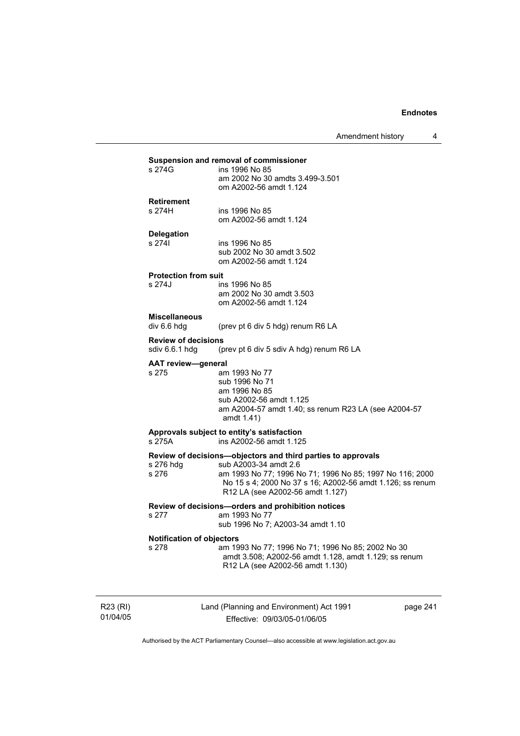Amendment history 4

### **Suspension and removal of commissioner**

| s 274G | ins 1996 No 85                  |
|--------|---------------------------------|
|        | am 2002 No 30 amdts 3.499-3.501 |
|        | om A2002-56 amdt 1.124          |
|        |                                 |

## **Retirement**

s 274H ins 1996 No 85 om A2002-56 amdt 1.124

## **Delegation**

ins 1996 No 85 sub 2002 No 30 amdt 3.502 om A2002-56 amdt 1.124

## **Protection from suit**

ins 1996 No 85 am 2002 No 30 amdt 3.503 om A2002-56 amdt 1.124

#### **Miscellaneous**

div 6.6 hdg (prev pt 6 div 5 hdg) renum R6 LA

**Review of decisions**<br>sdiv 6.6.1 hdg (p (prev pt 6 div 5 sdiv A hdg) renum R6 LA

**AAT review—general** 

s 275 am 1993 No 77 sub 1996 No 71 am 1996 No 85 sub A2002-56 amdt 1.125 am A2004-57 amdt 1.40; ss renum R23 LA (see A2004-57 amdt 1.41)

#### **Approvals subject to entity's satisfaction**  s 275A ins A2002-56 amdt 1.125

# **Review of decisions—objectors and third parties to approvals**

s 276 hdg sub A2003-34 amdt 2.6<br>s 276 sam 1993 No 77; 1996 N am 1993 No 77; 1996 No 71; 1996 No 85; 1997 No 116; 2000 No 15 s 4; 2000 No 37 s 16; A2002-56 amdt 1.126; ss renum R12 LA (see A2002-56 amdt 1.127)

### **Review of decisions—orders and prohibition notices**

s 277 am 1993 No 77

sub 1996 No 7; A2003-34 amdt 1.10

### **Notification of objectors**

s 278 am 1993 No 77; 1996 No 71; 1996 No 85; 2002 No 30 amdt 3.508; A2002-56 amdt 1.128, amdt 1.129; ss renum R12 LA (see A2002-56 amdt 1.130)

R23 (RI) 01/04/05 Land (Planning and Environment) Act 1991 Effective: 09/03/05-01/06/05

page 241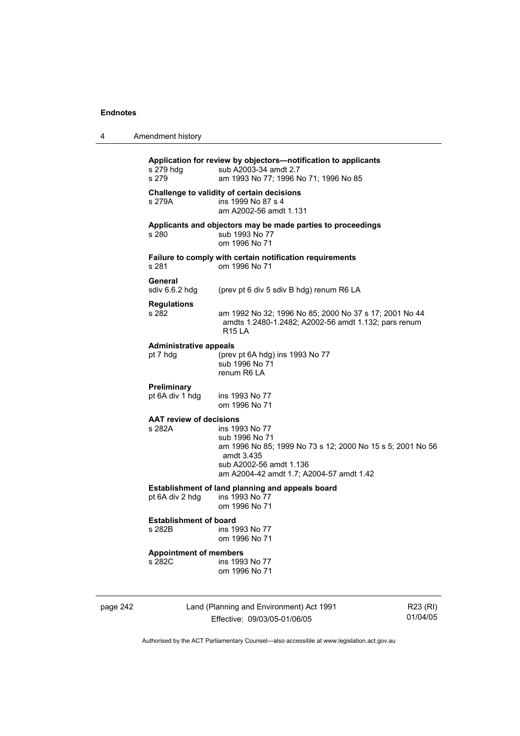4 Amendment history

| 4        | Amendment history                         |                                                                                                                                                                                     |                      |
|----------|-------------------------------------------|-------------------------------------------------------------------------------------------------------------------------------------------------------------------------------------|----------------------|
|          | s 279 hdg<br>s 279                        | Application for review by objectors-notification to applicants<br>sub A2003-34 amdt 2.7<br>am 1993 No 77; 1996 No 71; 1996 No 85                                                    |                      |
|          | s 279A                                    | Challenge to validity of certain decisions<br>ins 1999 No 87 s 4<br>am A2002-56 amdt 1.131                                                                                          |                      |
|          | s 280                                     | Applicants and objectors may be made parties to proceedings<br>sub 1993 No 77<br>om 1996 No 71                                                                                      |                      |
|          | s 281                                     | Failure to comply with certain notification requirements<br>om 1996 No 71                                                                                                           |                      |
|          | General<br>sdiv 6.6.2 hdg                 | (prev pt 6 div 5 sdiv B hdg) renum R6 LA                                                                                                                                            |                      |
|          | <b>Regulations</b><br>s 282               | am 1992 No 32; 1996 No 85; 2000 No 37 s 17; 2001 No 44<br>amdts 1.2480-1.2482; A2002-56 amdt 1.132; pars renum<br><b>R15 LA</b>                                                     |                      |
|          | <b>Administrative appeals</b><br>pt 7 hdg | (prev pt 6A hdg) ins 1993 No 77<br>sub 1996 No 71<br>renum R6 LA                                                                                                                    |                      |
|          | Preliminary<br>pt 6A div 1 hdg            | ins 1993 No 77<br>om 1996 No 71                                                                                                                                                     |                      |
|          | <b>AAT review of decisions</b><br>s 282A  | ins 1993 No 77<br>sub 1996 No 71<br>am 1996 No 85; 1999 No 73 s 12; 2000 No 15 s 5; 2001 No 56<br>amdt 3.435<br>sub A2002-56 amdt 1.136<br>am A2004-42 amdt 1.7; A2004-57 amdt 1.42 |                      |
|          | pt 6A div 2 hdg                           | Establishment of land planning and appeals board<br>ins 1993 No 77<br>om 1996 No 71                                                                                                 |                      |
|          | <b>Establishment of board</b><br>s 282B   | ins 1993 No 77<br>om 1996 No 71                                                                                                                                                     |                      |
|          | <b>Appointment of members</b><br>s 282C   | ins 1993 No 77<br>om 1996 No 71                                                                                                                                                     |                      |
| page 242 |                                           | Land (Planning and Environment) Act 1991<br>Effective: 09/03/05-01/06/05                                                                                                            | R23 (RI)<br>01/04/05 |
|          |                                           | Authorised by the ACT Parliamentary Counsel—also accessible at www.legislation.act.gov.au                                                                                           |                      |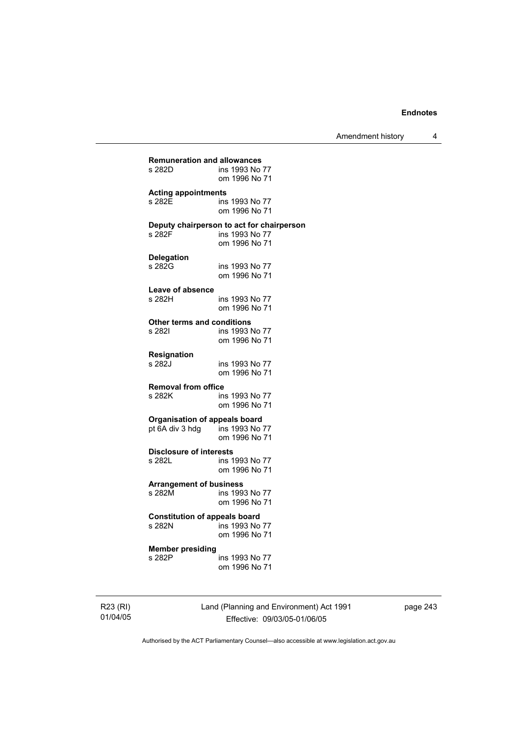Amendment history 4

| <b>Remuneration and allowances</b>   |                                                                              |
|--------------------------------------|------------------------------------------------------------------------------|
| s 282D                               | ins 1993 No 77<br>om 1996 No 71                                              |
| <b>Acting appointments</b>           | ins 1993 No 77                                                               |
| s 282E                               | om 1996 No 71                                                                |
| s 282F                               | Deputy chairperson to act for chairperson<br>ins 1993 No 77<br>om 1996 No 71 |
| Delegation                           | ins 1993 No 77                                                               |
| s 282G                               | om 1996 No 71                                                                |
| Leave of absence                     | ins 1993 No 77                                                               |
| s 282H                               | om 1996 No 71                                                                |
| <b>Other terms and conditions</b>    | ins 1993 No 77                                                               |
| s 282I                               | om 1996 No 71                                                                |
| Resignation                          | ins 1993 No 77                                                               |
| s 282J                               | om 1996 No 71                                                                |
| <b>Removal from office</b>           | ins 1993 No 77                                                               |
| s 282K                               | om 1996 No 71                                                                |
| <b>Organisation of appeals board</b> | ins 1993 No 77                                                               |
| pt 6A div 3 hdg                      | om 1996 No 71                                                                |
| <b>Disclosure of interests</b>       | ins 1993 No 77                                                               |
| s 282L                               | om 1996 No 71                                                                |
| <b>Arrangement of business</b>       | ins 1993 No 77                                                               |
| s 282M                               | om 1996 No 71                                                                |
| <b>Constitution of appeals board</b> | ins 1993 No 77                                                               |
| s 282N                               | om 1996 No 71                                                                |
| <b>Member presiding</b>              | ins 1993 No 77                                                               |
| s 282P                               | om 1996 No 71                                                                |

R23 (RI) 01/04/05 Land (Planning and Environment) Act 1991 Effective: 09/03/05-01/06/05

page 243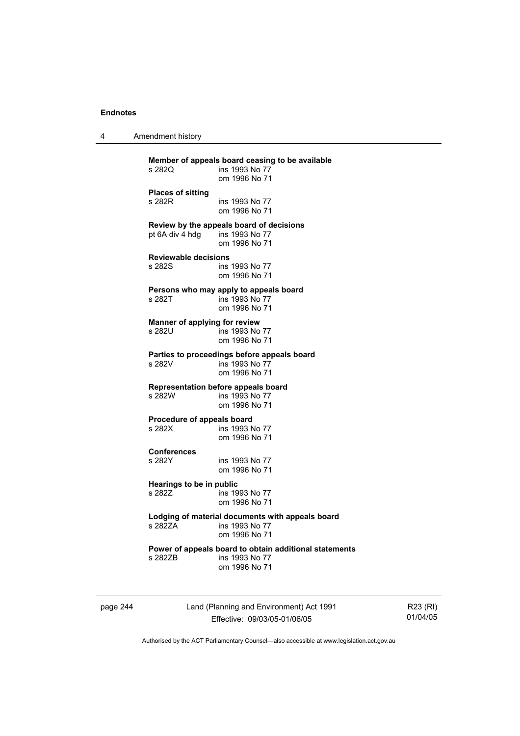4 Amendment history

| s 282Q                                  | Member of appeals board ceasing to be available<br>ins 1993 No 77<br>om 1996 No 71        |
|-----------------------------------------|-------------------------------------------------------------------------------------------|
| <b>Places of sitting</b><br>s 282R      | ins 1993 No 77<br>om 1996 No 71                                                           |
| pt 6A div 4 hdg ins 1993 No 77          | Review by the appeals board of decisions<br>om 1996 No 71                                 |
| <b>Reviewable decisions</b><br>s 282S   | ins 1993 No 77<br>om 1996 No 71                                                           |
| s 282T                                  | Persons who may apply to appeals board<br>ins 1993 No 77<br>om 1996 No 71                 |
| Manner of applying for review<br>s 282U | ins 1993 No 77<br>om 1996 No 71                                                           |
| s 282V                                  | Parties to proceedings before appeals board<br>ins 1993 No 77<br>om 1996 No 71            |
| s 282W                                  | Representation before appeals board<br>ins 1993 No 77<br>om 1996 No 71                    |
| Procedure of appeals board<br>s 282X    | ins 1993 No 77<br>om 1996 No 71                                                           |
| Conferences<br>s 282Y                   | ins 1993 No 77<br>om 1996 No 71                                                           |
| Hearings to be in public<br>s 282Z      | ins 1993 No 77<br>om 1996 No 71                                                           |
| s 282ZA                                 | Lodging of material documents with appeals board<br>ins 1993 No 77<br>om 1996 No 71       |
| s 282ZB                                 | Power of appeals board to obtain additional statements<br>ins 1993 No 77<br>om 1996 No 71 |
|                                         |                                                                                           |

page 244 Land (Planning and Environment) Act 1991 Effective: 09/03/05-01/06/05

R23 (RI) 01/04/05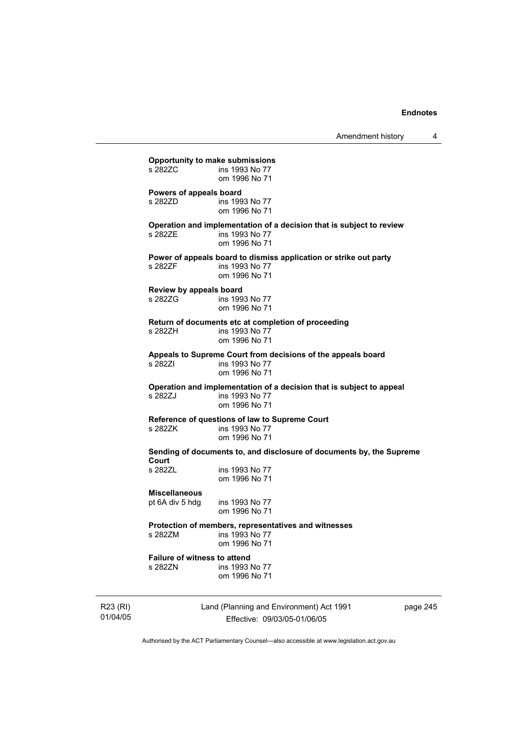**Opportunity to make submissions**  ins 1993 No 77 om 1996 No 71 **Powers of appeals board**  s 282ZD **ins 1993** No 77 om 1996 No 71 **Operation and implementation of a decision that is subject to review**  s 282ZE ins 1993 No 77 om 1996 No 71 **Power of appeals board to dismiss application or strike out party**  s 282ZF ins 1993 No 77 om 1996 No 71 **Review by appeals board**  s 282ZG ins 1993 No 77 om 1996 No 71 **Return of documents etc at completion of proceeding**  ins 1993 No  $77$  om 1996 No 71 **Appeals to Supreme Court from decisions of the appeals board**  s 282ZI ins 1993 No 77 om 1996 No 71 **Operation and implementation of a decision that is subject to appeal**  ins 1993 No 77 om 1996 No 71 **Reference of questions of law to Supreme Court**  ins 1993 No 77 om 1996 No 71 **Sending of documents to, and disclosure of documents by, the Supreme Court**  ins 1993 No 77 om 1996 No 71 **Miscellaneous**  pt 6A div 5 hdg ins 1993 No 77 om 1996 No 71 **Protection of members, representatives and witnesses**  s 282ZM ins 1993 No 77 om 1996 No 71 **Failure of witness to attend**  s 282ZN ins 1993 No 77 om 1996 No 71

R23 (RI) 01/04/05 Land (Planning and Environment) Act 1991 Effective: 09/03/05-01/06/05

page 245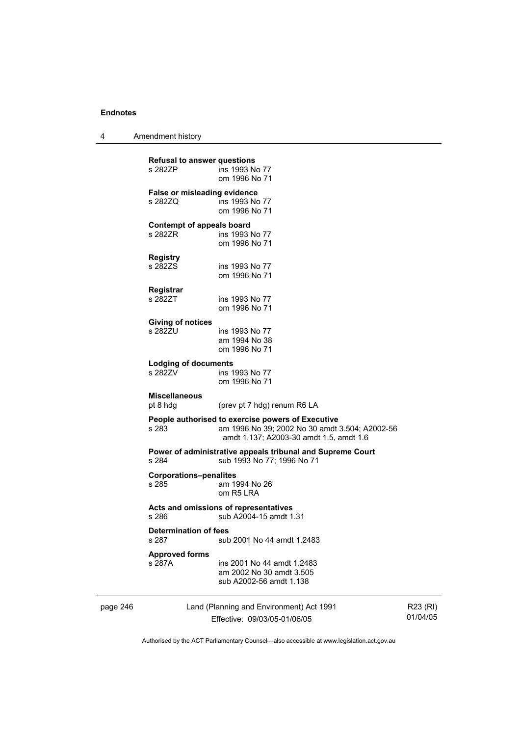4 Amendment history

|          | <b>Refusal to answer questions</b><br>s 282ZP  | ins 1993 No 77<br>om 1996 No 71                                                                                                                |                      |
|----------|------------------------------------------------|------------------------------------------------------------------------------------------------------------------------------------------------|----------------------|
|          | <b>False or misleading evidence</b><br>s 282ZQ | ins 1993 No 77<br>om 1996 No 71                                                                                                                |                      |
|          | Contempt of appeals board<br>s 282ZR           | ins 1993 No 77<br>om 1996 No 71                                                                                                                |                      |
|          | <b>Registry</b><br>s 282ZS                     | ins 1993 No 77<br>om 1996 No 71                                                                                                                |                      |
|          | Registrar<br>s 282ZT                           | ins 1993 No 77<br>om 1996 No 71                                                                                                                |                      |
|          | <b>Giving of notices</b><br>s 282ZU            | ins 1993 No 77<br>am 1994 No 38<br>om 1996 No 71                                                                                               |                      |
|          | <b>Lodging of documents</b><br>s 282ZV         | ins 1993 No 77<br>om 1996 No 71                                                                                                                |                      |
|          | <b>Miscellaneous</b><br>pt 8 hdg               | (prev pt 7 hdg) renum R6 LA                                                                                                                    |                      |
|          | s 283                                          | People authorised to exercise powers of Executive<br>am 1996 No 39; 2002 No 30 amdt 3.504; A2002-56<br>amdt 1.137; A2003-30 amdt 1.5, amdt 1.6 |                      |
|          | s 284                                          | Power of administrative appeals tribunal and Supreme Court<br>sub 1993 No 77; 1996 No 71                                                       |                      |
|          | <b>Corporations-penalites</b><br>s 285         | am 1994 No 26<br>om R <sub>5</sub> LRA                                                                                                         |                      |
|          | s 286                                          | Acts and omissions of representatives<br>sub A2004-15 amdt 1.31                                                                                |                      |
|          | <b>Determination of fees</b><br>s 287          | sub 2001 No 44 amdt 1.2483                                                                                                                     |                      |
|          | <b>Approved forms</b><br>s 287A                | ins 2001 No 44 amdt 1.2483<br>am 2002 No 30 amdt 3.505<br>sub A2002-56 amdt 1.138                                                              |                      |
| page 246 |                                                | Land (Planning and Environment) Act 1991<br>Effective: 09/03/05-01/06/05                                                                       | R23 (RI)<br>01/04/05 |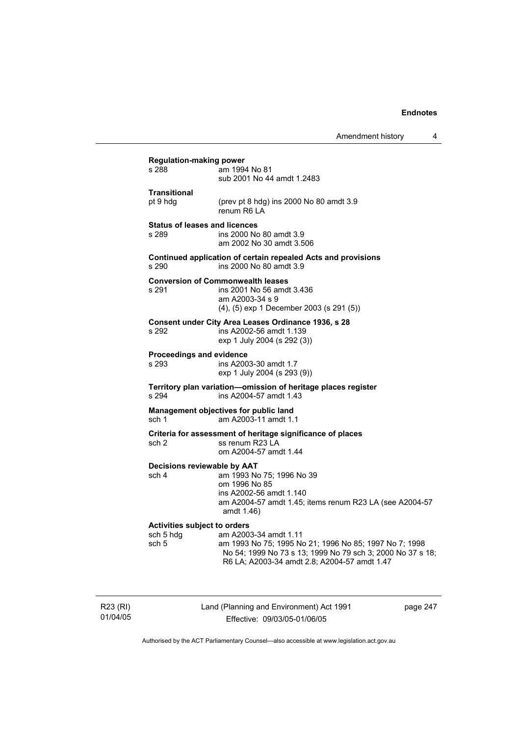| s 288                                                     | am 1994 No 81<br>sub 2001 No 44 amdt 1.2483                                                                                                                                                   |
|-----------------------------------------------------------|-----------------------------------------------------------------------------------------------------------------------------------------------------------------------------------------------|
| <b>Transitional</b><br>pt 9 hdg                           | (prev pt 8 hdg) ins 2000 No 80 amdt 3.9<br>renum R6 LA                                                                                                                                        |
| <b>Status of leases and licences</b><br>s 289             | ins 2000 No 80 amdt 3.9<br>am 2002 No 30 amdt 3.506                                                                                                                                           |
| s 290                                                     | Continued application of certain repealed Acts and provisions<br>ins 2000 No 80 amdt 3.9                                                                                                      |
| s 291                                                     | <b>Conversion of Commonwealth leases</b><br>ins 2001 No 56 amdt 3.436<br>am A2003-34 s 9<br>(4), (5) exp 1 December 2003 (s 291 (5))                                                          |
| s 292                                                     | Consent under City Area Leases Ordinance 1936, s 28<br>ins A2002-56 amdt 1.139<br>exp 1 July 2004 (s 292 (3))                                                                                 |
| Proceedings and evidence<br>s 293                         | ins A2003-30 amdt 1.7<br>exp 1 July 2004 (s 293 (9))                                                                                                                                          |
| s 294                                                     | Territory plan variation-omission of heritage places register<br>ins A2004-57 amdt 1.43                                                                                                       |
| sch <sub>1</sub>                                          | Management objectives for public land<br>am A2003-11 amdt 1.1                                                                                                                                 |
| sch 2                                                     | Criteria for assessment of heritage significance of places<br>ss renum R23 LA<br>om A2004-57 amdt 1.44                                                                                        |
| Decisions reviewable by AAT<br>sch 4                      | am 1993 No 75; 1996 No 39<br>om 1996 No 85<br>ins A2002-56 amdt 1.140<br>am A2004-57 amdt 1.45; items renum R23 LA (see A2004-57<br>amdt 1.46)                                                |
| <b>Activities subject to orders</b><br>sch 5 hdg<br>sch 5 | am A2003-34 amdt 1.11<br>am 1993 No 75; 1995 No 21; 1996 No 85; 1997 No 7; 1998<br>No 54; 1999 No 73 s 13; 1999 No 79 sch 3; 2000 No 37 s 18;<br>R6 LA; A2003-34 amdt 2.8; A2004-57 amdt 1.47 |

R23 (RI) 01/04/05 Land (Planning and Environment) Act 1991 Effective: 09/03/05-01/06/05

page 247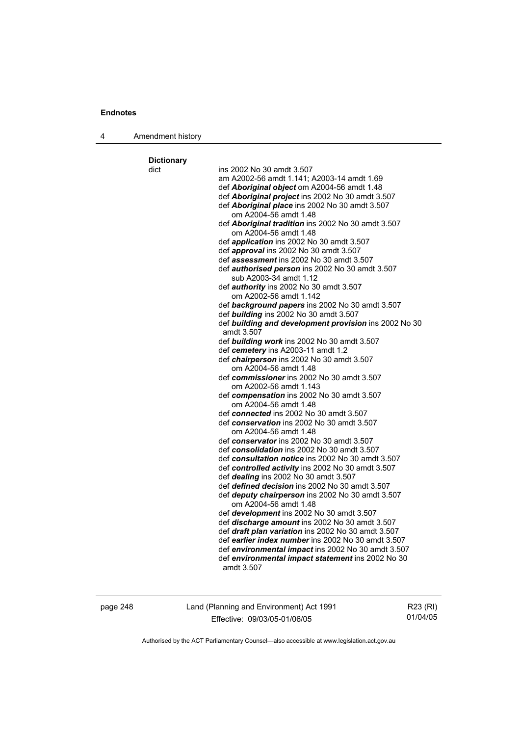|  | Amendment history |  |
|--|-------------------|--|
|--|-------------------|--|

**Dictionary**  dict ins 2002 No 30 amdt 3.507 am A2002-56 amdt 1.141; A2003-14 amdt 1.69 def *Aboriginal object* om A2004-56 amdt 1.48 def *Aboriginal project* ins 2002 No 30 amdt 3.507 def *Aboriginal place* ins 2002 No 30 amdt 3.507 om A2004-56 amdt 1.48 def *Aboriginal tradition* ins 2002 No 30 amdt 3.507 om A2004-56 amdt 1.48 def *application* ins 2002 No 30 amdt 3.507 def *approval* ins 2002 No 30 amdt 3.507 def *assessment* ins 2002 No 30 amdt 3.507 def *authorised person* ins 2002 No 30 amdt 3.507 sub A2003-34 amdt 1.12 def *authority* ins 2002 No 30 amdt 3.507 om A2002-56 amdt 1.142 def *background papers* ins 2002 No 30 amdt 3.507 def *building* ins 2002 No 30 amdt 3.507 def *building and development provision* ins 2002 No 30 amdt 3.507 def *building work* ins 2002 No 30 amdt 3.507 def *cemetery* ins A2003-11 amdt 1.2 def *chairperson* ins 2002 No 30 amdt 3.507 om A2004-56 amdt 1.48 def *commissioner* ins 2002 No 30 amdt 3.507 om A2002-56 amdt 1.143 def *compensation* ins 2002 No 30 amdt 3.507 om A2004-56 amdt 1.48 def *connected* ins 2002 No 30 amdt 3.507 def *conservation* ins 2002 No 30 amdt 3.507 om A2004-56 amdt 1.48 def *conservator* ins 2002 No 30 amdt 3.507 def *consolidation* ins 2002 No 30 amdt 3.507 def *consultation notice* ins 2002 No 30 amdt 3.507 def *controlled activity* ins 2002 No 30 amdt 3.507 def *dealing* ins 2002 No 30 amdt 3.507 def *defined decision* ins 2002 No 30 amdt 3.507 def *deputy chairperson* ins 2002 No 30 amdt 3.507 om A2004-56 amdt 1.48 def *development* ins 2002 No 30 amdt 3.507 def *discharge amount* ins 2002 No 30 amdt 3.507 def *draft plan variation* ins 2002 No 30 amdt 3.507 def *earlier index number* ins 2002 No 30 amdt 3.507 def *environmental impact* ins 2002 No 30 amdt 3.507 def *environmental impact statement* ins 2002 No 30 amdt 3.507

page 248 Land (Planning and Environment) Act 1991 Effective: 09/03/05-01/06/05

R23 (RI) 01/04/05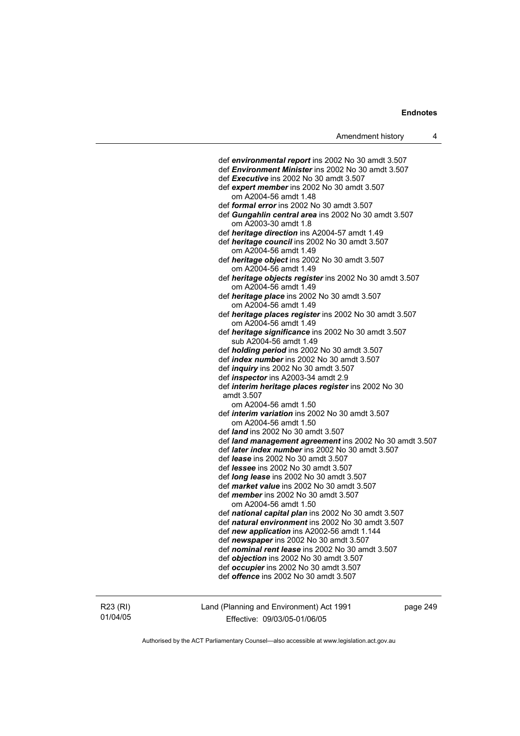def *environmental report* ins 2002 No 30 amdt 3.507 def *Environment Minister* ins 2002 No 30 amdt 3.507 def *Executive* ins 2002 No 30 amdt 3.507 def *expert member* ins 2002 No 30 amdt 3.507 om A2004-56 amdt 1.48 def *formal error* ins 2002 No 30 amdt 3.507 def *Gungahlin central area* ins 2002 No 30 amdt 3.507 om A2003-30 amdt 1.8 def *heritage direction* ins A2004-57 amdt 1.49 def *heritage council* ins 2002 No 30 amdt 3.507 om A2004-56 amdt 1.49 def *heritage object* ins 2002 No 30 amdt 3.507 om A2004-56 amdt 1.49 def *heritage objects register* ins 2002 No 30 amdt 3.507 om A2004-56 amdt 1.49 def *heritage place* ins 2002 No 30 amdt 3.507 om A2004-56 amdt 1.49 def *heritage places register* ins 2002 No 30 amdt 3.507 om A2004-56 amdt 1.49 def *heritage significance* ins 2002 No 30 amdt 3.507 sub A2004-56 amdt 1.49 def *holding period* ins 2002 No 30 amdt 3.507 def *index number* ins 2002 No 30 amdt 3.507 def *inquiry* ins 2002 No 30 amdt 3.507 def *inspector* ins A2003-34 amdt 2.9 def *interim heritage places register* ins 2002 No 30 amdt 3.507 om A2004-56 amdt 1.50 def *interim variation* ins 2002 No 30 amdt 3.507 om A2004-56 amdt 1.50 def *land* ins 2002 No 30 amdt 3.507 def *land management agreement* ins 2002 No 30 amdt 3.507 def *later index number* ins 2002 No 30 amdt 3.507 def *lease* ins 2002 No 30 amdt 3.507 def *lessee* ins 2002 No 30 amdt 3.507 def *long lease* ins 2002 No 30 amdt 3.507 def *market value* ins 2002 No 30 amdt 3.507 def *member* ins 2002 No 30 amdt 3.507 om A2004-56 amdt 1.50 def *national capital plan* ins 2002 No 30 amdt 3.507 def *natural environment* ins 2002 No 30 amdt 3.507 def *new application* ins A2002-56 amdt 1.144 def *newspaper* ins 2002 No 30 amdt 3.507 def *nominal rent lease* ins 2002 No 30 amdt 3.507 def *objection* ins 2002 No 30 amdt 3.507 def *occupier* ins 2002 No 30 amdt 3.507 def *offence* ins 2002 No 30 amdt 3.507

R23 (RI) 01/04/05 Land (Planning and Environment) Act 1991 Effective: 09/03/05-01/06/05

page 249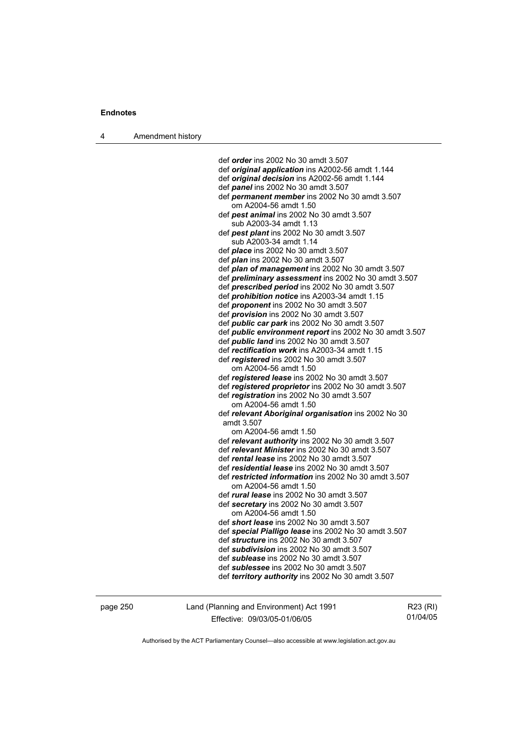4 Amendment history

 def *order* ins 2002 No 30 amdt 3.507 def *original application* ins A2002-56 amdt 1.144 def *original decision* ins A2002-56 amdt 1.144 def *panel* ins 2002 No 30 amdt 3.507 def *permanent member* ins 2002 No 30 amdt 3.507 om A2004-56 amdt 1.50 def *pest animal* ins 2002 No 30 amdt 3.507 sub A2003-34 amdt 1.13 def *pest plant* ins 2002 No 30 amdt 3.507 sub A2003-34 amdt 1.14 def *place* ins 2002 No 30 amdt 3.507 def *plan* ins 2002 No 30 amdt 3.507 def *plan of management* ins 2002 No 30 amdt 3.507 def *preliminary assessment* ins 2002 No 30 amdt 3.507 def *prescribed period* ins 2002 No 30 amdt 3.507 def *prohibition notice* ins A2003-34 amdt 1.15 def *proponent* ins 2002 No 30 amdt 3.507 def *provision* ins 2002 No 30 amdt 3.507 def *public car park* ins 2002 No 30 amdt 3.507 def *public environment report* ins 2002 No 30 amdt 3.507 def *public land* ins 2002 No 30 amdt 3.507 def *rectification work* ins A2003-34 amdt 1.15 def *registered* ins 2002 No 30 amdt 3.507 om A2004-56 amdt 1.50 def *registered lease* ins 2002 No 30 amdt 3.507 def *registered proprietor* ins 2002 No 30 amdt 3.507 def *registration* ins 2002 No 30 amdt 3.507 om A2004-56 amdt 1.50 def *relevant Aboriginal organisation* ins 2002 No 30 amdt 3.507 om A2004-56 amdt 1.50 def *relevant authority* ins 2002 No 30 amdt 3.507 def *relevant Minister* ins 2002 No 30 amdt 3.507 def *rental lease* ins 2002 No 30 amdt 3.507 def *residential lease* ins 2002 No 30 amdt 3.507 def *restricted information* ins 2002 No 30 amdt 3.507 om A2004-56 amdt 1.50 def *rural lease* ins 2002 No 30 amdt 3.507 def *secretary* ins 2002 No 30 amdt 3.507 om A2004-56 amdt 1.50 def *short lease* ins 2002 No 30 amdt 3.507 def *special Pialligo lease* ins 2002 No 30 amdt 3.507 def *structure* ins 2002 No 30 amdt 3.507 def *subdivision* ins 2002 No 30 amdt 3.507 def *sublease* ins 2002 No 30 amdt 3.507 def *sublessee* ins 2002 No 30 amdt 3.507 def *territory authority* ins 2002 No 30 amdt 3.507

page 250 Land (Planning and Environment) Act 1991 Effective: 09/03/05-01/06/05

R23 (RI) 01/04/05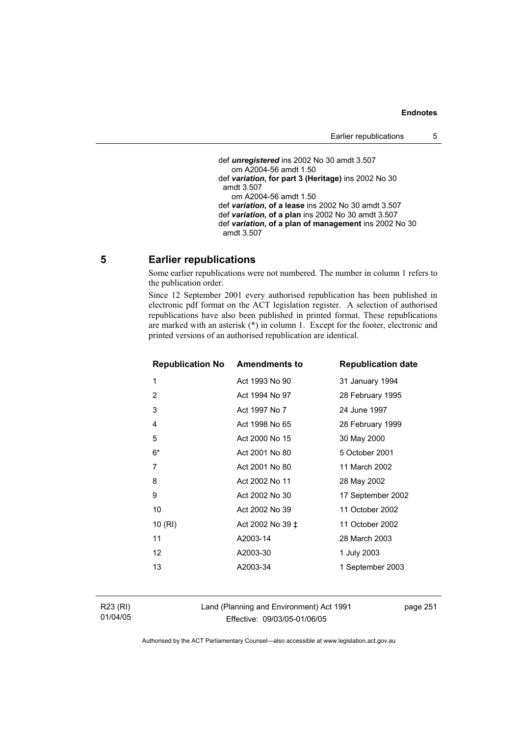def *unregistered* ins 2002 No 30 amdt 3.507 om A2004-56 amdt 1.50 def *variation***, for part 3 (Heritage)** ins 2002 No 30 amdt 3.507 om A2004-56 amdt 1.50 def *variation***, of a lease** ins 2002 No 30 amdt 3.507 def *variation***, of a plan** ins 2002 No 30 amdt 3.507 def *variation***, of a plan of management** ins 2002 No 30 amdt 3.507

## **5 Earlier republications**

Some earlier republications were not numbered. The number in column 1 refers to the publication order.

Since 12 September 2001 every authorised republication has been published in electronic pdf format on the ACT legislation register. A selection of authorised republications have also been published in printed format. These republications are marked with an asterisk (\*) in column 1. Except for the footer, electronic and printed versions of an authorised republication are identical.

| <b>Republication No Amendments to</b> |                  | <b>Republication date</b> |
|---------------------------------------|------------------|---------------------------|
| 1                                     | Act 1993 No 90   | 31 January 1994           |
| $\overline{2}$                        | Act 1994 No 97   | 28 February 1995          |
| 3                                     | Act 1997 No 7    | 24 June 1997              |
| 4                                     | Act 1998 No 65   | 28 February 1999          |
| 5                                     | Act 2000 No 15   | 30 May 2000               |
| $6*$                                  | Act 2001 No 80   | 5 October 2001            |
| 7                                     | Act 2001 No 80   | 11 March 2002             |
| 8                                     | Act 2002 No 11   | 28 May 2002               |
| 9                                     | Act 2002 No 30   | 17 September 2002         |
| 10                                    | Act 2002 No 39   | 11 October 2002           |
| 10(RI)                                | Act 2002 No 39 ‡ | 11 October 2002           |
| 11                                    | A2003-14         | 28 March 2003             |
| 12                                    | A2003-30         | 1 July 2003               |
| 13                                    | A2003-34         | 1 September 2003          |
|                                       |                  |                           |

Land (Planning and Environment) Act 1991 Effective: 09/03/05-01/06/05

page 251